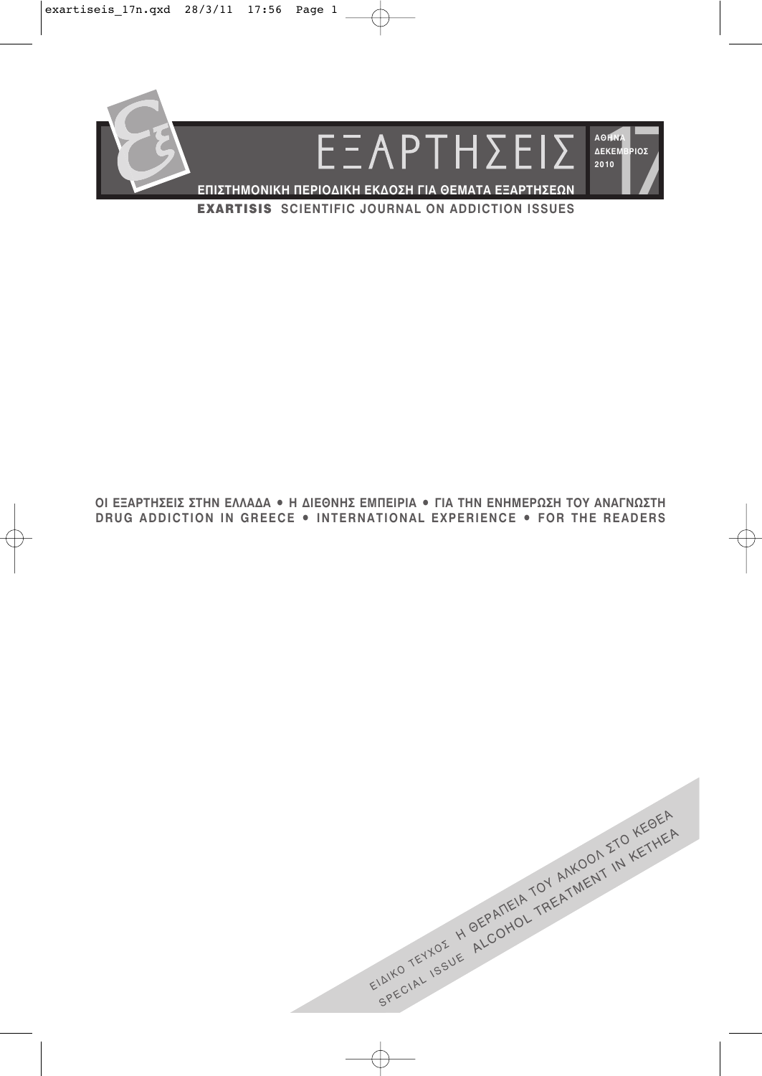

exartiseis\_17n.qxd 28/3/11 17:56 Page 1

ΟΙ ΕΞΑΡΤΗΣΕΙΣ ΣΤΗΝ ΕΛΛΑΔΑ • Η ΔΙΕΘΝΗΣ ΕΜΠΕΙΡΙΑ • ΓΙΑ ΤΗΝ ΕΝΗΜΕΡΩΣΗ ΤΟΥ ΑΝΑΓΝΩΣΤΗ DRUG ADDICTION IN GREECE . INTERNATIONAL EXPERIENCE . FOR THE READERS

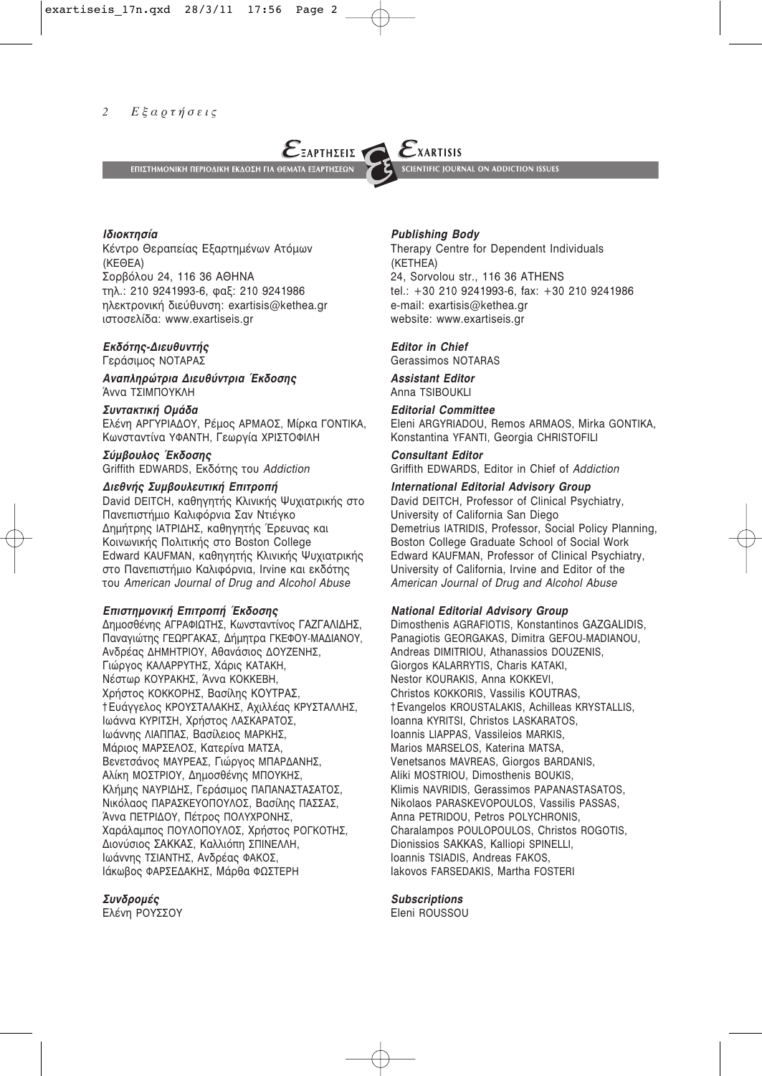

**INTIFIC JOURNAL ON ADDICTION ISSUES** 

#### *Ιδιοκτησία*

Κέντρο Θεραπείας Εξαρτημένων Ατόμων (∫∂£∂∞) Σορβόλου 24, 116 36 ΑΘΗΝΑ τηλ.: 210 9241993-6, φαξ: 210 9241986 ηλεκτρονική διεύθυνση: exartisis@kethea.gr ιστοσελίδα: www.exartiseis.gr

#### *<i>Εκδότης-Διευθυντής*

Γεράσιμος ΝΟΤΑΡΑΣ

 $A$ ναπληρώτρια Διευθύντρια Έκδοσης Άννα ΤΣΙΜΠΟΥΚΛΗ

#### Συντακτική Ομάδα

Ελένη ΑΡΓΥΡΙΑΔΟΥ, Ρέμος ΑΡΜΑΟΣ, Μίρκα ΓΟΝΤΙΚΑ, Κωνσταντίνα ΥΦΑΝΤΗ, Γεωργία ΧΡΙΣΤΟΦΙΛΗ

 $\Sigma$ ύμβουλος Έκδοσης Griffith EDWARDS, Εκδότης του Addiction

#### $Διεθνής Συμβουλευτική Επιτροπή$

David DEITCH, καθηγητής Κλινικής Ψυχιατρικής στο Πανεπιστήμιο Καλιφόρνια Σαν Ντιέγκο Δημήτρης ΙΑΤΡΙΔΗΣ, καθηγητής Έρευνας και Κοινωνικής Πολιτικής στο Boston College Edward KAUFMAN, καθηγητής Κλινικής Ψυχιατρικής στο Πανεπιστήμιο Καλιφόρνια, Irvine και εκδότης ÙÔ˘ *∞merican Journal of Drug and Alcohol Abuse*

#### *<i><del>Ēπιστημονική Επιτροπή Έκδοσης</del>*

Δημοσθένης ΑΓΡΑΦΙΩΤΗΣ, Κωνσταντίνος ΓΑΖΓΑΛΙΔΗΣ, Παναγιώτης ΓΕΩΡΓΑΚΑΣ, Δήμητρα ΓΚΕΦΟΥ-ΜΑΔΙΑΝΟΥ, Ανδρέας ΔΗΜΗΤΡΙΟΥ, Αθανάσιος ΔΟΥΖΕΝΗΣ, Γιώργος ΚΑΛΑΡΡΥΤΗΣ, Χάρις ΚΑΤΑΚΗ, Νέστωρ ΚΟΥΡΑΚΗΣ, Άννα ΚΟΚΚΕΒΗ, Χρήστος ΚΟΚΚΟΡΗΣ, Βασίλης ΚΟΥΤΡΑΣ, †Ευάγγελος ΚΡΟΥΣΤΑΛΑΚΗΣ, Αχιλλέας ΚΡΥΣΤΑΛΛΗΣ, Ιωάννα ΚΥΡΙΤΣΗ, Χρήστος ΛΑΣΚΑΡΑΤΟΣ, Ιωάννης ΛΙΑΠΠΑΣ, Βασίλειος ΜΑΡΚΗΣ, Μάριος ΜΑΡΣΕΛΟΣ, Κατερίνα ΜΑΤΣΑ, Βενετσάνος ΜΑΥΡΕΑΣ, Γιώργος ΜΠΑΡΔΑΝΗΣ, Αλίκη ΜΟΣΤΡΙΟΥ, Δημοσθένης ΜΠΟΥΚΗΣ, Κλήμης ΝΑΥΡΙΔΗΣ, Γεράσιμος ΠΑΠΑΝΑΣΤΑΣΑΤΟΣ, Νικόλαος ΠΑΡΑΣΚΕΥΟΠΟΥΛΟΣ, Βασίλης ΠΑΣΣΑΣ, Άννα ΠΕΤΡΙΔΟΥ, Πέτρος ΠΟΛΥΧΡΟΝΗΣ, Χαράλαμπος ΠΟΥΛΟΠΟΥΛΟΣ, Χρήστος ΡΟΓΚΟΤΗΣ, Διονύσιος ΣΑΚΚΑΣ, Καλλιόπη ΣΠΙΝΕΛΛΗ, Ιωάννης ΤΣΙΑΝΤΗΣ, Ανδρέας ΦΑΚΟΣ, Ιάκωβος ΦΑΡΣΕΔΑΚΗΣ, Μάρθα ΦΩΣΤΕΡΗ

#### Συνδρομές

Ελένη ΡΟΥΣΣΟΥ

#### *Publishing Body*

Therapy Centre for Dependent Individuals (KETHEA) 24, Sorvolou str., 116 36 ATHENS tel.: +30 210 9241993-6, fax: +30 210 9241986 e-mail: exartisis@kethea.gr website: www.exartiseis.gr

#### *Editor in Chief*

Gerassimos NOTARAS

*Assistant Editor* Anna TSIBOUKLI

#### *Editorial Committee*

Eleni ARGYRIADOU, Remos ARMAOS, Mirka GONTIKA, Konstantina YFANTI, Georgia CHRISTOFILI

*Consultant Editor*  Griffith EDWARDS, Editor in Chief of *Addiction* 

# *International Editorial Advisory Group*

David DEITCH, Professor of Clinical Psychiatry, University of California San Diego Demetrius IATRIDIS, Professor, Social Policy Planning, Boston College Graduate School of Social Work Edward KAUFMAN, Professor of Clinical Psychiatry, University of California, Irvine and Editor of the *∞merican Journal of Drug and Alcohol Abuse*

#### *National Editorial Advisory Group*

Dimosthenis AGRAFIOTIS, Konstantinos GAZGALIDIS, Panagiotis GEORGAKAS, Dimitra GEFOU-MADIANOU, Andreas DIMITRIOU, Athanassios DOUZENIS, Giorgos KALARRYTIS, Charis KATAKI, Nestor KOURAKIS, Anna KOKKEVI, Christos KOKKORIS, Vassilis KOUTRAS, †Evangelos KROUSTALAKIS, Achilleas KRYSTALLIS, Ioanna KYRITSI, Christos LASKARATOS, Ioannis LIAPPAS, Vassileios MARKIS, Marios MARSELOS, Katerina MATSA, Venetsanos MAVREAS, Giorgos BARDANIS, Aliki MOSTRIOU, Dimosthenis BOUKIS, Klimis NAVRIDIS, Gerassimos PAPANASTASATOS, Nikolaos PARASKEVOPOULOS, Vassilis PASSAS, Anna PETRIDOU, Petros POLYCHRONIS, Charalampos POULOPOULOS, Christos ROGOTIS, Dionissios SAKKAS, Kalliopi SPINELLI, Ioannis TSIADIS, Andreas FAKOS, Iakovos FARSEDAKIS, Martha FOSTERI

# *Subscriptions*

Eleni ROUSSOU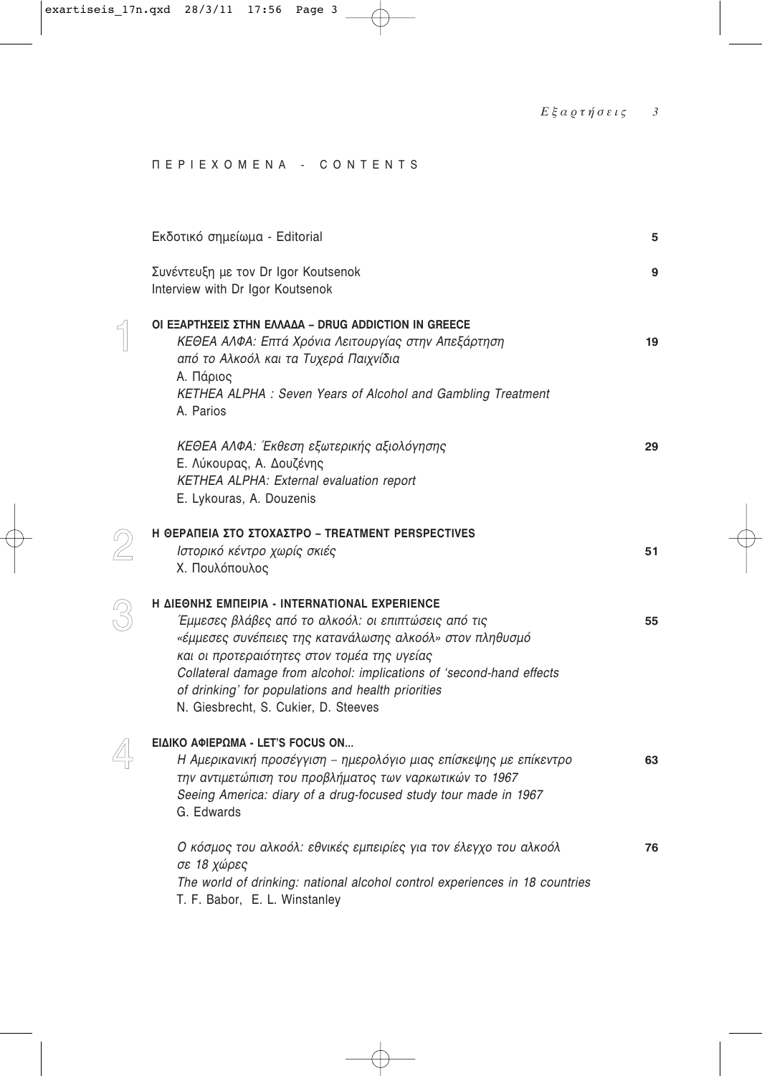# $\Big|\text{exartiseis\_17n.qxd}$  28/3/11 17:56 Page 3

# ¶∂ƒπ∂Ã√ª∂¡∞ - CONTENTS

| Εκδοτικό σημείωμα - Editorial                                                                                                                                                                                                                                                                                                                                                         | 5  |
|---------------------------------------------------------------------------------------------------------------------------------------------------------------------------------------------------------------------------------------------------------------------------------------------------------------------------------------------------------------------------------------|----|
| Συνέντευξη με τον Dr Igor Koutsenok<br>Interview with Dr Igor Koutsenok                                                                                                                                                                                                                                                                                                               | 9  |
| OI ΕΞΑΡΤΗΣΕΙΣ ΣΤΗΝ ΕΛΛΑΔΑ – DRUG ADDICTION IN GREECE<br>ΚΕΘΕΑ ΑΛΦΑ: Επτά Χρόνια Λειτουργίας στην Απεξάρτηση<br>από το Αλκοόλ και τα Τυχερά Παιχνίδια<br>Α. Πάριος<br>KETHEA ALPHA : Seven Years of Alcohol and Gambling Treatment<br>A. Parios                                                                                                                                        | 19 |
| ΚΕΘΕΑ ΑΛΦΑ: Έκθεση εξωτερικής αξιολόγησης<br>Ε. Λύκουρας, Α. Δουζένης<br>KETHEA ALPHA: External evaluation report<br>E. Lykouras, A. Douzenis                                                                                                                                                                                                                                         | 29 |
| Η ΘΕΡΑΠΕΙΑ ΣΤΟ ΣΤΟΧΑΣΤΡΟ – TREATMENT PERSPECTIVES<br>Ιστορικό κέντρο χωρίς σκιές<br>Χ. Πουλόπουλος                                                                                                                                                                                                                                                                                    | 51 |
| Η ΔΙΕΘΝΗΣ ΕΜΠΕΙΡΙΑ - INTERNATIONAL EXPERIENCE<br>Έμμεσες βλάβες από το αλκοόλ: οι επιπτώσεις από τις<br>«έμμεσες συνέπειες της κατανάλωσης αλκοόλ» στον πληθυσμό<br>και οι προτεραιότητες στον τομέα της υγείας<br>Collateral damage from alcohol: implications of 'second-hand effects<br>of drinking' for populations and health priorities<br>N. Giesbrecht, S. Cukier, D. Steeves | 55 |
| ΕΙΔΙΚΟ ΑΦΙΕΡΩΜΑ - LET'S FOCUS ON<br>Η Αμερικανική προσέγγιση - ημερολόγιο μιας επίσκεψης με επίκεντρο<br>την αντιμετώπιση του προβλήματος των ναρκωτικών το 1967<br>Seeing America: diary of a drug-focused study tour made in 1967<br>G. Edwards                                                                                                                                     | 63 |
| Ο κόσμος του αλκοόλ: εθνικές εμπειρίες για τον έλεγχο του αλκοόλ<br>σε 18 χώρες<br>The world of drinking: national alcohol control experiences in 18 countries<br>T. F. Babor, E. L. Winstanley                                                                                                                                                                                       | 76 |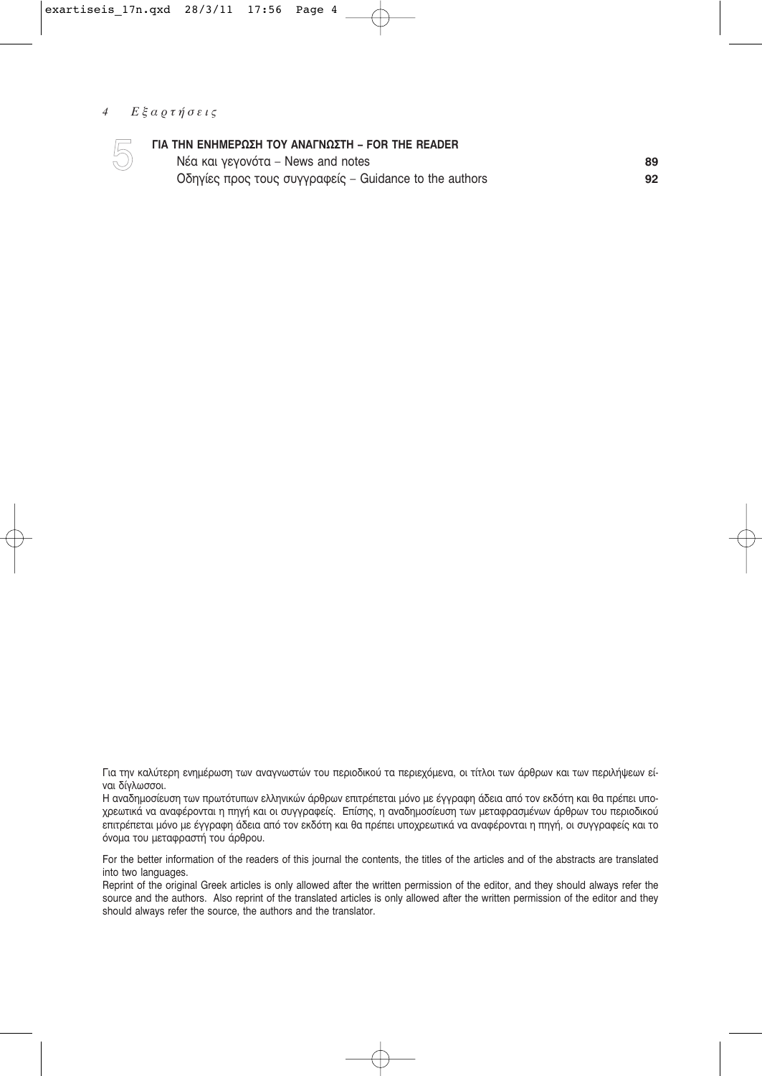#### $\overline{4}$ Εξαρτήσεις



# ΓΙΑ ΤΗΝ ΕΝΗΜΕΡΩΣΗ ΤΟΥ ΑΝΑΓΝΩΣΤΗ - FOR THE READER

Νέα και νενονότα - News and notes Οδηγίες προς τους συγγραφείς - Guidance to the authors 89

92

Για την καλύτερη ενημέρωση των αναγνωστών του περιοδικού τα περιεχόμενα, οι τίτλοι των άρθρων και των περιλήψεων είναι δίγλωσσοι.

Η αναδημοσίευση των πρωτότυπων ελληνικών άρθρων επιτρέπεται μόνο με έγγραφη άδεια από τον εκδότη και θα πρέπει υποχρεωτικά να αναφέρονται η πηγή και οι συγγραφείς. Επίσης, η αναδημοσίευση των μεταφρασμένων άρθρων του περιοδικού επιτρέπεται μόνο με έγγραφη άδεια από τον εκδότη και θα πρέπει υποχρεωτικά να αναφέρονται η πηγή, οι συγγραφείς και το όνομα του μεταφραστή του άρθρου.

For the better information of the readers of this journal the contents, the titles of the articles and of the abstracts are translated into two languages.

Reprint of the original Greek articles is only allowed after the written permission of the editor, and they should always refer the source and the authors. Also reprint of the translated articles is only allowed after the written permission of the editor and they should always refer the source, the authors and the translator.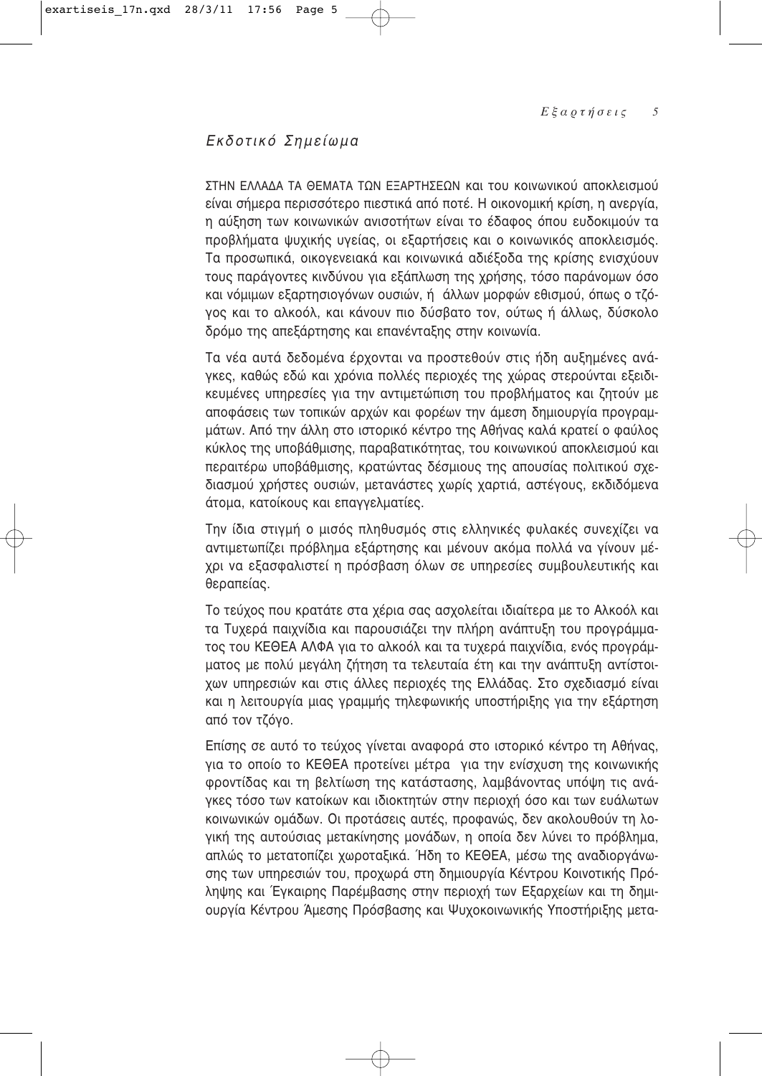# *EΚδοτικό Σημείωμα*

ΣΤΗΝ ΕΛΛΑΔΑ ΤΑ ΘΕΜΑΤΑ ΤΩΝ ΕΞΑΡΤΗΣΕΩΝ και του κοινωνικού αποκλεισμού είναι σήμερα περισσότερο πιεστικά από ποτέ. Η οικονομική κρίση, η ανερνία, η αύξηση των κοινωνικών ανισοτήτων είναι το έδαφος όπου ευδοκιμούν τα προβλήματα ψυχικής υγείας, οι εξαρτήσεις και ο κοινωνικός αποκλεισμός. Tα προσωπικά, οικογενειακά και κοινωνικά αδιέξοδα της κρίσης ενισχύουν τους παράγοντες κινδύνου για εξάπλωση της χρήσης, τόσο παράνομων όσο και νόμιμων εξαρτησιογόνων ουσιών, ή άλλων μορφών εθισμού, όπως ο τζόγος και το αλκοόλ, και κάνουν πιο δύσβατο τον, ούτως ή άλλως, δύσκολο δρόμο της απεξάρτησης και επανένταξης στην κοινωνία.

Τα νέα αυτά δεδομένα έρχονται να προστεθούν στις ήδη αυξημένες ανάγκες, καθώς εδώ και χρόνια πολλές περιοχές της χώρας στερούνται εξειδικευμένες υπηρεσίες για την αντιμετώπιση του προβλήματος και ζητούν με αποφάσεις των τοπικών αρχών και φορέων την άμεση δημιουργία προγραμμάτων. Από την άλλη στο ιστορικό κέντρο της Αθήνας καλά κρατεί ο φαύλος κύκλος της υποβάθμισης, παραβατικότητας, του κοινωνικού αποκλεισμού και περαιτέρω υποβάθμισης, κρατώντας δέσμιους της απουσίας πολιτικού σχεδιασμού χρήστες ουσιών, μετανάστες χωρίς χαρτιά, αστέγους, εκδιδόμενα άτομα, κατοίκους και επαγγελματίες.

Tην ίδια στιγμή ο μισός πληθυσμός στις ελληνικές φυλακές συνεχίζει να αντιμετωπίζει πρόβλημα εξάρτησης και μένουν ακόμα πολλά να γίνουν μέχρι να εξασφαλιστεί η πρόσβαση όλων σε υπηρεσίες συμβουλευτικής και θεραπείας.

Το τεύχος που κρατάτε στα χέρια σας ασχολείται ιδιαίτερα με το Αλκοόλ και τα Τυχερά παιχνίδια και παρουσιάζει την πλήρη ανάπτυξη του προγράμματος του ΚΕΘΕΑ ΑΛΦΑ για το αλκοόλ και τα τυχερά παιχνίδια, ενός προγράμματος με πολύ μεγάλη ζήτηση τα τελευταία έτη και την ανάπτυξη αντίστοιχων υπηρεσιών και στις άλλες περιοχές της Ελλάδας. Στο σχεδιασμό είναι και η λειτουργία μιας γραμμής τηλεφωνικής υποστήριξης για την εξάρτηση από τον τζόγο.

Επίσης σε αυτό το τεύχος γίνεται αναφορά στο ιστορικό κέντρο τη Αθήνας, για το οποίο το ΚΕΘΕΑ προτείνει μέτρα για την ενίσχυση της κοινωνικής φροντίδας και τη βελτίωση της κατάστασης, λαμβάνοντας υπόψη τις ανάγκες τόσο των κατοίκων και ιδιοκτητών στην περιοχή όσο και των ευάλωτων κοινωνικών ομάδων. Οι προτάσεις αυτές, προφανώς, δεν ακολουθούν τη λογική της αυτούσιας μετακίνησης μονάδων, η οποία δεν λύνει το πρόβλημα, απλώς το μετατοπίζει χωροταξικά. Ήδη το ΚΕΘΕΑ, μέσω της αναδιοργάνωσης των υπηρεσιών του, προχωρά στη δημιουργία Κέντρου Κοινοτικής Πρόληψης και Έγκαιρης Παρέμβασης στην περιοχή των Εξαρχείων και τη δημιουργία Κέντρου Άμεσης Πρόσβασης και Ψυχοκοινωνικής Υποστήριξης μετα-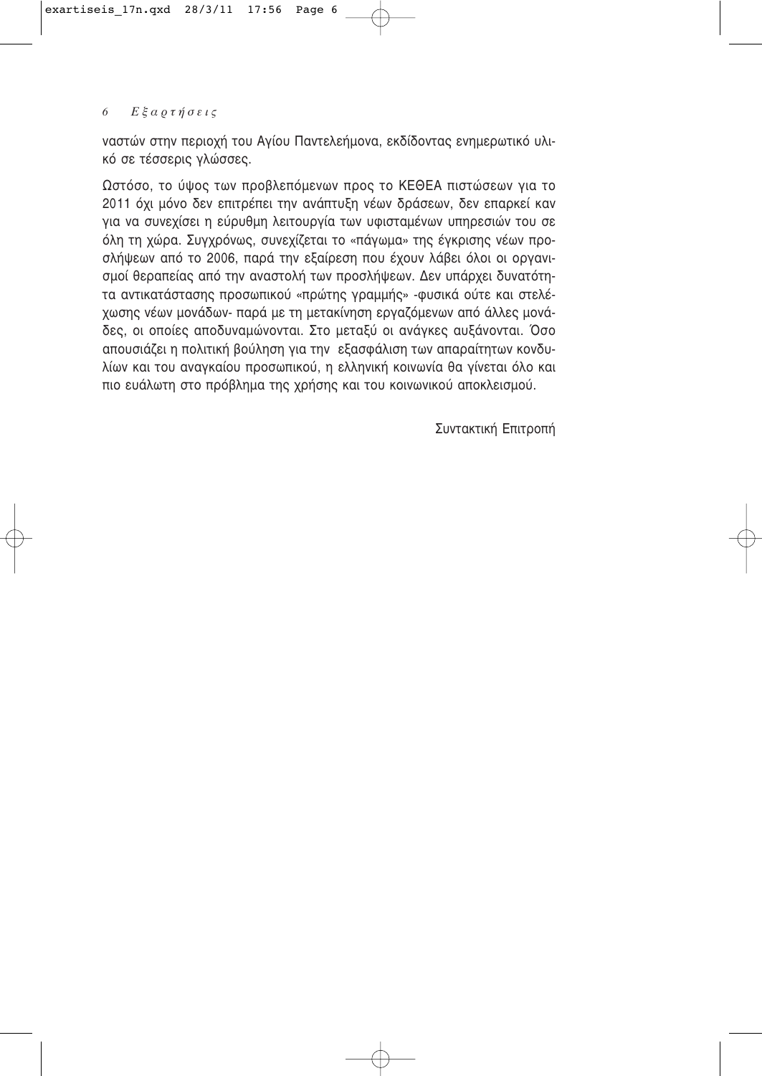ναστών στην περιοχή του Αγίου Παντελεήμονα, εκδίδοντας ενημερωτικό υλικό σε τέσσερις γλώσσες.

Ωστόσο, το ύψος των προβλεπόμενων προς το ΚΕΘΕΑ πιστώσεων για το 2011 όχι μόνο δεν επιτρέπει την ανάπτυξη νέων δράσεων, δεν επαρκεί καν για να συνεχίσει η εύρυθμη λειτουργία των υφισταμένων υπηρεσιών του σε όλη τη χώρα. Συγχρόνως, συνεχίζεται το «πάγωμα» της έγκρισης νέων προσλήψεων από το 2006, παρά την εξαίρεση που έχουν λάβει όλοι οι οργανισμοί θεραπείας από την αναστολή των προσλήψεων. Δεν υπάρχει δυνατότητα αντικατάστασης προσωπικού «πρώτης γραμμής» -φυσικά ούτε και στελέχωσης νέων μονάδων- παρά με τη μετακίνηση εργαζόμενων από άλλες μονάδες, οι οποίες αποδυναμώνονται. Στο μεταξύ οι ανάγκες αυξάνονται. Όσο απουσιάζει η πολιτική βούληση για την εξασφάλιση των απαραίτητων κονδυλίων και του αναγκαίου προσωπικού, η ελληνική κοινωνία θα γίνεται όλο και πιο ευάλωτη στο πρόβλημα της χρήσης και του κοινωνικού αποκλεισμού.

Συντακτική Επιτροπή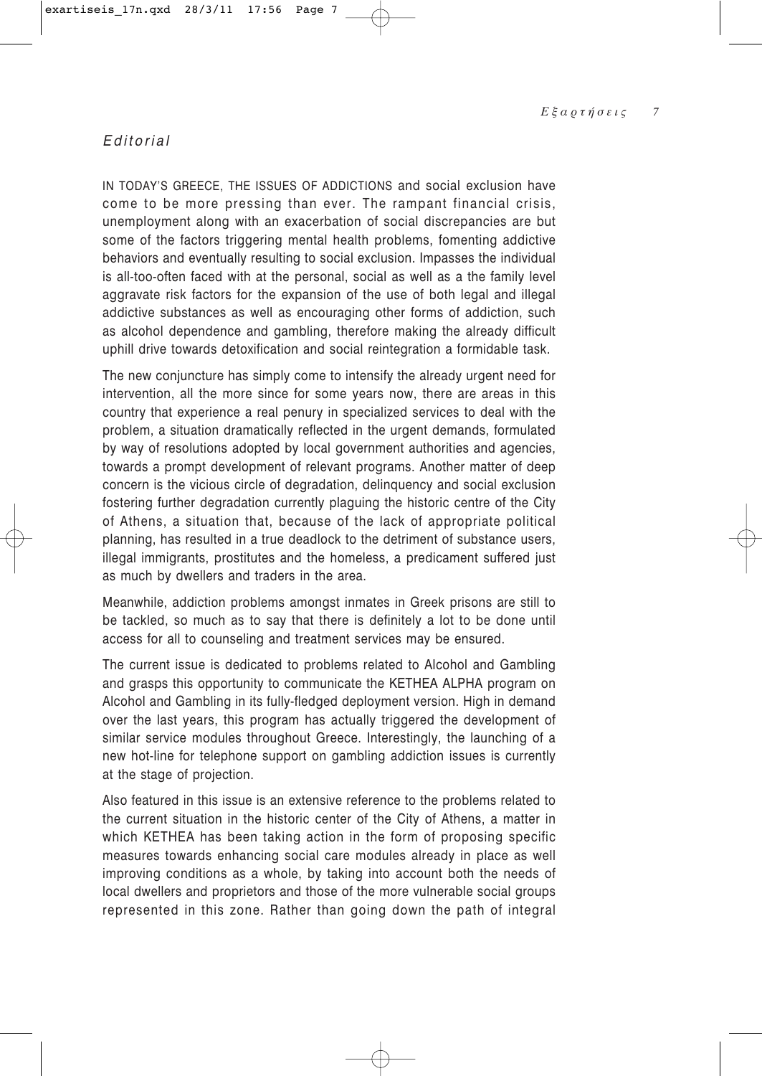## *Editorial*

IN TODAY'S GREECE, THE ISSUES OF ADDICTIONS and social exclusion have come to be more pressing than ever. The rampant financial crisis, unemployment along with an exacerbation of social discrepancies are but some of the factors triggering mental health problems, fomenting addictive behaviors and eventually resulting to social exclusion. Impasses the individual is all-too-often faced with at the personal, social as well as a the family level aggravate risk factors for the expansion of the use of both legal and illegal addictive substances as well as encouraging other forms of addiction, such as alcohol dependence and gambling, therefore making the already difficult uphill drive towards detoxification and social reintegration a formidable task.

The new conjuncture has simply come to intensify the already urgent need for intervention, all the more since for some years now, there are areas in this country that experience a real penury in specialized services to deal with the problem, a situation dramatically reflected in the urgent demands, formulated by way of resolutions adopted by local government authorities and agencies, towards a prompt development of relevant programs. Another matter of deep concern is the vicious circle of degradation, delinquency and social exclusion fostering further degradation currently plaguing the historic centre of the City of Athens, a situation that, because of the lack of appropriate political planning, has resulted in a true deadlock to the detriment of substance users, illegal immigrants, prostitutes and the homeless, a predicament suffered just as much by dwellers and traders in the area.

Meanwhile, addiction problems amongst inmates in Greek prisons are still to be tackled, so much as to say that there is definitely a lot to be done until access for all to counseling and treatment services may be ensured.

The current issue is dedicated to problems related to Alcohol and Gambling and grasps this opportunity to communicate the KETHEA ALPHA program on Alcohol and Gambling in its fully-fledged deployment version. High in demand over the last years, this program has actually triggered the development of similar service modules throughout Greece. Interestingly, the launching of a new hot-line for telephone support on gambling addiction issues is currently at the stage of projection.

Also featured in this issue is an extensive reference to the problems related to the current situation in the historic center of the City of Athens, a matter in which KETHEA has been taking action in the form of proposing specific measures towards enhancing social care modules already in place as well improving conditions as a whole, by taking into account both the needs of local dwellers and proprietors and those of the more vulnerable social groups represented in this zone. Rather than going down the path of integral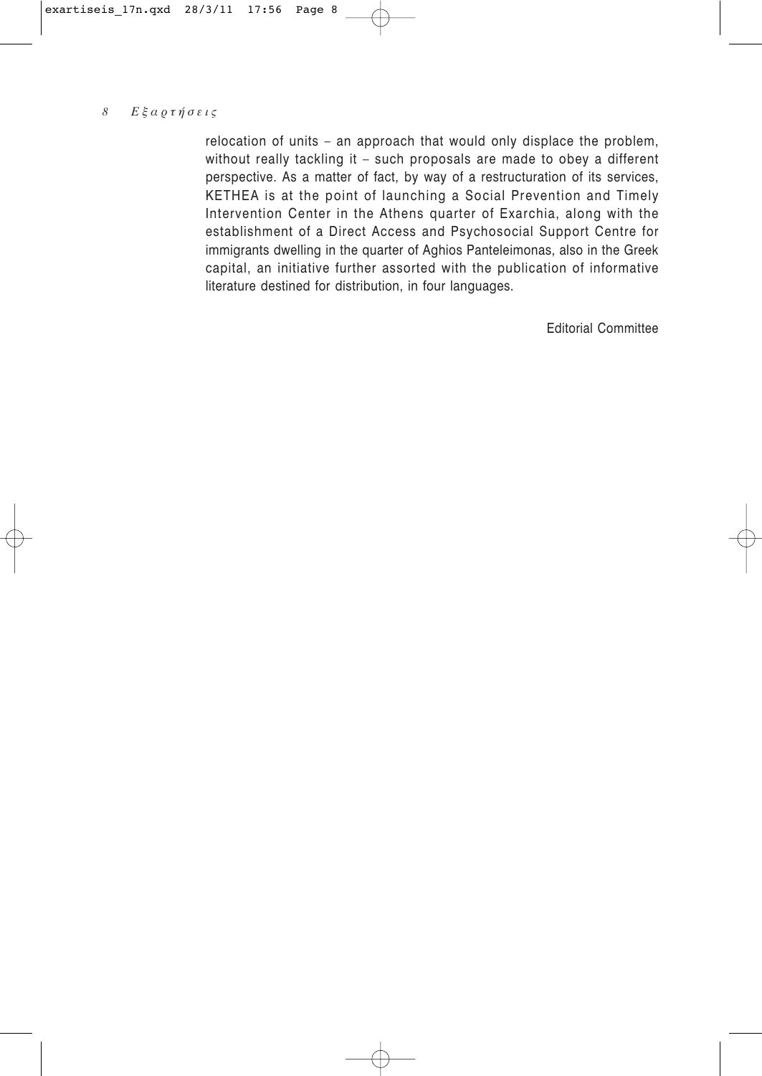relocation of units – an approach that would only displace the problem, without really tackling it – such proposals are made to obey a different perspective. As a matter of fact, by way of a restructuration of its services, KETHEA is at the point of launching a Social Prevention and Timely Intervention Center in the Athens quarter of Exarchia, along with the establishment of a Direct Access and Psychosocial Support Centre for immigrants dwelling in the quarter of Aghios Panteleimonas, also in the Greek capital, an initiative further assorted with the publication of informative literature destined for distribution, in four languages.

Editorial Committee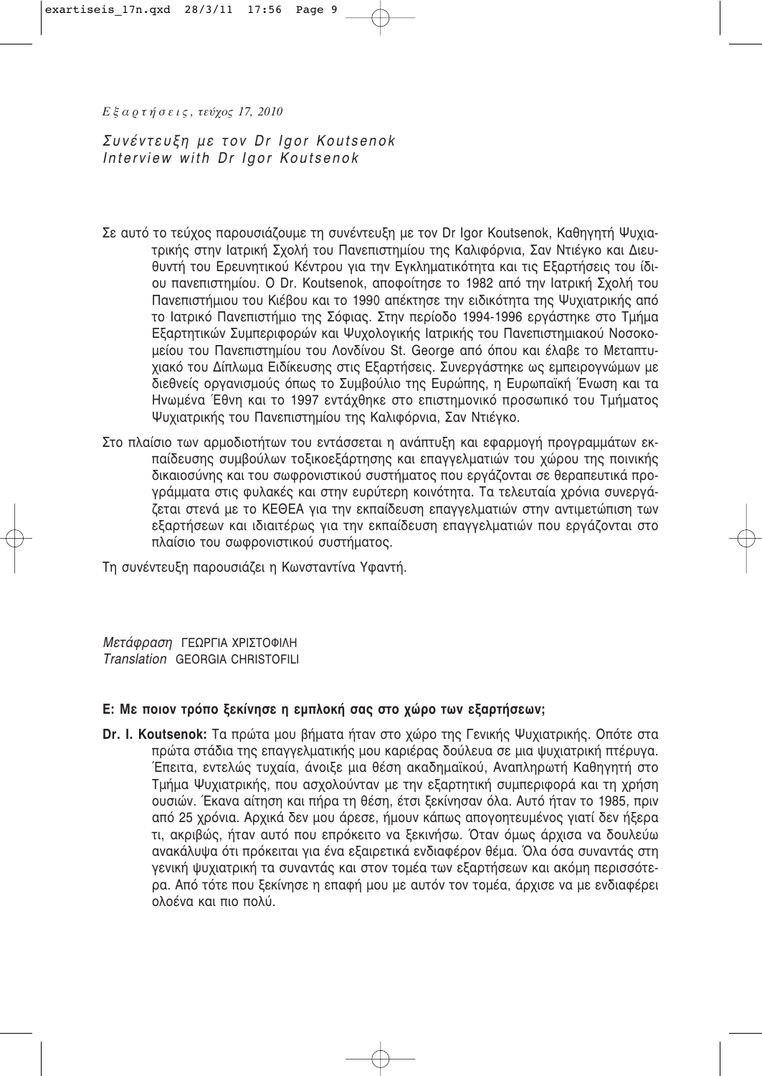*Ε ξ α ρ τ ή σ ε ι ς , τεύχος 17, 2010*

 $\Sigma$ *UV*έντευξη με τον Dr laor Koutsenok *Interview with Dr Igor Koutsenok* 

- Σε αυτό το τεύχος παρουσιάζουμε τη συνέντευξη με τον Dr Igor Koutsenok, Καθηγητή Ψυχιατρικής στην Ιατρική Σχολή του Πανεπιστημίου της Καλιφόρνια, Σαν Ντιέγκο και Διευθυντή του Ερευνητικού Κέντρου για την Εγκληματικότητα και τις Εξαρτήσεις του ίδιου πανεπιστημίου. Ο Dr. Koutsenok, αποφοίτησε το 1982 από την Ιατρική Σχολή του Πανεπιστήμιου του Κιέβου και το 1990 απέκτησε την ειδικότητα της Ψυχιατρικής από το Ιατρικό Πανεπιστήμιο της Σόφιας. Στην περίοδο 1994-1996 εργάστηκε στο Τμήμα Εξαρτητικών Συμπεριφορών και Ψυχολογικής Ιατρικής του Πανεπιστημιακού Νοσοκομείου του Πανεπιστημίου του Λονδίνου St. George από όπου και έλαβε το Μεταπτυχιακό του Δίπλωμα Ειδίκευσης στις Εξαρτήσεις. Συνεργάστηκε ως εμπειρογνώμων με διεθνείς οργανισμούς όπως το Συμβούλιο της Ευρώπης, η Ευρωπαϊκή Ένωση και τα Ηνωμένα Έθνη και το 1997 εντάχθηκε στο επιστημονικό προσωπικό του Τμήματος Ψυχιατρικής του Πανεπιστημίου της Καλιφόρνια. Σαν Ντιένκο,
- Στο πλαίσιο των αρμοδιοτήτων του εντάσσεται η ανάπτυξη και εφαρμογή προγραμμάτων εκπαίδευσης συμβούλων τοξικοεξάρτησης και επαγγελματιών του χώρου της ποινικής δικαιοσύνης και του σωφρονιστικού συστήματος που εργάζονται σε θεραπευτικά προγράμματα στις φυλακές και στην ευρύτερη κοινότητα. Τα τελευταία χρόνια συνεργάζεται στενά με το ΚΕΘΕΑ για την εκπαίδευση επαγγελματιών στην αντιμετώπιση των εξαρτήσεων και ιδιαιτέρως για την εκπαίδευση επαγγελματιών που εργάζονται στο πλαίσιο του σωφρονιστικού συστήματος.

Τη συνέντευξη παρουσιάζει η Κωνσταντίνα Υφαντή.

*Μετάφραση* ΓΕΩΡΓΙΑ ΧΡΙΣΤΟΦΙΛΗ *Translation* GEORGIA CHRISTOFILI

## **Ε: Με ποιον τρόπο ξεκίνησε η εμπλοκή σας στο χώρο των εξαρτήσεων;**

**Dr. I. Koutsenok:** Τα πρώτα μου βήματα ήταν στο χώρο της Γενικής Ψυχιατρικής. Οπότε στα πρώτα στάδια της επαγγελματικής μου καριέρας δούλευα σε μια ψυχιατρική πτέρυγα. Έπειτα, εντελώς τυχαία, άνοιξε μια θέση ακαδημαϊκού, Αναπληρωτή Καθηγητή στο Τμήμα Ψυχιατρικής, που ασχολούνταν με την εξαρτητική συμπεριφορά και τη χρήση ουσιών. Έκανα αίτηση και πήρα τη θέση, έτσι ξεκίνησαν όλα. Αυτό ήταν το 1985, πριν από 25 χρόνια. Αρχικά δεν μου άρεσε, ήμουν κάπως απογοητευμένος γιατί δεν ήξερα τι, ακριβώς, ήταν αυτό που επρόκειτο να ξεκινήσω. Όταν όμως άρχισα να δουλεύω ανακάλυψα ότι πρόκειται για ένα εξαιρετικά ενδιαφέρον θέμα. Όλα όσα συναντάς στη γενική ψυχιατρική τα συναντάς και στον τομέα των εξαρτήσεων και ακόμη περισσότερα. Από τότε που ξεκίνησε η επαφή μου με αυτόν τον τομέα, άρχισε να με ενδιαφέρει ολοένα και πιο πολύ.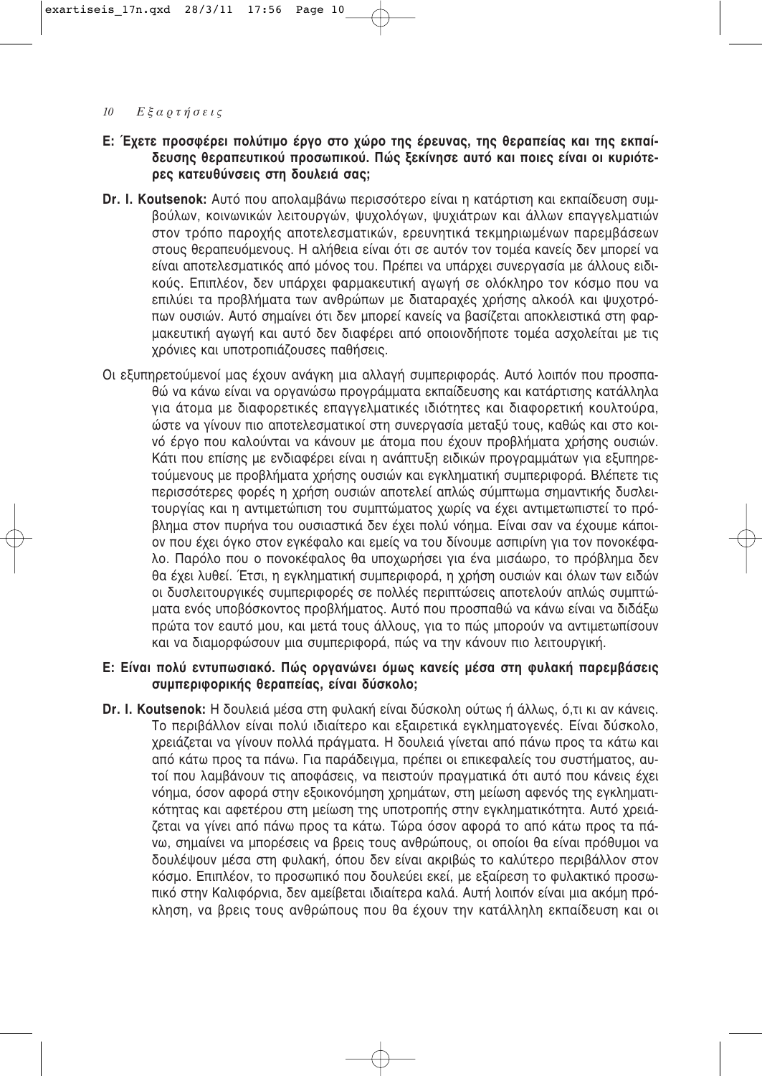- *10 Εξαρτήσεις*
- Ε: Έχετε προσφέρει πολύτιμο έργο στο χώρο της έρευνας, της θεραπείας και της εκπαίδευσης θεραπευτικού προσωπικού. Πώς ξεκίνησε αυτό και ποιες είναι οι κυριότερες κατευθύνσεις στη δουλειά σας;
- **Dr. I. Koutsenok:** Αυτό που απολαμβάνω περισσότερο είναι η κατάρτιση και εκπαίδευση συμβούλων, κοινωνικών λειτουργών, ψυχολόγων, ψυχιάτρων και άλλων επαγγελματιών στον τρόπο παροχής αποτελεσματικών, ερευνητικά τεκμηριωμένων παρεμβάσεων στους θεραπευόμενους. Η αλήθεια είναι ότι σε αυτόν τον τομέα κανείς δεν μπορεί να είναι αποτελεσματικός από μόνος του. Πρέπει να υπάρχει συνεργασία με άλλους ειδικούς. Επιπλέον, δεν υπάρχει φαρμακευτική αγωγή σε ολόκληρο τον κόσμο που να επιλύει τα προβλήματα των ανθρώπων με διαταραχές χρήσης αλκοόλ και ψυχοτρόπων ουσιών. Αυτό σημαίνει ότι δεν μπορεί κανείς να βασίζεται αποκλειστικά στη φαρμακευτική αγωγή και αυτό δεν διαφέρει από οποιονδήποτε τομέα ασχολείται με τις χρόνιες και υποτροπιάζουσες παθήσεις.
- Οι εξυπηρετούμενοί μας έχουν ανάγκη μια αλλαγή συμπεριφοράς. Αυτό λοιπόν που προσπαθώ να κάνω είναι να οργανώσω προγράμματα εκπαίδευσης και κατάρτισης κατάλληλα για άτομα με διαφορετικές επαγγελματικές ιδιότητες και διαφορετική κουλτούρα, ώστε να γίνουν πιο αποτελεσματικοί στη συνεργασία μεταξύ τους, καθώς και στο κοινό έργο που καλούνται να κάνουν με άτομα που έχουν προβλήματα χρήσης ουσιών. Κάτι που επίσης με ενδιαφέρει είναι η ανάπτυξη ειδικών προγραμμάτων για εξυπηρετούμενους με προβλήματα χρήσης ουσιών και εγκληματική συμπεριφορά. Βλέπετε τις περισσότερες φορές η χρήση ουσιών αποτελεί απλώς σύμπτωμα σημαντικής δυσλειτουργίας και η αντιμετώπιση του συμπτώματος χωρίς να έχει αντιμετωπιστεί το πρόβλημα στον πυρήνα του ουσιαστικά δεν έχει πολύ νόημα. Είναι σαν να έχουμε κάποιον που έχει όγκο στον εγκέφαλο και εμείς να του δίνουμε ασπιρίνη για τον πονοκέφαλο. Παρόλο που ο πονοκέφαλος θα υποχωρήσει για ένα μισάωρο, το πρόβλημα δεν θα έχει λυθεί. Έτσι, η εγκληματική συμπεριφορά, η χρήση ουσιών και όλων των ειδών ΟΙ δυσλειτουργικές συμπεριφορές σε πολλές περιπτώσεις αποτελούν απλώς συμπτώματα ενός υποβόσκοντος προβλήματος. Αυτό που προσπαθώ να κάνω είναι να διδάξω πρώτα τον εαυτό μου, και μετά τους άλλους, για το πώς μπορούν να αντιμετωπίσουν και να διαμορφώσουν μια συμπεριφορά, πώς να την κάνουν πιο λειτουργική.
- Ε: Είναι πολύ εντυπωσιακό. Πώς οργανώνει όμως κανείς μέσα στη φυλακή παρεμβάσεις **συμπεριφορικής θεραπείας, είναι δύσκολο;**
- **Dr. I. Koutsenok: Η** δουλειά μέσα στη φυλακή είναι δύσκολη ούτως ή άλλως, ό,τι κι αν κάνεις. Το περιβάλλον είναι πολύ ιδιαίτερο και εξαιρετικά εγκληματογενές. Είναι δύσκολο, χρειάζεται να γίνουν πολλά πράγματα. Η δουλειά γίνεται από πάνω προς τα κάτω και από κάτω προς τα πάνω. Για παράδειγμα, πρέπει οι επικεφαλείς του συστήματος, αυτοί που λαμβάνουν τις αποφάσεις, να πειστούν πραγματικά ότι αυτό που κάνεις έχει vóημα, όσον αφορά στην εξοικονόμηση χρημάτων, στη μείωση αφενός της εγκληματι-Κότητας και αφετέρου στη μείωση της υποτροπής στην εγκληματικότητα. Αυτό χρειάζεται να γίνει από πάνω προς τα κάτω. Τώρα όσον αφορά το από κάτω προς τα πάνω, σημαίνει να μπορέσεις να βρεις τους ανθρώπους, οι οποίοι θα είναι πρόθυμοι να δουλέψουν μέσα στη φυλακή, όπου δεν είναι ακριβώς το καλύτερο περιβάλλον στον Κόσμο. Επιπλέον, το προσωπικό που δουλεύει εκεί, με εξαίρεση το φυλακτικό προσωπικό στην Καλιφόρνια, δεν αμείβεται ιδιαίτερα καλά. Αυτή λοιπόν είναι μια ακόμη πρόκληση, να βρεις τους ανθρώπους που θα έχουν την κατάλληλη εκπαίδευση και οι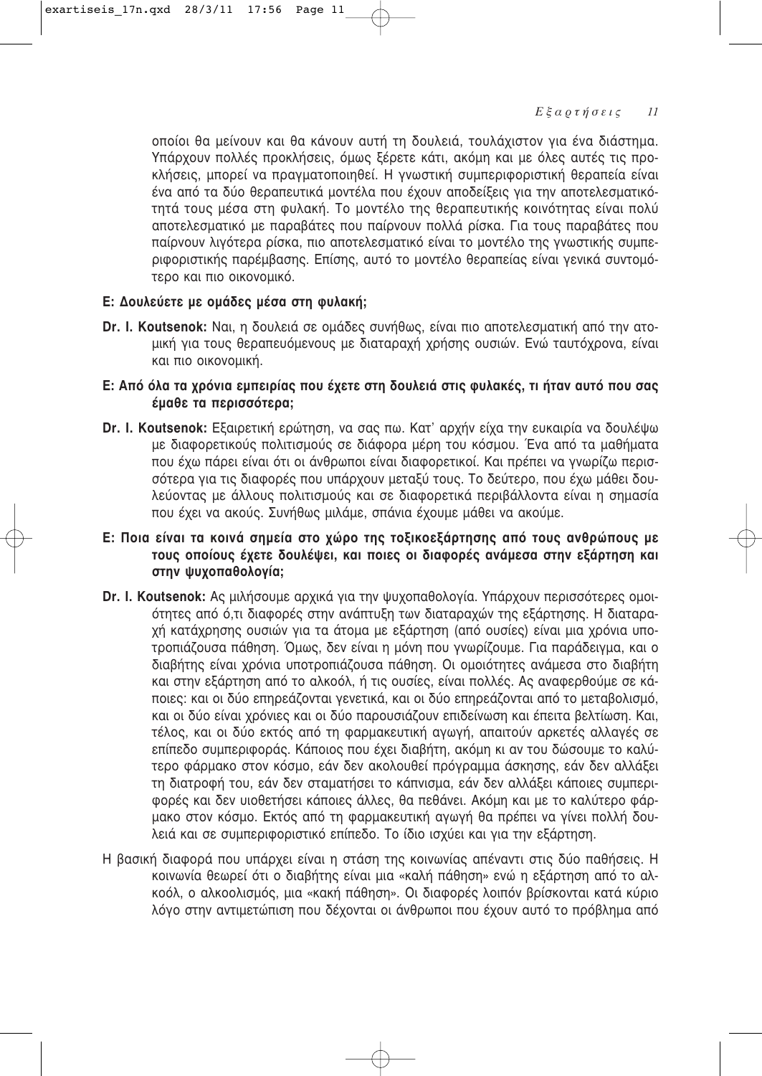οποίοι θα μείνουν και θα κάνουν αυτή τη δουλειά, τουλάχιστον για ένα διάστημα. Υπάρχουν πολλές προκλήσεις, όμως ξέρετε κάτι, ακόμη και με όλες αυτές τις προκλήσεις, μπορεί να πραγματοποιηθεί. Η γνωστική συμπεριφοριστική θεραπεία είναι ένα από τα δύο θεραπευτικά μοντέλα που έχουν αποδείξεις για την αποτελεσματικότητά τους μέσα στη φυλακή. Το μοντέλο της θεραπευτικής κοινότητας είναι πολύ αποτελεσματικό με παραβάτες που παίρνουν πολλά ρίσκα. Για τους παραβάτες που παίρνουν λιγότερα ρίσκα, πιο αποτελεσματικό είναι το μοντέλο της γνωστικής συμπεριφοριστικής παρέμβασης. Επίσης, αυτό το μοντέλο θεραπείας είναι γενικά συντομότερο και πιο οικονομικό.

# Ε: Δουλεύετε με ομάδες μέσα στη φυλακή;

17:56

 $28/3/11$ 

Page 11

exartiseis 17n.qxd

- Dr. I. Koutsenok: Ναι, η δουλειά σε ομάδες συνήθως, είναι πιο αποτελεσματική από την ατομική για τους θεραπευόμενους με διαταραχή χρήσης ουσιών. Ενώ ταυτόχρονα, είναι και πιο οικονομική.
- Ε: Από όλα τα χρόνια εμπειρίας που έχετε στη δουλειά στις φυλακές, τι ήταν αυτό που σας έμαθε τα περισσότερα;
- Dr. I. Koutsenok: Εξαιρετική ερώτηση, να σας πω. Κατ' αρχήν είχα την ευκαιρία να δουλέψω με διαφορετικούς πολιτισμούς σε διάφορα μέρη του κόσμου. Ένα από τα μαθήματα που έχω πάρει είναι ότι οι άνθρωποι είναι διαφορετικοί. Και πρέπει να γνωρίζω περισσότερα για τις διαφορές που υπάρχουν μεταξύ τους. Το δεύτερο, που έχω μάθει δουλεύοντας με άλλους πολιτισμούς και σε διαφορετικά περιβάλλοντα είναι η σημασία που έχει να ακούς. Συνήθως μιλάμε, σπάνια έχουμε μάθει να ακούμε.

# Ε: Ποια είναι τα κοινά σημεία στο χώρο της τοξικοεξάρτησης από τους ανθρώπους με τους οποίους έχετε δουλέψει, και ποιες οι διαφορές ανάμεσα στην εξάρτηση και στην ψυχοπαθολογία;

- Dr. I. Koutsenok: Ας μιλήσουμε αρχικά για την ψυχοπαθολογία. Υπάρχουν περισσότερες ομοιότητες από ό,τι διαφορές στην ανάπτυξη των διαταραχών της εξάρτησης. Η διαταραχή κατάχρησης ουσιών για τα άτομα με εξάρτηση (από ουσίες) είναι μια χρόνια υποτροπιάζουσα πάθηση. Όμως, δεν είναι η μόνη που γνωρίζουμε. Για παράδειγμα, και ο διαβήτης είναι χρόνια υποτροπιάζουσα πάθηση. Οι ομοιότητες ανάμεσα στο διαβήτη και στην εξάρτηση από το αλκοόλ, ή τις ουσίες, είναι πολλές. Ας αναφερθούμε σε κάποιες: και οι δύο επηρεάζονται γενετικά, και οι δύο επηρεάζονται από το μεταβολισμό, και οι δύο είναι χρόνιες και οι δύο παρουσιάζουν επιδείνωση και έπειτα βελτίωση. Και, τέλος, και οι δύο εκτός από τη φαρμακευτική αγωγή, απαιτούν αρκετές αλλαγές σε επίπεδο συμπεριφοράς. Κάποιος που έχει διαβήτη, ακόμη κι αν του δώσουμε το καλύτερο φάρμακο στον κόσμο, εάν δεν ακολουθεί πρόγραμμα άσκησης, εάν δεν αλλάξει τη διατροφή του, εάν δεν σταματήσει το κάπνισμα, εάν δεν αλλάξει κάποιες συμπεριφορές και δεν υιοθετήσει κάποιες άλλες, θα πεθάνει. Ακόμη και με το καλύτερο φάρμακο στον κόσμο. Εκτός από τη φαρμακευτική αγωγή θα πρέπει να γίνει πολλή δουλειά και σε συμπεριφοριστικό επίπεδο. Το ίδιο ισχύει και για την εξάρτηση.
- Η βασική διαφορά που υπάρχει είναι η στάση της κοινωνίας απέναντι στις δύο παθήσεις. Η κοινωνία θεωρεί ότι ο διαβήτης είναι μια «καλή πάθηση» ενώ η εξάρτηση από το αλκοόλ, ο αλκοολισμός, μια «κακή πάθηση». Οι διαφορές λοιπόν βρίσκονται κατά κύριο λόγο στην αντιμετώπιση που δέχονται οι άνθρωποι που έχουν αυτό το πρόβλημα από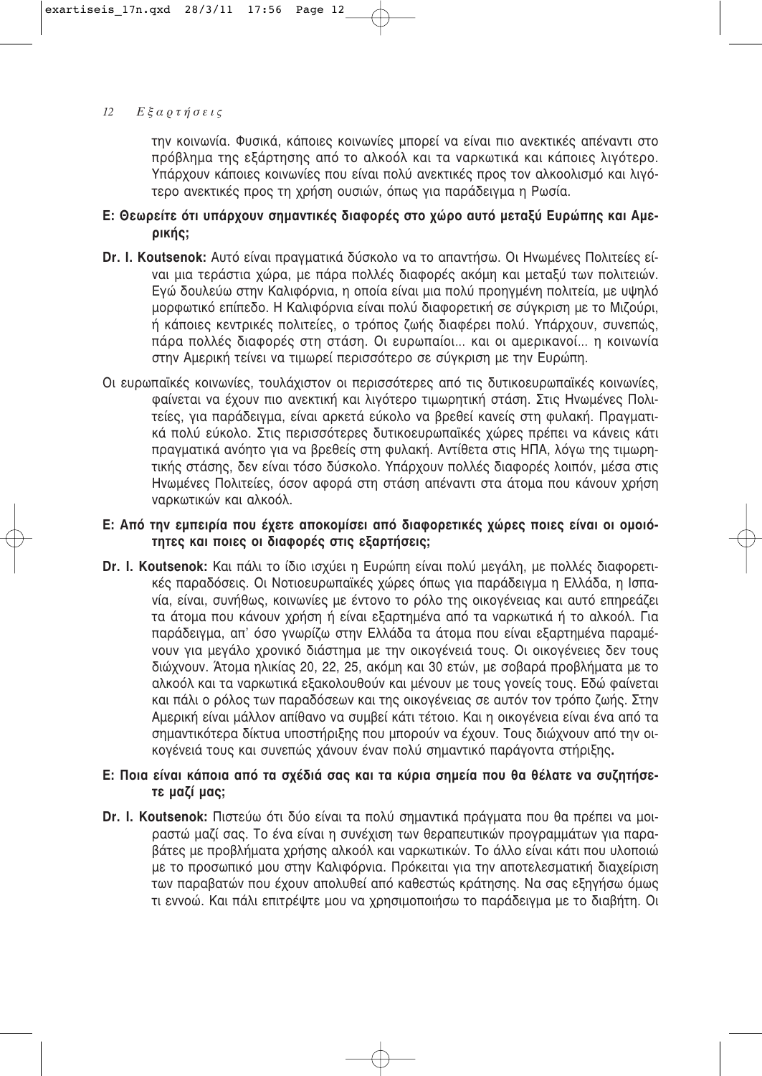την κοινωνία. Φυσικά, κάποιες κοινωνίες μπορεί να είναι πιο ανεκτικές απέναντι στο πρόβλημα της εξάρτησης από το αλκοόλ και τα ναρκωτικά και κάποιες λιγότερο. Υπάρχουν κάποιες κοινωνίες που είναι πολύ ανεκτικές προς τον αλκοολισμό και λιγότερο ανεκτικές προς τη χρήση ουσιών, όπως για παράδειγμα η Ρωσία.

# Ε: Θεωρείτε ότι υπάρχουν σημαντικές διαφορές στο χώρο αυτό μεταξύ Ευρώπης και Αμε**ρικής;**

- **Dr. I. Koutsenok:** Αυτό είναι πραγματικά δύσκολο να το απαντήσω. Οι Ηνωμένες Πολιτείες είναι μια τεράστια χώρα, με πάρα πολλές διαφορές ακόμη και μεταξύ των πολιτειών. Εγώ δουλεύω στην Καλιφόρνια, η οποία είναι μια πολύ προηγμένη πολιτεία, με υψηλό μορφωτικό επίπεδο. Η Καλιφόρνια είναι πολύ διαφορετική σε σύγκριση με το Μιζούρι, ή κάποιες κεντρικές πολιτείες, ο τρόπος ζωής διαφέρει πολύ. Υπάρχουν, συνεπώς, πάρα πολλές διαφορές στη στάση. Οι ευρωπαίοι... και οι αμερικανοί... η κοινωνία στην Αμερική τείνει να τιμωρεί περισσότερο σε σύγκριση με την Ευρώπη.
- Οι ευρωπαϊκές κοινωνίες, τουλάχιστον οι περισσότερες από τις δυτικοευρωπαϊκές κοινωνίες, Φαίνεται να έχουν πιο ανεκτική και λιγότερο τιμωρητική στάση. Στις Ηνωμένες Πολιτείες, για παράδειγμα, είναι αρκετά εύκολο να βρεθεί κανείς στη φυλακή. Πραγματικά πολύ εύκολο. Στις περισσότερες δυτικοευρωπαϊκές χώρες πρέπει να κάνεις κάτι πραγματικά ανόητο για να βρεθείς στη φυλακή. Αντίθετα στις ΗΠΑ, λόγω της τιμωρητικής στάσης, δεν είναι τόσο δύσκολο. Υπάρχουν πολλές διαφορές λοιπόν, μέσα στις Ηνωμένες Πολιτείες, όσον αφορά στη στάση απέναντι στα άτομα που κάνουν χρήση ναρκωτικών και αλκοόλ.

# Ε: Από την εμπειρία που έχετε αποκομίσει από διαφορετικές χώρες ποιες είναι οι ομοιό-**Τητες και ποιες οι διαφορές στις εξαρτήσεις;**

**Dr. I. Koutsenok:** Και πάλι το ίδιο ισχύει η Ευρώπη είναι πολύ μεγάλη, με πολλές διαφορετικές παραδόσεις. Οι Νοτιοευρωπαϊκές χώρες όπως για παράδειγμα η Ελλάδα, η Ισπανία, είναι, συνήθως, κοινωνίες με έντονο το ρόλο της οικογένειας και αυτό επηρεάζει τα άτομα που κάνουν χρήση ή είναι εξαρτημένα από τα ναρκωτικά ή το αλκοόλ. Για παράδειγμα, απ' όσο γνωρίζω στην Ελλάδα τα άτομα που είναι εξαρτημένα παραμέ-VOUV για μεγάλο χρονικό διάστημα με την οικογένειά τους. Οι οικογένειες δεν τους διώχνουν. Άτομα ηλικίας 20, 22, 25, ακόμη και 30 ετών, με σοβαρά προβλήματα με το αλκοόλ και τα ναρκωτικά εξακολουθούν και μένουν με τους γονείς τους. Εδώ φαίνεται και πάλι ο ρόλος των παραδόσεων και της οικογένειας σε αυτόν τον τρόπο ζωής. Στην Aμερική είναι μάλλον απίθανο να συμβεί κάτι τέτοιο. Και η οικονένεια είναι ένα από τα σημαντικότερα δίκτυα υποστήριξης που μπορούν να έχουν. Τους διώχνουν από την οι-Κογένειά τους και συνεπώς χάνουν έναν πολύ σημαντικό παράγοντα στήριξης.

# Ε: Ποια είναι κάποια από τα σχέδιά σας και τα κύρια σημεία που θα θέλατε να συζητήσε**τε μαζί μας;**

**Dr. I. Koutsenok:** Πιστεύω ότι δύο είναι τα πολύ σημαντικά πράγματα που θα πρέπει να μοιραστώ μαζί σας. Το ένα είναι η συνέχιση των θεραπευτικών προγραμμάτων για παραβάτες με προβλήματα χρήσης αλκοόλ και ναρκωτικών. Το άλλο είναι κάτι που υλοποιώ με το προσωπικό μου στην Καλιφόρνια. Πρόκειται νια την αποτελεσματική διαχείριση των παραβατών που έχουν απολυθεί από καθεστώς κράτησης. Να σας εξηγήσω όμως τι εννοώ. Και πάλι επιτρέψτε μου να χρησιμοποιήσω το παράδειγμα με το διαβήτη. Οι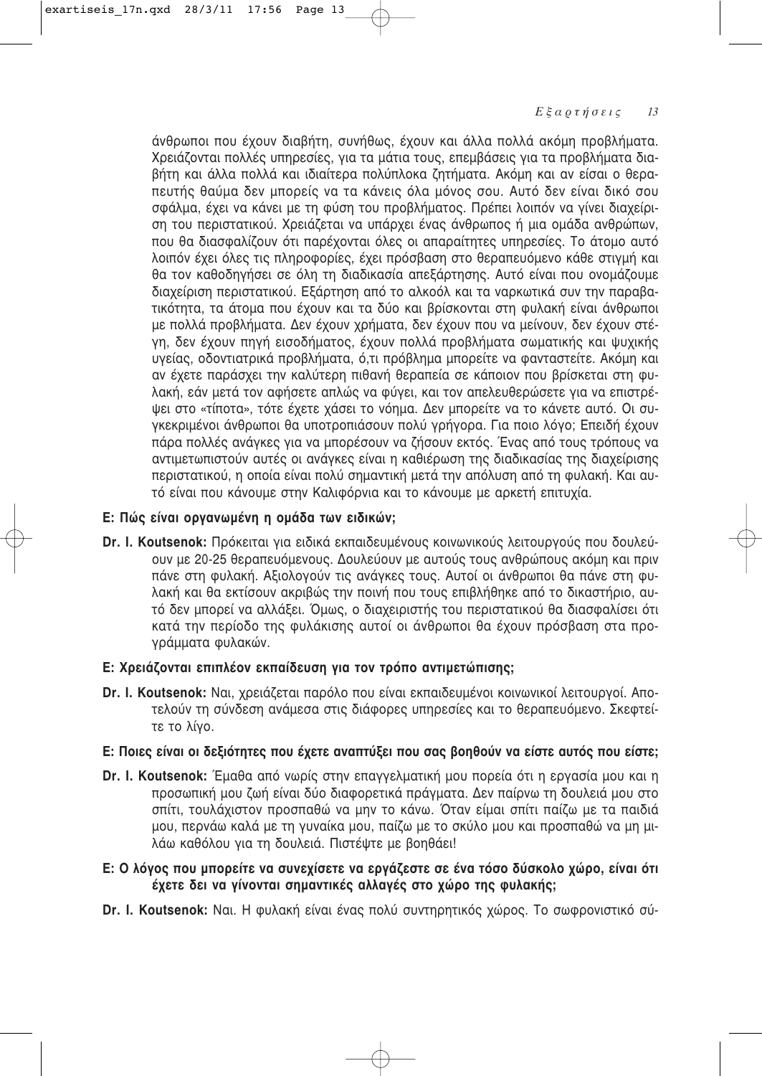άνθρωποι που έχουν διαβήτη, συνήθως, έχουν και άλλα πολλά ακόμη προβλήματα. Χρειάζονται πολλές υπηρεσίες, για τα μάτια τους, επεμβάσεις για τα προβλήματα διαβήτη και άλλα πολλά και ιδιαίτερα πολύπλοκα ζητήματα. Ακόμη και αν είσαι ο θεραπευτής θαύμα δεν μπορείς να τα κάνεις όλα μόνος σου. Αυτό δεν είναι δικό σου σφάλμα, έχει να κάνει με τη φύση του προβλήματος. Πρέπει λοιπόν να γίνει διαχείριση του περιστατικού. Χρειάζεται να υπάρχει ένας άνθρωπος ή μια ομάδα ανθρώπων, που θα διασφαλίζουν ότι παρέχονται όλες οι απαραίτητες υπηρεσίες. Το άτομο αυτό λοιπόν έχει όλες τις πληροφορίες, έχει πρόσβαση στο θεραπευόμενο κάθε στινμή και θα τον καθοδηγήσει σε όλη τη διαδικασία απεξάρτησης. Αυτό είναι που ονομάζουμε διαχείριση περιστατικού. Εξάρτηση από το αλκοόλ και τα ναρκωτικά συν την παραβατικότητα, τα άτομα που έχουν και τα δύο και βρίσκονται στη φυλακή είναι άνθρωποι με πολλά προβλήματα. Δεν έχουν χρήματα, δεν έχουν που να μείνουν, δεν έχουν στέγη, δεν έχουν πηγή εισοδήματος, έχουν πολλά προβλήματα σωματικής και ψυχικής υγείας, οδοντιατρικά προβλήματα, ό,τι πρόβλημα μπορείτε να φανταστείτε. Ακόμη και αν έχετε παράσχει την καλύτερη πιθανή θεραπεία σε κάποιον που βρίσκεται στη φυλακή, εάν μετά τον αφήσετε απλώς να φύγει, και τον απελευθερώσετε για να επιστρέψει στο «τίποτα», τότε έχετε χάσει το νόημα. Δεν μπορείτε να το κάνετε αυτό. Οι συγκεκριμένοι άνθρωποι θα υποτροπιάσουν πολύ γρήγορα. Για ποιο λόγο; Επειδή έχουν πάρα πολλές ανάγκες για να μπορέσουν να ζήσουν εκτός. Ένας από τους τρόπους να αντιμετωπιστούν αυτές οι ανάγκες είναι η καθιέρωση της διαδικασίας της διαχείρισης περιστατικού, η οποία είναι πολύ σημαντική μετά την απόλυση από τη φυλακή. Και αυτό είναι που κάνουμε στην Καλιφόρνια και το κάνουμε με αρκετή επιτυχία.

## Ε: Πώς είναι οργανωμένη η ομάδα των ειδικών;

Dr. I. Koutsenok: Πρόκειται για ειδικά εκπαιδευμένους κοινωνικούς λειτουργούς που δουλεύουν με 20-25 θεραπευόμενους. Δουλεύουν με αυτούς τους ανθρώπους ακόμη και πριν πάνε στη φυλακή. Αξιολογούν τις ανάγκες τους. Αυτοί οι άνθρωποι θα πάνε στη φυλακή και θα εκτίσουν ακοιβώς την ποινή που τους επιβλήθηκε από το δικαστήριο, αυτό δεν μπορεί να αλλάξει. Όμως, ο διαχειριστής του περιστατικού θα διασφαλίσει ότι κατά την περίοδο της φυλάκισης αυτοί οι άνθρωποι θα έχουν πρόσβαση στα προγράμματα φυλακών.

## Ε: Χρειάζονται επιπλέον εκπαίδευση για τον τρόπο αντιμετώπισης;

Dr. I. Koutsenok: Ναι, χρειάζεται παρόλο που είναι εκπαιδευμένοι κοινωνικοί λειτουργοί. Αποτελούν τη σύνδεση ανάμεσα στις διάφορες υπηρεσίες και το θεραπευόμενο. Σκεφτείτε το λίγο.

## Ε: Ποιες είναι οι δεξιότητες που έχετε αναπτύξει που σας βοηθούν να είστε αυτός που είστε;

Dr. I. Koutsenok: Έμαθα από νωρίς στην επαγγελματική μου πορεία ότι η εργασία μου και η προσωπική μου ζωή είναι δύο διαφορετικά πράγματα. Δεν παίρνω τη δουλειά μου στο σπίτι, τουλάχιστον προσπαθώ να μην το κάνω. Όταν είμαι σπίτι παίζω με τα παιδιά μου, περνάω καλά με τη γυναίκα μου, παίζω με το σκύλο μου και προσπαθώ να μη μιλάω καθόλου για τη δουλειά. Πιστέψτε με βοηθάει!

## Ε: Ο λόγος που μπορείτε να συνεχίσετε να εργάζεστε σε ένα τόσο δύσκολο χώρο, είναι ότι έχετε δει να γίνονται σημαντικές αλλαγές στο χώρο της φυλακής;

Dr. I. Koutsenok: Ναι. Η φυλακή είναι ένας πολύ συντηρητικός χώρος. Το σωφρονιστικό σύ-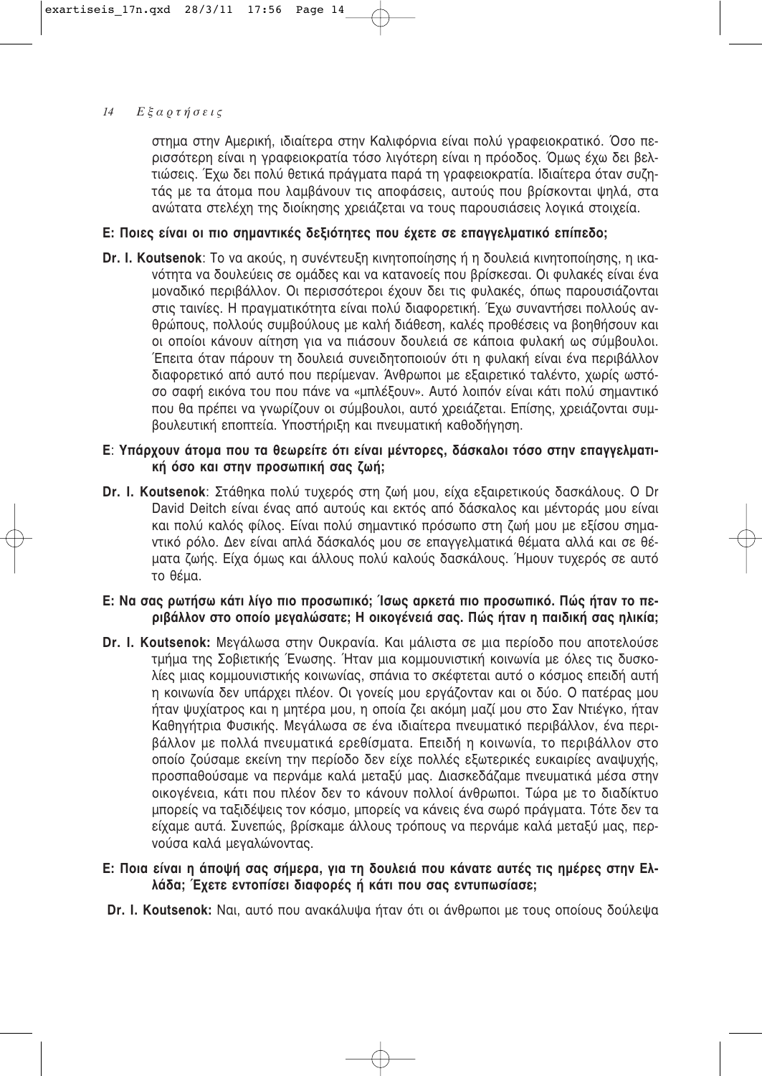> στημα στην Αμερική, ιδιαίτερα στην Καλιφόρνια είναι πολύ γραφειοκρατικό. Όσο περισσότερη είναι η γραφειοκρατία τόσο λιγότερη είναι η πρόοδος. Όμως έχω δει βελτιώσεις. Έχω δει πολύ θετικά πράγματα παρά τη γραφειοκρατία. Ιδιαίτερα όταν συζητάς με τα άτομα που λαμβάνουν τις αποφάσεις, αυτούς που βρίσκονται ψηλά, στα ανώτατα στελέχη της διοίκησης χρειάζεται να τους παρουσιάσεις λογικά στοιχεία.

# Ε: Ποιες είναι οι πιο σημαντικές δεξιότητες που έχετε σε επαγγελματικό επίπεδο;

Dr. I. Koutsenok: Το να ακούς, η συνέντευξη κινητοποίησης ή η δουλειά κινητοποίησης, η ικανότητα να δουλεύεις σε ομάδες και να κατανοείς που βρίσκεσαι. Οι φυλακές είναι ένα μοναδικό περιβάλλον. Οι περισσότεροι έχουν δει τις φυλακές, όπως παρουσιάζονται στις ταινίες. Η πραγματικότητα είναι πολύ διαφορετική. Έχω συναντήσει πολλούς ανθρώπους, πολλούς συμβούλους με καλή διάθεση, καλές προθέσεις να βοηθήσουν και οι οποίοι κάνουν αίτηση για να πιάσουν δουλειά σε κάποια φυλακή ως σύμβουλοι. Έπειτα όταν πάρουν τη δουλειά συνειδητοποιούν ότι η φυλακή είναι ένα περιβάλλον διαφορετικό από αυτό που περίμεναν. Άνθρωποι με εξαιρετικό ταλέντο, χωρίς ωστόσο σαφή εικόνα του που πάνε να «μπλέξουν». Αυτό λοιπόν είναι κάτι πολύ σημαντικό που θα πρέπει να γνωρίζουν οι σύμβουλοι, αυτό χρειάζεται. Επίσης, χρειάζονται συμβουλευτική εποπτεία. Υποστήριξη και πνευματική καθοδήγηση.

# Ε: Υπάρχουν άτομα που τα θεωρείτε ότι είναι μέντορες, δάσκαλοι τόσο στην επαγγελματική όσο και στην προσωπική σας ζωή;

Dr. I. Koutsenok: Στάθηκα πολύ τυχερός στη ζωή μου, είχα εξαιρετικούς δασκάλους. Ο Dr David Deitch είναι ένας από αυτούς και εκτός από δάσκαλος και μέντοράς μου είναι και πολύ καλός φίλος. Είναι πολύ σημαντικό πρόσωπο στη ζωή μου με εξίσου σημαντικό ρόλο. Δεν είναι απλά δάσκαλός μου σε επαγγελματικά θέματα αλλά και σε θέματα ζωής. Είχα όμως και άλλους πολύ καλούς δασκάλους. Ήμουν τυχερός σε αυτό το θέμα.

# Ε: Να σας ρωτήσω κάτι λίγο πιο προσωπικό; Ίσως αρκετά πιο προσωπικό. Πώς ήταν το περιβάλλον στο οποίο μεγαλώσατε; Η οικογένειά σας. Πώς ήταν η παιδική σας ηλικία;

Dr. I. Koutsenok: Μεγάλωσα στην Ουκρανία. Και μάλιστα σε μια περίοδο που αποτελούσε τμήμα της Σοβιετικής Ένωσης. Ήταν μια κομμουνιστική κοινωνία με όλες τις δυσκολίες μιας κομμουνιστικής κοινωνίας, σπάνια το σκέφτεται αυτό ο κόσμος επειδή αυτή η κοινωνία δεν υπάρχει πλέον. Οι γονείς μου εργάζονταν και οι δύο. Ο πατέρας μου ήταν ψυχίατρος και η μητέρα μου, η οποία ζει ακόμη μαζί μου στο Σαν Ντιέγκο, ήταν Καθηγήτρια Φυσικής. Μεγάλωσα σε ένα ιδιαίτερα πνευματικό περιβάλλον, ένα περιβάλλον με πολλά πνευματικά ερεθίσματα. Επειδή η κοινωνία, το περιβάλλον στο οποίο ζούσαμε εκείνη την περίοδο δεν είχε πολλές εξωτερικές ευκαιρίες αναψυχής, προσπαθούσαμε να περνάμε καλά μεταξύ μας. Διασκεδάζαμε πνευματικά μέσα στην οικογένεια, κάτι που πλέον δεν το κάνουν πολλοί άνθρωποι. Τώρα με το διαδίκτυο μπορείς να ταξιδέψεις τον κόσμο, μπορείς να κάνεις ένα σωρό πράγματα. Τότε δεν τα είχαμε αυτά. Συνεπώς, βρίσκαμε άλλους τρόπους να περνάμε καλά μεταξύ μας, περνούσα καλά μεγαλώνοντας.

## Ε: Ποια είναι η άποψή σας σήμερα, για τη δουλειά που κάνατε αυτές τις ημέρες στην Ελλάδα; Έχετε εντοπίσει διαφορές ή κάτι που σας εντυπωσίασε;

Dr. I. Koutsenok: Ναι, αυτό που ανακάλυψα ήταν ότι οι άνθρωποι με τους οποίους δούλεψα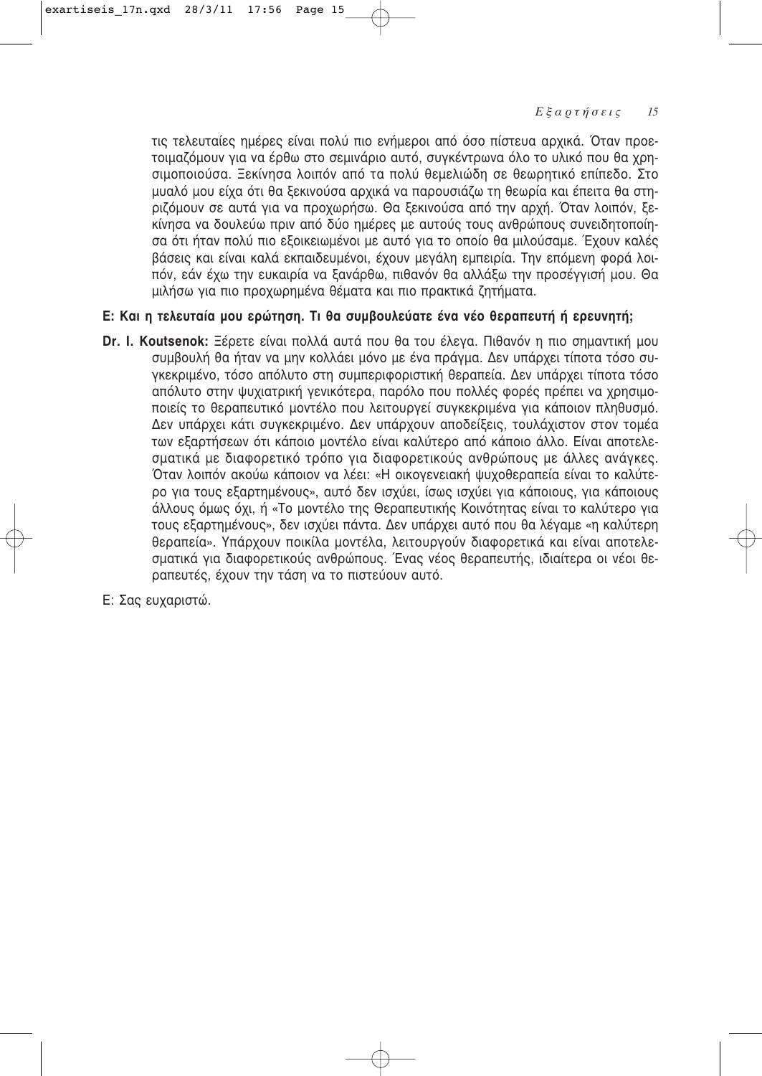exartiseis 17n. qxd 28/3/11 17:56 Page 15

> τις τελευταίες ημέρες είναι πολύ πιο ενήμεροι από όσο πίστευα αρχικά. Όταν προετοιμαζόμουν για να έρθω στο σεμινάριο αυτό, συγκέντρωνα όλο το υλικό που θα χρησιμοποιούσα. Ξεκίνησα λοιπόν από τα πολύ θεμελιώδη σε θεωρητικό επίπεδο. Στο μυαλό μου είχα ότι θα ξεκινούσα αρχικά να παρουσιάζω τη θεωρία και έπειτα θα στηριζόμουν σε αυτά για να προχωρήσω. Θα ξεκινούσα από την αρχή. Όταν λοιπόν, ξεκίνησα να δουλεύω πριν από δύο ημέρες με αυτούς τους ανθρώπους συνειδητοποίησα ότι ήταν πολύ πιο εξοικειωμένοι με αυτό για το οποίο θα μιλούσαμε. Έχουν καλές βάσεις και είναι καλά εκπαιδευμένοι, έχουν μεγάλη εμπειρία. Την επόμενη φορά λοιπόν, εάν έχω την ευκαιρία να ξανάρθω, πιθανόν θα αλλάξω την προσέγγισή μου. Θα μιλήσω για πιο προχωρημένα θέματα και πιο πρακτικά ζητήματα.

# Ε: Και η τελευταία μου ερώτηση. Τι θα συμβουλεύατε ένα νέο θεραπευτή ή ερευνητή;

Dr. I. Koutsenok: Ξέρετε είναι πολλά αυτά που θα του έλεγα. Πιθανόν η πιο σημαντική μου συμβουλή θα ήταν να μην κολλάει μόνο με ένα πράγμα. Δεν υπάρχει τίποτα τόσο συγκεκριμένο, τόσο απόλυτο στη συμπεριφοριστική θεραπεία. Δεν υπάρχει τίποτα τόσο απόλυτο στην ψυχιατρική γενικότερα, παρόλο που πολλές φορές πρέπει να χρησιμοποιείς το θεραπευτικό μοντέλο που λειτουργεί συγκεκριμένα για κάποιον πληθυσμό. Δεν υπάρχει κάτι συγκεκριμένο. Δεν υπάρχουν αποδείξεις, τουλάχιστον στον τομέα των εξαρτήσεων ότι κάποιο μοντέλο είναι καλύτερο από κάποιο άλλο. Είναι αποτελεσματικά με διαφορετικό τρόπο για διαφορετικούς ανθρώπους με άλλες ανάγκες. Όταν λοιπόν ακούω κάποιον να λέει: «Η οικογενειακή ψυχοθεραπεία είναι το καλύτερο για τους εξαρτημένους», αυτό δεν ισχύει, ίσως ισχύει για κάποιους, για κάποιους άλλους όμως όχι, ή «Το μοντέλο της Θεραπευτικής Κοινότητας είναι το καλύτερο για τους εξαρτημένους», δεν ισχύει πάντα. Δεν υπάρχει αυτό που θα λέγαμε «η καλύτερη θεραπεία». Υπάρχουν ποικίλα μοντέλα, λειτουργούν διαφορετικά και είναι αποτελεσματικά για διαφορετικούς ανθρώπους. Ένας νέος θεραπευτής, ιδιαίτερα οι νέοι θεραπευτές, έχουν την τάση να το πιστεύουν αυτό.

Ε: Σας ευχαριστώ.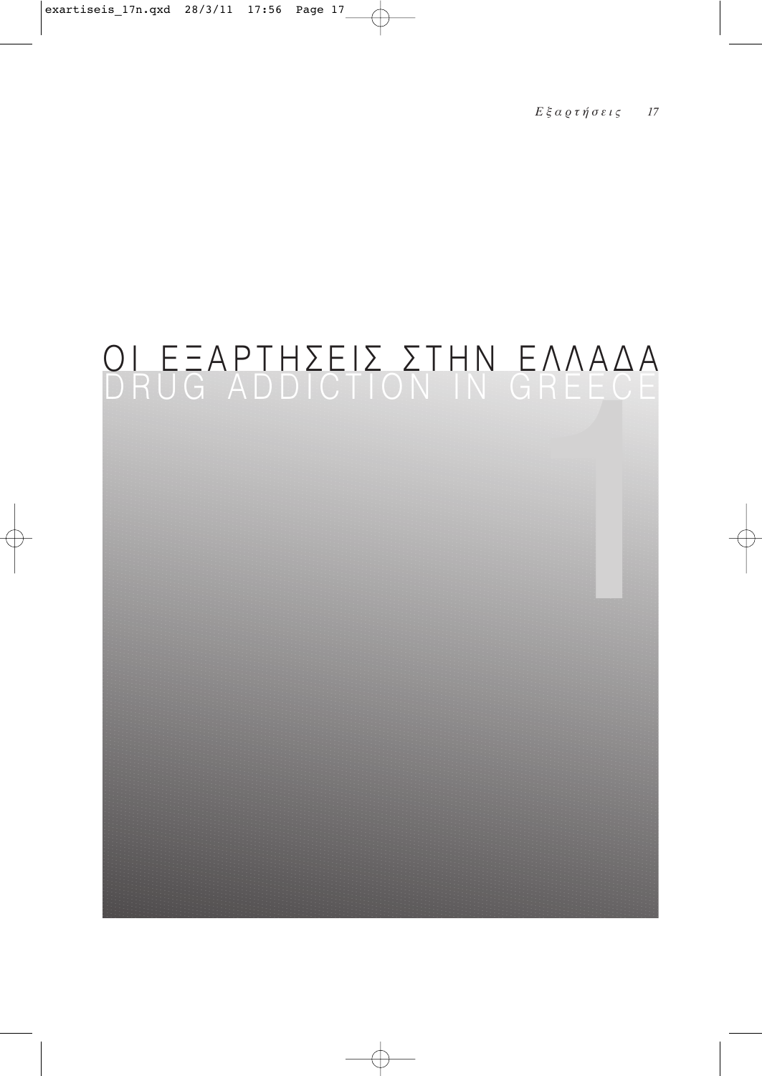$E \xi a \varrho \tau \eta \sigma \varepsilon \iota$ ς 17

# <u>ΟΙ ΕΞΑΡΤΗΣΕΙΣ ΣΤΗΝ ΕΛΛΑΔΑ</u><br>DRUG ADDICTION IN GREECE</u>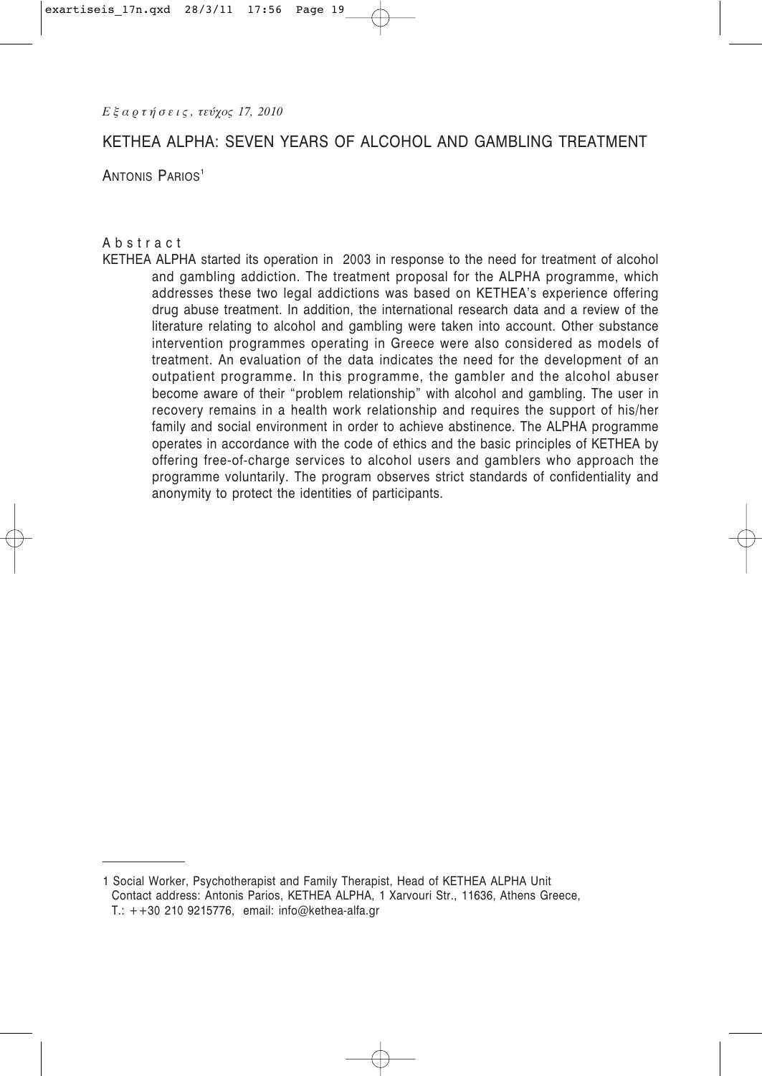*Ε ξ α ρ τ ή σ ε ι ς , τεύχος 17, 2010*

# KETHEA ALPHA: SEVEN YEARS OF ALCOHOL AND GAMBLING TREATMENT

ANTONIS PARIOS<sup>1</sup>

## Abstract

KETHEA ALPHA started its operation in 2003 in response to the need for treatment of alcohol and gambling addiction. The treatment proposal for the ALPHA programme, which addresses these two legal addictions was based on KETHEA's experience offering drug abuse treatment. In addition, the international research data and a review of the literature relating to alcohol and gambling were taken into account. Other substance intervention programmes operating in Greece were also considered as models of treatment. An evaluation of the data indicates the need for the development of an outpatient programme. In this programme, the gambler and the alcohol abuser become aware of their "problem relationship" with alcohol and gambling. The user in recovery remains in a health work relationship and requires the support of his/her family and social environment in order to achieve abstinence. The ALPHA programme operates in accordance with the code of ethics and the basic principles of KETHEA by offering free-of-charge services to alcohol users and gamblers who approach the programme voluntarily. The program observes strict standards of confidentiality and anonymity to protect the identities of participants.

<sup>1</sup> Social Worker, Psychotherapist and Family Therapist, Head of KETHEA ALPHA Unit Contact address: Antonis Parios, KETHEA ALPHA, 1 Xarvouri Str., 11636, Athens Greece, T.: ++30 210 9215776, email: info@kethea-alfa.gr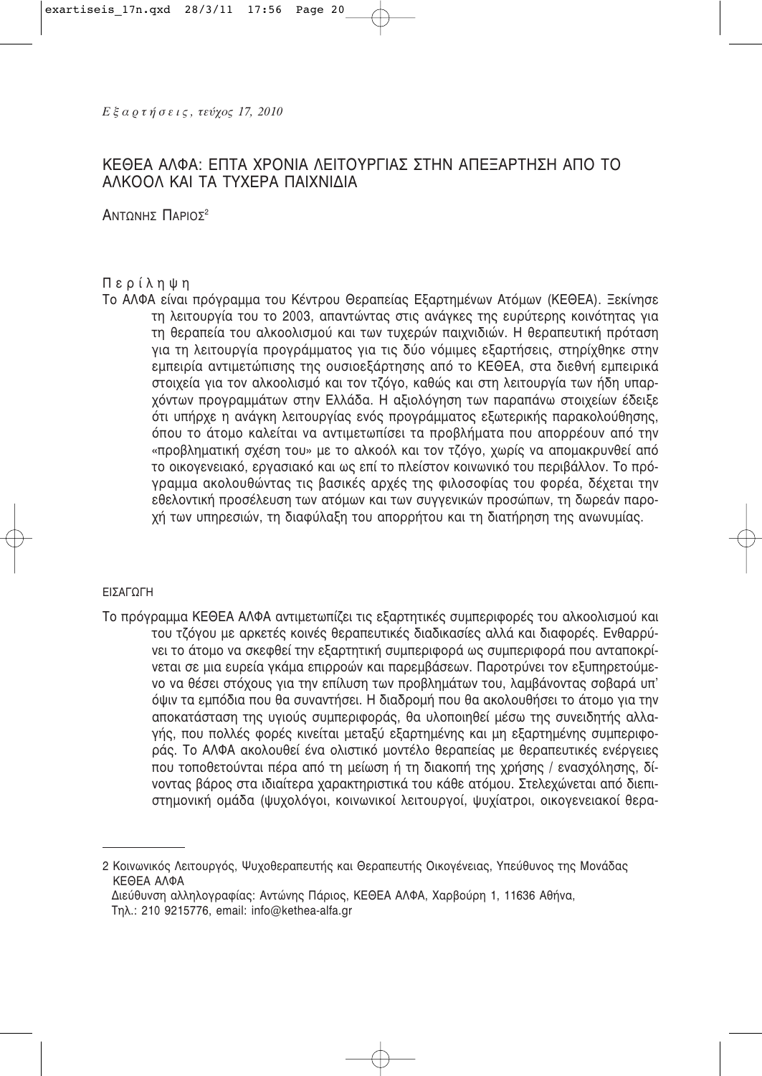*Ε ξ α ρ τ ή σ ε ι ς , τεύχος 17, 2010*

# ΚΕΘΕΑ ΑΛΦΑ: ΕΠΤΑ ΧΡΟΝΙΑ ΛΕΙΤΟΥΡΓΙΑΣ ΣΤΗΝ ΑΠΕΞΑΡΤΗΣΗ ΑΠΟ ΤΟ ΑΛΚΟΟΛ ΚΑΙ ΤΑ ΤΥΧΕΡΑ ΠΑΙΧΝΙΔΙΑ

 $ANTONH<sub>2</sub>$   $TAPIO<sub>2</sub>$ 

#### $\Box$ ερίληψη

Το ΑΛΦΑ είναι πρόγραμμα του Κέντρου Θεραπείας Εξαρτημένων Ατόμων (ΚΕΘΕΑ). Ξεκίνησε τη λειτουργία του το 2003, απαντώντας στις ανάγκες της ευρύτερης κοινότητας για τη θεραπεία του αλκοολισμού και των τυχερών παιχνιδιών. Η θεραπευτική πρόταση για τη λειτουργία προγράμματος για τις δύο νόμιμες εξαρτήσεις, στηρίχθηκε στην εμπειρία αντιμετώπισης της ουσιοεξάρτησης από το KEΘEA, στα διεθνή εμπειρικά στοιχεία για τον αλκοολισμό και τον τζόγο, καθώς και στη λειτουργία των ήδη υπαρχόντων προγραμμάτων στην Ελλάδα. Η αξιολόγηση των παραπάνω στοιχείων έδειξε ότι υπήρχε η ανάγκη λειτουργίας ενός προγράμματος εξωτερικής παρακολούθησης, όπου το άτομο καλείται να αντιμετωπίσει τα προβλήματα που απορρέουν από την «προβληματική σχέση του» με το αλκοόλ και τον τζόγο, χωρίς να απομακρυνθεί από το οικογενειακό, εργασιακό και ως επί το πλείστον κοινωνικό του περιβάλλον. Το πρόγραμμα ακολουθώντας τις βασικές αρχές της φιλοσοφίας του φορέα, δέχεται την εθελοντική προσέλευση των ατόμων και των συγγενικών προσώπων, τη δωρεάν παροχή των υπηρεσιών, τη διαφύλαξη του απορρήτου και τη διατήρηση της ανωνυμίας.

#### ΕΙΣΑΓΩΓΗ

Το πρόγραμμα ΚΕΘΕΑ ΑΛΦΑ αντιμετωπίζει τις εξαρτητικές συμπεριφορές του αλκοολισμού και του τζόγου με αρκετές κοινές θεραπευτικές διαδικασίες αλλά και διαφορές. Ενθαρρύ-Vει το άτομο να σκεφθεί την εξαρτητική συμπεριφορά ως συμπεριφορά που ανταποκρίνεται σε μια ευρεία γκάμα επιρροών και παρεμβάσεων. Παροτρύνει τον εξυπηρετούμενο να θέσει στόχους για την επίλυση των προβλημάτων του, λαμβάνοντας σοβαρά υπ' όψιν τα εμπόδια που θα συναντήσει. Η διαδρομή που θα ακολουθήσει το άτομο για την αποκατάσταση της υγιούς συμπεριφοράς, θα υλοποιηθεί μέσω της συνειδητής αλλαγής, που πολλές φορές κινείται μεταξύ εξαρτημένης και μη εξαρτημένης συμπεριφοράς. Το ΑΛΦΑ ακολουθεί ένα ολιστικό μοντέλο θεραπείας με θεραπευτικές ενέργειες που τοποθετούνται πέρα από τη μείωση ή τη διακοπή της χρήσης / ενασχόλησης, δίνοντας βάρος στα ιδιαίτερα χαρακτηριστικά του κάθε ατόμου. Στελεχώνεται από διεπιστημονική ομάδα (ψυχολόγοι, κοινωνικοί λειτουργοί, ψυχίατροι, οικογενειακοί θερα-

<sup>2</sup> Κοινωνικός Λειτουργός, Ψυχοθεραπευτής και Θεραπευτής Οικογένειας, Υπεύθυνος της Μονάδας KEΘEA AΛΦA

Διεύθυνση αλληλογραφίας: Αντώνης Πάριος, ΚΕΘΕΑ ΑΛΦΑ, Χαρβούρη 1, 11636 Αθήνα, ΔËÏ.: 210 9215776, email: info@kethea-alfa.gr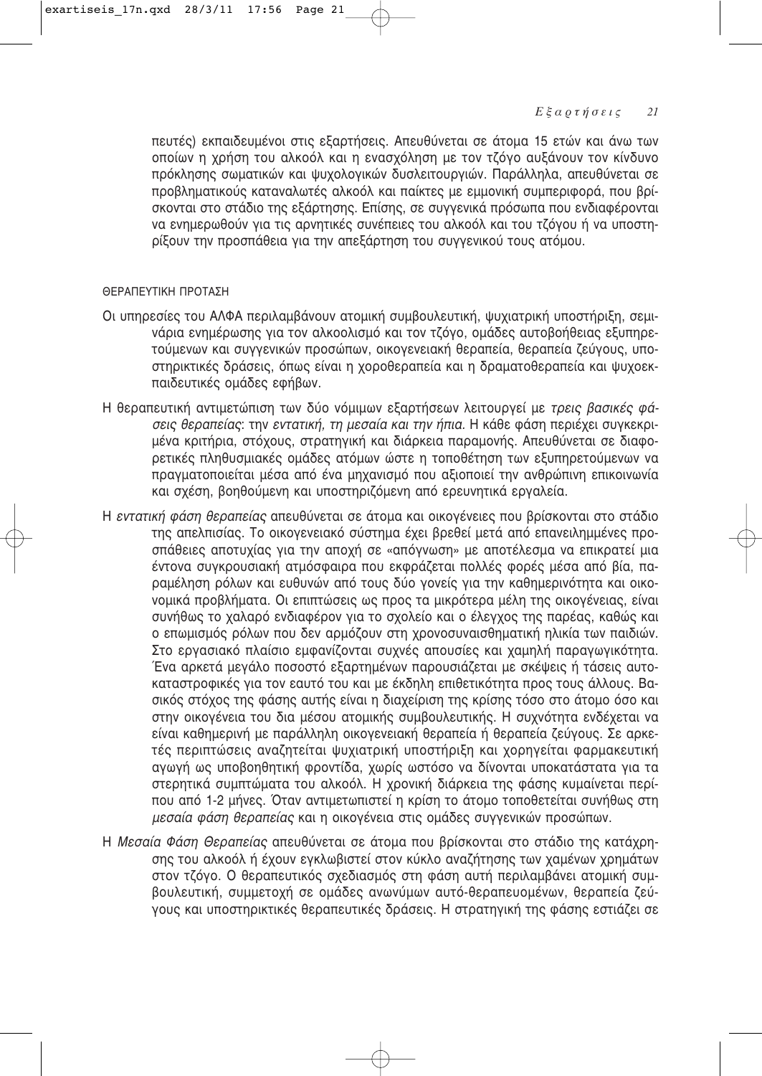πευτές) εκπαιδευμένοι στις εξαρτήσεις. Απευθύνεται σε άτομα 15 ετών και άνω των οποίων η χρήση του αλκοόλ και η ενασχόληση με τον τζόγο αυξάνουν τον κίνδυνο πρόκλησης σωματικών και ψυχολογικών δυσλειτουργιών. Παράλληλα, απευθύνεται σε προβληματικούς καταναλωτές αλκοόλ και παίκτες με εμμονική συμπεριφορά, που βρίσκονται στο στάδιο της εξάρτησης. Επίσης, σε συγγενικά πρόσωπα που ενδιαφέρονται να ενημερωθούν για τις αρνητικές συνέπειες του αλκοόλ και του τζόγου ή να υποστηρίξουν την προσπάθεια για την απεξάρτηση του συγγενικού τους ατόμου.

#### **ӨГРАПЕҮТІКН ПРОТАΣН**

exartiseis 17n.qxd 28/3/11

17:56

Page 21

- Οι υπηρεσίες του ΑΛΦΑ περιλαμβάνουν ατομική συμβουλευτική, ψυχιατρική υποστήριξη, σεμινάρια ενημέρωσης για τον αλκοολισμό και τον τζόγο, ομάδες αυτοβοήθειας εξυπηρετούμενων και συγγενικών προσώπων, οικογενειακή θεραπεία, θεραπεία ζεύγους, υποστηρικτικές δράσεις, όπως είναι η χοροθεραπεία και η δραματοθεραπεία και ψυχοεκπαιδευτικές ομάδες εφήβων.
- Η θεραπευτική αντιμετώπιση των δύο νόμιμων εξαρτήσεων λειτουργεί με τρεις βασικές φάσεις θεραπείας: την εντατική, τη μεσαία και την ήπια. Η κάθε φάση περιέχει συγκεκριμένα κριτήρια, στόχους, στρατηνική και διάρκεια παραμονής, Απευθύνεται σε διαφορετικές πληθυσμιακές ομάδες ατόμων ώστε η τοποθέτηση των εξυπηρετούμενων να πραγματοποιείται μέσα από ένα μηχανισμό που αξιοποιεί την ανθρώπινη επικοινωνία και σχέση. βοηθούμενη και υποστηριζόμενη από ερευνητικά εργαλεία.
- Η εντατική φάση θεραπείας απευθύνεται σε άτομα και οικογένειες που βρίσκονται στο στάδιο της απελπισίας. Το οικογενειακό σύστημα έχει βρεθεί μετά από επανειλημμένες προσπάθειες αποτυχίας για την αποχή σε «απόγνωση» με αποτέλεσμα να επικρατεί μια έντονα συγκρουσιακή ατμόσφαιρα που εκφράζεται πολλές φορές μέσα από βία, παραμέληση ρόλων και ευθυνών από τους δύο γονείς για την καθημερινότητα και οικονομικά προβλήματα. Οι επιπτώσεις ως προς τα μικρότερα μέλη της οικογένειας, είναι συνήθως το χαλαρό ενδιαφέρον για το σχολείο και ο έλεγχος της παρέας, καθώς και ο επωμισμός ρόλων που δεν αρμόζουν στη χρονοσυναισθηματική ηλικία των παιδιών. Στο εργασιακό πλαίσιο εμφανίζονται συχνές απουσίες και χαμηλή παραγωγικότητα. Ένα αρκετά μεγάλο ποσοστό εξαρτημένων παρουσιάζεται με σκέψεις ή τάσεις αυτοκαταστροφικές για τον εαυτό του και με έκδηλη επιθετικότητα προς τους άλλους. Βασικός στόχος της φάσης αυτής είναι η διαχείριση της κρίσης τόσο στο άτομο όσο και στην οικογένεια του δια μέσου ατομικής συμβουλευτικής. Η συχνότητα ενδέχεται να είναι καθημερινή με παράλληλη οικογενειακή θεραπεία ή θεραπεία ζεύγους. Σε αρκετές περιπτώσεις αναζητείται ψυχιατρική υποστήριξη και χορηγείται φαρμακευτική αγωγή ως υποβοηθητική φροντίδα, χωρίς ωστόσο να δίνονται υποκατάστατα για τα στερητικά συμπτώματα του αλκοόλ. Η χρονική διάρκεια της φάσης κυμαίνεται περίπου από 1-2 μήνες. Όταν αντιμετωπιστεί η κρίση το άτομο τοποθετείται συνήθως στη μεσαία φάση θεραπείας και η οικογένεια στις ομάδες συγγενικών προσώπων.
- Η Μεσαία Φάση Θεραπείας απευθύνεται σε άτομα που βρίσκονται στο στάδιο της κατάχρησης του αλκοόλ ή έχουν εγκλωβιστεί στον κύκλο αναζήτησης των χαμένων χρημάτων στον τζόγο. Ο θεραπευτικός σχεδιασμός στη φάση αυτή περιλαμβάνει ατομική συμβουλευτική, συμμετοχή σε ομάδες ανωνύμων αυτό-θεραπευομένων, θεραπεία ζεύγους και υποστηρικτικές θεραπευτικές δράσεις. Η στρατηγική της φάσης εστιάζει σε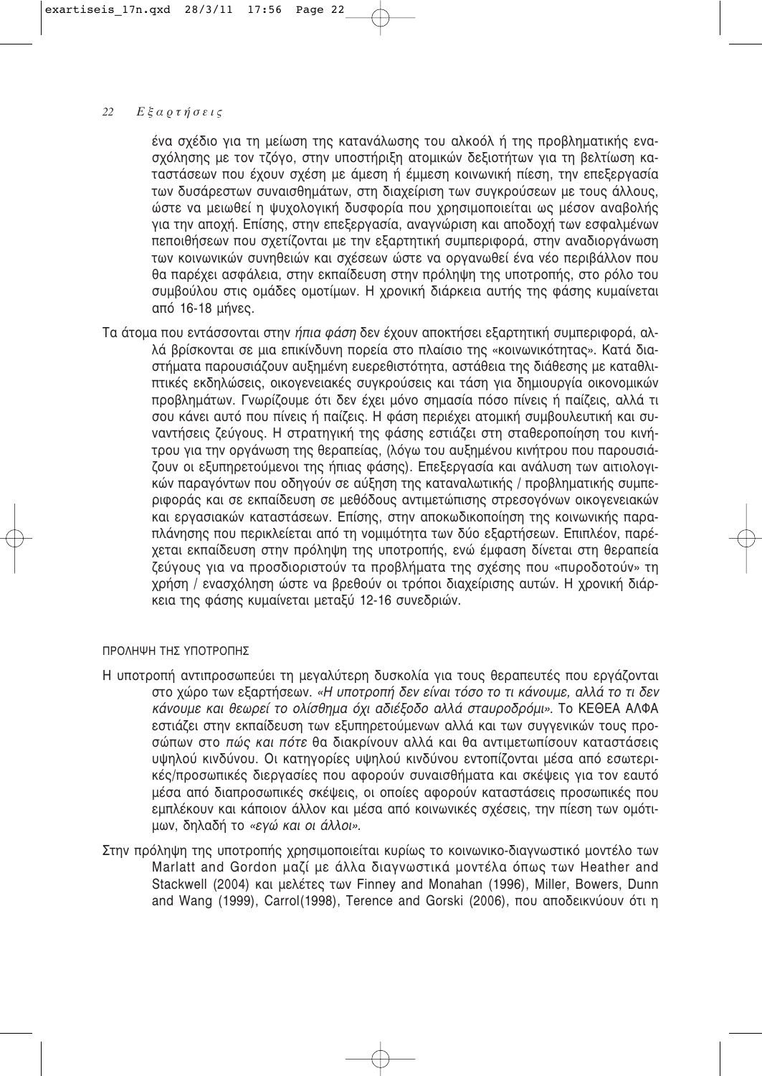ένα σχέδιο για τη μείωση της κατανάλωσης του αλκοόλ ή της προβληματικής ενασχόλησης με τον τζόγο, στην υποστήριξη ατομικών δεξιοτήτων για τη βελτίωση καταστάσεων που έχουν σχέση με άμεση ή έμμεση κοινωνική πίεση, την επεξεργασία των δυσάρεστων συναισθημάτων, στη διαχείριση των συγκρούσεων με τους άλλους, ώστε να μειωθεί η ψυχολογική δυσφορία που χρησιμοποιείται ως μέσον αναβολής για την αποχή. Επίσης, στην επεξεργασία, αναγνώριση και αποδοχή των εσφαλμένων πεποιθήσεων που σχετίζονται με την εξαρτητική συμπεριφορά, στην αναδιοργάνωση των κοινωνικών συνηθειών και σχέσεων ώστε να οργανωθεί ένα νέο περιβάλλον που θα παρέχει ασφάλεια, στην εκπαίδευση στην πρόληψη της υποτροπής, στο ρόλο του συμβούλου στις ομάδες ομοτίμων. Η χρονική διάρκεια αυτής της φάσης κυμαίνεται από 16-18 μήνες.

Τα άτομα που εντάσσονται στην *ήπια φάση* δεν έχουν αποκτήσει εξαρτητική συμπεριφορά, αλλά βρίσκονται σε μια επικίνδυνη πορεία στο πλαίσιο της «κοινωνικότητας». Κατά διαστήματα παρουσιάζουν αυξημένη ευερεθιστότητα, αστάθεια της διάθεσης με καταθλιπτικές εκδηλώσεις, οικογενειακές συγκρούσεις και τάση για δημιουργία οικονομικών προβλημάτων. Γνωρίζουμε ότι δεν έχει μόνο σημασία πόσο πίνεις ή παίζεις, αλλά τι σου κάνει αυτό που πίνεις ή παίζεις. Η φάση περιέχει ατομική συμβουλευτική και συναντήσεις ζεύγους. Η στρατηγική της φάσης εστιάζει στη σταθεροποίηση του κινήτρου για την οργάνωση της θεραπείας, (λόγω του αυξημένου κινήτρου που παρουσιάζουν οι εξυπηρετούμενοι της ήπιας φάσης). Επεξεργασία και ανάλυση των αιτιολογικών παραγόντων που οδηγούν σε αύξηση της καταναλωτικής / προβληματικής συμπεριφοράς και σε εκπαίδευση σε μεθόδους αντιμετώπισης στρεσογόνων οικογενειακών και εργασιακών καταστάσεων. Επίσης, στην αποκωδικοποίηση της κοινωνικής παραπλάνησης που περικλείεται από τη νομιμότητα των δύο εξαρτήσεων. Επιπλέον, παρέχεται εκπαίδευση στην πρόληψη της υποτροπής, ενώ έμφαση δίνεται στη θεραπεία ζεύγους για να προσδιοριστούν τα προβλήματα της σχέσης που «πυροδοτούν» τη χρήση / ενασχόληση ώστε να βρεθούν οι τρόποι διαχείρισης αυτών. Η χρονική διάρκεια της φάσης κυμαίνεται μεταξύ 12-16 συνεδριών.

## ΠΡΟΛΗΨΗ ΤΗΣ ΥΠΟΤΡΟΠΗΣ

- Η υποτροπή αντιπροσωπεύει τη μεγαλύτερη δυσκολία για τους θεραπευτές που εργάζονται στο χώρο των εξαρτήσεων. «Η υποτροπή δεν είναι τόσο το τι κάνουμε, αλλά το τι δεν κάνουμε και θεωρεί το ολίσθημα όχι αδιέξοδο αλλά σταυροδρόμι». Το ΚΕΘΕΑ ΑΛΦΑ εστιάζει στην εκπαίδευση των εξυπηρετούμενων αλλά και των συγγενικών τους προσώπων στο *πώς και πότε* θα διακρίνουν αλλά και θα αντιμετωπίσουν καταστάσεις υψηλού κινδύνου. Οι κατηγορίες υψηλού κινδύνου εντοπίζονται μέσα από εσωτερικές/προσωπικές διεργασίες που αφορούν συναισθήματα και σκέψεις για τον εαυτό μέσα από διαπροσωπικές σκέψεις, οι οποίες αφορούν καταστάσεις προσωπικές που εμπλέκουν και κάποιον άλλον και μέσα από κοινωνικές σχέσεις, την πίεση των ομότιμων, δηλαδή το «εγώ και οι άλλοι».
- Στην πρόληψη της υποτροπής χρησιμοποιείται κυρίως το κοινωνικο-διαγνωστικό μοντέλο των Marlatt and Gordon μαζί με άλλα διαγνωστικά μοντέλα όπως των Heather and Stackwell (2004) και μελέτες των Finney and Monahan (1996), Miller, Bowers, Dunn and Wang (1999), Carrol(1998), Terence and Gorski (2006), που αποδεικνύουν ότι η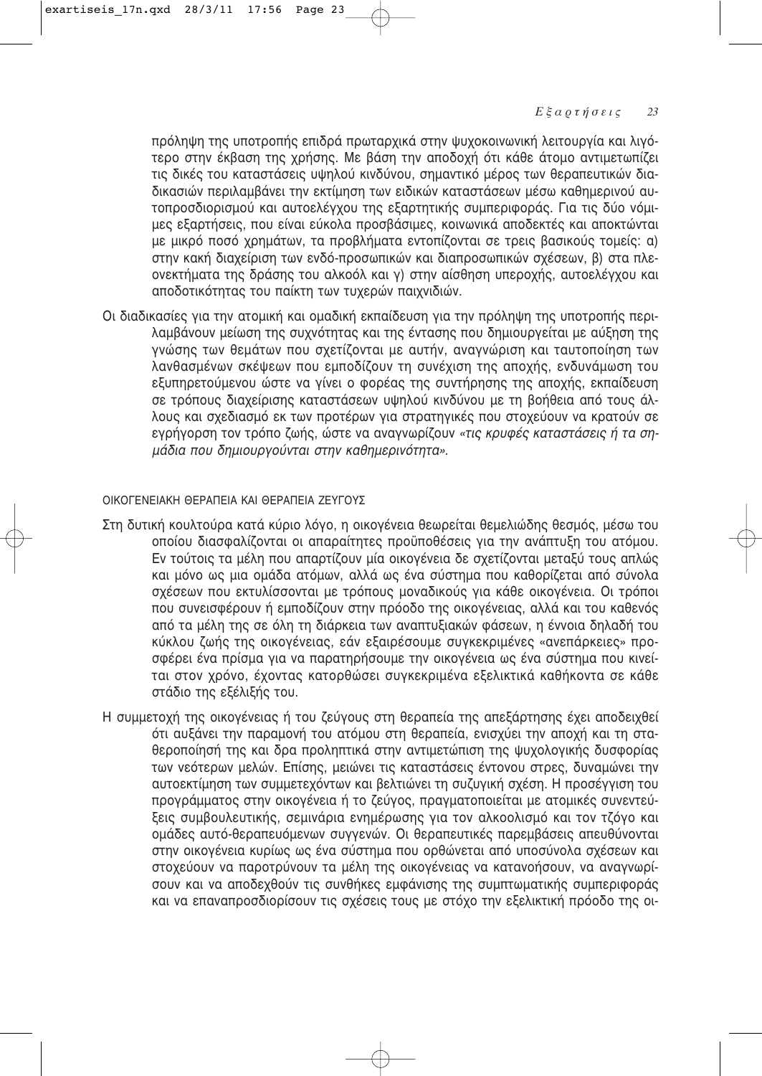πρόληψη της υποτροπής επιδρά πρωταρχικά στην ψυχοκοινωνική λειτουργία και λιγότερο στην έκβαση της χρήσης. Με βάση την αποδοχή ότι κάθε άτομο αντιμετωπίζει τις δικές του καταστάσεις υψηλού κινδύνου, σημαντικό μέρος των θεραπευτικών διαδικασιών περιλαμβάνει την εκτίμηση των ειδικών καταστάσεων μέσω καθημερινού αυτοπροσδιορισμού και αυτοελέγχου της εξαρτητικής συμπεριφοράς. Για τις δύο νόμιμες εξαρτήσεις, που είναι εύκολα προσβάσιμες, κοινωνικά αποδεκτές και αποκτώνται με μικρό ποσό χρημάτων, τα προβλήματα εντοπίζονται σε τρεις βασικούς τομείς: α) στην κακή διαχείριση των ενδό-προσωπικών και διαπροσωπικών σχέσεων, β) στα πλεονεκτήματα της δράσης του αλκοόλ και γ) στην αίσθηση υπεροχής, αυτοελέγχου και αποδοτικότητας του παίκτη των τυχερών παιχνιδιών.

Οι διαδικασίες για την ατομική και ομαδική εκπαίδευση για την πρόληψη της υποτροπής περιλαμβάνουν μείωση της συχνότητας και της έντασης που δημιουργείται με αύξηση της γνώσης των θεμάτων που σχετίζονται με αυτήν, αναγνώριση και ταυτοποίηση των λανθασμένων σκέψεων που εμποδίζουν τη συνέχιση της αποχής, ενδυνάμωση του εξυπηρετούμενου ώστε να γίνει ο φορέας της συντήρησης της αποχής, εκπαίδευση σε τρόπους διαχείρισης καταστάσεων υψηλού κινδύνου με τη βοήθεια από τους άλλους και σχεδιασμό εκ των προτέρων για στρατηγικές που στοχεύουν να κρατούν σε εγρήγορση τον τρόπο ζωής, ώστε να αναγνωρίζουν «τις κρυφές καταστάσεις ή τα σημάδια που δημιουργούνται στην καθημερινότητα».

#### ΟΙΚΟΓΕΝΕΙΑΚΗ ΘΕΡΑΠΕΙΑ ΚΑΙ ΘΕΡΑΠΕΙΑ ΖΕΥΓΟΥΣ

- Στη δυτική κουλτούρα κατά κύριο λόγο, η οικογένεια θεωρείται θεμελιώδης θεσμός, μέσω του οποίου διασφαλίζονται οι απαραίτητες προϋποθέσεις για την ανάπτυξη του ατόμου. Εν τούτοις τα μέλη που απαρτίζουν μία οικογένεια δε σχετίζονται μεταξύ τους απλώς και μόνο ως μια ομάδα ατόμων, αλλά ως ένα σύστημα που καθορίζεται από σύνολα σχέσεων που εκτυλίσσονται με τρόπους μοναδικούς για κάθε οικογένεια. Οι τρόποι που συνεισφέρουν ή εμποδίζουν στην πρόοδο της οικογένειας, αλλά και του καθενός από τα μέλη της σε όλη τη διάρκεια των αναπτυξιακών φάσεων, η έννοια δηλαδή του κύκλου ζωής της οικογένειας, εάν εξαιρέσουμε συγκεκριμένες «ανεπάρκειες» προσφέρει ένα πρίσμα για να παρατηρήσουμε την οικογένεια ως ένα σύστημα που κινείται στον χρόνο, έχοντας κατορθώσει συγκεκριμένα εξελικτικά καθήκοντα σε κάθε στάδιο της εξέλιξής του.
- Η συμμετοχή της οικογένειας ή του ζεύγους στη θεραπεία της απεξάρτησης έχει αποδειχθεί ότι αυξάνει την παραμονή του ατόμου στη θεραπεία, ενισχύει την αποχή και τη σταθεροποίησή της και δρα προληπτικά στην αντιμετώπιση της ψυχολογικής δυσφορίας των νεότερων μελών. Επίσης, μειώνει τις καταστάσεις έντονου στρες, δυναμώνει την αυτοεκτίμηση των συμμετεχόντων και βελτιώνει τη συζυγική σχέση. Η προσέγγιση του προγράμματος στην οικογένεια ή το ζεύγος, πραγματοποιείται με ατομικές συνεντεύξεις συμβουλευτικής, σεμινάρια ενημέρωσης για τον αλκοολισμό και τον τζόγο και ομάδες αυτό-θεραπευόμενων συγγενών. Οι θεραπευτικές παρεμβάσεις απευθύνονται στην οικογένεια κυρίως ως ένα σύστημα που ορθώνεται από υποσύνολα σχέσεων και στοχεύουν να παροτρύνουν τα μέλη της οικονένειας να κατανοήσουν, να αναγνωρίσουν και να αποδεχθούν τις συνθήκες εμφάνισης της συμπτωματικής συμπεριφοράς και να επαναπροσδιορίσουν τις σχέσεις τους με στόχο την εξελικτική πρόοδο της οι-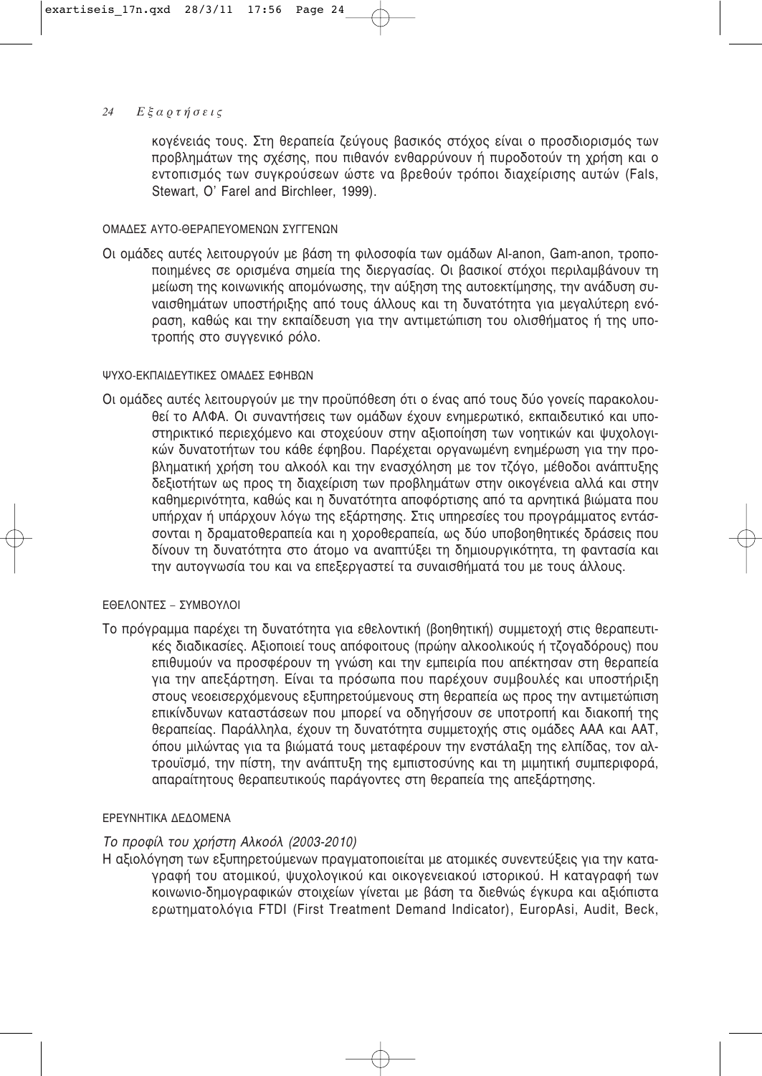Κογένειάς τους. Στη θεραπεία ζεύγους βασικός στόχος είναι ο προσδιορισμός των προβλημάτων της σχέσης, που πιθανόν ενθαρρύνουν ή πυροδοτούν τη χρήση και ο εντοπισμός των συγκρούσεων ώστε να βρεθούν τρόποι διαχείρισης αυτών (Fals, Stewart, O' Farel and Birchleer, 1999).

#### ΟΜΑΔΕΣ ΑΥΤΟ-ΘΕΡΑΠΕΥΟΜΕΝΩΝ ΣΥΓΓΕΝΩΝ

Οι ομάδες αυτές λειτουργούν με βάση τη φιλοσοφία των ομάδων Al-anon, Gam-anon, τροποποιημένες σε ορισμένα σημεία της διεργασίας. Οι βασικοί στόχοι περιλαμβάνουν τη μείωση της κοινωνικής απομόνωσης, την αύξηση της αυτοεκτίμησης, την ανάδυση συναισθημάτων υποστήριξης από τους άλλους και τη δυνατότητα για μεγαλύτερη ενόραση, καθώς και την εκπαίδευση για την αντιμετώπιση του ολισθήματος ή της υποτροπής στο συγγενικό ρόλο.

#### ΨΥΧΩ-ΕΚΠΑΙΛΕΥΤΙΚΕΣ ΩΜΑΛΕΣ ΕΦΗΒΩΝ

Οι ομάδες αυτές λειτουργούν με την προϋπόθεση ότι ο ένας από τους δύο γονείς παρακολουθεί το ΑΛΦΑ. Οι συναντήσεις των ομάδων έχουν ενημερωτικό, εκπαιδευτικό και υποστηρικτικό περιεχόμενο και στοχεύουν στην αξιοποίηση των νοητικών και ψυχολογικών δυνατοτήτων του κάθε έφηβου. Παρέχεται οργανωμένη ενημέρωση για την προ- $\beta$ ληματική χρήση του αλκοόλ και την ενασχόληση με τον τζόνο, μέθοδοι ανάπτυξης δεξιοτήτων ως προς τη διαχείριση των προβλημάτων στην οικογένεια αλλά και στην καθημερινότητα, καθώς και η δυνατότητα αποφόρτισης από τα αρνητικά βιώματα που υπήρχαν ή υπάρχουν λόγω της εξάρτησης. Στις υπηρεσίες του προγράμματος εντάσσονται η δραματοθεραπεία και η χοροθεραπεία, ως δύο υποβοηθητικές δράσεις που δίνουν τη δυνατότητα στο άτομο να αναπτύξει τη δημιουργικότητα, τη φαντασία και την αυτογνωσία του και να επεξεργαστεί τα συναισθήματά του με τους άλλους.

#### ΕΘΕΛΟΝΤΕΣ – ΣΥΜΒΟΥΛΟΙ

Το πρόγραμμα παρέχει τη δυνατότητα για εθελοντική (βοηθητική) συμμετοχή στις θεραπευτικές διαδικασίες. Αξιοποιεί τους απόφοιτους (πρώην αλκοολικούς ή τζογαδόρους) που επιθυμούν να προσφέρουν τη γνώση και την εμπειρία που απέκτησαν στη θεραπεία για την απεξάρτηση. Είναι τα πρόσωπα που παρέχουν συμβουλές και υποστήριξη στους νεοεισερχόμενους εξυπηρετούμενους στη θεραπεία ως προς την αντιμετώπιση επικίνδυνων καταστάσεων που μπορεί να οδηγήσουν σε υποτροπή και διακοπή της θεραπείας. Παράλληλα, έχουν τη δυνατότητα συμμετοχής στις ομάδες ΑΑΑ και ΑΑΤ, <u>όπου μιλώντας για τα βιώματά τους μεταφέρουν την ενστάλαξη της ελπίδας, τον αλ-</u> τρουϊσμό, την πίστη, την ανάπτυξη της εμπιστοσύνης και τη μιμητική συμπεριφορά, απαραίτητους θεραπευτικούς παράγοντες στη θεραπεία της απεξάρτησης.

## ΕΡΕΥΝΗΤΙΚΑ ΔΕΔΟΜΕΝΑ

#### *Το προφίλ του χρήστη Αλκοόλ (2003-2010)*

Η αξιολόγηση των εξυπηρετούμενων πραγματοποιείται με ατομικές συνεντεύξεις για την καταγραφή του ατομικού, ψυχολογικού και οικογενειακού ιστορικού. Η καταγραφή των ΚΟΙΥΦΥΙΟ-δημονραφικών στοιχείων νίνεται με βάση τα διεθνώς ένκυρα και αξιόπιστα ερωτηματολόγια FTDI (First Treatment Demand Indicator), EuropAsi, Audit, Beck,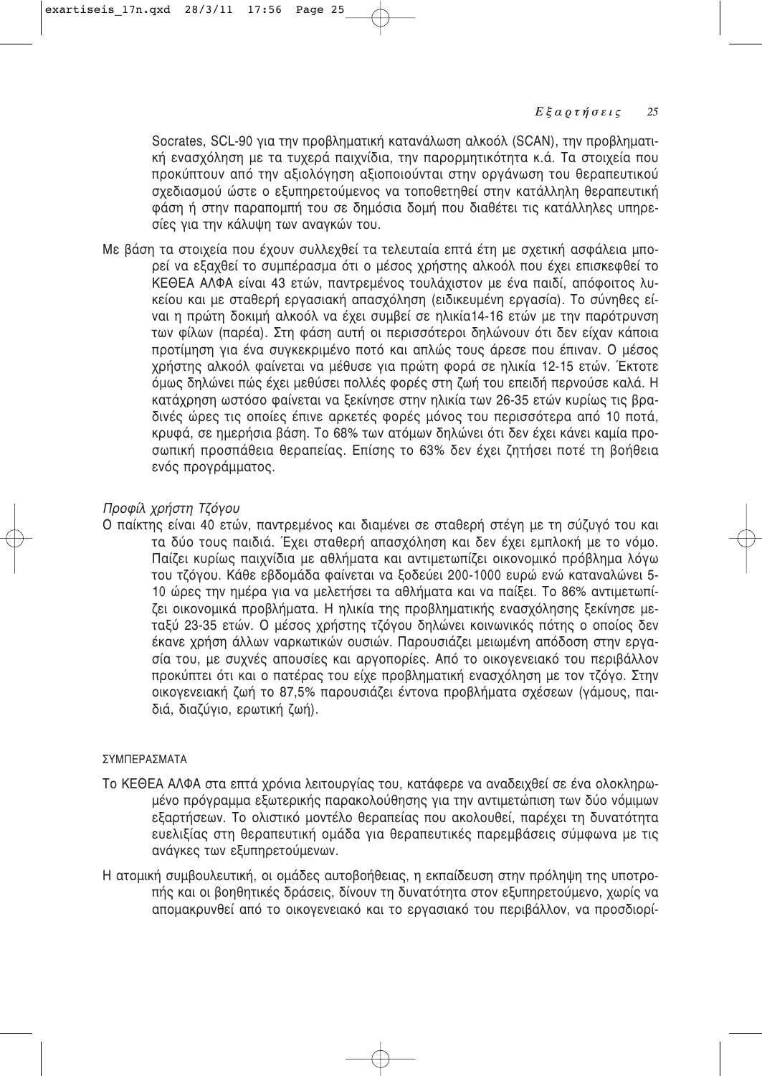Socrates, SCL-90 για την προβληματική κατανάλωση αλκοόλ (SCAN), την προβληματική ενασχόληση με τα τυχερά παιχνίδια, την παρορμητικότητα κ.ά. Τα στοιχεία που προκύπτουν από την αξιολόγηση αξιοποιούνται στην οργάνωση του θεραπευτικού σχεδιασμού ώστε ο εξυπηρετούμενος να τοποθετηθεί στην κατάλληλη θεραπευτική φάση ή στην παραπομπή του σε δημόσια δομή που διαθέτει τις κατάλληλες υπηρεσίες για την κάλυψη των αναγκών του.

Με βάση τα στοιχεία που έχουν συλλεχθεί τα τελευταία επτά έτη με σχετική ασφάλεια μπορεί να εξαχθεί το συμπέρασμα ότι ο μέσος χρήστης αλκοόλ που έχει επισκεφθεί το ΚΕΘΕΑ ΑΛΦΑ είναι 43 ετών, παντρεμένος τουλάχιστον με ένα παιδί, απόφοιτος λυκείου και με σταθερή εργασιακή απασχόληση (ειδικευμένη εργασία). Το σύνηθες είναι η πρώτη δοκιμή αλκοόλ να έχει συμβεί σε ηλικία14-16 ετών με την παρότρυνση των φίλων (παρέα). Στη φάση αυτή οι περισσότεροι δηλώνουν ότι δεν είχαν κάποια προτίμηση για ένα συγκεκριμένο ποτό και απλώς τους άρεσε που έπιναν. Ο μέσος χρήστης αλκοόλ φαίνεται να μέθυσε για πρώτη φορά σε ηλικία 12-15 ετών. Έκτοτε όμως δηλώνει πώς έχει μεθύσει πολλές φορές στη ζωή του επειδή περνούσε καλά. Η κατάχρηση ωστόσο φαίνεται να ξεκίνησε στην ηλικία των 26-35 ετών κυρίως τις βραδινές ώρες τις οποίες έπινε αρκετές φορές μόνος του περισσότερα από 10 ποτά, Κρυφά, σε ημερήσια βάση. Το 68% των ατόμων δηλώνει ότι δεν έχει κάνει καμία προσωπική προσπάθεια θεραπείας. Επίσης το 63% δεν έχει ζητήσει ποτέ τη βοήθεια ενός προγράμματος.

## *Προφίλ χρήστη Τζόγου*

Ο παίκτης είναι 40 ετών, παντρεμένος και διαμένει σε σταθερή στέγη με τη σύζυγό του και τα δύο τους παιδιά. Έχει σταθερή απασχόληση και δεν έχει εμπλοκή με το νόμο. Παίζει κυρίως παιχνίδια με αθλήματα και αντιμετωπίζει οικονομικό πρόβλημα λόγω του τζόγου. Κάθε εβδομάδα φαίνεται να ξοδεύει 200-1000 ευρώ ενώ καταναλώνει 5-10 ώρες την ημέρα για να μελετήσει τα αθλήματα και να παίξει. Το 86% αντιμετωπίζει οικονομικά προβλήματα. Η ηλικία της προβληματικής ενασχόλησης ξεκίνησε μεταξύ 23-35 ετών. Ο μέσος χρήστης τζόγου δηλώνει κοινωνικός πότης ο οποίος δεν έκανε χρήση άλλων ναρκωτικών ουσιών. Παρουσιάζει μειωμένη απόδοση στην εργασία του, με συχνές απουσίες και αργοπορίες. Από το οικογενειακό του περιβάλλον προκύπτει ότι και ο πατέρας του είχε προβληματική ενασχόληση με τον τζόγο. Στην οικογενειακή ζωή το 87,5% παρουσιάζει έντονα προβλήματα σχέσεων (γάμους, παιδιά, διαζύγιο, ερωτική ζωή).

#### ΣΥΜΠΕΡΑΣΜΑΤΑ

- Το ΚΕΘΕΑ ΑΛΦΑ στα επτά χρόνια λειτουργίας του, κατάφερε να αναδειχθεί σε ένα ολοκληρωμένο πρόγραμμα εξωτερικής παρακολούθησης για την αντιμετώπιση των δύο νόμιμων εξαρτήσεων. Το ολιστικό μοντέλο θεραπείας που ακολουθεί, παρέχει τη δυνατότητα ευελιξίας στη θεραπευτική ομάδα για θεραπευτικές παρεμβάσεις σύμφωνα με τις ανάγκες των εξυπηρετούμενων.
- Η ατομική συμβουλευτική, οι ομάδες αυτοβοήθειας, η εκπαίδευση στην πρόληψη της υποτροπής και οι βοηθητικές δράσεις, δίνουν τη δυνατότητα στον εξυπηρετούμενο, χωρίς να απομακρυνθεί από το οικογενειακό και το εργασιακό του περιβάλλον, να προσδιορί-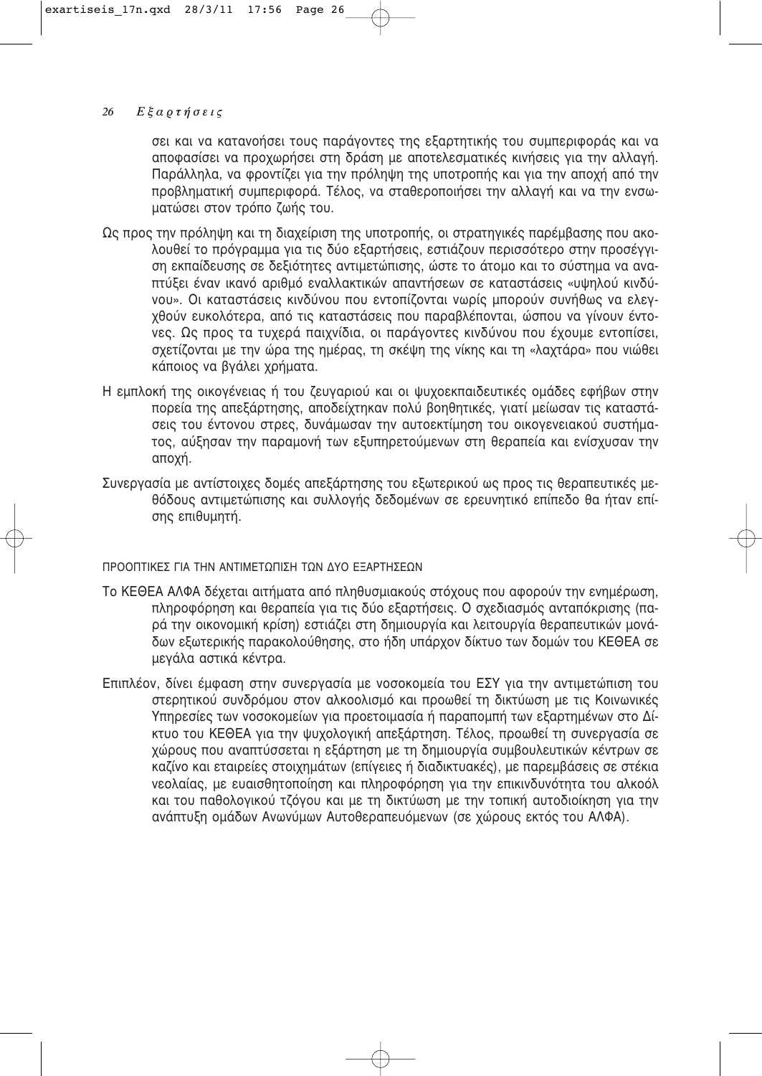σει και να κατανοήσει τους παράγοντες της εξαρτητικής του συμπεριφοράς και να αποφασίσει να προχωρήσει στη δράση με αποτελεσματικές κινήσεις για την αλλαγή. Παράλληλα, να φροντίζει για την πρόληψη της υποτροπής και για την αποχή από την προβληματική συμπεριφορά. Τέλος, να σταθεροποιήσει την αλλαγή και να την ενσωματώσει στον τρόπο ζωής του.

- Ως προς την πρόληψη και τη διαχείριση της υποτροπής, οι στρατηγικές παρέμβασης που ακολουθεί το πρόγραμμα για τις δύο εξαρτήσεις, εστιάζουν περισσότερο στην προσένγιση εκπαίδευσης σε δεξιότητες αντιμετώπισης, ώστε το άτομο και το σύστημα να αναπτύξει έναν ικανό αριθμό εναλλακτικών απαντήσεων σε καταστάσεις «υψηλού κινδύνου». Οι καταστάσεις κινδύνου που εντοπίζονται νωρίς μπορούν συνήθως να ελεγχθούν ευκολότερα, από τις καταστάσεις που παραβλέπονται, ώσπου να γίνουν έντονες. Ως προς τα τυχερά παιχνίδια, οι παράγοντες κινδύνου που έχουμε εντοπίσει, σχετίζονται με την ώρα της ημέρας, τη σκέψη της νίκης και τη «λαχτάρα» που νιώθει κάποιος να βγάλει χρήματα.
- Η εμπλοκή της οικογένειας ή του ζευγαριού και οι ψυχοεκπαιδευτικές ομάδες εφήβων στην πορεία της απεξάρτησης, αποδείχτηκαν πολύ βοηθητικές, γιατί μείωσαν τις καταστάσεις του έντονου στρες, δυνάμωσαν την αυτοεκτίμηση του οικογενειακού συστήματος, αύξησαν την παραμονή των εξυπηρετούμενων στη θεραπεία και ενίσχυσαν την αποχή.
- Συνεργασία με αντίστοιχες δομές απεξάρτησης του εξωτερικού ως προς τις θεραπευτικές μεθόδους αντιμετώπισης και συλλογής δεδομένων σε ερευνητικό επίπεδο θα ήταν επίσης επιθυμητή.

#### ΠΡΟΟΠΤΙΚΕΣ ΓΙΑ ΤΗΝ ΑΝΤΙΜΕΤΩΠΙΣΗ ΤΩΝ ΔΥΟ ΕΞΑΡΤΗΣΕΩΝ

- Το ΚΕΘΕΑ ΑΛΦΑ δέχεται αιτήματα από πληθυσμιακούς στόχους που αφορούν την ενημέρωση, πληροφόρηση και θεραπεία για τις δύο εξαρτήσεις. Ο σχεδιασμός ανταπόκρισης (παρά την οικονομική κρίση) εστιάζει στη δημιουργία και λειτουργία θεραπευτικών μονάδων εξωτερικής παρακολούθησης, στο ήδη υπάρχον δίκτυο των δομών του ΚΕΘΕΑ σε μεγάλα αστικά κέντρα.
- Επιπλέον, δίνει έμφαση στην συνεργασία με νοσοκομεία του ΕΣΥ για την αντιμετώπιση του στερητικού συνδρόμου στον αλκοολισμό και προωθεί τη δικτύωση με τις Κοινωνικές Υπηρεσίες των νοσοκομείων για προετοιμασία ή παραπομπή των εξαρτημένων στο Δίκτυο του ΚΕΘΕΑ για την ψυχολογική απεξάρτηση. Τέλος, προωθεί τη συνεργασία σε χώρους που αναπτύσσεται η εξάρτηση με τη δημιουργία συμβουλευτικών κέντρων σε καζίνο και εταιρείες στοιχημάτων (επίγειες ή διαδικτυακές), με παρεμβάσεις σε στέκια νεολαίας, με ευαισθητοποίηση και πληροφόρηση για την επικινδυνότητα του αλκοόλ και του παθολογικού τζόγου και με τη δικτύωση με την τοπική αυτοδιοίκηση για την ανάπτυξη ομάδων Ανωνύμων Αυτοθεραπευόμενων (σε χώρους εκτός του ΑΛΦΑ).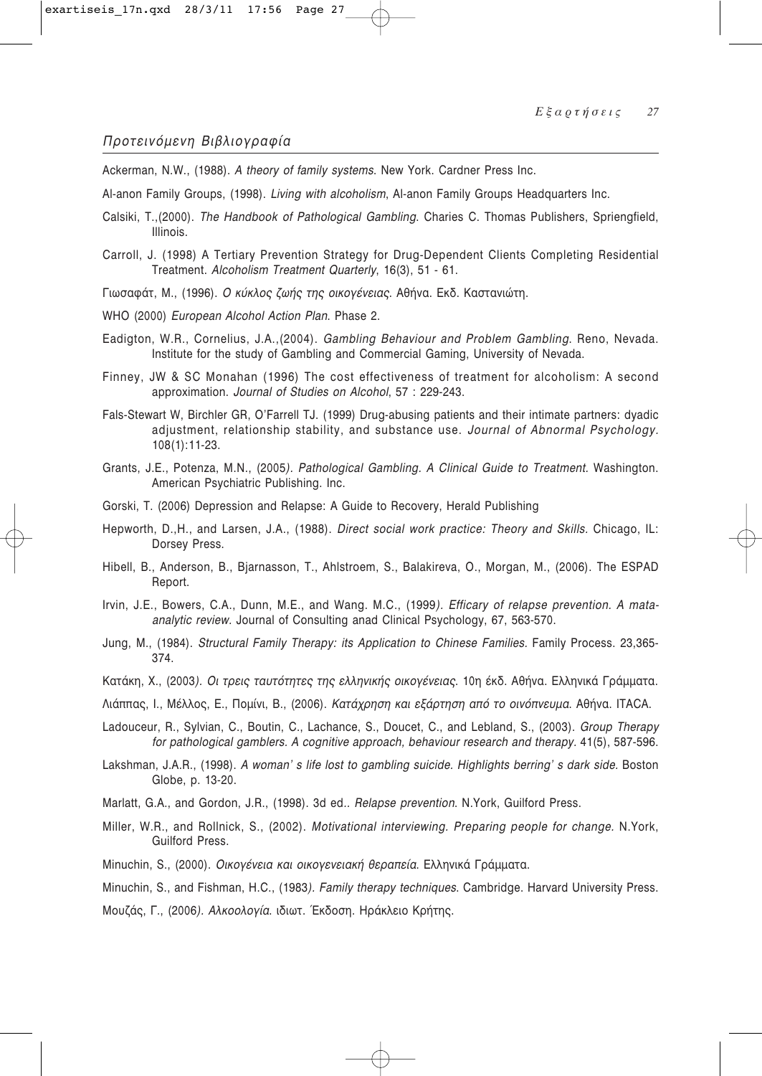#### exartiseis 17n.qxd 17:56 Page 27  $28/3/11$

Προτεινόμενη Βιβλιογραφία

Ackerman, N.W., (1988). A theory of family systems. New York. Cardner Press Inc.

Al-anon Family Groups, (1998). Living with alcoholism, Al-anon Family Groups Headquarters Inc.

- Calsiki, T., (2000). The Handbook of Pathological Gambling. Charies C. Thomas Publishers, Spriengfield, Illinois.
- Carroll, J. (1998) A Tertiary Prevention Strategy for Drug-Dependent Clients Completing Residential Treatment. Alcoholism Treatment Quarterly, 16(3), 51 - 61.

Γιωσαφάτ, Μ., (1996). Ο κύκλος ζωής της οικογένειας. Αθήνα. Εκδ. Καστανιώτη.

- WHO (2000) European Alcohol Action Plan. Phase 2.
- Eadigton, W.R., Cornelius, J.A., (2004). Gambling Behaviour and Problem Gambling. Reno, Nevada. Institute for the study of Gambling and Commercial Gaming, University of Nevada.
- Finney, JW & SC Monahan (1996) The cost effectiveness of treatment for alcoholism: A second approximation. Journal of Studies on Alcohol, 57 : 229-243.

Fals-Stewart W, Birchler GR, O'Farrell TJ, (1999) Drug-abusing patients and their intimate partners: dyadic adjustment, relationship stability, and substance use. Journal of Abnormal Psychology.  $108(1):11-23.$ 

- Grants, J.E., Potenza, M.N., (2005). Pathological Gambling. A Clinical Guide to Treatment. Washington. American Psychiatric Publishing. Inc.
- Gorski, T. (2006) Depression and Relapse: A Guide to Recovery, Herald Publishing
- Hepworth, D.,H., and Larsen, J.A., (1988). Direct social work practice: Theory and Skills. Chicago, IL: Dorsey Press.
- Hibell, B., Anderson, B., Bjarnasson, T., Ahlstroem, S., Balakireva, O., Morgan, M., (2006). The ESPAD Report.
- Irvin, J.E., Bowers, C.A., Dunn, M.E., and Wang. M.C., (1999). Efficary of relapse prevention. A mataanalytic review. Journal of Consulting anad Clinical Psychology, 67, 563-570.
- Jung, M., (1984). Structural Family Therapy: its Application to Chinese Families. Family Process. 23,365-374
- Κατάκη, Χ., (2003). Οι τρεις ταυτότητες της ελληνικής οικογένειας. 10η έκδ. Αθήνα. Ελληνικά Γράμματα.

Λιάππας, Ι., Μέλλος, Ε., Πομίνι, Β., (2006). Κατάχρηση και εξάρτηση από το οινόπνευμα. Αθήνα. ΙΤΑΟΑ.

- Ladouceur, R., Sylvian, C., Boutin, C., Lachance, S., Doucet, C., and Lebland, S., (2003). Group Therapy for pathological gamblers. A cognitive approach, behaviour research and therapy. 41(5), 587-596.
- Lakshman, J.A.R., (1998). A woman' s life lost to gambling suicide. Highlights berring' s dark side. Boston Globe, p. 13-20.

Marlatt, G.A., and Gordon, J.R., (1998). 3d ed.. Relapse prevention. N.York, Guilford Press.

- Miller, W.R., and Rollnick, S., (2002). Motivational interviewing. Preparing people for change. N.York, Guilford Press.
- Minuchin, S., (2000). Οικογένεια και οικογενειακή θεραπεία. Ελληνικά Γράμματα.

Minuchin, S., and Fishman, H.C., (1983). Family therapy techniques. Cambridge. Harvard University Press.

Μουζάς, Γ., (2006). Αλκοολογία. ιδιωτ. Έκδοση. Ηράκλειο Κρήτης.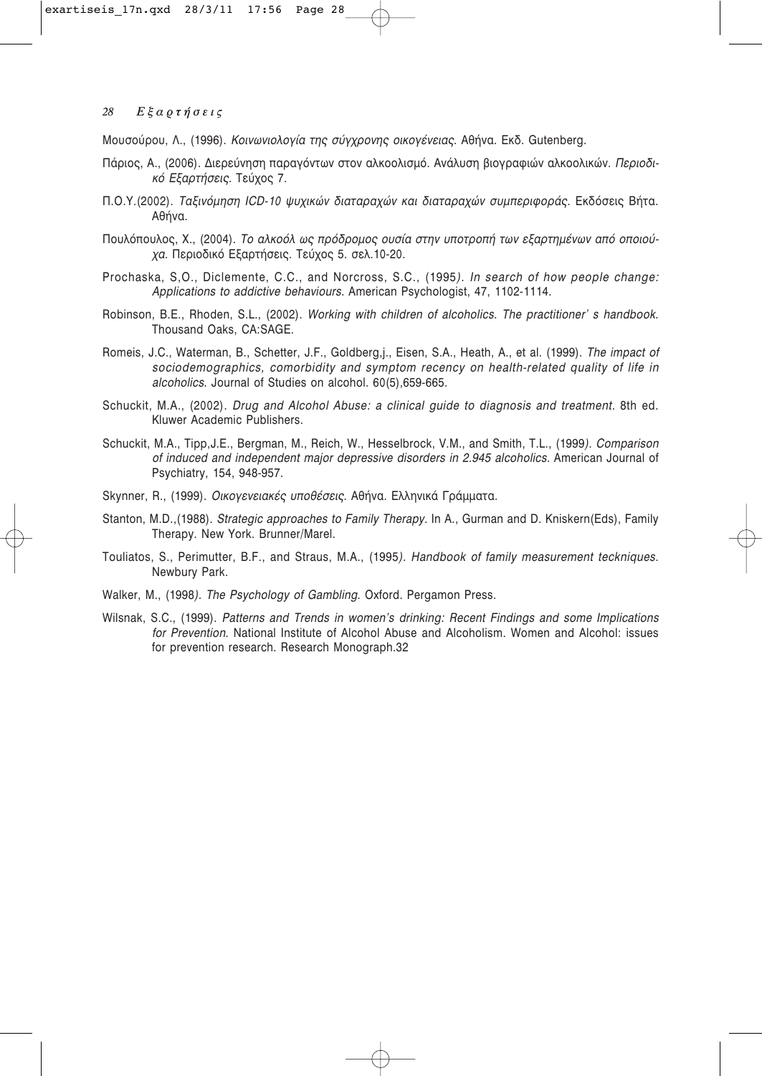Μουσούρου, Λ., (1996). Κοινωνιολογία της σύγχρονης οικογένειας. Αθήνα. Εκδ. Gutenberg.

- Πάριος, Α., (2006). Διερεύνηση παραγόντων στον αλκοολισμό. Ανάλυση βιογραφιών αλκοολικών. Περιοδικό Εξαρτήσεις. Τεύχος 7.
- Π.Ο.Υ. (2002). Ταξινόμηση ICD-10 ψυχικών διαταραχών και διαταραχών συμπεριφοράς. Εκδόσεις Βήτα. Αθήνα.
- Πουλόπουλος, Χ., (2004). Το αλκοόλ ως πρόδρομος ουσία στην υποτροπή των εξαρτημένων από οποιούχα. Περιοδικό Εξαρτήσεις. Τεύχος 5. σελ.10-20.
- Prochaska, S,O., Diclemente, C.C., and Norcross, S.C., (1995). In search of how people change: Applications to addictive behaviours. American Psychologist, 47, 1102-1114.
- Robinson, B.E., Rhoden, S.L., (2002). Working with children of alcoholics. The practitioner' s handbook. Thousand Oaks, CA:SAGE.
- Romeis, J.C., Waterman, B., Schetter, J.F., Goldberg,j., Eisen, S.A., Heath, A., et al. (1999). The impact of sociodemographics, comorbidity and symptom recency on health-related quality of life in alcoholics. Journal of Studies on alcohol. 60(5),659-665.
- Schuckit, M.A., (2002). Drug and Alcohol Abuse: a clinical quide to diagnosis and treatment. 8th ed. Kluwer Academic Publishers.
- Schuckit, M.A., Tipp, J.E., Bergman, M., Reich, W., Hesselbrock, V.M., and Smith, T.L., (1999). Comparison of induced and independent major depressive disorders in 2.945 alcoholics. American Journal of Psychiatry, 154, 948-957.
- Skynner, R., (1999). Οικογενειακές υποθέσεις. Αθήνα. Ελληνικά Γράμματα.
- Stanton, M.D., (1988). Strategic approaches to Family Therapy. In A., Gurman and D. Kniskern (Eds), Family Therapy. New York. Brunner/Marel.
- Touliatos, S., Perimutter, B.F., and Straus, M.A., (1995). Handbook of family measurement teckniques. Newbury Park.
- Walker, M., (1998). The Psychology of Gambling. Oxford. Pergamon Press.
- Wilsnak, S.C., (1999). Patterns and Trends in women's drinking: Recent Findings and some Implications for Prevention. National Institute of Alcohol Abuse and Alcoholism. Women and Alcohol: issues for prevention research. Research Monograph.32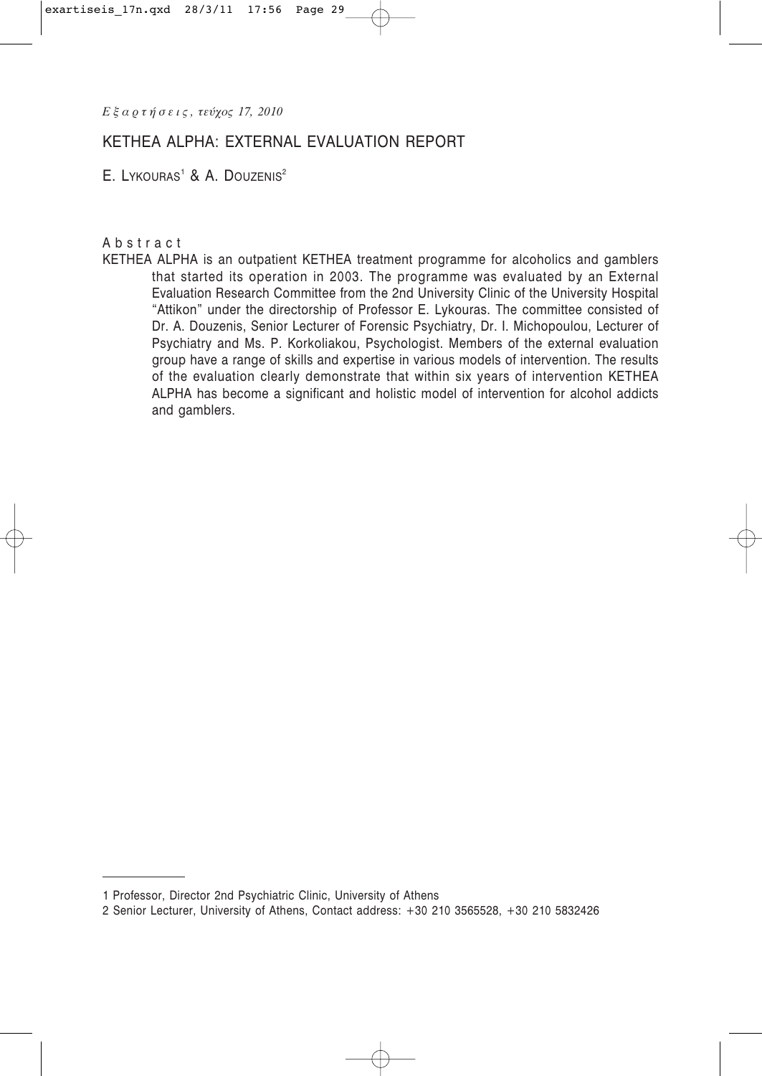*Ε ξ α ρ τ ή σ ε ι ς , τεύχος 17, 2010*

# KETHEA ALPHA: EXTERNAL EVALUATION REPORT

E. LYKOURAS<sup>1</sup> & A. DOUZENIS<sup>2</sup>

## Abstract

KETHEA ALPHA is an outpatient KETHEA treatment programme for alcoholics and gamblers that started its operation in 2003. The programme was evaluated by an External Evaluation Research Committee from the 2nd University Clinic of the University Hospital "Attikon" under the directorship of Professor E. Lykouras. The committee consisted of Dr. A. Douzenis, Senior Lecturer of Forensic Psychiatry, Dr. I. Michopoulou, Lecturer of Psychiatry and Ms. P. Korkoliakou, Psychologist. Members of the external evaluation group have a range of skills and expertise in various models of intervention. The results of the evaluation clearly demonstrate that within six years of intervention KETHEA ALPHA has become a significant and holistic model of intervention for alcohol addicts and gamblers.

<sup>1</sup> Professor, Director 2nd Psychiatric Clinic, University of Athens

<sup>2</sup> Senior Lecturer, University of Athens, Contact address: +30 210 3565528, +30 210 5832426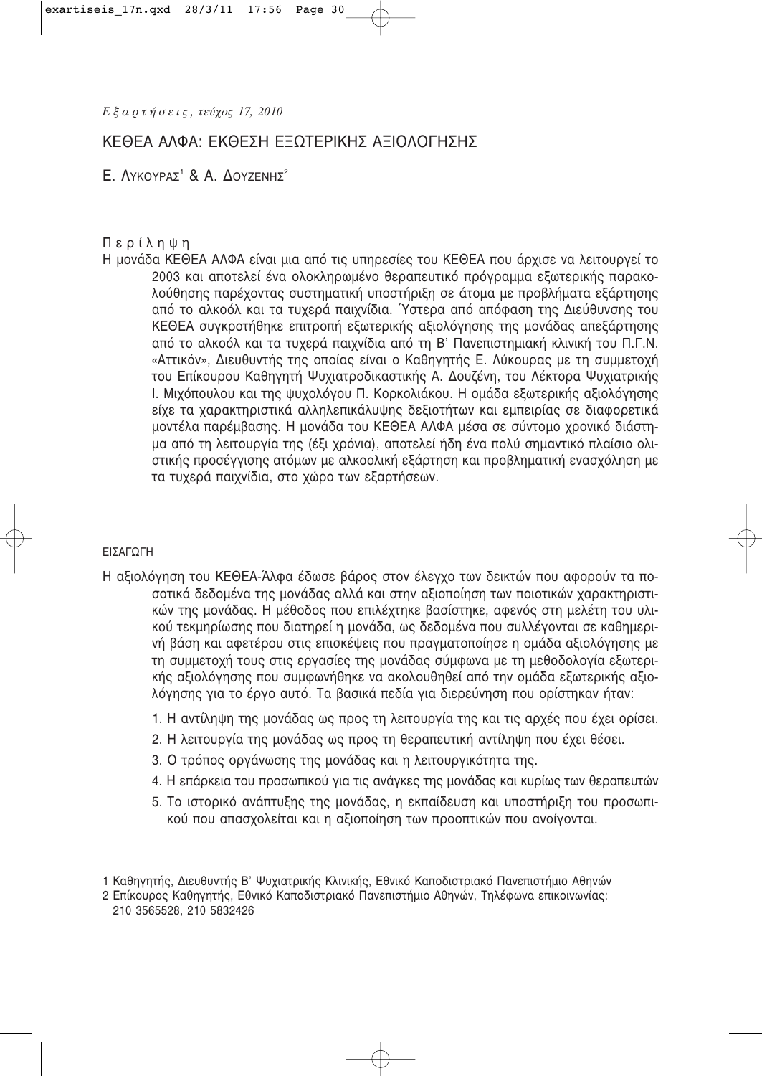*Ε ξ α ρ τ ή σ ε ι ς , τεύχος 17, 2010*

# ΚΕΘΕΑ ΑΛΦΑ: ΕΚΘΕΣΗ ΕΞΩΤΕΡΙΚΗΣ ΑΞΙΟΛΟΓΗΣΗΣ

 $E. \Lambda$ ΥΚΟΥΡΑΣ<sup>1</sup> & A. ΔΟΥΖΕΝΗΣ<sup>2</sup>

#### $\Box$ ερίληψη

Η μονάδα ΚΕΘΕΑ ΑΛΦΑ είναι μια από τις υπηρεσίες του ΚΕΘΕΑ που άρχισε να λειτουργεί το 2003 και αποτελεί ένα ολοκληρωμένο θεραπευτικό πρόγραμμα εξωτερικής παρακολούθησης παρέχοντας συστηματική υποστήριξη σε άτομα με προβλήματα εξάρτησης από το αλκοόλ και τα τυχερά παιχνίδια. Ύστερα από απόφαση της Διεύθυνσης του ΚΕΘΕΑ συγκροτήθηκε επιτροπή εξωτερικής αξιολόγησης της μονάδας απεξάρτησης από το αλκοόλ και τα τυχερά παιχνίδια από τη Β' Πανεπιστημιακή κλινική του Π.Γ.Ν. «Αττικόν», Διευθυντής της οποίας είναι ο Καθηγητής Ε. Λύκουρας με τη συμμετοχή του Επίκουρου Καθηγητή Ψυχιατροδικαστικής Α. Δουζένη, του Λέκτορα Ψυχιατρικής Ι. Μιχόπουλου και της ψυχολόγου Π. Κορκολιάκου. Η ομάδα εξωτερικής αξιολόγησης είχε τα χαρακτηριστικά αλληλεπικάλυψης δεξιοτήτων και εμπειρίας σε διαφορετικά μοντέλα παρέμβασης. Η μονάδα του ΚΕΘΕΑ ΑΛΦΑ μέσα σε σύντομο χρονικό διάστημα από τη λειτουργία της (έξι χρόνια), αποτελεί ήδη ένα πολύ σημαντικό πλαίσιο ολιστικής προσέγγισης ατόμων με αλκοολική εξάρτηση και προβληματική ενασχόληση με τα τυχερά παιχνίδια, στο χώρο των εξαρτήσεων.

#### ΕΙΣΑΓΩΓΗ

- Η αξιολόγηση του ΚΕΘΕΑ-Άλφα έδωσε βάρος στον έλεγχο των δεικτών που αφορούν τα ποσοτικά δεδομένα της μονάδας αλλά και στην αξιοποίηση των ποιοτικών χαρακτηριστικών της μονάδας. Η μέθοδος που επιλέχτηκε βασίστηκε, αφενός στη μελέτη του υλικού τεκμηρίωσης που διατηρεί η μονάδα, ως δεδομένα που συλλέγονται σε καθημερινή βάση και αφετέρου στις επισκέψεις που πραγματοποίησε η ομάδα αξιολόγησης με τη συμμετοχή τους στις εργασίες της μονάδας σύμφωνα με τη μεθοδολογία εξωτερικής αξιολόγησης που συμφωνήθηκε να ακολουθηθεί από την ομάδα εξωτερικής αξιολόγησης για το έργο αυτό. Τα βασικά πεδία για διερεύνηση που ορίστηκαν ήταν:
	- 1. Η αντίληψη της μονάδας ως προς τη λειτουργία της και τις αρχές που έχει ορίσει.
	- 2. Η λειτουργία της μονάδας ως προς τη θεραπευτική αντίληψη που έχει θέσει.
	- 3. Ο τρόπος οργάνωσης της μονάδας και η λειτουργικότητα της.
	- 4. Η επάρκεια του προσωπικού για τις ανάγκες της μονάδας και κυρίως των θεραπευτών
	- 5. Το ιστορικό ανάπτυξης της μονάδας, η εκπαίδευση και υποστήριξη του προσωπικού που απασχολείται και η αξιοποίηση των προοπτικών που ανοίγονται.

<sup>1</sup> Καθηγητής, Διευθυντής Β' Ψυχιατρικής Κλινικής, Εθνικό Καποδιστριακό Πανεπιστήμιο Αθηνών

<sup>2</sup> Επίκουρος Καθηγητής, Εθνικό Καποδιστριακό Πανεπιστήμιο Αθηνών, Τηλέφωνα επικοινωνίας: 210 3565528, 210 5832426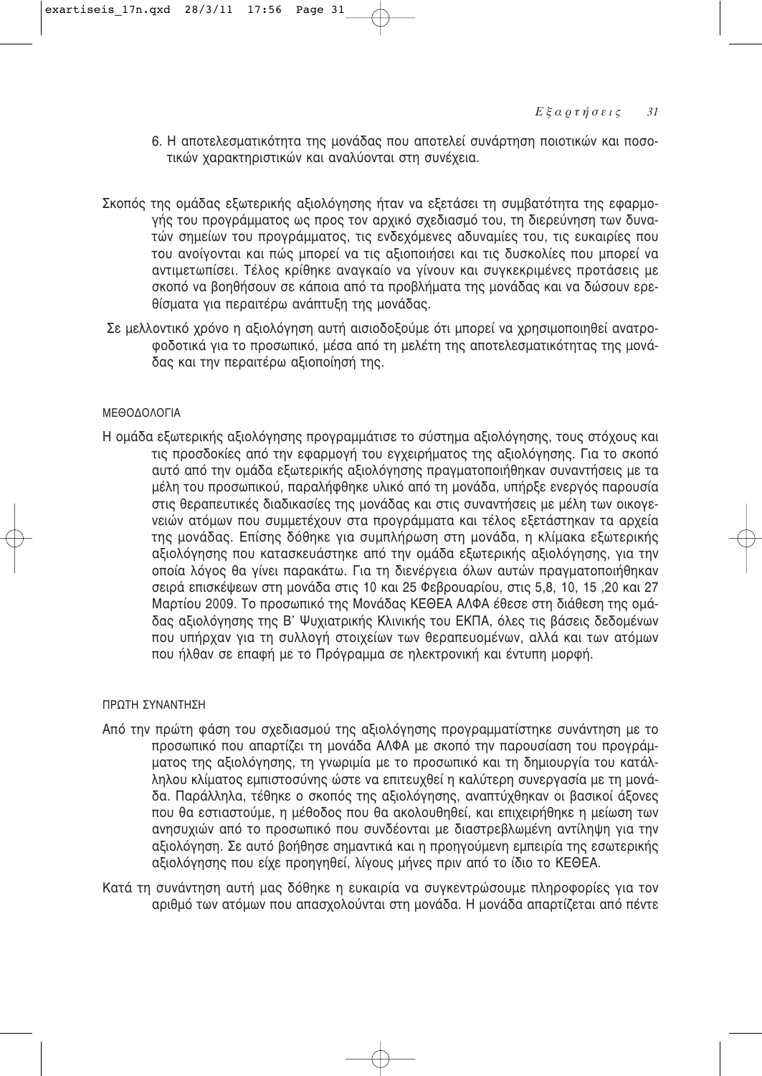- 6. Η αποτελεσματικότητα της μονάδας που αποτελεί συνάρτηση ποιοτικών και ποσοτικών χαρακτηριστικών και αναλύονται στη συνέχεια.
- Σκοπός της ομάδας εξωτερικής αξιολόγησης ήταν να εξετάσει τη συμβατότητα της εφαρμογής του προγράμματος ως προς τον αρχικό σχεδιασμό του, τη διερεύνηση των δυνατών σημείων του προγράμματος, τις ενδεχόμενες αδυναμίες του, τις ευκαιρίες που του ανοίγονται και πώς μπορεί να τις αξιοποιήσει και τις δυσκολίες που μπορεί να αντιμετωπίσει. Τέλος κρίθηκε αναγκαίο να γίνουν και συγκεκριμένες προτάσεις με σκοπό να βοηθήσουν σε κάποια από τα προβλήματα της μονάδας και να δώσουν ερεθίσματα για περαιτέρω ανάπτυξη της μονάδας.
- Σε μελλοντικό χρόνο η αξιολόγηση αυτή αισιοδοξούμε ότι μπορεί να χρησιμοποιηθεί ανατροφοδοτικά για το προσωπικό, μέσα από τη μελέτη της αποτελεσματικότητας της μονάδας και την περαιτέρω αξιοποίησή της.

#### ΜΕΘΟΔΟΛΟΓΙΑ

Η ομάδα εξωτερικής αξιολόγησης προγραμμάτισε το σύστημα αξιολόγησης, τους στόχους και τις προσδοκίες από την εφαρμογή του εγχειρήματος της αξιολόγησης. Για το σκοπό αυτό από την ομάδα εξωτερικής αξιολόγησης πραγματοποιήθηκαν συναντήσεις με τα μέλη του προσωπικού, παραλήφθηκε υλικό από τη μονάδα, υπήρξε ενεργός παρουσία στις θεραπευτικές διαδικασίες της μονάδας και στις συναντήσεις με μέλη των οικογενειών ατόμων που συμμετέχουν στα προγράμματα και τέλος εξετάστηκαν τα αρχεία της μονάδας. Επίσης δόθηκε για συμπλήρωση στη μονάδα, η κλίμακα εξωτερικής αξιολόγησης που κατασκευάστηκε από την ομάδα εξωτερικής αξιολόγησης, για την οποία λόγος θα γίνει παρακάτω. Για τη διενέργεια όλων αυτών πραγματοποιήθηκαν σειρά επισκέψεων στη μονάδα στις 10 και 25 Φεβρουαρίου, στις 5,8, 10, 15 ,20 και 27 Μαρτίου 2009. Το προσωπικό της Μονάδας ΚΕΘΕΑ ΑΛΦΑ έθεσε στη διάθεση της ομάδας αξιολόγησης της Β' Ψυχιατρικής Κλινικής του ΕΚΠΑ, όλες τις βάσεις δεδομένων που υπήρχαν για τη συλλογή στοιχείων των θεραπευομένων, αλλά και των ατόμων που ήλθαν σε επαφή με το Πρόγραμμα σε ηλεκτρονική και έντυπη μορφή.

#### ΠΡΩΤΗ ΣΥΝΑΝΤΗΣΗ

- Aπό την πρώτη φάση του σχεδιασμού της αξιολόγησης προγραμματίστηκε συνάντηση με το προσωπικό που απαρτίζει τη μονάδα ΑΛΦΑ με σκοπό την παρουσίαση του προγράμματος της αξιολόγησης, τη γνωριμία με το προσωπικό και τη δημιουργία του κατάλληλου κλίματος εμπιστοσύνης ώστε να επιτευχθεί η καλύτερη συνεργασία με τη μονάδα. Παράλληλα, τέθηκε ο σκοπός της αξιολόγησης, αναπτύχθηκαν οι βασικοί άξονες που θα εστιαστούμε, η μέθοδος που θα ακολουθηθεί, και επιχειρήθηκε η μείωση των ανησυχιών από το προσωπικό που συνδέονται με διαστρεβλωμένη αντίληψη για την αξιολόγηση. Σε αυτό βοήθησε σημαντικά και η προηγούμενη εμπειρία της εσωτερικής αξιολόγησης που είχε προηγηθεί, λίγους μήνες πριν από το ίδιο το KEΘEA.
- Κατά τη συνάντηση αυτή μας δόθηκε η ευκαιρία να συγκεντρώσουμε πληροφορίες για τον αριθμό των ατόμων που απασχολούνται στη μονάδα. Η μονάδα απαρτίζεται από πέντε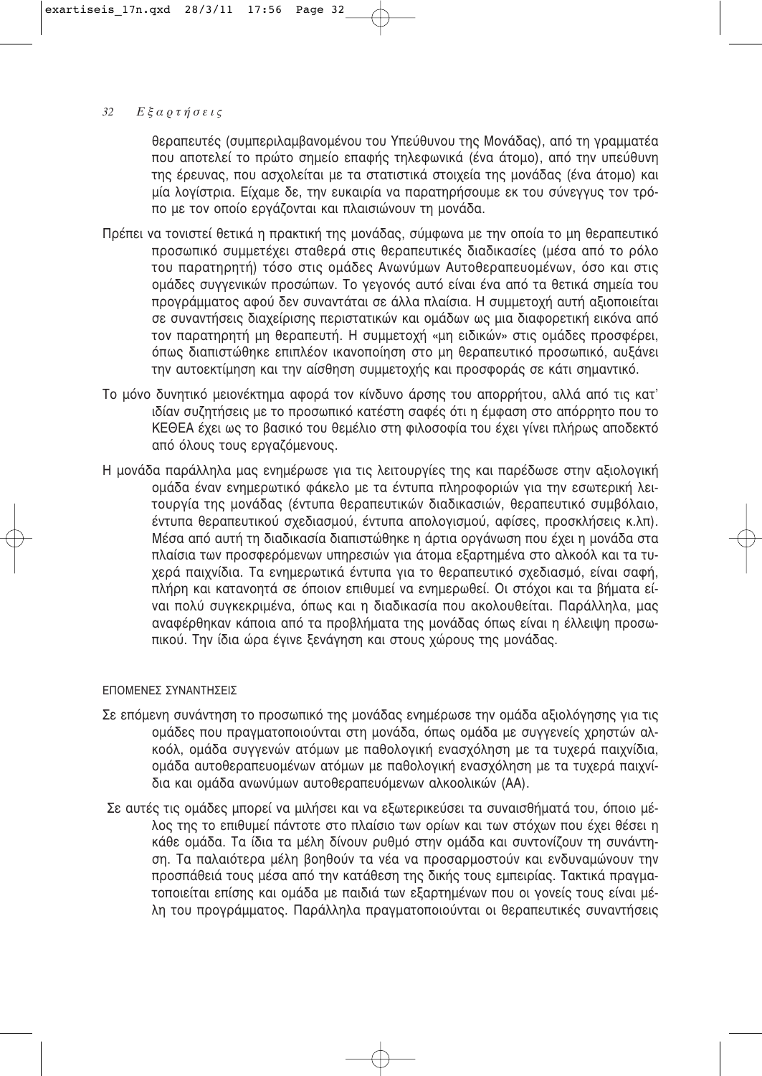θεραπευτές (συμπεριλαμβανομένου του Υπεύθυνου της Μονάδας), από τη γραμματέα που αποτελεί το πρώτο σημείο επαφής τηλεφωνικά (ένα άτομο), από την υπεύθυνη της έρευνας, που ασχολείται με τα στατιστικά στοιχεία της μονάδας (ένα άτομο) και μία λογίστρια. Είχαμε δε, την ευκαιρία να παρατηρήσουμε εκ του σύνενγυς τον τρόπο με τον οποίο ερνάζονται και πλαισιώνουν τη μονάδα.

- Πρέπει να τονιστεί θετικά η πρακτική της μονάδας, σύμφωνα με την οποία το μη θεραπευτικό προσωπικό συμμετέχει σταθερά στις θεραπευτικές διαδικασίες (μέσα από το ρόλο του παρατηρητή) τόσο στις ομάδες Ανωνύμων Αυτοθεραπευομένων, όσο και στις ομάδες συγγενικών προσώπων. Το γεγονός αυτό είναι ένα από τα θετικά σημεία του προγράμματος αφού δεν συναντάται σε άλλα πλαίσια. Η συμμετοχή αυτή αξιοποιείται σε συναντήσεις διαχείρισης περιστατικών και ομάδων ως μια διαφορετική εικόνα από τον παρατηρητή μη θεραπευτή. Η συμμετοχή «μη ειδικών» στις ομάδες προσφέρει, όπως διαπιστώθηκε επιπλέον ικανοποίηση στο μη θεραπευτικό προσωπικό, αυξάνει την αυτοεκτίμηση και την αίσθηση συμμετοχής και προσφοράς σε κάτι σημαντικό.
- Το μόνο δυνητικό μειονέκτημα αφορά τον κίνδυνο άρσης του απορρήτου, αλλά από τις κατ' ιδίαν συζητήσεις με το προσωπικό κατέστη σαφές ότι η έμφαση στο απόρρητο που το ΚΕΘΕΑ έχει ως το βασικό του θεμέλιο στη φιλοσοφία του έχει γίνει πλήρως αποδεκτό από όλους τους εργαζόμενους.
- Η μονάδα παράλληλα μας ενημέρωσε για τις λειτουργίες της και παρέδωσε στην αξιολογική ομάδα έναν ενημερωτικό φάκελο με τα έντυπα πληροφοριών για την εσωτερική λειτουργία της μονάδας (έντυπα θεραπευτικών διαδικασιών, θεραπευτικό συμβόλαιο, έντυπα θεραπευτικού σχεδιασμού, έντυπα απολογισμού, αφίσες, προσκλήσεις κ.λπ). Μέσα από αυτή τη διαδικασία διαπιστώθηκε η άρτια οργάνωση που έχει η μονάδα στα πλαίσια των προσφερόμενων υπηρεσιών για άτομα εξαρτημένα στο αλκοόλ και τα τυχερά παιχνίδια. Τα ενημερωτικά έντυπα για το θεραπευτικό σχεδιασμό, είναι σαφή, πλήρη και κατανοητά σε όποιον επιθυμεί να ενημερωθεί. Οι στόχοι και τα βήματα είναι πολύ συγκεκριμένα, όπως και η διαδικασία που ακολουθείται. Παράλληλα, μας αναφέρθηκαν κάποια από τα προβλήματα της μονάδας όπως είναι η έλλειψη προσωπικού. Την ίδια ώρα έγινε ξενάγηση και στους χώρους της μονάδας.

#### **FΠΟΜΕΝΕΣ ΣΥΝΑΝΤΗΣΕΙΣ**

- Σε επόμενη συνάντηση το προσωπικό της μονάδας ενημέρωσε την ομάδα αξιολόγησης για τις ομάδες που πραγματοποιούνται στη μονάδα, όπως ομάδα με συγγενείς χρηστών αλκοόλ, ομάδα συγγενών ατόμων με παθολογική ενασχόληση με τα τυχερά παιχνίδια, ομάδα αυτοθεραπευομένων ατόμων με παθολογική ενασχόληση με τα τυχερά παιχνίδια και ομάδα ανωνύμων αυτοθεραπευόμενων αλκοολικών (AA).
- Σε αυτές τις ομάδες μπορεί να μιλήσει και να εξωτερικεύσει τα συναισθήματά του, όποιο μέλος της το επιθυμεί πάντοτε στο πλαίσιο των ορίων και των στόχων που έχει θέσει η κάθε ομάδα. Τα ίδια τα μέλη δίνουν ρυθμό στην ομάδα και συντονίζουν τη συνάντηση. Τα παλαιότερα μέλη βοηθούν τα νέα να προσαρμοστούν και ενδυναμώνουν την προσπάθειά τους μέσα από την κατάθεση της δικής τους εμπειρίας. Τακτικά πραγματοποιείται επίσης και ομάδα με παιδιά των εξαρτημένων που οι γονείς τους είναι μέλη του προγράμματος. Παράλληλα πραγματοποιούνται οι θεραπευτικές συναντήσεις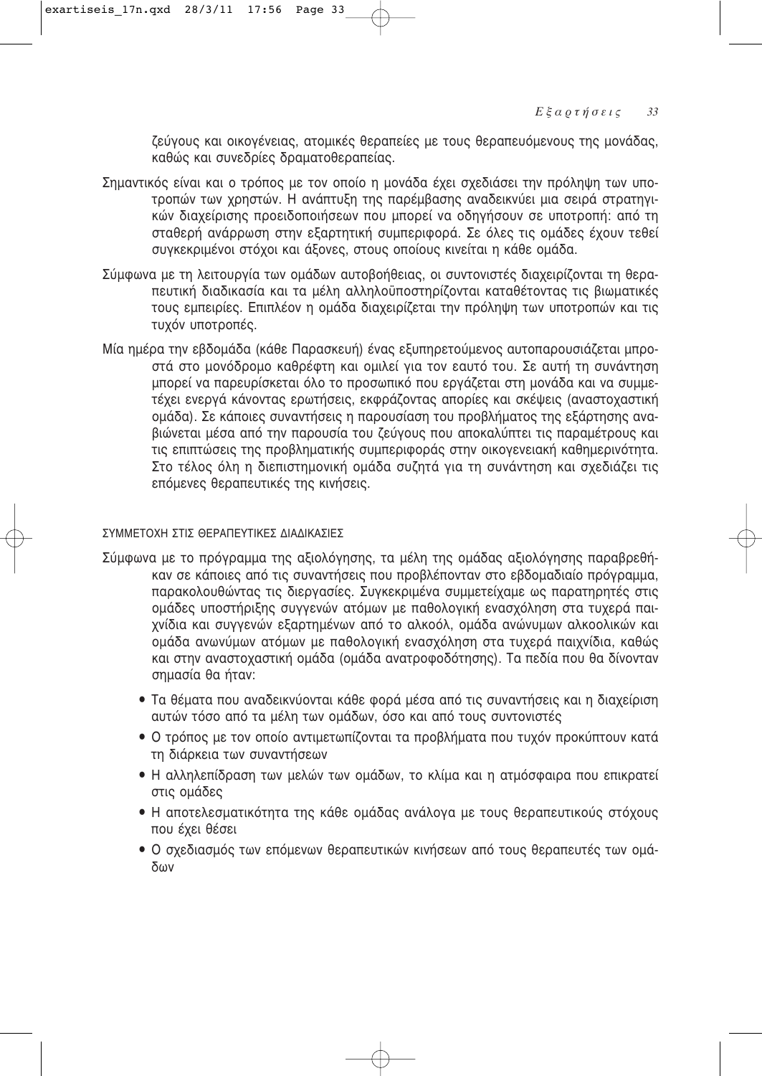ζεύγους και οικογένειας, ατομικές θεραπείες με τους θεραπευόμενους της μονάδας, καθώς και συνεδρίες δραματοθεραπείας.

- Σημαντικός είναι και ο τρόπος με τον οποίο η μονάδα έχει σχεδιάσει την πρόληψη των υποτροπών των χρηστών. Η ανάπτυξη της παρέμβασης αναδεικνύει μια σειρά στρατηγικών διαχείρισης προειδοποιήσεων που μπορεί να οδηγήσουν σε υποτροπή: από τη σταθερή ανάρρωση στην εξαρτητική συμπεριφορά. Σε όλες τις ομάδες έχουν τεθεί συγκεκριμένοι στόχοι και άξονες, στους οποίους κινείται η κάθε ομάδα.
- Σύμφωνα με τη λειτουργία των ομάδων αυτοβοήθειας, οι συντονιστές διαχειρίζονται τη θεραπευτική διαδικασία και τα μέλη αλληλοϋποστηρίζονται καταθέτοντας τις βιωματικές τους εμπειρίες. Επιπλέον η ομάδα διαχειρίζεται την πρόληψη των υποτροπών και τις τυχόν υποτροπές.
- Μία ημέρα την εβδομάδα (κάθε Παρασκευή) ένας εξυπηρετούμενος αυτοπαρουσιάζεται μπροστά στο μονόδρομο καθρέφτη και ομιλεί για τον εαυτό του. Σε αυτή τη συνάντηση μπορεί να παρευρίσκεται όλο το προσωπικό που εργάζεται στη μονάδα και να συμμετέχει ενεργά κάνοντας ερωτήσεις, εκφράζοντας απορίες και σκέψεις (αναστοχαστική ομάδα). Σε κάποιες συναντήσεις η παρουσίαση του προβλήματος της εξάρτησης αναβιώνεται μέσα από την παρουσία του ζεύγους που αποκαλύπτει τις παραμέτρους και τις επιπτώσεις της προβληματικής συμπεριφοράς στην οικογενειακή καθημερινότητα. Στο τέλος όλη η διεπιστημονική ομάδα συζητά για τη συνάντηση και σχεδιάζει τις επόμενες θεραπευτικές της κινήσεις.

#### ΣΥΜΜΕΤΟΧΗ ΣΤΙΣ ΘΕΡΑΠΕΥΤΙΚΕΣ ΛΙΑΛΙΚΑΣΙΕΣ

- Σύμφωνα με το πρόγραμμα της αξιολόγησης, τα μέλη της ομάδας αξιολόγησης παραβρεθήκαν σε κάποιες από τις συναντήσεις που προβλέπονταν στο εβδομαδιαίο πρόγραμμα, παρακολουθώντας τις διεργασίες. Συγκεκριμένα συμμετείχαμε ως παρατηρητές στις ομάδες υποστήριξης συγγενών ατόμων με παθολογική ενασχόληση στα τυχερά παιχνίδια και συγγενών εξαρτημένων από το αλκοόλ, ομάδα ανώνυμων αλκοολικών και ομάδα ανωνύμων ατόμων με παθολογική ενασχόληση στα τυχερά παιχνίδια, καθώς και στην αναστοχαστική ομάδα (ομάδα ανατροφοδότησης). Τα πεδία που θα δίνονταν σημασία θα ήταν:
	- Τα θέματα που αναδεικνύονται κάθε φορά μέσα από τις συναντήσεις και η διαχείριση αυτών τόσο από τα μέλη των ομάδων, όσο και από τους συντονιστές
	- Ο τρόπος με τον οποίο αντιμετωπίζονται τα προβλήματα που τυχόν προκύπτουν κατά τη διάρκεια των συναντήσεων
	- Η αλληλεπίδραση των μελών των ομάδων, το κλίμα και η ατμόσφαιρα που επικρατεί στις ομάδες
	- Η αποτελεσματικότητα της κάθε ομάδας ανάλογα με τους θεραπευτικούς στόχους που έχει θέσει
	- Ο σχεδιασμός των επόμενων θεραπευτικών κινήσεων από τους θεραπευτές των ομάδων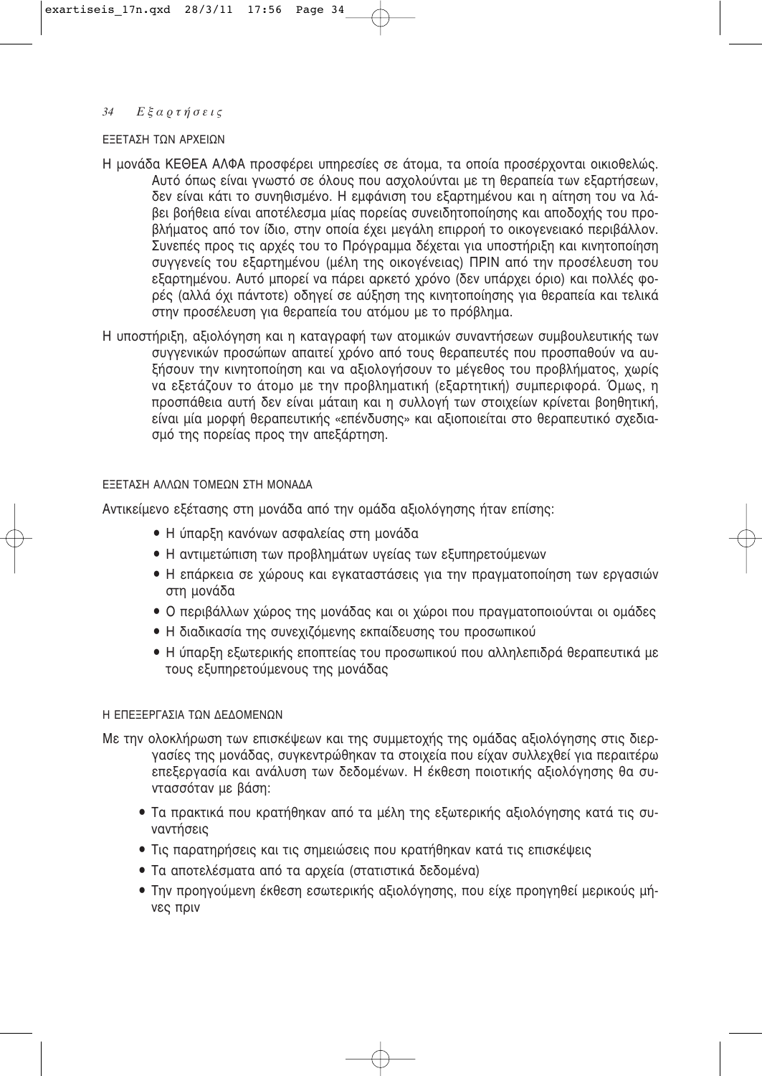#### ΕΞΕΤΑΣΗ ΤΩΝ ΑΡΧΕΙΩΝ

- Η μονάδα ΚΕΘΕΑ ΑΛΦΑ προσφέρει υπηρεσίες σε άτομα, τα οποία προσέρχονται οικιοθελώς. Αυτό όπως είναι γνωστό σε όλους που ασχολούνται με τη θεραπεία των εξαρτήσεων, δεν είναι κάτι το συνηθισμένο. Η εμφάνιση του εξαρτημένου και η αίτηση του να λάβει βοήθεια είναι αποτέλεσμα μίας πορείας συνειδητοποίησης και αποδοχής του προβλήματος από τον ίδιο, στην οποία έχει μεγάλη επιρροή το οικογενειακό περιβάλλον. Συνεπές προς τις αρχές του το Πρόγραμμα δέχεται για υποστήριξη και κινητοποίηση συγγενείς του εξαρτημένου (μέλη της οικογένειας) ΠΡΙΝ από την προσέλευση του εξαρτημένου. Αυτό μπορεί να πάρει αρκετό χρόνο (δεν υπάρχει όριο) και πολλές φορές (αλλά όχι πάντοτε) οδηγεί σε αύξηση της κινητοποίησης για θεραπεία και τελικά στην προσέλευση για θεραπεία του ατόμου με το πρόβλημα.
- Η υποστήριξη, αξιολόγηση και η καταγραφή των ατομικών συναντήσεων συμβουλευτικής των συγγενικών προσώπων απαιτεί χρόνο από τους θεραπευτές που προσπαθούν να αυξήσουν την κινητοποίηση και να αξιολογήσουν το μέγεθος του προβλήματος, χωρίς να εξετάζουν το άτομο με την προβληματική (εξαρτητική) συμπεριφορά, Όμως, η προσπάθεια αυτή δεν είναι μάταιη και η συλλογή των στοιχείων κρίνεται βοηθητική, είναι μία μορφή θεραπευτικής «επένδυσης» και αξιοποιείται στο θεραπευτικό σχεδιασμό της πορείας προς την απεξάρτηση.

#### ΕΞΕΤΑΣΗ ΑΛΛΩΝ ΤΟΜΕΩΝ ΣΤΗ ΜΟΝΑΔΑ

Αντικείμενο εξέτασης στη μονάδα από την ομάδα αξιολόγησης ήταν επίσης:

- Η ύπαρξη κανόνων ασφαλείας στη μονάδα
- Η αντιμετώπιση των προβλημάτων υγείας των εξυπηρετούμενων
- Η επάρκεια σε χώρους και εγκαταστάσεις για την πραγματοποίηση των εργασιών στη μονάδα
- Ο περιβάλλων χώρος της μονάδας και οι χώροι που πραγματοποιούνται οι ομάδες
- Η διαδικασία της συνεχιζόμενης εκπαίδευσης του προσωπικού
- Η ύπαρξη εξωτερικής εποπτείας του προσωπικού που αλληλεπιδρά θεραπευτικά με τους εξυπηρετούμενους της μονάδας

#### Η ΕΠΕΞΕΡΓΑΣΙΑ ΤΩΝ ΔΕΔΟΜΕΝΩΝ

- Με την ολοκλήρωση των επισκέψεων και της συμμετοχής της ομάδας αξιολόγησης στις διεργασίες της μονάδας, συγκεντρώθηκαν τα στοιχεία που είχαν συλλεχθεί για περαιτέρω επεξεργασία και ανάλυση των δεδομένων. Η έκθεση ποιοτικής αξιολόγησης θα συντασσόταν με βάση:
	- Τα πρακτικά που κρατήθηκαν από τα μέλη της εξωτερικής αξιολόγησης κατά τις συναντήσεις
	- Τις παρατηρήσεις και τις σημειώσεις που κρατήθηκαν κατά τις επισκέψεις
	- Τα αποτελέσματα από τα αρχεία (στατιστικά δεδομένα)
	- Την προηγούμενη έκθεση εσωτερικής αξιολόγησης, που είχε προηγηθεί μερικούς μήνες πριν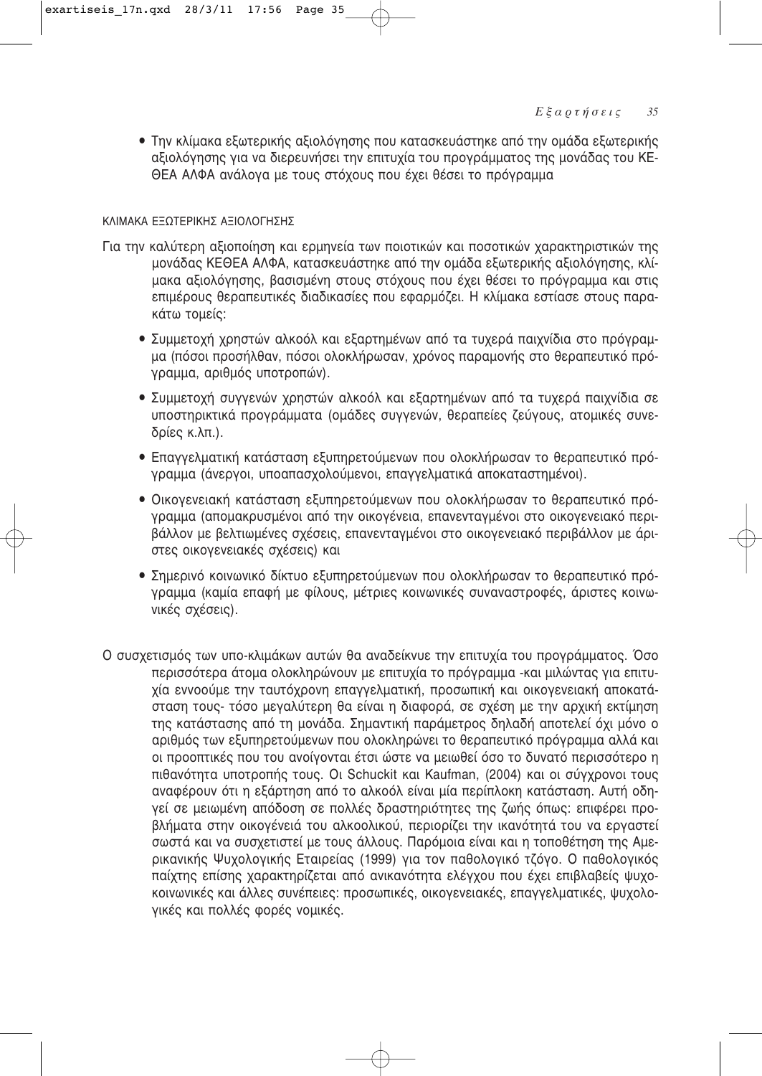• Την κλίμακα εξωτερικής αξιολόγησης που κατασκευάστηκε από την ομάδα εξωτερικής αξιολόγησης για να διερευνήσει την επιτυχία του προγράμματος της μονάδας του ΚΕ-ΘΕΑ ΑΛΦΑ ανάλογα με τους στόχους που έχει θέσει το πρόγραμμα

## ∫§πª∞∫∞ ∂•øΔ∂ƒπ∫∏™ ∞•π√§√°∏™∏™

- Για την καλύτερη αξιοποίηση και ερμηνεία των ποιοτικών και ποσοτικών χαρακτηριστικών της μονάδας ΚΕΘΕΑ ΑΛΦΑ, κατασκευάστηκε από την ομάδα εξωτερικής αξιολόγησης, κλίμακα αξιολόγησης, βασισμένη στους στόχους που έχει θέσει το πρόγραμμα και στις επιμέρους θεραπευτικές διαδικασίες που εφαρμόζει. Η κλίμακα εστίασε στους παρακάτω τομείς:
	- Συμμετοχή χρηστών αλκοόλ και εξαρτημένων από τα τυχερά παιχνίδια στο πρόγραμμα (πόσοι προσήλθαν, πόσοι ολοκλήρωσαν, χρόνος παραμονής στο θεραπευτικό πρόγραμμα, αριθμός υποτροπών).
	- Συμμετοχή συγγενών χρηστών αλκοόλ και εξαρτημένων από τα τυχερά παιχνίδια σε υποστηρικτικά προνράμματα (ομάδες συννενών, θεραπείες ζεύνους, ατομικές συνεδρίες κ.λπ.).
	- Επαγγελματική κατάσταση εξυπηρετούμενων που ολοκλήρωσαν το θεραπευτικό πρόγραμμα (άνεργοι, υποαπασχολούμενοι, επαγγελματικά αποκαταστημένοι).
	- Οικογενειακή κατάσταση εξυπηρετούμενων που ολοκλήρωσαν το θεραπευτικό πρόγραμμα (απομακρυσμένοι από την οικογένεια, επανενταγμένοι στο οικογενειακό περιβάλλον με βελτιωμένες σχέσεις, επανενταγμένοι στο οικογενειακό περιβάλλον με άριστες οικογενειακές σχέσεις) και
	- Σημερινό κοινωνικό δίκτυο εξυπηρετούμενων που ολοκλήρωσαν το θεραπευτικό πρόγραμμα (καμία επαφή με φίλους, μέτριες κοινωνικές συναναστροφές, άριστες κοινωνικές σχέσεις).
- Ο συσχετισμός των υπο-κλιμάκων αυτών θα αναδείκνυε την επιτυχία του προγράμματος. Όσο περισσότερα άτομα ολοκληρώνουν με επιτυχία το πρόγραμμα -και μιλώντας για επιτυχία εννοούμε την ταυτόχρονη επαγγελματική, προσωπική και οικογενειακή αποκατάσταση τους- τόσο μεγαλύτερη θα είναι η διαφορά, σε σχέση με την αρχική εκτίμηση της κατάστασης από τη μονάδα. Σημαντική παράμετρος δηλαδή αποτελεί όχι μόνο ο αριθμός των εξυπηρετούμενων που ολοκληρώνει το θεραπευτικό πρόγραμμα αλλά και οι προοπτικές που του ανοίγονται έτσι ώστε να μειωθεί όσο το δυνατό περισσότερο η πιθανότητα υποτροπής τους. Οι Schuckit και Kaufman, (2004) και οι σύγχρονοι τους αναφέρουν ότι η εξάρτηση από το αλκοόλ είναι μία περίπλοκη κατάσταση. Αυτή οδηγεί σε μειωμένη απόδοση σε πολλές δραστηριότητες της ζωής όπως: επιφέρει προβλήματα στην οικογένειά του αλκοολικού, περιορίζει την ικανότητά του να εργαστεί σωστά και να συσχετιστεί με τους άλλους. Παρόμοια είναι και η τοποθέτηση της Aμερικανικής Ψυχολογικής Εταιρείας (1999) για τον παθολογικό τζόγο. Ο παθολογικός παίχτης επίσης χαρακτηρίζεται από ανικανότητα ελέγχου που έχει επιβλαβείς ψυχο-Κοινωνικές και άλλες συνέπειες: προσωπικές, οικογενειακές, επαγγελματικές, ψυχολογικές και πολλές φορές νομικές.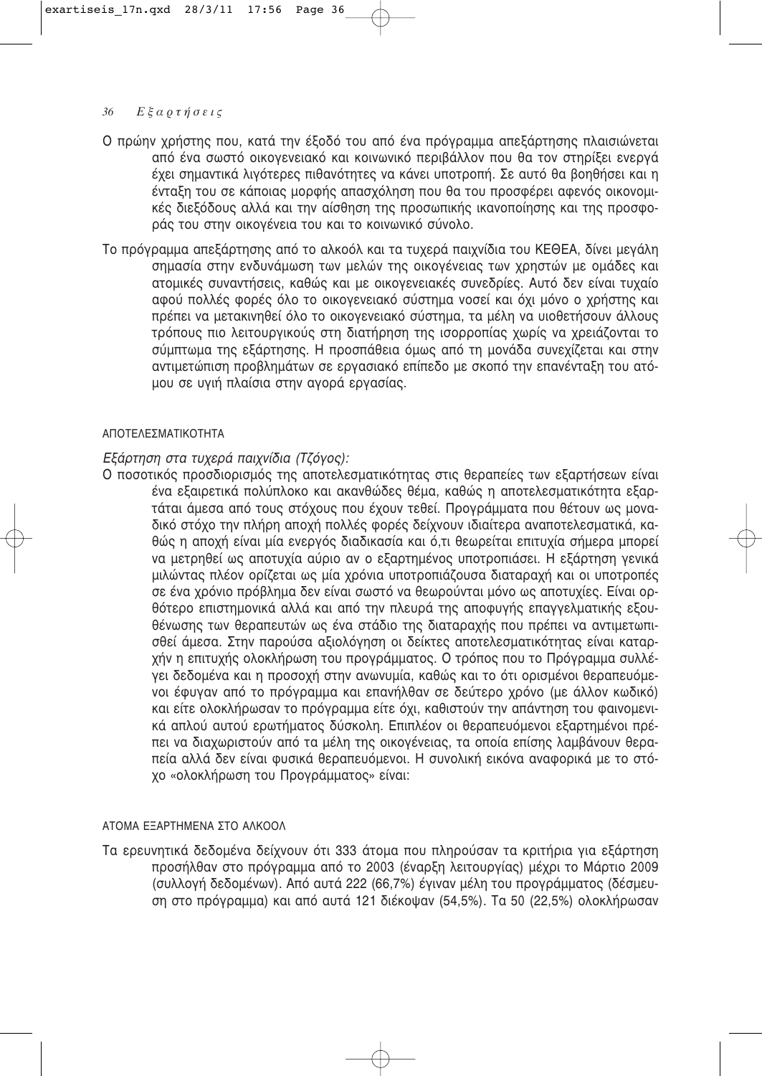- Ο πρώην χρήστης που, κατά την έξοδό του από ένα πρόγραμμα απεξάρτησης πλαισιώνεται από ένα σωστό οικογενειακό και κοινωνικό περιβάλλον που θα τον στηρίξει ενεργά έχει σημαντικά λιγότερες πιθανότητες να κάνει υποτροπή. Σε αυτό θα βοηθήσει και η ένταξη του σε κάποιας μορφής απασχόληση που θα του προσφέρει αφενός οικονομικές διεξόδους αλλά και την αίσθηση της προσωπικής ικανοποίησης και της προσφοράς του στην οικογένεια του και το κοινωνικό σύνολο.
- Το πρόνραμμα απεξάρτησης από το αλκοόλ και τα τυχερά παιχνίδια του ΚΕΘΕΑ, δίνει μενάλη σημασία στην ενδυνάμωση των μελών της οικογένειας των χρηστών με ομάδες και ατομικές συναντήσεις, καθώς και με οικογενειακές συνεδρίες. Αυτό δεν είναι τυχαίο αφού πολλές φορές όλο το οικογενειακό σύστημα νοσεί και όχι μόνο ο χρήστης και πρέπει να μετακινηθεί όλο το οικογενειακό σύστημα, τα μέλη να υιοθετήσουν άλλους τρόπους πιο λειτουργικούς στη διατήρηση της ισορροπίας χωρίς να χρειάζονται το σύμπτωμα της εξάρτησης. Η προσπάθεια όμως από τη μονάδα συνεχίζεται και στην αντιμετώπιση προβλημάτων σε εργασιακό επίπεδο με σκοπό την επανένταξη του ατόμου σε υγιή πλαίσια στην αγορά εργασίας.

#### ΑΠΟΤΕΛΕΣΜΑΤΙΚΟΤΗΤΑ

## Εξάρτηση στα τυχερά παιχνίδια (Τζόγος):

Ο ποσοτικός προσδιορισμός της αποτελεσματικότητας στις θεραπείες των εξαρτήσεων είναι ένα εξαιρετικά πολύπλοκο και ακανθώδες θέμα, καθώς η αποτελεσματικότητα εξαρτάται άμεσα από τους στόχους που έχουν τεθεί. Προγράμματα που θέτουν ως μοναδικό στόχο την πλήρη αποχή πολλές φορές δείχνουν ιδιαίτερα αναποτελεσματικά, καθώς η αποχή είναι μία ενεργός διαδικασία και ό,τι θεωρείται επιτυχία σήμερα μπορεί να μετρηθεί ως αποτυχία αύριο αν ο εξαρτημένος υποτροπιάσει. Η εξάρτηση γενικά μιλώντας πλέον ορίζεται ως μία χρόνια υποτροπιάζουσα διαταραχή και οι υποτροπές σε ένα χρόνιο πρόβλημα δεν είναι σωστό να θεωρούνται μόνο ως αποτυχίες. Είναι ορθότερο επιστημονικά αλλά και από την πλευρά της αποφυγής επαγγελματικής εξουθένωσης των θεραπευτών ως ένα στάδιο της διαταραχής που πρέπει να αντιμετωπισθεί άμεσα. Στην παρούσα αξιολόγηση οι δείκτες αποτελεσματικότητας είναι καταρχήν η επιτυχής ολοκλήρωση του προγράμματος. Ο τρόπος που το Πρόγραμμα συλλέγει δεδομένα και η προσοχή στην ανωνυμία, καθώς και το ότι ορισμένοι θεραπευόμενοι έφυγαν από το πρόγραμμα και επανήλθαν σε δεύτερο χρόνο (με άλλον κωδικό) και είτε ολοκλήρωσαν το πρόγραμμα είτε όχι, καθιστούν την απάντηση του φαινομενικά απλού αυτού ερωτήματος δύσκολη. Επιπλέον οι θεραπευόμενοι εξαρτημένοι πρέπει να διαχωριστούν από τα μέλη της οικογένειας, τα οποία επίσης λαμβάνουν θεραπεία αλλά δεν είναι φυσικά θεραπευόμενοι. Η συνολική εικόνα αναφορικά με το στόχο «ολοκλήρωση του Προγράμματος» είναι:

## ΑΤΟΜΑ ΕΞΑΡΤΗΜΕΝΑ ΣΤΟ ΑΛΚΟΟΛ

Τα ερευνητικά δεδομένα δείχνουν ότι 333 άτομα που πληρούσαν τα κριτήρια για εξάρτηση προσήλθαν στο πρόνραμμα από το 2003 (έναρξη λειτουρνίας) μέχρι το Μάρτιο 2009 (συλλογή δεδομένων). Από αυτά 222 (66,7%) έγιναν μέλη του προγράμματος (δέσμευση στο πρόγραμμα) και από αυτά 121 διέκοψαν (54,5%). Τα 50 (22,5%) ολοκλήρωσαν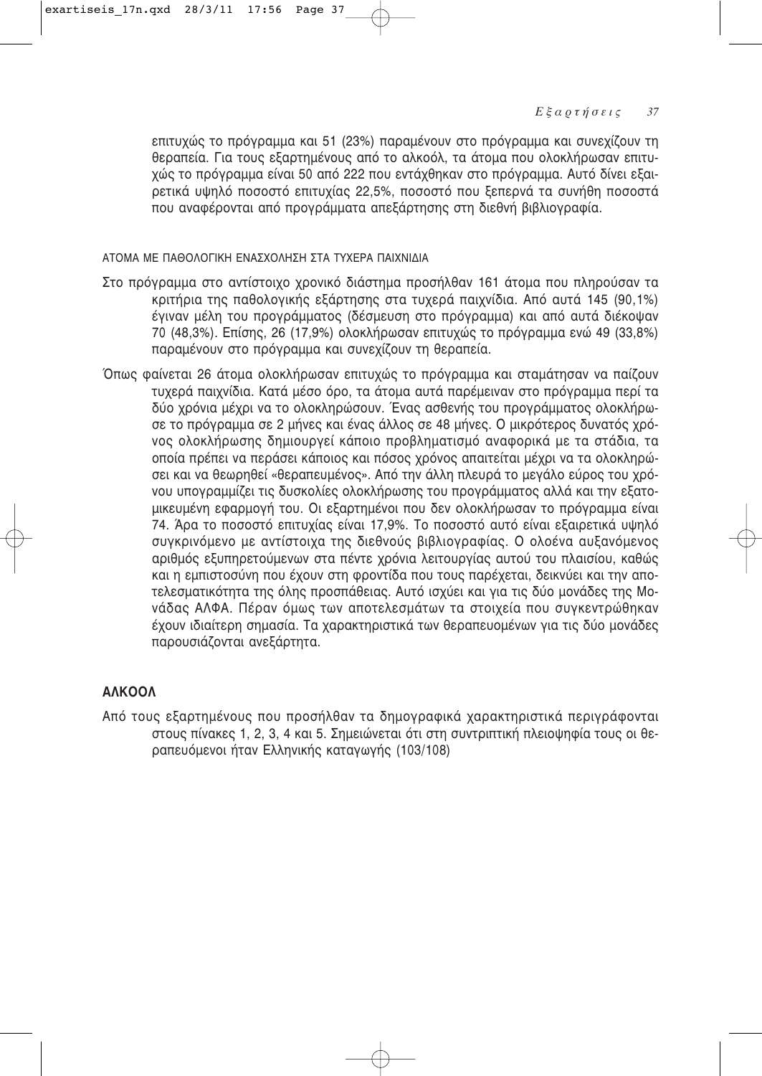επιτυχώς το πρόγραμμα και 51 (23%) παραμένουν στο πρόγραμμα και συνεχίζουν τη θεραπεία. Για τους εξαρτημένους από το αλκοόλ, τα άτομα που ολοκλήρωσαν επιτυχώς το πρόγραμμα είναι 50 από 222 που εντάχθηκαν στο πρόγραμμα. Αυτό δίνει εξαιρετικά υψηλό ποσοστό επιτυχίας 22,5%, ποσοστό που ξεπερνά τα συνήθη ποσοστά που αναφέρονται από προγράμματα απεξάρτησης στη διεθνή βιβλιογραφία.

## ΔΤΟΜΑ ΜΕ ΠΑΘΟΛΟΓΙΚΗ ΕΝΑΣΧΟΛΗΣΗ ΣΤΑ ΤΥΧΕΡΑ ΠΑΙΧΝΙΔΙΑ

- Στο πρόγραμμα στο αντίστοιχο χρονικό διάστημα προσήλθαν 161 άτομα που πληρούσαν τα Κριτήρια της παθολογικής εξάρτησης στα τυχερά παιχνίδια. Από αυτά 145 (90,1%) έγιναν μέλη του προγράμματος (δέσμευση στο πρόγραμμα) και από αυτά διέκοψαν 70 (48,3%). Επίσης, 26 (17,9%) ολοκλήρωσαν επιτυχώς το πρόγραμμα ενώ 49 (33,8%) παραμένουν στο πρόγραμμα και συνεχίζουν τη θεραπεία.
- Όπως φαίνεται 26 άτομα ολοκλήρωσαν επιτυχώς το πρόγραμμα και σταμάτησαν να παίζουν τυχερά παιχνίδια. Κατά μέσο όρο, τα άτομα αυτά παρέμειναν στο πρόγραμμα περί τα δύο χρόνια μέχρι να το ολοκληρώσουν. Ένας ασθενής του προγράμματος ολοκλήρωσε το πρόγραμμα σε 2 μήνες και ένας άλλος σε 48 μήνες. Ο μικρότερος δυνατός χρόνος ολοκλήρωσης δημιουργεί κάποιο προβληματισμό αναφορικά με τα στάδια, τα οποία πρέπει να περάσει κάποιος και πόσος χρόνος απαιτείται μέχρι να τα ολοκληρώσει και να θεωρηθεί «θεραπευμένος». Από την άλλη πλευρά το μεγάλο εύρος του χρόνου υπογραμμίζει τις δυσκολίες ολοκλήρωσης του προγράμματος αλλά και την εξατομικευμένη εφαρμογή του. Οι εξαρτημένοι που δεν ολοκλήρωσαν το πρόγραμμα είναι 74. Άρα το ποσοστό επιτυχίας είναι 17,9%. Το ποσοστό αυτό είναι εξαιρετικά υψηλό συγκρινόμενο με αντίστοιχα της διεθνούς βιβλιογραφίας. Ο ολοένα αυξανόμενος αριθμός εξυπηρετούμενων στα πέντε χρόνια λειτουργίας αυτού του πλαισίου, καθώς και η εμπιστοσύνη που έχουν στη φροντίδα που τους παρέχεται, δεικνύει και την αποτελεσματικότητα της όλης προσπάθειας. Αυτό ισχύει και για τις δύο μονάδες της Μονάδας ΑΛΦΑ. Πέραν όμως των αποτελεσμάτων τα στοιχεία που συγκεντρώθηκαν έχουν ιδιαίτερη σημασία. Τα χαρακτηριστικά των θεραπευομένων για τις δύο μονάδες παρουσιάζονται ανεξάρτητα.

## **∞§∫√√§**

Aπό τους εξαρτημένους που προσήλθαν τα δημογραφικά χαρακτηριστικά περιγράφονται στους πίνακες 1, 2, 3, 4 και 5. Σημειώνεται ότι στη συντριπτική πλειοψηφία τους οι θεραπευόμενοι ήταν Ελληνικής καταγωγής (103/108)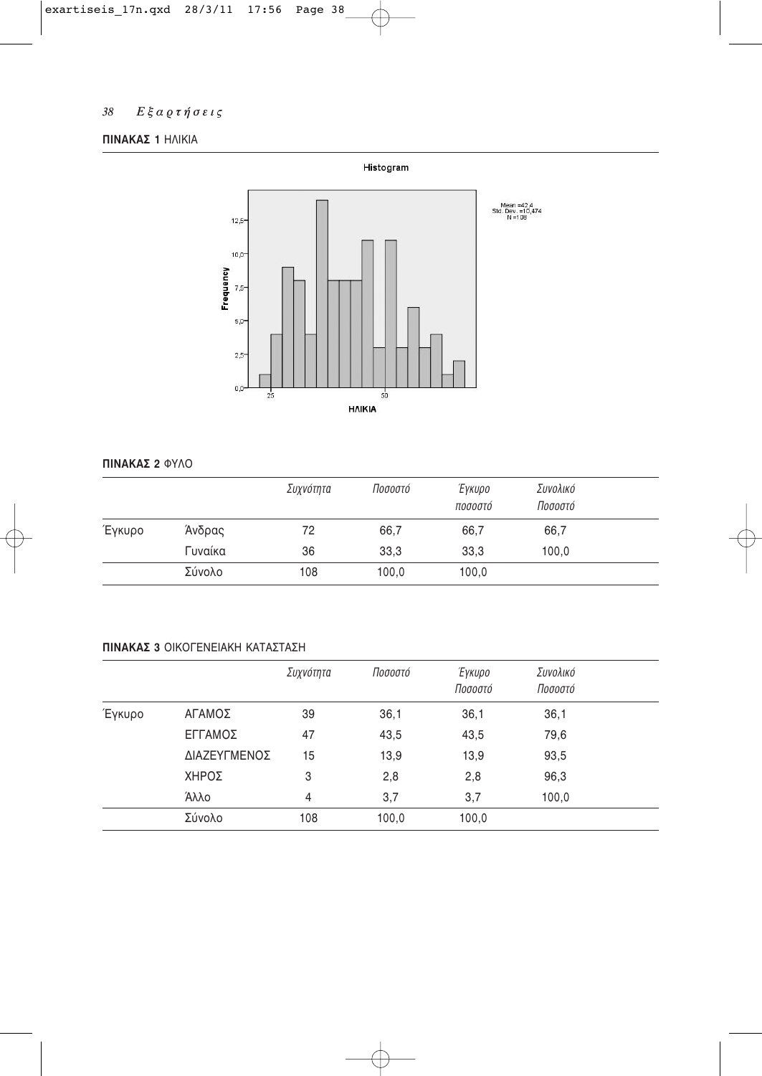## ΠΙΝΑΚΑΣ 1 ΗΛΙΚΙΑ



## ΠΙΝΑΚΑΣ 2 ΦΥΛΟ

|        |         | Συχνότητα | Ποσοστό | Έγκυρο<br>ποσοστό | Συνολικό<br>Ποσοστό |  |
|--------|---------|-----------|---------|-------------------|---------------------|--|
| Έγκυρο | Άνδρας  | 72        | 66,7    | 66,7              | 66,7                |  |
|        | Γυναίκα | 36        | 33,3    | 33,3              | 100,0               |  |
|        | Σύνολο  | 108       | 100,0   | 100,0             |                     |  |

## ΠΙΝΑΚΑΣ 3 ΟΙΚΟΓΕΝΕΙΑΚΗ ΚΑΤΑΣΤΑΣΗ

|        |              | Συχνότητα      | Ποσοστό | Έγκυρο<br>Ποσοστό | Συνολικό<br>Ποσοστό |  |
|--------|--------------|----------------|---------|-------------------|---------------------|--|
| Έγκυρο | ΑΓΑΜΟΣ       | 39             | 36,1    | 36,1              | 36,1                |  |
|        | ΕΓΓΑΜΟΣ      | 47             | 43,5    | 43,5              | 79,6                |  |
|        | ΔΙΑΖΕΥΓΜΕΝΟΣ | 15             | 13,9    | 13,9              | 93,5                |  |
|        | ΧΗΡΟΣ        | 3              | 2,8     | 2,8               | 96,3                |  |
|        | Άλλο         | $\overline{4}$ | 3,7     | 3,7               | 100,0               |  |
|        | Σύνολο       | 108            | 100,0   | 100,0             |                     |  |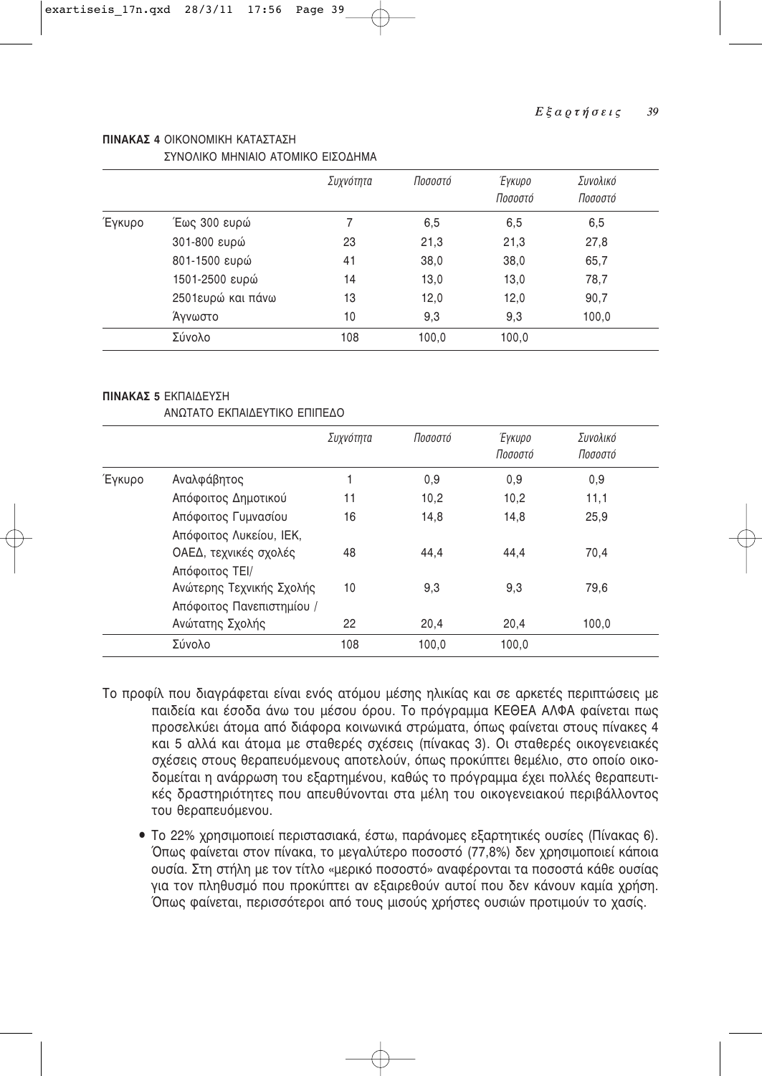|        |                   | Συχνότητα | Ποσοστό | Έγκυρο<br>Ποσοστό | Συνολικό<br>Ποσοστό |  |
|--------|-------------------|-----------|---------|-------------------|---------------------|--|
| Έγκυρο | Έως 300 ευρώ      |           | 6,5     | 6,5               | 6,5                 |  |
|        | 301-800 ευρώ      | 23        | 21,3    | 21,3              | 27,8                |  |
|        | 801-1500 ευρώ     | 41        | 38,0    | 38,0              | 65,7                |  |
|        | 1501-2500 ευρώ    | 14        | 13,0    | 13,0              | 78,7                |  |
|        | 2501ευρώ και πάνω | 13        | 12,0    | 12,0              | 90,7                |  |
|        | Άγνωστο           | 10        | 9,3     | 9,3               | 100,0               |  |
|        | Σύνολο            | 108       | 100,0   | 100,0             |                     |  |

## **ΠΙΝΑΚΑΣ 4 ΟΙΚΟΝΟΜΙΚΗ ΚΑΤΑΣΤΑΣΗ** ΣΥΝΩΛΙΚΩ ΜΗΝΙΔΙΩ ΔΤΩΜΙΚΩ ΕΙΣΩΛΗΜΑ

## **ΠΙΝΑΚΑΣ 5 ΕΚΠΑΙΔΕΥΣΗ**  $\overline{M}$

|  | ANVIATO ENTALETTINO ELIITELIO |  |
|--|-------------------------------|--|
|  |                               |  |

|        |                                                       | Συχνότητα | Ποσοστό | Έγκυρο<br>Ποσοστό | Συνολικό<br>Ποσοστό |
|--------|-------------------------------------------------------|-----------|---------|-------------------|---------------------|
| Έγκυρο | Αναλφάβητος                                           |           | 0,9     | 0,9               | 0,9                 |
|        | Απόφοιτος Δημοτικού                                   | 11        | 10,2    | 10,2              | 11,1                |
|        | Απόφοιτος Γυμνασίου<br>Απόφοιτος Λυκείου, ΙΕΚ,        | 16        | 14,8    | 14,8              | 25,9                |
|        | ΟΑΕΔ, τεχνικές σχολές<br>Απόφοιτος ΤΕΙ/               | 48        | 44.4    | 44,4              | 70.4                |
|        | Ανώτερης Τεχνικής Σχολής<br>Απόφοιτος Πανεπιστημίου / | 10        | 9,3     | 9,3               | 79,6                |
|        | Ανώτατης Σχολής                                       | 22        | 20.4    | 20,4              | 100.0               |
|        | Σύνολο                                                | 108       | 100.0   | 100.0             |                     |

- Το προφίλ που διαγράφεται είναι ενός ατόμου μέσης ηλικίας και σε αρκετές περιπτώσεις με παιδεία και έσοδα άνω του μέσου όρου. Το πρόγραμμα ΚΕΘΕΑ ΑΛΦΑ φαίνεται πως προσελκύει άτομα από διάφορα κοινωνικά στρώματα, όπως φαίνεται στους πίνακες 4 και 5 αλλά και άτομα με σταθερές σχέσεις (πίνακας 3). Οι σταθερές οικογενειακές σχέσεις στους θεραπευόμενους αποτελούν, όπως προκύπτει θεμέλιο, στο οποίο οικοδομείται η ανάρρωση του εξαρτημένου, καθώς το πρόγραμμα έχει πολλές θεραπευτικές δραστηριότητες που απευθύνονται στα μέλη του οικογενειακού περιβάλλοντος του θεραπευόμενου.
	- Το 22% χρησιμοποιεί περιστασιακά, έστω, παράνομες εξαρτητικές ουσίες (Πίνακας 6). Όπως φαίνεται στον πίνακα, το μεγαλύτερο ποσοστό (77,8%) δεν χρησιμοποιεί κάποια ουσία. Στη στήλη με τον τίτλο «μερικό ποσοστό» αναφέρονται τα ποσοστά κάθε ουσίας για τον πληθυσμό που προκύπτει αν εξαιρεθούν αυτοί που δεν κάνουν καμία χρήση. Όπως φαίνεται, περισσότεροι από τους μισούς χρήστες ουσιών προτιμούν το χασίς.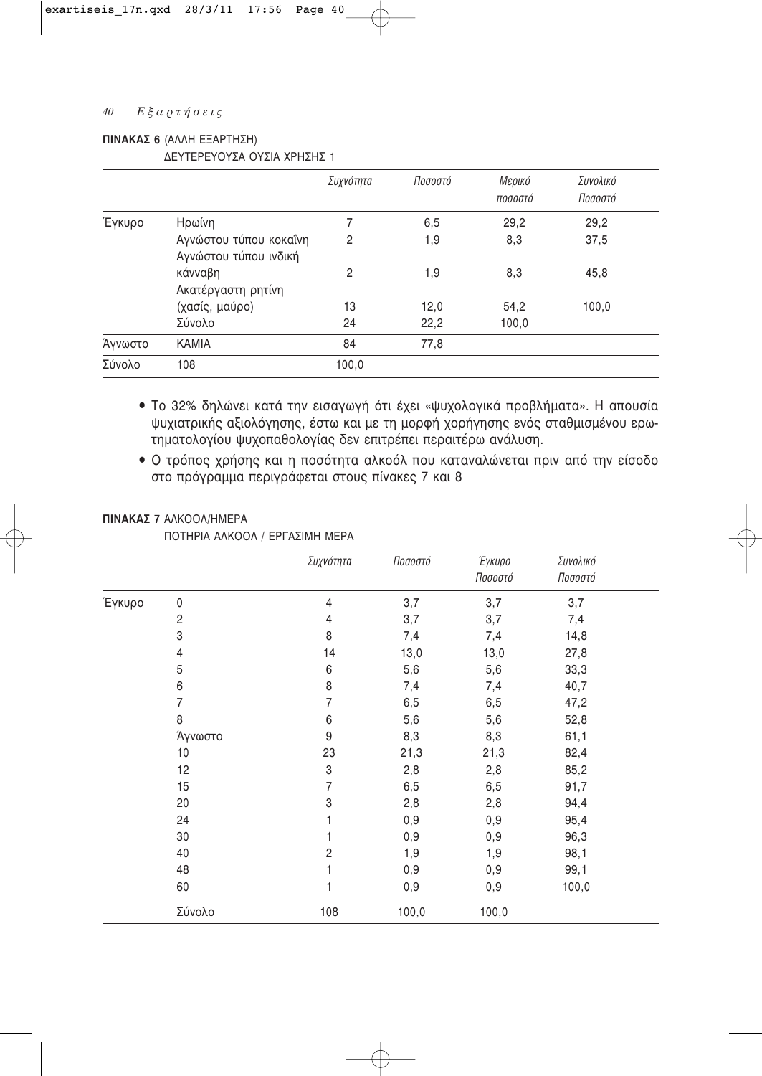## **ΠΙΝΑΚΑΣ 6** (ΑΛΛΗ ΕΞΑΡΤΗΣΗ)

## ΔΕΥΤΕΡΕΥΟΥΣΑ ΟΥΣΙΑ ΧΡΗΣΗΣ 1

|         |                                                 | Συχνότητα      | Ποσοστό | Μερικό<br>ποσοστό | Συνολικό<br>Ποσοστό |
|---------|-------------------------------------------------|----------------|---------|-------------------|---------------------|
| Έγκυρο  | Ηρωίνη                                          | 7              | 6,5     | 29,2              | 29,2                |
|         | Αγνώστου τύπου κοκαΐνη<br>Αγνώστου τύπου ινδική | $\overline{2}$ | 1,9     | 8,3               | 37,5                |
|         | κάνναβη<br>Ακατέργαστη ρητίνη                   | $\overline{2}$ | 1,9     | 8,3               | 45,8                |
|         | (χασίς, μαύρο)                                  | 13             | 12,0    | 54,2              | 100,0               |
|         | Σύνολο                                          | 24             | 22,2    | 100,0             |                     |
| Άγνωστο | <b>KAMIA</b>                                    | 84             | 77,8    |                   |                     |
| Σύνολο  | 108                                             | 100,0          |         |                   |                     |

• Το 32% δηλώνει κατά την εισαγωγή ότι έχει «ψυχολογικά προβλήματα». Η απουσία ψυχιατρικής αξιολόγησης, έστω και με τη μορφή χορήγησης ενός σταθμισμένου ερωτηματολογίου ψυχοπαθολογίας δεν επιτρέπει περαιτέρω ανάλυση.

• Ο τρόπος χρήσης και η ποσότητα αλκοόλ που καταναλώνεται πριν από την είσοδο στο πρόγραμμα περιγράφεται στους πίνακες 7 και 8

## **ΠΙΝΑΚΑΣ 7** ΑΛΚΟΟΛ/ΗΜΕΡΑ

ΠΟΤΗΡΙΑ ΑΛΚΟΟΛ / ΕΡΓΑΣΙΜΗ ΜΕΡΑ

|        |                           | Συχνότητα                 | Ποσοστό | Έγκυρο<br>Ποσοστό | Συνολικό<br>Ποσοστό |  |
|--------|---------------------------|---------------------------|---------|-------------------|---------------------|--|
| Έγκυρο | 0                         | $\overline{4}$            | 3,7     | 3,7               | 3,7                 |  |
|        | $\sqrt{2}$                | $\overline{4}$            | 3,7     | 3,7               | 7,4                 |  |
|        | $\ensuremath{\mathsf{3}}$ | 8                         | 7,4     | 7,4               | 14,8                |  |
|        | $\overline{4}$            | 14                        | 13,0    | 13,0              | 27,8                |  |
|        | 5                         | 6                         | 5,6     | 5,6               | 33,3                |  |
|        | $\,6\,$                   | 8                         | 7,4     | 7,4               | 40,7                |  |
|        | $\overline{7}$            | 7                         | 6,5     | 6,5               | 47,2                |  |
|        | 8                         | 6                         | 5,6     | 5,6               | 52,8                |  |
|        | Άγνωστο                   | 9                         | 8,3     | 8,3               | 61,1                |  |
|        | 10                        | 23                        | 21,3    | 21,3              | 82,4                |  |
|        | 12                        | 3                         | 2,8     | 2,8               | 85,2                |  |
|        | 15                        | 7                         | 6,5     | 6,5               | 91,7                |  |
|        | 20                        | $\ensuremath{\mathsf{3}}$ | 2,8     | 2,8               | 94,4                |  |
|        | 24                        | 1                         | 0,9     | 0,9               | 95,4                |  |
|        | 30                        | 1                         | 0,9     | 0,9               | 96,3                |  |
|        | 40                        | $\overline{c}$            | 1,9     | 1,9               | 98,1                |  |
|        | 48                        | 1                         | 0,9     | 0,9               | 99,1                |  |
|        | 60                        | 1                         | 0,9     | 0,9               | 100,0               |  |
|        | Σύνολο                    | 108                       | 100,0   | 100,0             |                     |  |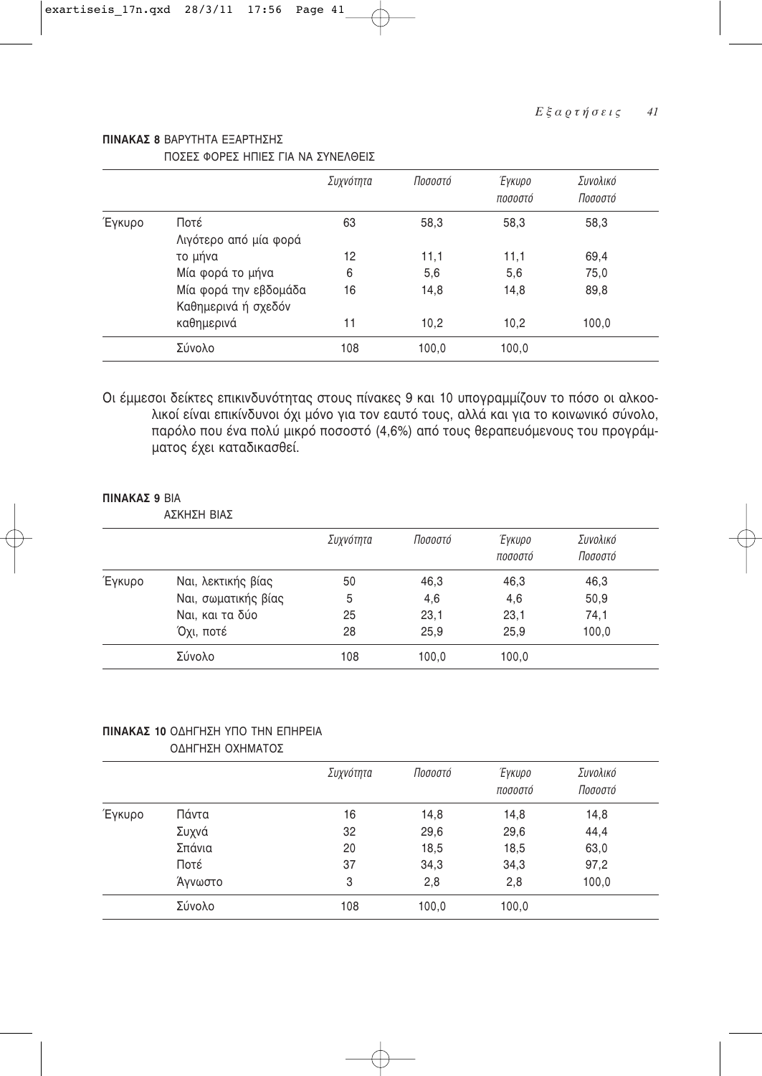|        |                                              | Συχνότητα | Ποσοστό | Έγκυρο<br>ποσοστό | Συνολικό<br>Ποσοστό |  |
|--------|----------------------------------------------|-----------|---------|-------------------|---------------------|--|
| Έγκυρο | Ποτέ<br>Λιγότερο από μία φορά                | 63        | 58,3    | 58,3              | 58,3                |  |
|        | το μήνα                                      | 12        | 11,1    | 11,1              | 69,4                |  |
|        | Μία φορά το μήνα                             | 6         | 5,6     | 5,6               | 75,0                |  |
|        | Μία φορά την εβδομάδα<br>Καθημερινά ή σχεδόν | 16        | 14,8    | 14,8              | 89,8                |  |
|        | καθημερινά                                   | 11        | 10,2    | 10,2              | 100,0               |  |
|        | Σύνολο                                       | 108       | 100,0   | 100,0             |                     |  |

## **ΠΙΝΑΚΑΣ 8** ΒΑΡΥΤΗΤΑ ΕΞΑΡΤΗΣΗΣ ΠΟΣΕΣ ΦΟΡΕΣ ΗΠΙΕΣ ΓΙΑ ΝΑ ΣΥΝΕΛΘΕΙΣ

Οι έμμεσοι δείκτες επικινδυνότητας στους πίνακες 9 και 10 υπογραμμίζουν το πόσο οι αλκοολικοί είναι επικίνδυνοι όχι μόνο για τον εαυτό τους, αλλά και για το κοινωνικό σύνολο, ταρόλο που ένα πολύ μικρό ποσοστό (4,6%) από τους θεραπευόμενους του προγράμματος έχει καταδικασθεί.

## **ΠΙΝΑΚΑΣ 9 ΒΙΑ**

ΑΣΚΗΣΗ ΒΙΑΣ

|        |                     | Συχνότητα | Ποσοστό | Έγκυρο<br>ποσοστό | Συνολικό<br>Ποσοστό |
|--------|---------------------|-----------|---------|-------------------|---------------------|
| Έγκυρο | Ναι, λεκτικής βίας  | 50        | 46,3    | 46,3              | 46,3                |
|        | Ναι, σωματικής βίας | 5         | 4,6     | 4,6               | 50,9                |
|        | Ναι, και τα δύο     | 25        | 23,1    | 23,1              | 74,1                |
|        | Όχι, ποτέ           | 28        | 25.9    | 25,9              | 100,0               |
|        | Σύνολο              | 108       | 100,0   | 100,0             |                     |

## **ΠΙΝΑΚΑΣ 10** ΟΔΗΓΗΣΗ ΥΠΟ ΤΗΝ ΕΠΗΡΕΙΑ ΟΔΗΓΗΣΗ ΟΧΗΜΑΤΟΣ

|        |         | Συχνότητα | Ποσοστό | Έγκυρο<br>ποσοστό | Συνολικό<br>Ποσοστό |  |
|--------|---------|-----------|---------|-------------------|---------------------|--|
| Έγκυρο | Πάντα   | 16        | 14,8    | 14,8              | 14,8                |  |
|        | Συχνά   | 32        | 29,6    | 29,6              | 44,4                |  |
|        | Σπάνια  | 20        | 18,5    | 18,5              | 63,0                |  |
|        | Ποτέ    | 37        | 34,3    | 34,3              | 97,2                |  |
|        | Άγνωστο | 3         | 2,8     | 2,8               | 100,0               |  |
|        | Σύνολο  | 108       | 100,0   | 100,0             |                     |  |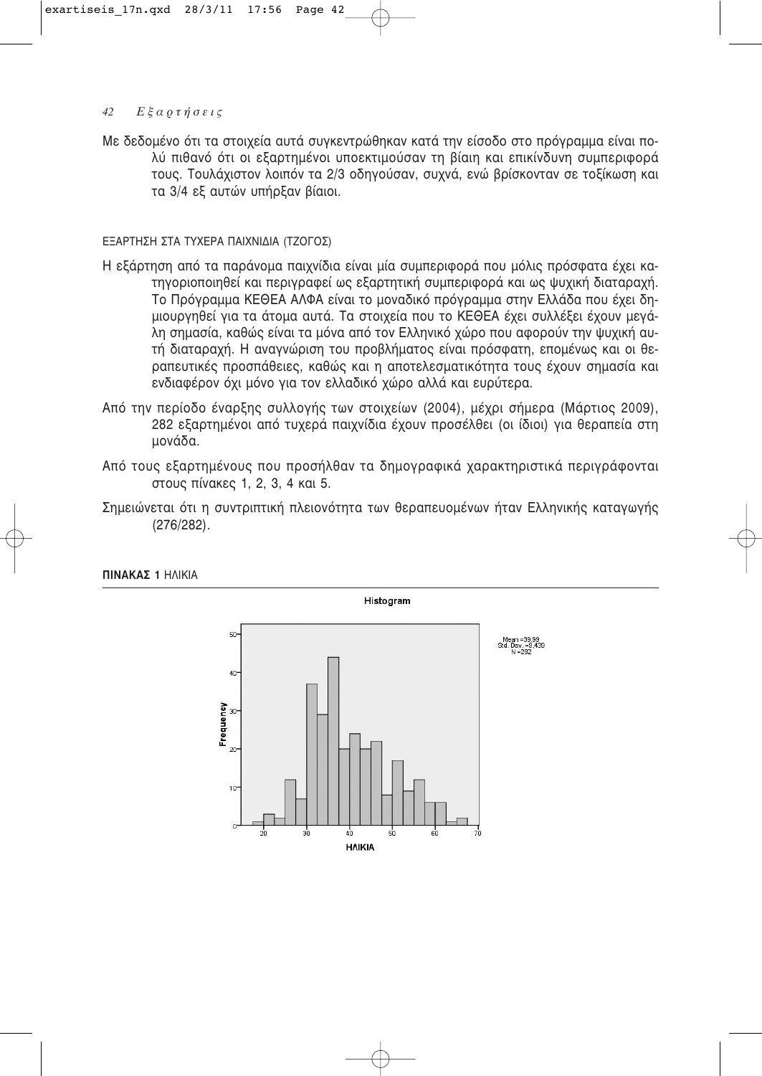- *42 Εξαρτήσεις*
- Με δεδομένο ότι τα στοιχεία αυτά συγκεντρώθηκαν κατά την είσοδο στο πρόγραμμα είναι πολύ πιθανό ότι οι εξαρτημένοι υποεκτιμούσαν τη βίαιη και επικίνδυνη συμπεριφορά τους. Τουλάχιστον λοιπόν τα 2/3 οδηγούσαν, συχνά, ενώ βρίσκονταν σε τοξίκωση και τα 3/4 εξ αυτών υπήρξαν βίαιοι.

## ΕΞΑΡΤΗΣΗ ΣΤΑ ΤΥΧΕΡΑ ΠΑΙΧΝΙΔΙΑ (ΤΖΟΓΟΣ)

- Η εξάρτηση από τα παράνομα παιχνίδια είναι μία συμπεριφορά που μόλις πρόσφατα έχει κατηγοριοποιηθεί και περιγραφεί ως εξαρτητική συμπεριφορά και ως ψυχική διαταραχή. Το Πρόγραμμα ΚΕΘΕΑ ΑΛΦΑ είναι το μοναδικό πρόγραμμα στην Ελλάδα που έχει δημιουργηθεί για τα άτομα αυτά. Τα στοιχεία που το ΚΕΘΕΑ έχει συλλέξει έχουν μεγάλη σημασία, καθώς είναι τα μόνα από τον Ελληνικό χώρο που αφορούν την ψυχική αυτή διαταραχή. Η αναγνώριση του προβλήματος είναι πρόσφατη, επομένως και οι θεραπευτικές προσπάθειες, καθώς και η αποτελεσματικότητα τους έχουν σημασία και ενδιαφέρον όχι μόνο για τον ελλαδικό χώρο αλλά και ευρύτερα.
- Aπό την περίοδο έναρξης συλλογής των στοιχείων (2004), μέχρι σήμερα (Μάρτιος 2009), 282 εξαρτημένοι από τυχερά παιχνίδια έχουν προσέλθει (οι ίδιοι) για θεραπεία στη μονάδα.
- Από τους εξαρτημένους που προσήλθαν τα δημογραφικά χαρακτηριστικά περιγράφονται στους πίνακες 1, 2, 3, 4 και 5.
- Σημειώνεται ότι η συντριπτική πλειονότητα των θεραπευομένων ήταν Ελληνικής καταγωγής (276/282).



## **ΠΙΝΑΚΑΣ 1 ΗΛΙΚΙΑ**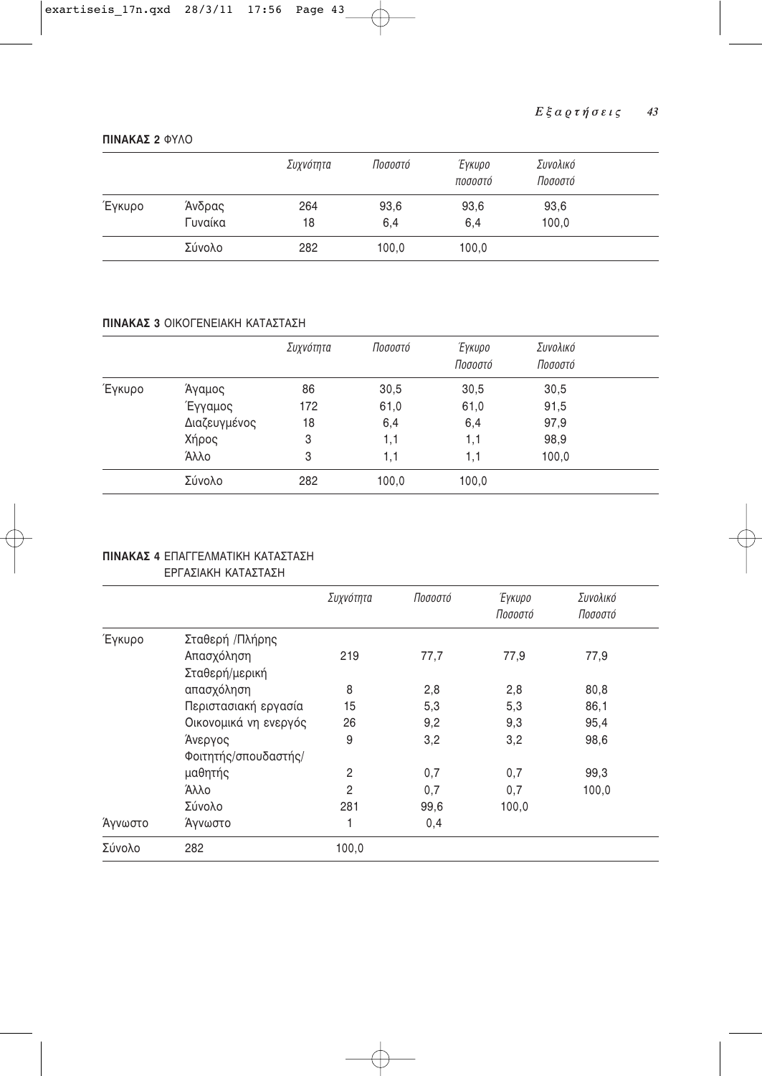## **ΠΙΝΑΚΑΣ 2 ΦΥΛΟ**

|        |         | Συχνότητα | Ποσοστό | Έγκυρο<br>ποσοστό | Συνολικό<br>Ποσοστό |  |
|--------|---------|-----------|---------|-------------------|---------------------|--|
| Έγκυρο | Άνδρας  | 264       | 93,6    | 93,6              | 93,6                |  |
|        | Γυναίκα | 18        | 6,4     | 6,4               | 100,0               |  |
|        | Σύνολο  | 282       | 100,0   | 100.0             |                     |  |

## **ΠΙΝΑΚΑΣ 3** ΟΙΚΟΓΕΝΕΙΑΚΗ ΚΑΤΑΣΤΑΣΗ

|        |              | Συχνότητα | Ποσοστό | Έγκυρο<br>Ποσοστό | Συνολικό<br>Ποσοστό |  |
|--------|--------------|-----------|---------|-------------------|---------------------|--|
| Έγκυρο | Άγαμος       | 86        | 30,5    | 30,5              | 30,5                |  |
|        | Έγγαμος      | 172       | 61,0    | 61,0              | 91,5                |  |
|        | Διαζευγμένος | 18        | 6,4     | 6,4               | 97,9                |  |
|        | Χήρος        | 3         | 1,1     | 1,1               | 98,9                |  |
|        | Άλλο         | 3         | 1,1     | 1,1               | 100,0               |  |
|        | Σύνολο       | 282       | 100,0   | 100,0             |                     |  |

## ΠΙΝΑΚΑΣ 4 ΕΠΑΓΓΕΛΜΑΤΙΚΗ ΚΑΤΑΣΤΑΣΗ ΕΡΓΑΣΙΑΚΗ ΚΑΤΑΣΤΑΣΗ

|         |                       | Συχνότητα      | Ποσοστό | Έγκυρο<br>Ποσοστό | Συνολικό<br>Ποσοστό |  |
|---------|-----------------------|----------------|---------|-------------------|---------------------|--|
| Έγκυρο  | Σταθερή /Πλήρης       |                |         |                   |                     |  |
|         | Απασχόληση            | 219            | 77,7    | 77,9              | 77,9                |  |
|         | Σταθερή/μερική        |                |         |                   |                     |  |
|         | απασχόληση            | 8              | 2,8     | 2,8               | 80,8                |  |
|         | Περιστασιακή εργασία  | 15             | 5,3     | 5,3               | 86,1                |  |
|         | Οικονομικά νη ενεργός | 26             | 9,2     | 9,3               | 95,4                |  |
|         | Άνεργος               | 9              | 3,2     | 3,2               | 98,6                |  |
|         | Φοιτητής/σπουδαστής/  |                |         |                   |                     |  |
|         | μαθητής               | $\overline{2}$ | 0,7     | 0,7               | 99,3                |  |
|         | Άλλο                  | $\overline{2}$ | 0,7     | 0,7               | 100,0               |  |
|         | Σύνολο                | 281            | 99,6    | 100,0             |                     |  |
| Άγνωστο | Άγνωστο               | 1              | 0,4     |                   |                     |  |
| Σύνολο  | 282                   | 100,0          |         |                   |                     |  |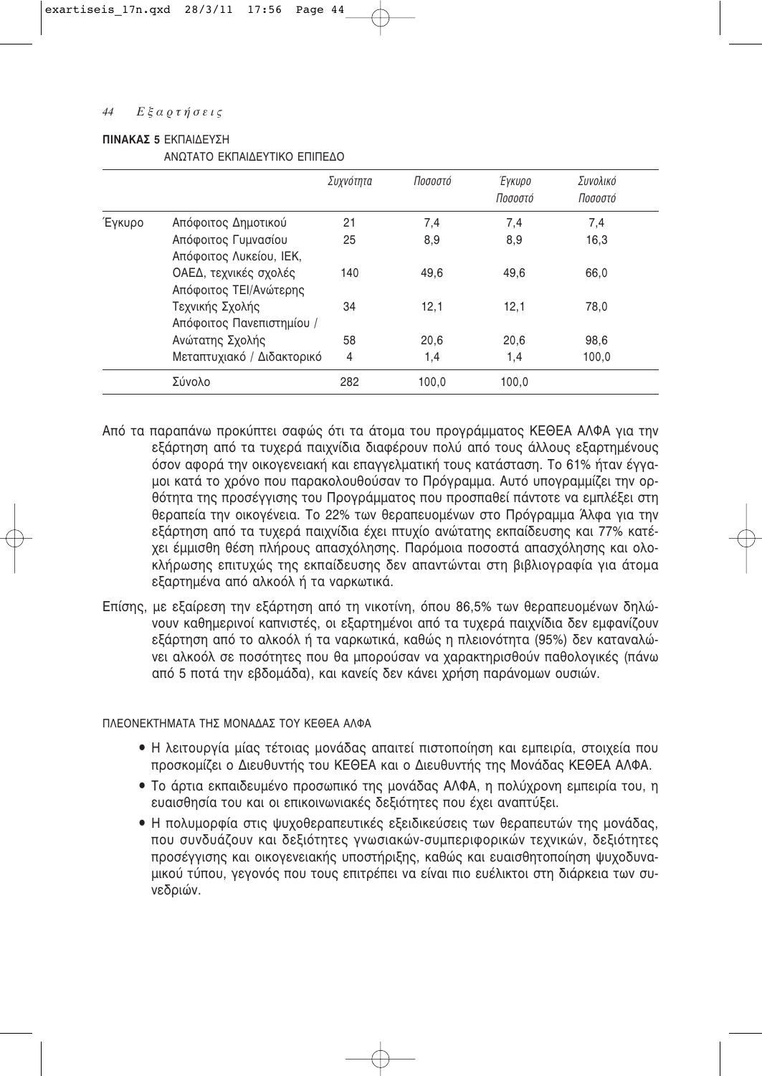## ΠΙΝΑΚΑΣ 5 ΕΚΠΑΙΔΕΥΣΗ

**ΑΝΩΤΑΤΟ ΕΚΠΑΙΔΕΥΤΙΚΟ ΕΠΙΠΕΔΟ** 

|        |                                                 | Συχνότητα | Ποσοστό | Έγκυρο<br>Ποσοστό | Συνολικό<br>Ποσοστό |  |
|--------|-------------------------------------------------|-----------|---------|-------------------|---------------------|--|
| Έγκυρο | Απόφοιτος Δημοτικού                             | 21        | 7,4     | 7,4               | 7,4                 |  |
|        | Απόφοιτος Γυμνασίου<br>Απόφοιτος Λυκείου, ΙΕΚ,  | 25        | 8,9     | 8,9               | 16,3                |  |
|        | ΟΑΕΔ, τεχνικές σχολές<br>Απόφοιτος ΤΕΙ/Ανώτερης | 140       | 49,6    | 49.6              | 66.0                |  |
|        | Τεχνικής Σχολής<br>Απόφοιτος Πανεπιστημίου /    | 34        | 12,1    | 12,1              | 78,0                |  |
|        | Ανώτατης Σχολής                                 | 58        | 20,6    | 20,6              | 98,6                |  |
|        | Μεταπτυχιακό / Διδακτορικό                      | 4         | 1,4     | 1,4               | 100.0               |  |
|        | Σύνολο                                          | 282       | 100.0   | 100.0             |                     |  |

- Aπό τα παραπάνω προκύπτει σαφώς ότι τα άτομα του προγράμματος KEΘEA ΑΛΦΑ για την εξάρτηση από τα τυχερά παιχνίδια διαφέρουν πολύ από τους άλλους εξαρτημένους όσον αφορά την οικογενειακή και επαγγελματική τους κατάσταση. Το 61% ήταν έγγαμοι κατά το χρόνο που παρακολουθούσαν το Πρόγραμμα. Αυτό υπογραμμίζει την ορθότητα της προσέγγισης του Προγράμματος που προσπαθεί πάντοτε να εμπλέξει στη θεραπεία την οικογένεια. Το 22% των θεραπευομένων στο Πρόγραμμα Άλφα για την εξάρτηση από τα τυχερά παιχνίδια έχει πτυχίο ανώτατης εκπαίδευσης και 77% κατέχει έμμισθη θέση πλήρους απασχόλησης. Παρόμοια ποσοστά απασχόλησης και ολοκλήρωσης επιτυχώς της εκπαίδευσης δεν απαντώνται στη βιβλιογραφία για άτομα εξαρτημένα από αλκοόλ ή τα ναρκωτικά.
- Επίσης, με εξαίρεση την εξάρτηση από τη νικοτίνη, όπου 86.5% των θεραπευομένων δηλώνουν καθημερινοί καπνιστές, οι εξαρτημένοι από τα τυχερά παιχνίδια δεν εμφανίζουν εξάρτηση από το αλκοόλ ή τα ναρκωτικά, καθώς η πλειονότητα (95%) δεν καταναλώνει αλκοόλ σε ποσότητες που θα μπορούσαν να χαρακτηρισθούν παθολογικές (πάνω από 5 ποτά την εβδομάδα), και κανείς δεν κάνει χρήση παράνομων ουσιών.

ΠΛΕΟΝΕΚΤΗΜΑΤΑ ΤΗΣ ΜΟΝΑΔΑΣ ΤΟΥ ΚΕΘΕΑ ΑΛΦΑ

- Η λειτουργία μίας τέτοιας μονάδας απαιτεί πιστοποίηση και εμπειρία, στοιχεία που προσκομίζει ο Διευθυντής του ΚΕΘΕΑ και ο Διευθυντής της Μονάδας ΚΕΘΕΑ ΑΛΦΑ.
- Το άρτια εκπαιδευμένο προσωπικό της μονάδας ΑΛΦΑ, η πολύχρονη εμπειρία του, η ευαισθησία του και οι επικοινωνιακές δεξιότητες που έχει αναπτύξει.
- Η πολυμορφία στις ψυχοθεραπευτικές εξειδικεύσεις των θεραπευτών της μονάδας, που συνδυάζουν και δεξιότητες γνωσιακών-συμπεριφορικών τεχνικών, δεξιότητες προσέγγισης και οικογενειακής υποστήριξης, καθώς και ευαισθητοποίηση ψυχοδυναμικού τύπου, γεγονός που τους επιτρέπει να είναι πιο ευέλικτοι στη διάρκεια των συνεδριών.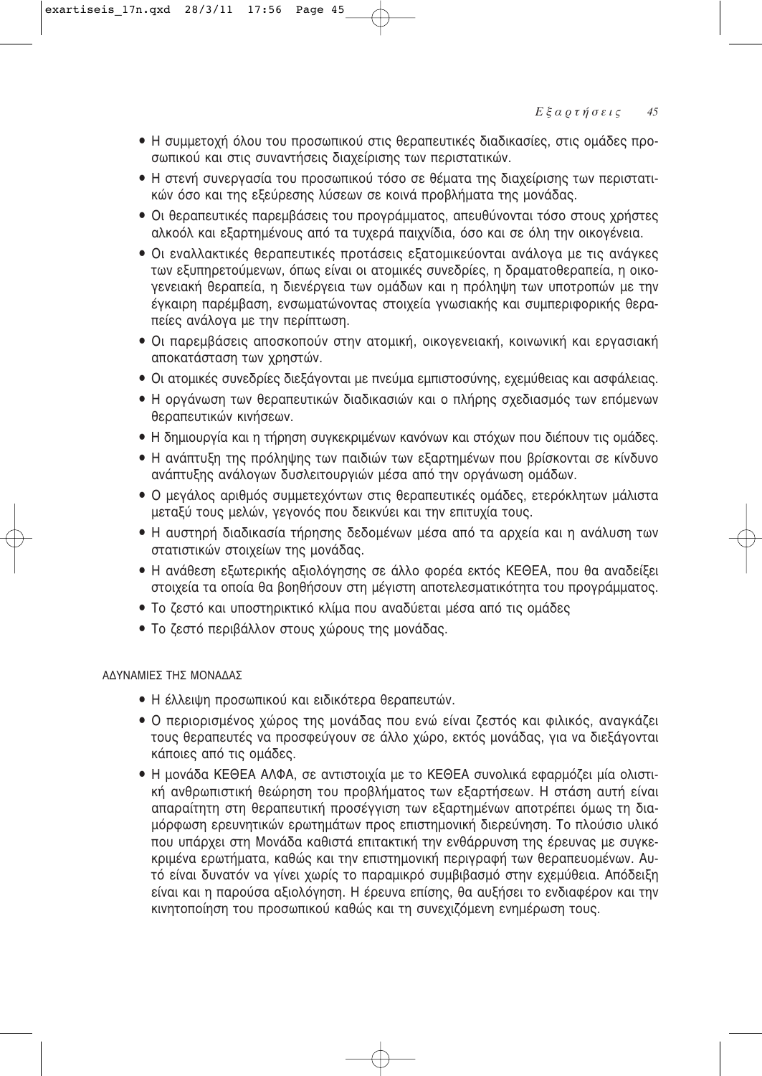- Η συμμετοχή όλου του προσωπικού στις θεραπευτικές διαδικασίες, στις ομάδες προσωπικού και στις συναντήσεις διαχείρισης των περιστατικών.
- Η στενή συνεργασία του προσωπικού τόσο σε θέματα της διαχείρισης των περιστατικών όσο και της εξεύρεσης λύσεων σε κοινά προβλήματα της μονάδας.
- Οι θεραπευτικές παρεμβάσεις του προγράμματος, απευθύνονται τόσο στους χρήστες αλκοόλ και εξαρτημένους από τα τυχερά παιχνίδια, όσο και σε όλη την οικογένεια.
- Οι εναλλακτικές θεραπευτικές προτάσεις εξατομικεύονται ανάλογα με τις ανάγκες των εξυπηρετούμενων, όπως είναι οι ατομικές συνεδρίες, η δραματοθεραπεία, η οικογενειακή θεραπεία, η διενέργεια των ομάδων και η πρόληψη των υποτροπών με την έγκαιρη παρέμβαση, ενσωματώνοντας στοιχεία γνωσιακής και συμπεριφορικής θεραπείες ανάλογα με την περίπτωση.
- Οι παρεμβάσεις αποσκοπούν στην ατομική, οικογενειακή, κοινωνική και εργασιακή αποκατάσταση των χρηστών.
- Οι ατομικές συνεδρίες διεξάγονται με πνεύμα εμπιστοσύνης, εχεμύθειας και ασφάλειας.
- Η οργάνωση των θεραπευτικών διαδικασιών και ο πλήρης σχεδιασμός των επόμενων θεραπευτικών κινήσεων.
- Η δημιουργία και η τήρηση συγκεκριμένων κανόνων και στόχων που διέπουν τις ομάδες.
- Η ανάπτυξη της πρόληψης των παιδιών των εξαρτημένων που βρίσκονται σε κίνδυνο ανάπτυξης ανάλογων δυσλειτουργιών μέσα από την οργάνωση ομάδων.
- Ο μεγάλος αριθμός συμμετεχόντων στις θεραπευτικές ομάδες, ετερόκλητων μάλιστα μεταξύ τους μελών, γεγονός που δεικνύει και την επιτυχία τους.
- Η αυστηρή διαδικασία τήρησης δεδομένων μέσα από τα αρχεία και η ανάλυση των στατιστικών στοιχείων της μονάδας.
- Η ανάθεση εξωτερικής αξιολόγησης σε άλλο φορέα εκτός ΚΕΘΕΑ, που θα αναδείξει στοιχεία τα οποία θα βοηθήσουν στη μέγιστη αποτελεσματικότητα του προγράμματος.
- Το ζεστό και υποστηρικτικό κλίμα που αναδύεται μέσα από τις ομάδες
- Το ζεστό περιβάλλον στους χώρους της μονάδας.

## ΑΔΥΝΑΜΙΕΣ ΤΗΣ ΜΟΝΑΔΑΣ

- Η έλλειψη προσωπικού και ειδικότερα θεραπευτών.
- Ο περιορισμένος χώρος της μονάδας που ενώ είναι ζεστός και φιλικός, αναγκάζει τους θεραπευτές να προσφεύγουν σε άλλο χώρο, εκτός μονάδας, για να διεξάγονται κάποιες από τις ομάδες.
- Η μονάδα ΚΕΘΕΑ ΑΛΦΑ, σε αντιστοιχία με το ΚΕΘΕΑ συνολικά εφαρμόζει μία ολιστική ανθρωπιστική θεώρηση του προβλήματος των εξαρτήσεων. Η στάση αυτή είναι απαραίτητη στη θεραπευτική προσέγγιση των εξαρτημένων αποτρέπει όμως τη διαμόρφωση ερευνητικών ερωτημάτων προς επιστημονική διερεύνηση. Το πλούσιο υλικό που υπάρχει στη Μονάδα καθιστά επιτακτική την ενθάρρυνση της έρευνας με συγκεκριμένα ερωτήματα, καθώς και την επιστημονική περιγραφή των θεραπευομένων. Αυτό είναι δυνατόν να γίνει χωρίς το παραμικρό συμβιβασμό στην εχεμύθεια. Απόδειξη είναι και η παρούσα αξιολόγηση. Η έρευνα επίσης, θα αυξήσει το ενδιαφέρον και την κινητοποίηση του προσωπικού καθώς και τη συνεχιζόμενη ενημέρωση τους.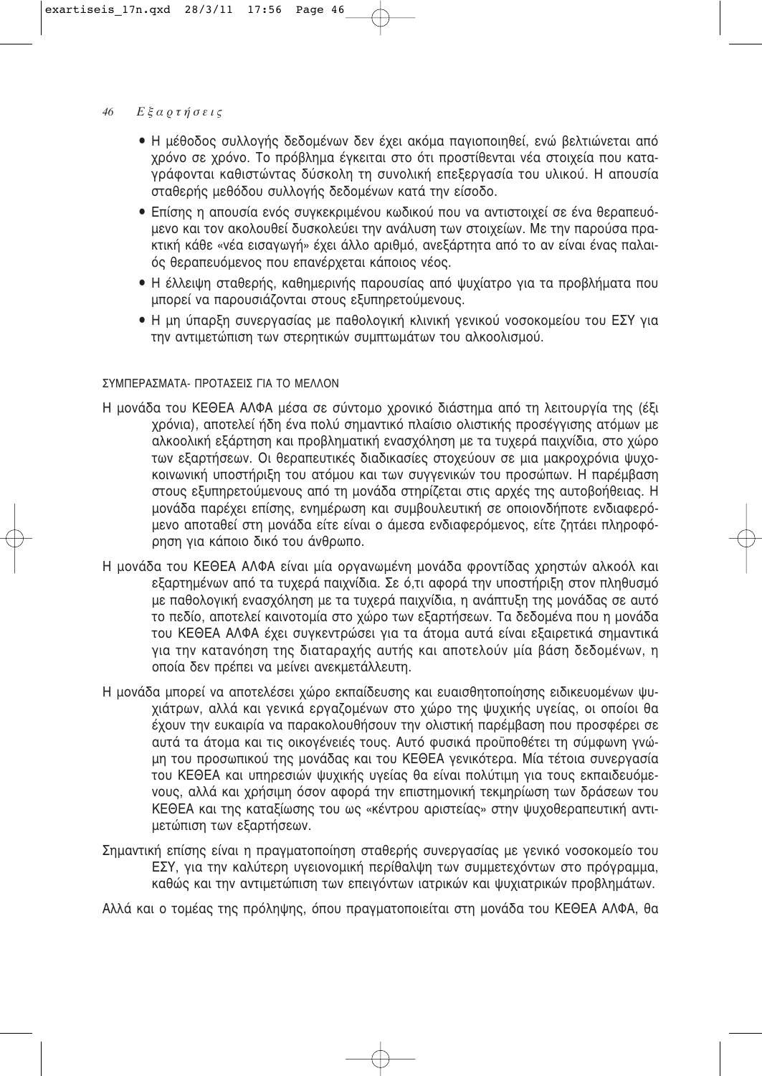- *46 Εξαρτήσεις*
	- Η μέθοδος συλλογής δεδομένων δεν έχει ακόμα παγιοποιηθεί, ενώ βελτιώνεται από χρόνο σε χρόνο. Το πρόβλημα έγκειται στο ότι προστίθενται νέα στοιχεία που καταγράφονται καθιστώντας δύσκολη τη συνολική επεξεργασία του υλικού. Η απουσία σταθερής μεθόδου συλλογής δεδομένων κατά την είσοδο.
	- Επίσης η απουσία ενός συγκεκριμένου κωδικού που να αντιστοιχεί σε ένα θεραπευόμενο και τον ακολουθεί δυσκολεύει την ανάλυση των στοιχείων. Με την παρούσα πρα-Κτική κάθε «νέα εισαγωγή» έχει άλλο αριθμό, ανεξάρτητα από το αν είναι ένας παλαιός θεραπευόμενος που επανέρχεται κάποιος νέος.
	- Η έλλειψη σταθερής, καθημερινής παρουσίας από ψυχίατρο για τα προβλήματα που μπορεί να παρουσιάζονται στους εξυπηρετούμενους.
	- Η μη ύπαρξη συνεργασίας με παθολογική κλινική γενικού νοσοκομείου του ΕΣΥ για την αντιμετώπιση των στερητικών συμπτωμάτων του αλκοολισμού.

## ΣΥΜΠΕΡΑΣΜΑΤΑ- ΠΡΟΤΑΣΕΙΣ ΓΙΑ ΤΟ ΜΕΛΛΟΝ

- Η μονάδα του ΚΕΘΕΑ ΑΛΦΑ μέσα σε σύντομο χρονικό διάστημα από τη λειτουργία της (έξι χρόνια), αποτελεί ήδη ένα πολύ σημαντικό πλαίσιο ολιστικής προσέγγισης ατόμων με αλκοολική εξάρτηση και προβληματική ενασχόληση με τα τυχερά παιχνίδια, στο χώρο των εξαρτήσεων. Οι θεραπευτικές διαδικασίες στοχεύουν σε μια μακροχρόνια ψυχοκοινωνική υποστήριξη του ατόμου και των συγγενικών του προσώπων. Η παρέμβαση στους εξυπηρετούμενους από τη μονάδα στηρίζεται στις αρχές της αυτοβοήθειας. Η μονάδα παρέχει επίσης, ενημέρωση και συμβουλευτική σε οποιονδήποτε ενδιαφερόμενο αποταθεί στη μονάδα είτε είναι ο άμεσα ενδιαφερόμενος, είτε ζητάει πληροφόρηση για κάποιο δικό του άνθρωπο.
- Η μονάδα του ΚΕΘΕΑ ΑΛΦΑ είναι μία οργανωμένη μονάδα φροντίδας χρηστών αλκοόλ και εξαρτημένων από τα τυχερά παιχνίδια. Σε ό,τι αφορά την υποστήριξη στον πληθυσμό με παθολογική ενασχόληση με τα τυχερά παιχνίδια, η ανάπτυξη της μονάδας σε αυτό το πεδίο, αποτελεί καινοτομία στο χώρο των εξαρτήσεων. Τα δεδομένα που η μονάδα του ΚΕΘΕΑ ΑΛΦΑ έχει συγκεντρώσει για τα άτομα αυτά είναι εξαιρετικά σημαντικά για την κατανόηση της διαταραχής αυτής και αποτελούν μία βάση δεδομένων, η οποία δεν πρέπει να μείνει ανεκμετάλλευτη.
- Η μονάδα μπορεί να αποτελέσει χώρο εκπαίδευσης και ευαισθητοποίησης ειδικευομένων ψυχιάτρων, αλλά και γενικά εργαζομένων στο χώρο της ψυχικής υγείας, οι οποίοι θα έχουν την ευκαιρία να παρακολουθήσουν την ολιστική παρέμβαση που προσφέρει σε αυτά τα άτομα και τις οικογένειές τους. Αυτό φυσικά προϋποθέτει τη σύμφωνη γνώμη του προσωπικού της μονάδας και του ΚΕΘΕΑ γενικότερα. Μία τέτοια συνεργασία του ΚΕΘΕΑ και υπηρεσιών ψυχικής υγείας θα είναι πολύτιμη για τους εκπαιδευόμεvους, αλλά και χρήσιμη όσον αφορά την επιστημονική τεκμηρίωση των δράσεων του ΚΕΘΕΑ και της καταξίωσης του ως «κέντρου αριστείας» στην ψυχοθεραπευτική αντιμετώπιση των εξαρτήσεων.
- Σημαντική επίσης είναι η πραγματοποίηση σταθερής συνεργασίας με γενικό νοσοκομείο του ΕΣΥ, για την καλύτερη υνειονομική περίθαλψη των συμμετεχόντων στο πρόνραμμα, καθώς και την αντιμετώπιση των επειγόντων ιατρικών και ψυχιατρικών προβλημάτων.

Aλλά και ο τομέας της πρόληψης, όπου πραγματοποιείται στη μονάδα του ΚΕΘΕΑ ΑΛΦΑ, θα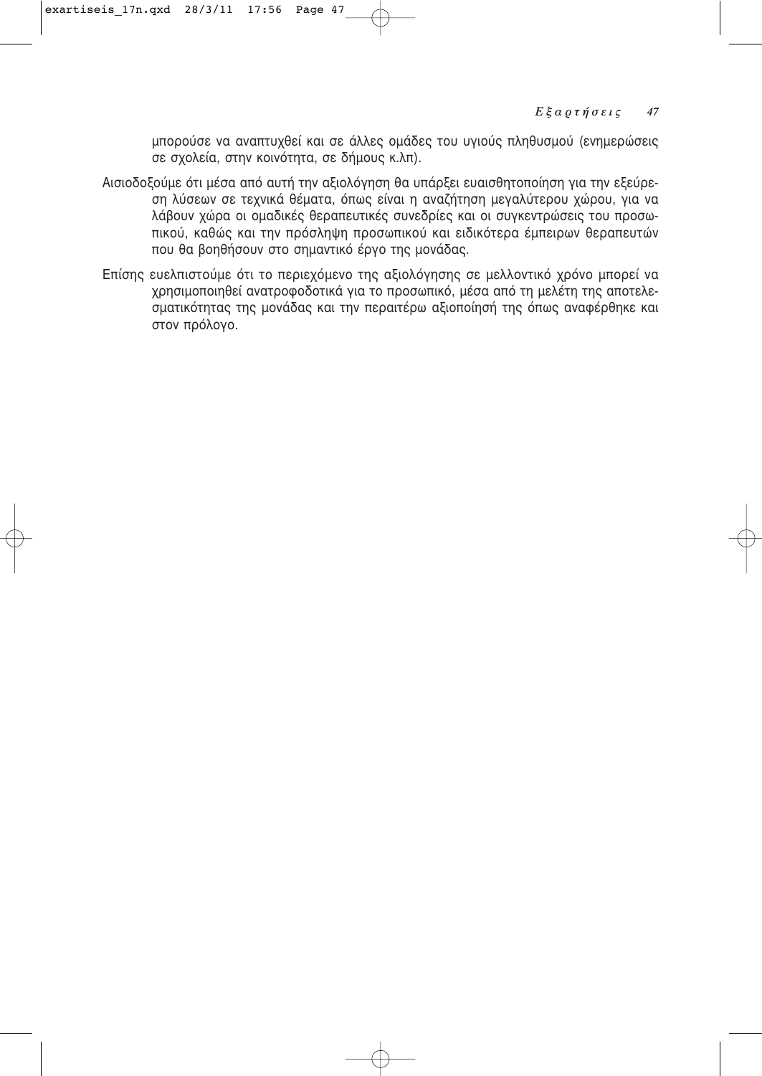μπορούσε να αναπτυχθεί και σε άλλες ομάδες του υγιούς πληθυσμού (ενημερώσεις σε σχολεία, στην κοινότητα, σε δήμους κ.λπ).

exartiseis  $17n.qxd$   $28/3/11$   $17:56$  Page

- Aισιοδοξούμε ότι μέσα από αυτή την αξιολόγηση θα υπάρξει ευαισθητοποίηση για την εξεύρεση λύσεων σε τεχνικά θέματα, όπως είναι η αναζήτηση μεγαλύτερου χώρου, για να λάβουν χώρα οι ομαδικές θεραπευτικές συνεδρίες και οι συγκεντρώσεις του προσωπικού, καθώς και την πρόσληψη προσωπικού και ειδικότερα έμπειρων θεραπευτών που θα βοηθήσουν στο σημαντικό έργο της μονάδας.
- Επίσης ευελπιστούμε ότι το περιεχόμενο της αξιολόγησης σε μελλοντικό χρόνο μπορεί να χρησιμοποιηθεί ανατροφοδοτικά για το προσωπικό, μέσα από τη μελέτη της αποτελε-Όματικότητας της μονάδας και την περαιτέρω αξιοποίησή της όπως αναφέρθηκε και στον πρόλονο.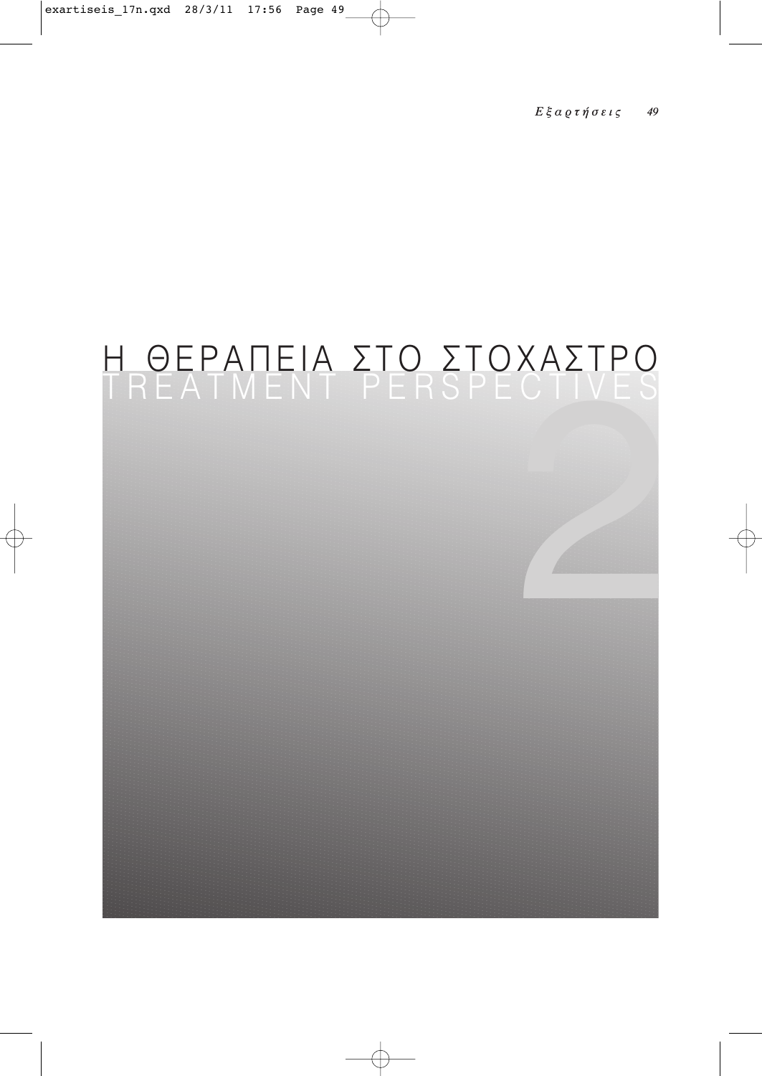$E \xi a \varrho \tau \eta \sigma \varepsilon \iota$ ς 49

## <u>Η ΘΕΡΑΠΕΙΑ ΣΤΟ ΣΤΟΧΑΣΤΡΟ</u><br>ΓREATMENT PERSPECTIVES</u>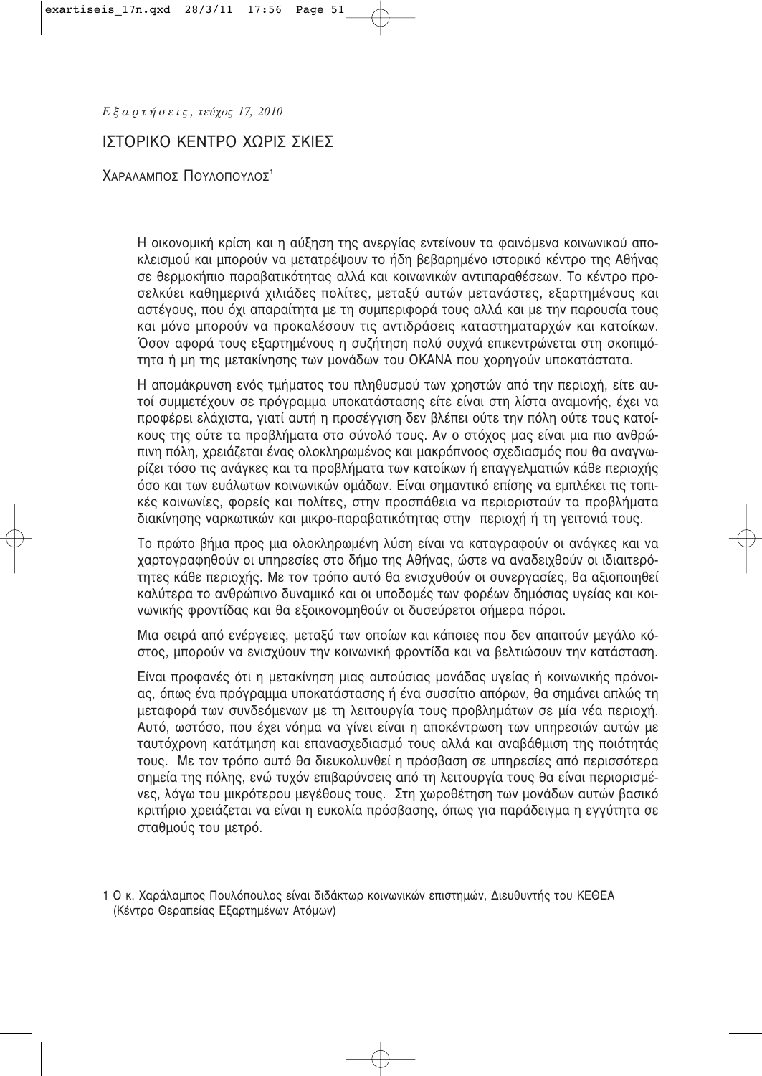*Ε ξ α ρ τ ή σ ε ι ς , τεύχος 17, 2010*

## ΙΣΤΟΡΙΚΟ ΚΕΝΤΡΟ ΧΩΡΙΣ ΣΚΙΕΣ

ΧΑΡΑΛΑΜΠΟΣ ΠΟΥΛΟΠΟΥΛΟΣ<sup>1</sup>

Η οικονομική κρίση και η αύξηση της ανεργίας εντείνουν τα φαινόμενα κοινωνικού αποκλεισμού και μπορούν να μετατρέψουν το ήδη βεβαρημένο ιστορικό κέντρο της Αθήνας σε θερμοκήπιο παραβατικότητας αλλά και κοινωνικών αντιπαραθέσεων. Το κέντρο προσελκύει καθημερινά χιλιάδες πολίτες, μεταξύ αυτών μετανάστες, εξαρτημένους και αστέγους, που όχι απαραίτητα με τη συμπεριφορά τους αλλά και με την παρουσία τους και μόνο μπορούν να προκαλέσουν τις αντιδράσεις καταστηματαρχών και κατοίκων. Όσον αφορά τους εξαρτημένους η συζήτηση πολύ συχνά επικεντρώνεται στη σκοπιμότητα ή μη της μετακίνησης των μονάδων του OKANA που χορηγούν υποκατάστατα.

Η απομάκρυνση ενός τμήματος του πληθυσμού των χρηστών από την περιοχή, είτε αυτοί συμμετέχουν σε πρόγραμμα υποκατάστασης είτε είναι στη λίστα αναμονής, έχει να προφέρει ελάχιστα, γιατί αυτή η προσέγγιση δεν βλέπει ούτε την πόλη ούτε τους κατοίκους της ούτε τα προβλήματα στο σύνολό τους. Αν ο στόχος μας είναι μια πιο ανθρώπινη πόλη, χρειάζεται ένας ολοκληρωμένος και μακρόπνοος σχεδιασμός που θα αναγνωρίζει τόσο τις ανάγκες και τα προβλήματα των κατοίκων ή επαγγελματιών κάθε περιοχής όσο και των ευάλωτων κοινωνικών ομάδων. Είναι σημαντικό επίσης να εμπλέκει τις τοπικές κοινωνίες, φορείς και πολίτες, στην προσπάθεια να περιοριστούν τα προβλήματα διακίνησης ναρκωτικών και μικρο-παραβατικότητας στην περιοχή ή τη γειτονιά τους.

Το πρώτο βήμα προς μια ολοκληρωμένη λύση είναι να καταγραφούν οι ανάγκες και να χαρτογραφηθούν οι υπηρεσίες στο δήμο της Αθήνας, ώστε να αναδειχθούν οι ιδιαιτερότητες κάθε περιοχής. Με τον τρόπο αυτό θα ενισχυθούν οι συνεργασίες, θα αξιοποιηθεί καλύτερα το ανθρώπινο δυναμικό και οι υποδομές των φορέων δημόσιας υγείας και κοινωνικής φροντίδας και θα εξοικονομηθούν οι δυσεύρετοι σήμερα πόροι.

Mια σειρά από ενέργειες, μεταξύ των οποίων και κάποιες που δεν απαιτούν μεγάλο κόστος, μπορούν να ενισχύουν την κοινωνική φροντίδα και να βελτιώσουν την κατάσταση.

Είναι προφανές ότι η μετακίνηση μιας αυτούσιας μονάδας υγείας ή κοινωνικής πρόνοιας, όπως ένα πρόγραμμα υποκατάστασης ή ένα συσσίτιο απόρων, θα σημάνει απλώς τη μεταφορά των συνδεόμενων με τη λειτουργία τους προβλημάτων σε μία νέα περιοχή. Aυτό, ωστόσο, που έχει νόημα να γίνει είναι η αποκέντρωση των υπηρεσιών αυτών με ταυτόχρονη κατάτμηση και επανασχεδιασμό τους αλλά και αναβάθμιση της ποιότητάς τους. Με τον τρόπο αυτό θα διευκολυνθεί η πρόσβαση σε υπηρεσίες από περισσότερα σημεία της πόλης, ενώ τυχόν επιβαρύνσεις από τη λειτουργία τους θα είναι περιορισμένες, λόγω του μικρότερου μεγέθους τους. Στη χωροθέτηση των μονάδων αυτών βασικό κριτήριο χρειάζεται να είναι η ευκολία πρόσβασης, όπως για παράδειγμα η εγγύτητα σε σταθμούς του μετρό.

<sup>1</sup> Ο κ. Χαράλαμπος Πουλόπουλος είναι διδάκτωρ κοινωνικών επιστημών, Διευθυντής του ΚΕΘΕΑ (Κέντρο Θεραπείας Εξαρτημένων Ατόμων)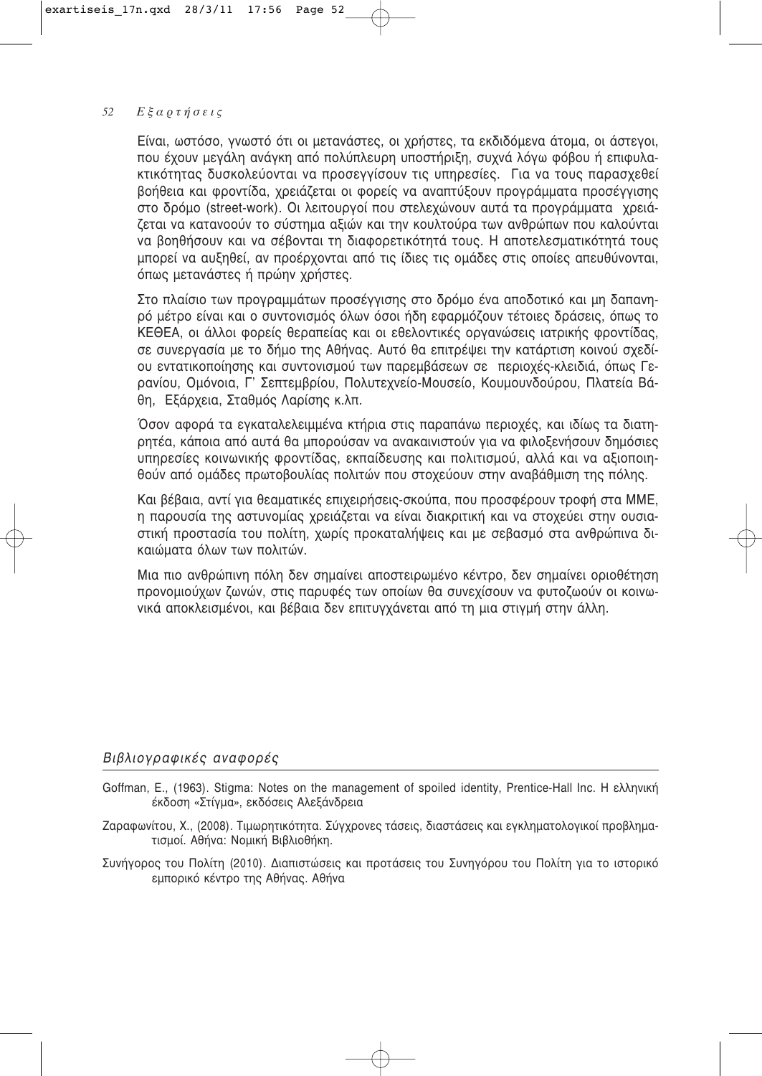Είναι, ωστόσο, γνωστό ότι οι μετανάστες, οι χρήστες, τα εκδιδόμενα άτομα, οι άστεγοι, που έχουν μεγάλη ανάγκη από πολύπλευρη υποστήριξη, συχνά λόγω φόβου ή επιφυλακτικότητας δυσκολεύονται να προσεγγίσουν τις υπηρεσίες. Για να τους παρασχεθεί βοήθεια και φροντίδα, χρειάζεται οι φορείς να αναπτύξουν προγράμματα προσέγγισης στο δρόμο (street-work). Οι λειτουργοί που στελεχώνουν αυτά τα προγράμματα γρειάζεται να κατανοούν το σύστημα αξιών και την κουλτούρα των ανθρώπων που καλούνται να βοηθήσουν και να σέβονται τη διαφορετικότητά τους. Η αποτελεσματικότητά τους μπορεί να αυξηθεί, αν προέρχονται από τις ίδιες τις ομάδες στις οποίες απευθύνονται, όπως μετανάστες ή πρώην χρήστες.

Στο πλαίσιο των προγραμμάτων προσέγγισης στο δρόμο ένα αποδοτικό και μη δαπανηρό μέτρο είναι και ο συντονισμός όλων όσοι ήδη εφαρμόζουν τέτοιες δράσεις, όπως το ΚΕΘΕΑ, οι άλλοι φορείς θεραπείας και οι εθελοντικές οργανώσεις ιατρικής φροντίδας, σε συνεργασία με το δήμο της Αθήνας. Αυτό θα επιτρέψει την κατάρτιση κοινού σχεδίου εντατικοποίησης και συντονισμού των παρεμβάσεων σε περιοχές-κλειδιά, όπως Γερανίου, Ομόνοια, Γ' Σεπτεμβρίου, Πολυτεχνείο-Μουσείο, Κουμουνδούρου, Πλατεία Βάθη, Εξάρχεια, Σταθμός Λαρίσης κ.λπ.

Όσον αφορά τα εγκαταλελειμμένα κτήρια στις παραπάνω περιοχές, και ιδίως τα διατηρητέα, κάποια από αυτά θα μπορούσαν να ανακαινιστούν για να φιλοξενήσουν δημόσιες υπηρεσίες κοινωνικής φροντίδας, εκπαίδευσης και πολιτισμού, αλλά και να αξιοποιηθούν από ομάδες πρωτοβουλίας πολιτών που στοχεύουν στην αναβάθμιση της πόλης.

Και βέβαια, αντί για θεαματικές επιχειρήσεις-σκούπα, που προσφέρουν τροφή στα ΜΜΕ, η παρουσία της αστυνομίας χρειάζεται να είναι διακριτική και να στοχεύει στην ουσιαστική προστασία του πολίτη, χωρίς προκαταλήψεις και με σεβασμό στα ανθρώπινα δικαιώματα όλων των πολιτών.

Μια πιο ανθρώπινη πόλη δεν σημαίνει αποστειρωμένο κέντρο, δεν σημαίνει οριοθέτηση προνομιούχων ζωνών, στις παρυφές των οποίων θα συνεχίσουν να φυτοζωούν οι κοινωνικά αποκλεισμένοι, και βέβαια δεν επιτυγχάνεται από τη μια στιγμή στην άλλη.

## *Βιβλιογραφικές αναφορές*

Goffman, E., (1963). Stigma: Notes on the management of spoiled identity, Prentice-Hall Inc. H ελληνική έκδοση «Στίγμα», εκδόσεις Αλεξάνδρεια

- Ζαραφωνίτου, Χ., (2008). Τιμωρητικότητα. Σύγχρονες τάσεις, διαστάσεις και εγκληματολογικοί προβληματισμοί. Αθήνα: Νομική Βιβλιοθήκη.
- Συνήγορος του Πολίτη (2010). Διαπιστώσεις και προτάσεις του Συνηγόρου του Πολίτη για το ιστορικό εμπορικό κέντρο της Αθήνας. Αθήνα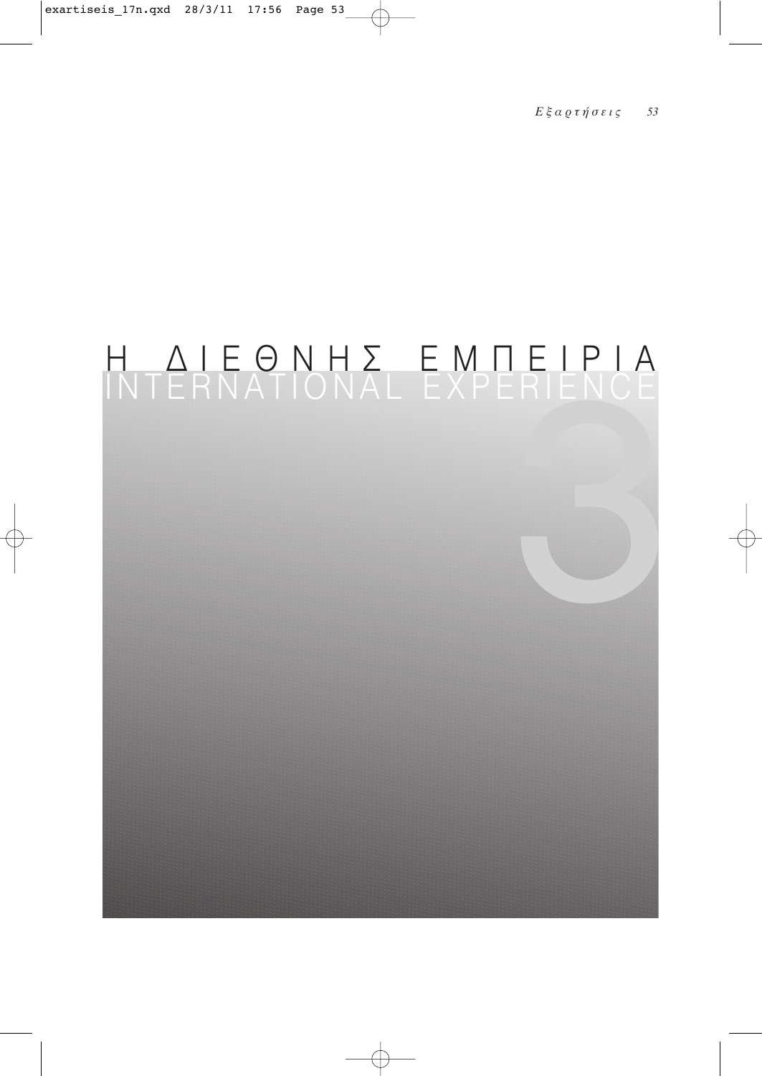$E \xi a \varrho \tau \eta \sigma \varepsilon \iota$ ς 53

# H AIEONH E EMPEIPIA<br>INTERNATIONAL EXPERIENCE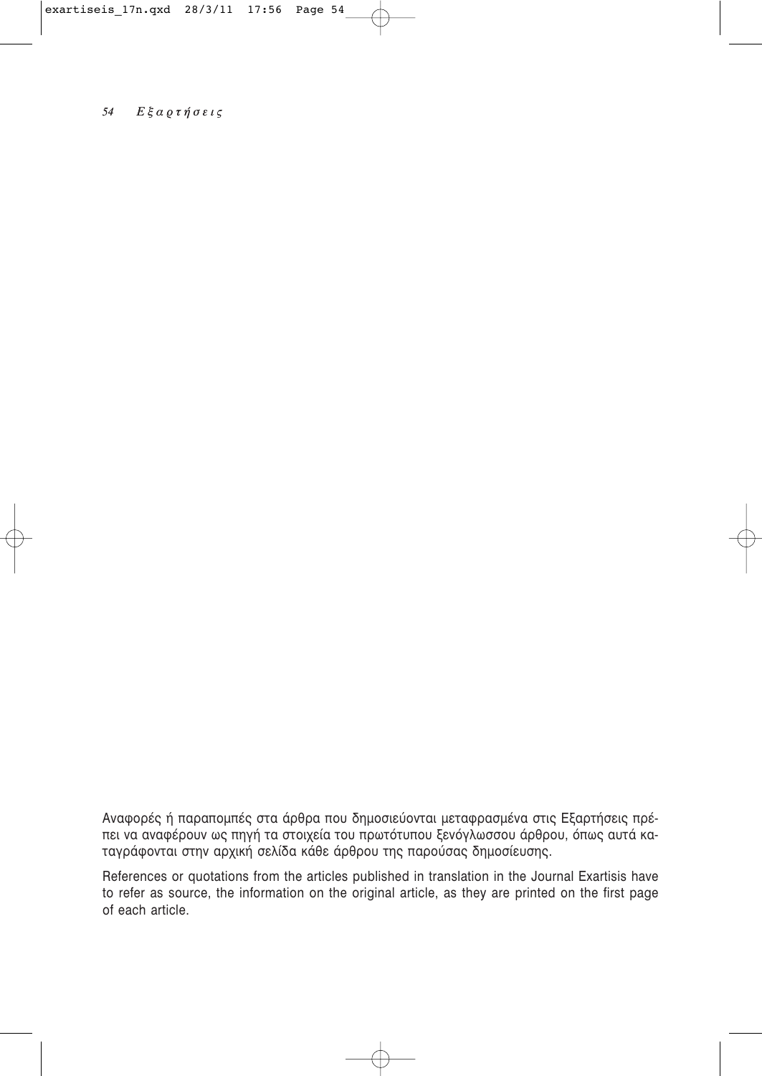54  $E$ ξαρτήσεις

Αναφορές ή παραπομπές στα άρθρα που δημοσιεύονται μεταφρασμένα στις Εξαρτήσεις πρέπει να αναφέρουν ως πηγή τα στοιχεία του πρωτότυπου ξενόγλωσσου άρθρου, όπως αυτά καταγράφονται στην αρχική σελίδα κάθε άρθρου της παρούσας δημοσίευσης.

References or quotations from the articles published in translation in the Journal Exartisis have to refer as source, the information on the original article, as they are printed on the first page of each article.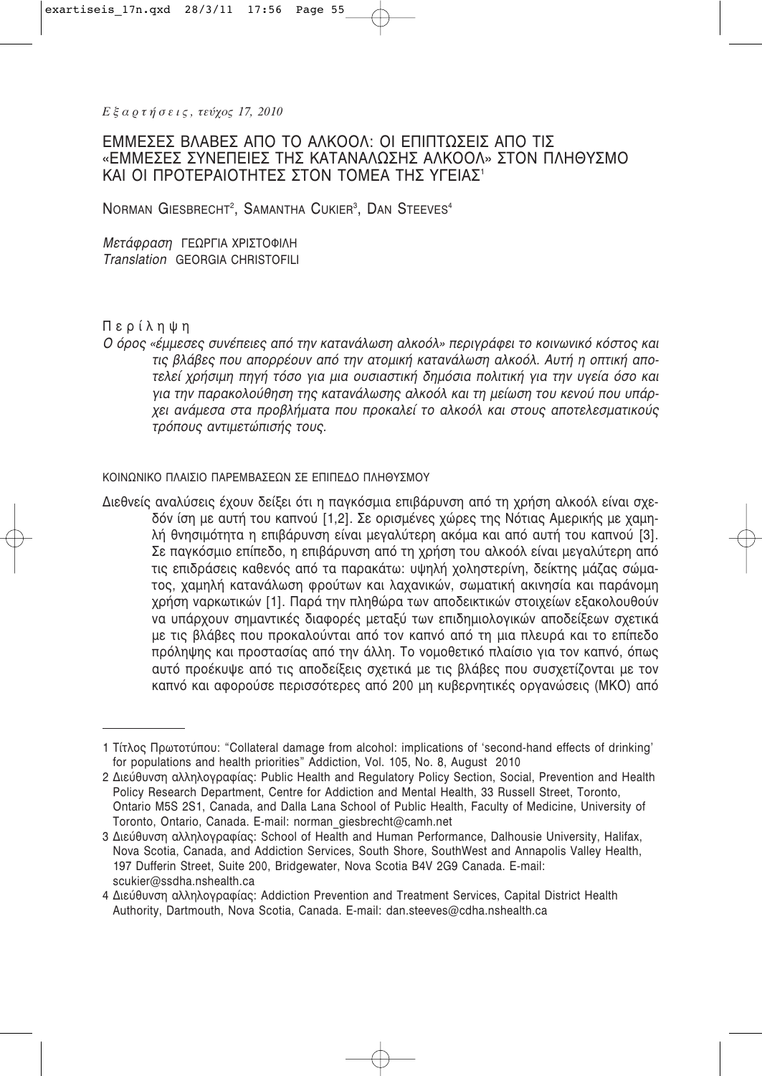Εξαρτήσεις, τεύχος 17, 2010

## ΕΜΜΕΣΕΣ ΒΛΑΒΕΣ ΑΠΟ ΤΟ ΑΛΚΟΟΛ: ΟΙ ΕΠΙΠΤΩΣΕΙΣ ΑΠΟ ΤΙΣ «ΕΜΜΕΣΕΣ ΣΥΝΕΠΕΙΕΣ ΤΗΣ ΚΑΤΑΝΑΛΩΣΗΣ ΑΛΚΟΟΛ» ΣΤΟΝ ΠΛΗΘΥΣΜΟ ΚΑΙ ΟΙ ΠΡΟΤΕΡΑΙΟΤΗΤΕΣ ΣΤΟΝ ΤΟΜΕΑ ΤΗΣ ΥΓΕΙΑΣΊ

NORMAN GIESBRECHT<sup>2</sup>, SAMANTHA CUKIER<sup>3</sup>, DAN STEEVES<sup>4</sup>

Μετάφραση ΓΕΩΡΓΙΑ ΧΡΙΣΤΟΦΙΛΗ Translation GEORGIA CHRISTOFILI

## Περίληψη

Ο όρος «έμμεσες συνέπειες από την κατανάλωση αλκοόλ» περιγράφει το κοινωνικό κόστος και τις βλάβες που απορρέουν από την ατομική κατανάλωση αλκοόλ. Αυτή η οπτική αποτελεί χρήσιμη πηγή τόσο για μια ουσιαστική δημόσια πολιτική για την υγεία όσο και για την παρακολούθηση της κατανάλωσης αλκοόλ και τη μείωση του κενού που υπάρχει ανάμεσα στα προβλήματα που προκαλεί το αλκοόλ και στους αποτελεσματικούς τρόπους αντιμετώπισής τους.

## ΚΟΙΝΩΝΙΚΟ ΠΛΑΙΣΙΟ ΠΑΡΕΜΒΑΣΕΩΝ ΣΕ ΕΠΙΠΕΔΟ ΠΛΗΘΥΣΜΟΥ

Διεθνείς αναλύσεις έχουν δείξει ότι η παγκόσμια επιβάρυνση από τη χρήση αλκοόλ είναι σχεδόν ίση με αυτή του καπνού [1,2]. Σε ορισμένες χώρες της Νότιας Αμερικής με χαμηλή θνησιμότητα η επιβάρυνση είναι μεγαλύτερη ακόμα και από αυτή του καπνού [3]. Σε παγκόσμιο επίπεδο, η επιβάρυνση από τη χρήση του αλκοόλ είναι μεγαλύτερη από τις επιδράσεις καθενός από τα παρακάτω: υψηλή χοληστερίνη, δείκτης μάζας σώματος, χαμηλή κατανάλωση φρούτων και λαχανικών, σωματική ακινησία και παράνομη χρήση ναρκωτικών [1]. Παρά την πληθώρα των αποδεικτικών στοιχείων εξακολουθούν να υπάρχουν σημαντικές διαφορές μεταξύ των επιδημιολογικών αποδείξεων σχετικά με τις βλάβες που προκαλούνται από τον καπνό από τη μια πλευρά και το επίπεδο πρόληψης και προστασίας από την άλλη. Το νομοθετικό πλαίσιο για τον καπνό, όπως αυτό προέκυψε από τις αποδείξεις σχετικά με τις βλάβες που συσχετίζονται με τον καπνό και αφορούσε περισσότερες από 200 μη κυβερνητικές οργανώσεις (ΜΚΟ) από

<sup>1</sup> Τίτλος Πρωτοτύπου: "Collateral damage from alcohol: implications of 'second-hand effects of drinking' for populations and health priorities" Addiction, Vol. 105, No. 8, August 2010

<sup>2</sup> Διεύθυνση αλληλογραφίας: Public Health and Regulatory Policy Section, Social, Prevention and Health Policy Research Department, Centre for Addiction and Mental Health, 33 Russell Street, Toronto, Ontario M5S 2S1, Canada, and Dalla Lana School of Public Health, Faculty of Medicine, University of Toronto, Ontario, Canada. E-mail: norman giesbrecht@camh.net

<sup>3</sup> Διεύθυνση αλληλογραφίας: School of Health and Human Performance, Dalhousie University, Halifax, Nova Scotia, Canada, and Addiction Services, South Shore, SouthWest and Annapolis Valley Health, 197 Dufferin Street, Suite 200, Bridgewater, Nova Scotia B4V 2G9 Canada. E-mail: scukier@ssdha.nshealth.ca

<sup>4</sup> Διεύθυνση αλληλογραφίας: Addiction Prevention and Treatment Services, Capital District Health Authority, Dartmouth, Nova Scotia, Canada. E-mail: dan.steeves@cdha.nshealth.ca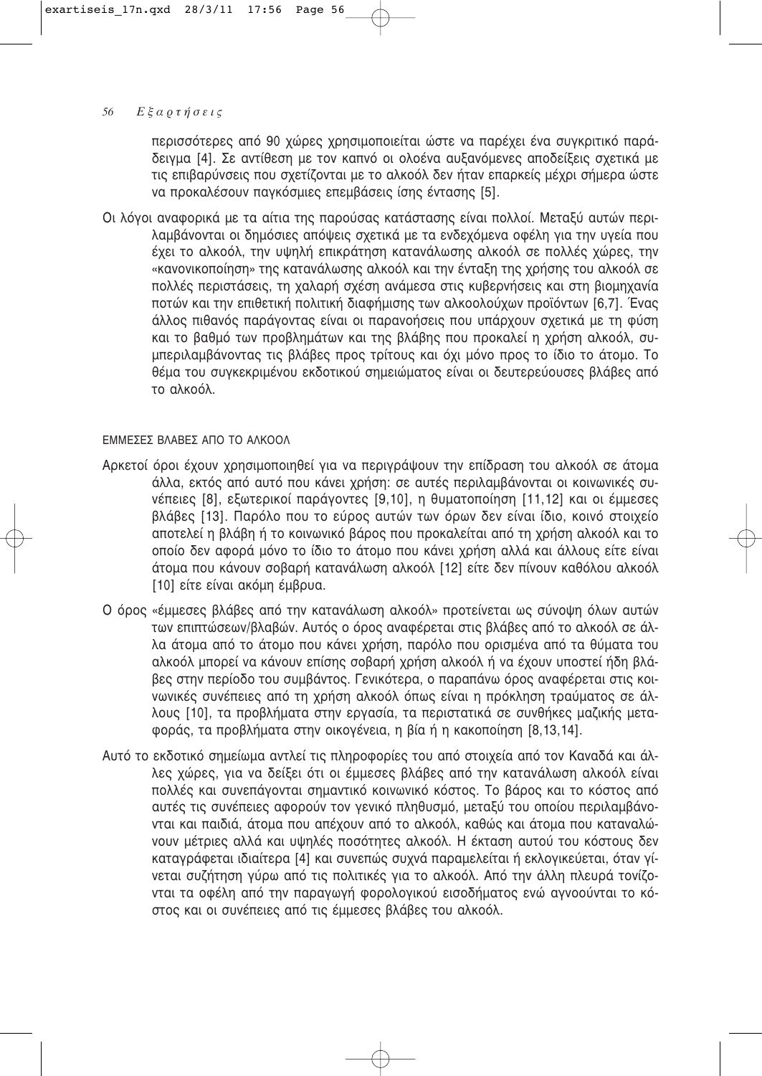περισσότερες από 90 χώρες χρησιμοποιείται ώστε να παρέχει ένα συγκριτικό παράδειγμα [4]. Σε αντίθεση με τον καπνό οι ολοένα αυξανόμενες αποδείξεις σχετικά με τις επιβαρύνσεις που σχετίζονται με το αλκοόλ δεν ήταν επαρκείς μέχρι σήμερα ώστε να προκαλέσουν παγκόσμιες επεμβάσεις ίσης έντασης [5].

Οι λόγοι αναφορικά με τα αίτια της παρούσας κατάστασης είναι πολλοί. Μεταξύ αυτών περιλαμβάνονται οι δημόσιες απόψεις σχετικά με τα ενδεχόμενα οφέλη για την υγεία που έχει το αλκοόλ, την υψηλή επικράτηση κατανάλωσης αλκοόλ σε πολλές χώρες, την «κανονικοποίηση» της κατανάλωσης αλκοόλ και την ένταξη της χρήσης του αλκοόλ σε πολλές περιστάσεις, τη χαλαρή σχέση ανάμεσα στις κυβερνήσεις και στη βιομηχανία ποτών και την επιθετική πολιτική διαφήμισης των αλκοολούχων προϊόντων [6,7]. Ένας άλλος πιθανός παράγοντας είναι οι παρανοήσεις που υπάρχουν σχετικά με τη φύση και το βαθμό των προβλημάτων και της βλάβης που προκαλεί η χρήση αλκοόλ, συμπεριλαμβάνοντας τις βλάβες προς τρίτους και όχι μόνο προς το ίδιο το άτομο. Το θέμα του συγκεκριμένου εκδοτικού σημειώματος είναι οι δευτερεύουσες βλάβες από το αλκοόλ.

## ΕΜΜΕΣΕΣ ΒΛΑΒΕΣ ΑΠΟ ΤΟ ΑΛΚΟΟΛ

- Αρκετοί όροι έχουν χρησιμοποιηθεί για να περιγράψουν την επίδραση του αλκοόλ σε άτομα άλλα, εκτός από αυτό που κάνει χρήση: σε αυτές περιλαμβάνονται οι κοινωνικές συνέπειες [8], εξωτερικοί παράγοντες [9,10], η θυματοποίηση [11,12] και οι έμμεσες βλάβες [13]. Παρόλο που το εύρος αυτών των όρων δεν είναι ίδιο, κοινό στοιχείο αποτελεί η βλάβη ή το κοινωνικό βάρος που προκαλείται από τη χρήση αλκοόλ και το οποίο δεν αφορά μόνο το ίδιο το άτομο που κάνει χρήση αλλά και άλλους είτε είναι άτομα που κάνουν σοβαρή κατανάλωση αλκοόλ [12] είτε δεν πίνουν καθόλου αλκοόλ  $[10]$  είτε είναι ακόμη έμβρυα.
- Ο όρος «έμμεσες βλάβες από την κατανάλωση αλκοόλ» προτείνεται ως σύνοψη όλων αυτών των επιπτώσεων/βλαβών. Αυτός ο όρος αναφέρεται στις βλάβες από το αλκοόλ σε άλλα άτομα από το άτομο που κάνει χρήση, παρόλο που ορισμένα από τα θύματα του αλκοόλ μπορεί να κάνουν επίσης σοβαρή χρήση αλκοόλ ή να έχουν υποστεί ήδη βλάβες στην περίοδο του συμβάντος. Γενικότερα, ο παραπάνω όρος αναφέρεται στις κοινωνικές συνέπειες από τη χρήση αλκοόλ όπως είναι η πρόκληση τραύματος σε άλλους [10], τα προβλήματα στην εργασία, τα περιστατικά σε συνθήκες μαζικής μεταφοράς, τα προβλήματα στην οικογένεια, η βία ή η κακοποίηση [8,13,14].
- Aυτό το εκδοτικό σημείωμα αντλεί τις πληροφορίες του από στοιχεία από τον Καναδά και άλλες χώρες, για να δείξει ότι οι έμμεσες βλάβες από την κατανάλωση αλκοόλ είναι πολλές και συνεπάγονται σημαντικό κοινωνικό κόστος. Το βάρος και το κόστος από αυτές τις συνέπειες αφορούν τον γενικό πληθυσμό, μεταξύ του οποίου περιλαμβάνονται και παιδιά, άτομα που απέχουν από το αλκοόλ, καθώς και άτομα που καταναλώ-VOUV μέτριες αλλά και υψηλές ποσότητες αλκοόλ. Η έκταση αυτού του κόστους δεν καταγράφεται ιδιαίτερα [4] και συνεπώς συχνά παραμελείται ή εκλογικεύεται, όταν γίνεται συζήτηση γύρω από τις πολιτικές για το αλκοόλ. Από την άλλη πλευρά τονίζονται τα οφέλη από την παραγωγή φορολογικού εισοδήματος ενώ αγνοούνται το κόστος και οι συνέπειες από τις έμμεσες βλάβες του αλκοόλ.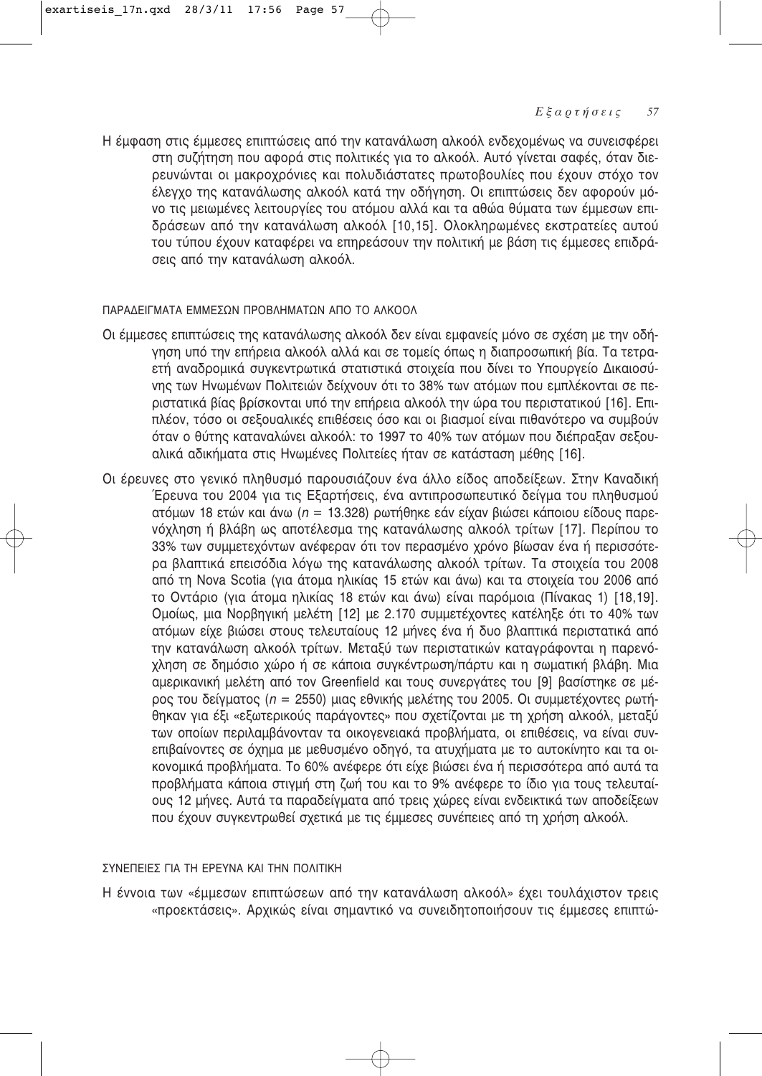exartiseis  $17n.qxd$   $28/3/11$   $17:56$  Page

Η έμφαση στις έμμεσες επιπτώσεις από την κατανάλωση αλκοόλ ενδεχομένως να συνεισφέρει στη συζήτηση που αφορά στις πολιτικές για το αλκοόλ. Αυτό γίνεται σαφές, όταν διερευνώνται οι μακροχρόνιες και πολυδιάστατες πρωτοβουλίες που έχουν στόχο τον έλενχο της κατανάλωσης αλκοόλ κατά την οδήνηση. Οι επιπτώσεις δεν αφορούν μό-VO τις μειωμένες λειτουργίες του ατόμου αλλά και τα αθώα θύματα των έμμεσων επιδράσεων από την κατανάλωση αλκοόλ [10,15]. Ολοκληρωμένες εκστρατείες αυτού του τύπου έχουν καταφέρει να επηρεάσουν την πολιτική με βάση τις έμμεσες επιδράσεις από την κατανάλωση αλκοόλ.

## ΠΑΡΑΔΕΙΓΜΑΤΑ ΕΜΜΕΣΩΝ ΠΡΟΒΛΗΜΑΤΩΝ ΑΠΟ ΤΟ ΑΛΚΟΟΛ

- Οι έμμεσες επιπτώσεις της κατανάλωσης αλκοόλ δεν είναι εμφανείς μόνο σε σχέση με την οδήγηση υπό την επήρεια αλκοόλ αλλά και σε τομείς όπως η διαπροσωπική βία. Τα τετραετή αναδρομικά συγκεντρωτικά στατιστικά στοιχεία που δίνει το Υπουργείο Δικαιοσύνης των Ηνωμένων Πολιτειών δείχνουν ότι το 38% των ατόμων που εμπλέκονται σε περιστατικά βίας βρίσκονται υπό την επήρεια αλκοόλ την ώρα του περιστατικού [16]. Επιπλέον, τόσο οι σεξουαλικές επιθέσεις όσο και οι βιασμοί είναι πιθανότερο να συμβούν όταν ο θύτης καταναλώνει αλκοόλ: το 1997 το 40% των ατόμων που διέπραξαν σεξουαλικά αδικήματα στις Ηνωμένες Πολιτείες ήταν σε κατάσταση μέθης [16].
- Οι έρευνες στο γενικό πληθυσμό παρουσιάζουν ένα άλλο είδος αποδείξεων. Στην Καναδική Έρευνα του 2004 για τις Εξαρτήσεις, ένα αντιπροσωπευτικό δείγμα του πληθυσμού ατόμων 18 ετών και άνω (*n* = 13.328) ρωτήθηκε εάν είχαν βιώσει κάποιου είδους παρεvόχληση ή βλάβη ως αποτέλεσμα της κατανάλωσης αλκοόλ τρίτων [17]. Περίπου το 33% των συμμετεχόντων ανέφεραν ότι τον περασμένο χρόνο βίωσαν ένα ή περισσότερα βλαπτικά επεισόδια λόγω της κατανάλωσης αλκοόλ τρίτων. Τα στοιχεία του 2008 από τη Nova Scotia (για άτομα ηλικίας 15 ετών και άνω) και τα στοιχεία του 2006 από το Οντάριο (για άτομα ηλικίας 18 ετών και άνω) είναι παρόμοια (Πίνακας 1) [18,19]. Ομοίως, μια Νορβηγική μελέτη [12] με 2.170 συμμετέχοντες κατέληξε ότι το 40% των ατόμων είχε βιώσει στους τελευταίους 12 μήνες ένα ή δυο βλαπτικά περιστατικά από την κατανάλωση αλκοόλ τρίτων. Μεταξύ των περιστατικών καταγράφονται η παρενόχληση σε δημόσιο χώρο ή σε κάποια συγκέντρωση/πάρτυ και η σωματική βλάβη. Μια αμερικανική μελέτη από τον Greenfield και τους συνεργάτες του [9] βασίστηκε σε μέρος του δείγματος (*n* = 2550) μιας εθνικής μελέτης του 2005. Οι συμμετέχοντες ρωτήθηκαν για έξι «εξωτερικούς παράγοντες» που σχετίζονται με τη χρήση αλκοόλ, μεταξύ των οποίων περιλαμβάνονταν τα οικογενειακά προβλήματα, οι επιθέσεις, να είναι συνεπιβαίνοντες σε όχημα με μεθυσμένο οδηγό, τα ατυχήματα με το αυτοκίνητο και τα οικονομικά προβλήματα. Το 60% ανέφερε ότι είχε βιώσει ένα ή περισσότερα από αυτά τα προβλήματα κάποια στιγμή στη ζωή του και το 9% ανέφερε το ίδιο για τους τελευταίους 12 μήνες. Αυτά τα παραδείγματα από τρεις χώρες είναι ενδεικτικά των αποδείξεων που έχουν συγκεντρωθεί σχετικά με τις έμμεσες συνέπειες από τη χρήση αλκοόλ.

## ΣΥΝΕΠΕΙΕΣ ΓΙΑ ΤΗ ΕΡΕΥΝΑ ΚΑΙ ΤΗΝ ΠΟΛΙΤΙΚΗ

Η έννοια των «έμμεσων επιπτώσεων από την κατανάλωση αλκοόλ» έχει τουλάχιστον τρεις «προεκτάσεις». Αρχικώς είναι σημαντικό να συνειδητοποιήσουν τις έμμεσες επιπτώ-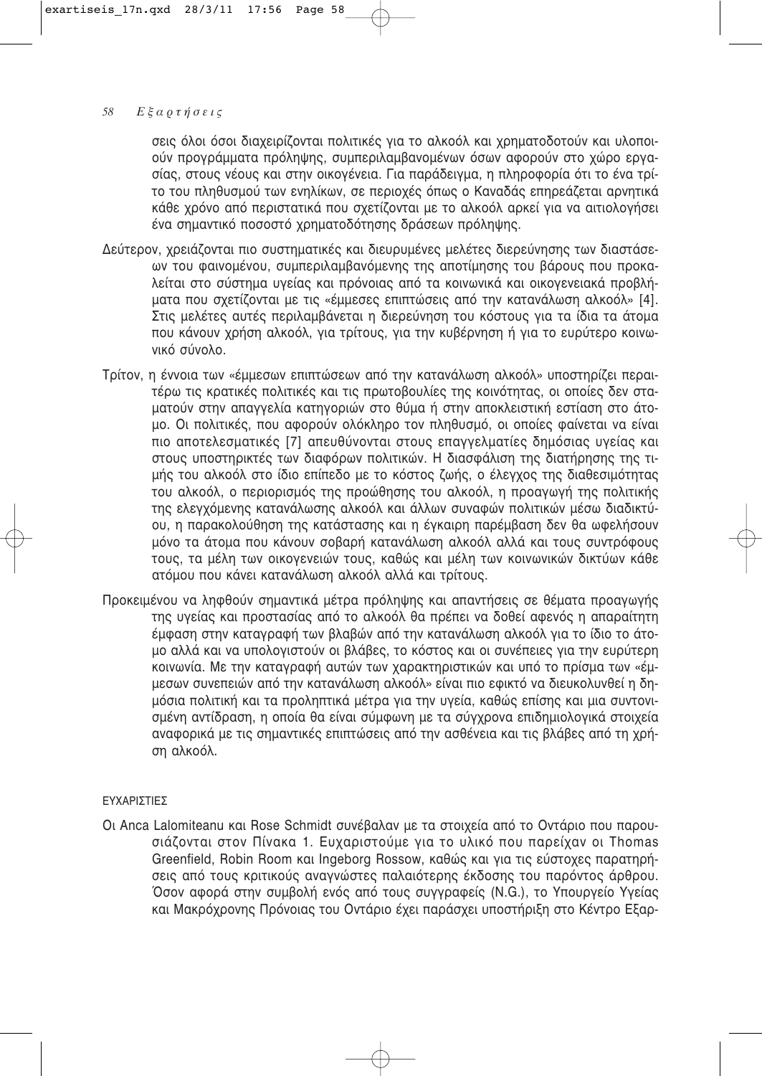σεις όλοι όσοι διαχειρίζονται πολιτικές για το αλκοόλ και χρηματοδοτούν και υλοποιούν προγράμματα πρόληψης, συμπεριλαμβανομένων όσων αφορούν στο χώρο εργασίας, στους νέους και στην οικογένεια. Για παράδειγμα, η πληροφορία ότι το ένα τρίτο του πληθυσμού των ενηλίκων, σε περιοχές όπως ο Καναδάς επηρεάζεται αρνητικά κάθε χρόνο από περιστατικά που σχετίζονται με το αλκοόλ αρκεί για να αιτιολογήσει ένα σημαντικό ποσοστό χρηματοδότησης δράσεων πρόληψης.

- Δεύτερον, χρειάζονται πιο συστηματικές και διευρυμένες μελέτες διερεύνησης των διαστάσεων του φαινομένου, συμπεριλαμβανόμενης της αποτίμησης του βάρους που προκαλείται στο σύστημα υγείας και πρόνοιας από τα κοινωνικά και οικογενειακά προβλήματα που σχετίζονται με τις «έμμεσες επιπτώσεις από την κατανάλωση αλκοόλ» [4]. Στις μελέτες αυτές περιλαμβάνεται η διερεύνηση του κόστους για τα ίδια τα άτομα που κάνουν χρήση αλκοόλ, για τρίτους, για την κυβέρνηση ή για το ευρύτερο κοινωνικό σύνολο.
- Τρίτον, η έννοια των «έμμεσων επιπτώσεων από την κατανάλωση αλκοόλ» υποστηρίζει περαιτέρω τις κρατικές πολιτικές και τις πρωτοβουλίες της κοινότητας, οι οποίες δεν σταματούν στην απαγγελία κατηγοριών στο θύμα ή στην αποκλειστική εστίαση στο άτομο. Οι πολιτικές, που αφορούν ολόκληρο τον πληθυσμό, οι οποίες φαίνεται να είναι πιο αποτελεσματικές [7] απευθύνονται στους επαγγελματίες δημόσιας υγείας και στους υποστηρικτές των διαφόρων πολιτικών. Η διασφάλιση της διατήρησης της τιμής του αλκοόλ στο ίδιο επίπεδο με το κόστος ζωής, ο έλεγχος της διαθεσιμότητας του αλκοόλ, ο περιορισμός της προώθησης του αλκοόλ, η προαγωγή της πολιτικής της ελεγχόμενης κατανάλωσης αλκοόλ και άλλων συναφών πολιτικών μέσω διαδικτύου, η παρακολούθηση της κατάστασης και η έγκαιρη παρέμβαση δεν θα ωφελήσουν μόνο τα άτομα που κάνουν σοβαρή κατανάλωση αλκοόλ αλλά και τους συντρόφους τους, τα μέλη των οικογενειών τους, καθώς και μέλη των κοινωνικών δικτύων κάθε ατόμου που κάνει κατανάλωση αλκοόλ αλλά και τρίτους.
- Προκειμένου να ληφθούν σημαντικά μέτρα πρόληψης και απαντήσεις σε θέματα προαγωγής της υγείας και προστασίας από το αλκοόλ θα πρέπει να δοθεί αφενός η απαραίτητη έμφαση στην καταγραφή των βλαβών από την κατανάλωση αλκοόλ για το ίδιο το άτομο αλλά και να υπολογιστούν οι βλάβες, το κόστος και οι συνέπειες για την ευρύτερη κοινωνία. Με την καταγραφή αυτών των χαρακτηριστικών και υπό το πρίσμα των «έμμεσων συνεπειών από την κατανάλωση αλκοόλ» είναι πιο εφικτό να διευκολυνθεί η δημόσια πολιτική και τα προληπτικά μέτρα για την υγεία, καθώς επίσης και μια συντονισμένη αντίδραση, η οποία θα είναι σύμφωνη με τα σύγχρονα επιδημιολογικά στοιχεία αναφορικά με τις σημαντικές επιπτώσεις από την ασθένεια και τις βλάβες από τη χρήση αλκοόλ.

## ΕΥΧΑΡΙΣΤΙΕΣ

Οι Anca Lalomiteanu και Rose Schmidt συνέβαλαν με τα στοιχεία από το Οντάριο που παρουσιάζονται στον Πίνακα 1. Ευχαριστούμε νια το υλικό που παρείχαν οι Thomas Greenfield, Robin Room και Ingeborg Rossow, καθώς και για τις εύστοχες παρατηρήσεις από τους κριτικούς αναγνώστες παλαιότερης έκδοσης του παρόντος άρθρου. Όσον αφορά στην συμβολή ενός από τους συννραφείς (N.G.), το Υπουρνείο Υνείας και Μακρόχρονης Πρόνοιας του Οντάριο έχει παράσχει υποστήριξη στο Κέντρο Εξαρ-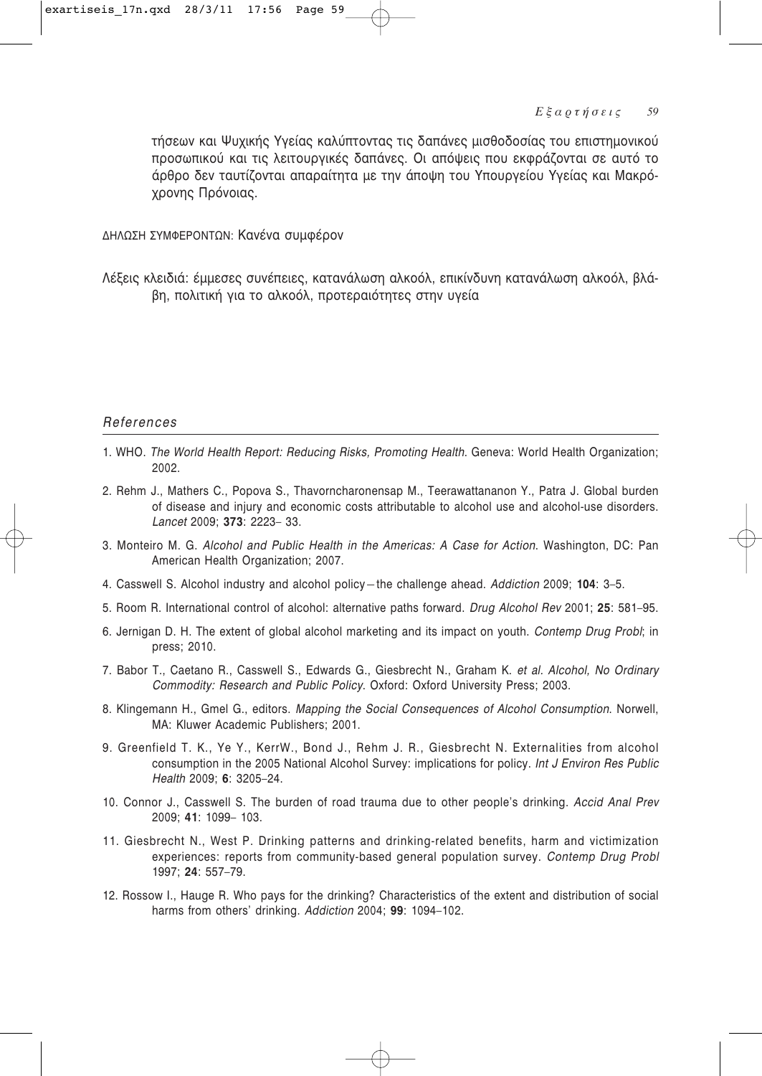τήσεων και Ψυχικής Υγείας καλύπτοντας τις δαπάνες μισθοδοσίας του επιστημονικού προσωπικού και τις λειτουργικές δαπάνες. Οι απόψεις που εκφράζονται σε αυτό το άρθρο δεν ταυτίζονται απαραίτητα με την άποψη του Υπουργείου Υγείας και Μακρόχρονης Πρόνοιας.

ΔΗΛΩΣΗ ΣΥΜΦΕΡΟΝΤΩΝ: Κανένα συμφέρον

Λέξεις κλειδιά: έμμεσες συνέπειες, κατανάλωση αλκοόλ, επικίνδυνη κατανάλωση αλκοόλ, βλάβη, πολιτική για το αλκοόλ, προτεραιότητες στην υγεία

## References

- 1. WHO. The World Health Report: Reducing Risks, Promoting Health. Geneva: World Health Organization; 2002.
- 2. Rehm J., Mathers C., Popova S., Thavorncharonensap M., Teerawattananon Y., Patra J. Global burden of disease and injury and economic costs attributable to alcohol use and alcohol-use disorders. Lancet 2009; 373: 2223-33.
- 3. Monteiro M. G. Alcohol and Public Health in the Americas: A Case for Action. Washington, DC: Pan American Health Organization; 2007.
- 4. Casswell S. Alcohol industry and alcohol policy-the challenge ahead. Addiction 2009; 104: 3-5.
- 5. Room R. International control of alcohol: alternative paths forward. Drug Alcohol Rev 2001; 25: 581-95.
- 6. Jernigan D. H. The extent of global alcohol marketing and its impact on youth. Contemp Drug Probl; in press; 2010.
- 7. Babor T., Caetano R., Casswell S., Edwards G., Giesbrecht N., Graham K. et al. Alcohol, No Ordinary Commodity: Research and Public Policy. Oxford: Oxford University Press; 2003.
- 8. Klingemann H., Gmel G., editors. Mapping the Social Consequences of Alcohol Consumption. Norwell, MA: Kluwer Academic Publishers; 2001.
- 9. Greenfield T. K., Ye Y., KerrW., Bond J., Rehm J. R., Giesbrecht N. Externalities from alcohol consumption in the 2005 National Alcohol Survey: implications for policy. Int J Environ Res Public Health 2009; 6: 3205-24.
- 10. Connor J., Casswell S. The burden of road trauma due to other people's drinking. Accid Anal Prev 2009: 41: 1099- 103.
- 11. Giesbrecht N., West P. Drinking patterns and drinking-related benefits, harm and victimization experiences: reports from community-based general population survey. Contemp Drug Probl 1997; 24: 557-79.
- 12. Rossow I., Hauge R. Who pays for the drinking? Characteristics of the extent and distribution of social harms from others' drinking. Addiction 2004; 99: 1094-102.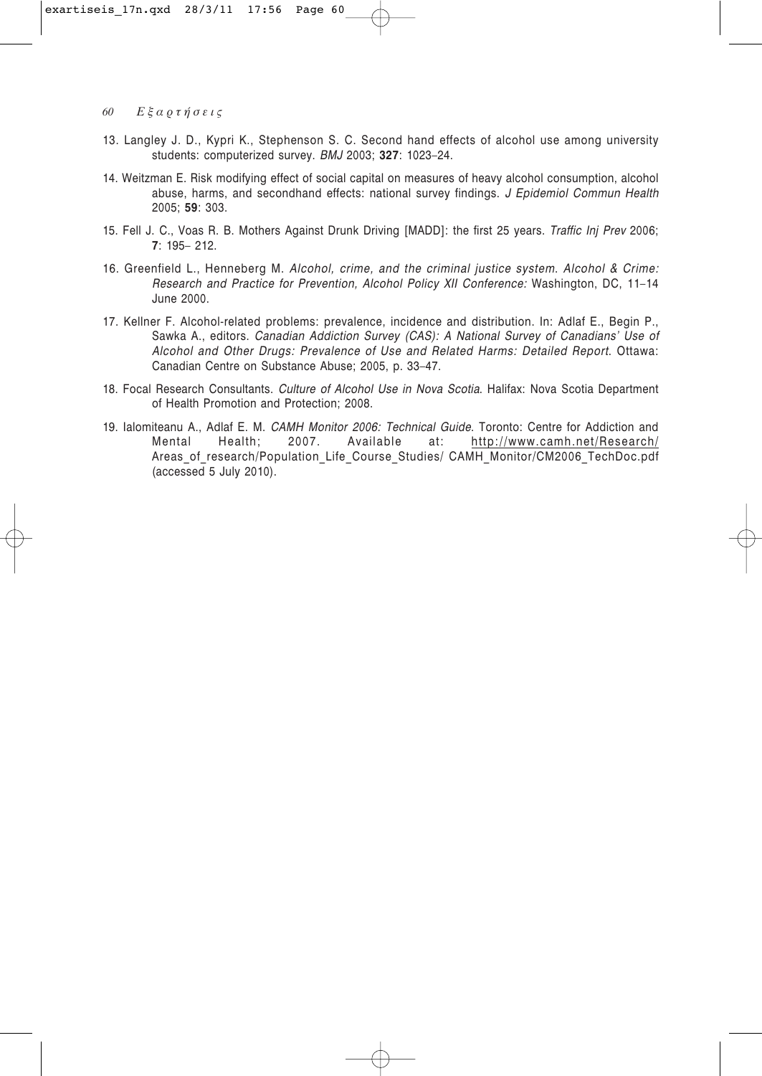- 13. Langley J. D., Kypri K., Stephenson S. C. Second hand effects of alcohol use among university students: computerized survey. *BMJ* 2003; **327**: 1023–24.
- 14. Weitzman E. Risk modifying effect of social capital on measures of heavy alcohol consumption, alcohol abuse, harms, and secondhand effects: national survey findings. *J Epidemiol Commun Health* 2005; **59**: 303.
- 15. Fell J. C., Voas R. B. Mothers Against Drunk Driving [MADD]: the first 25 years. *Traffic Inj Prev* 2006; **7**: 195– 212.
- 16. Greenfield L., Henneberg M. *Alcohol, crime, and the criminal justice system*. *Alcohol & Crime: Research and Practice for Prevention, Alcohol Policy XII Conference:* Washington, DC, 11–14 June 2000.
- 17. Kellner F. Alcohol-related problems: prevalence, incidence and distribution. In: Adlaf E., Begin P., Sawka A., editors. *Canadian Addiction Survey (CAS): A National Survey of Canadians' Use of Alcohol and Other Drugs: Prevalence of Use and Related Harms: Detailed Report*. Ottawa: Canadian Centre on Substance Abuse; 2005, p. 33–47.
- 18. Focal Research Consultants. *Culture of Alcohol Use in Nova Scotia*. Halifax: Nova Scotia Department of Health Promotion and Protection; 2008.
- 19. Ialomiteanu A., Adlaf E. M. *CAMH Monitor 2006: Technical Guide*. Toronto: Centre for Addiction and at: http://www.camh.net/Research/ Areas of research/Population\_Life\_Course\_Studies/ CAMH\_Monitor/CM2006\_TechDoc.pdf (accessed 5 July 2010).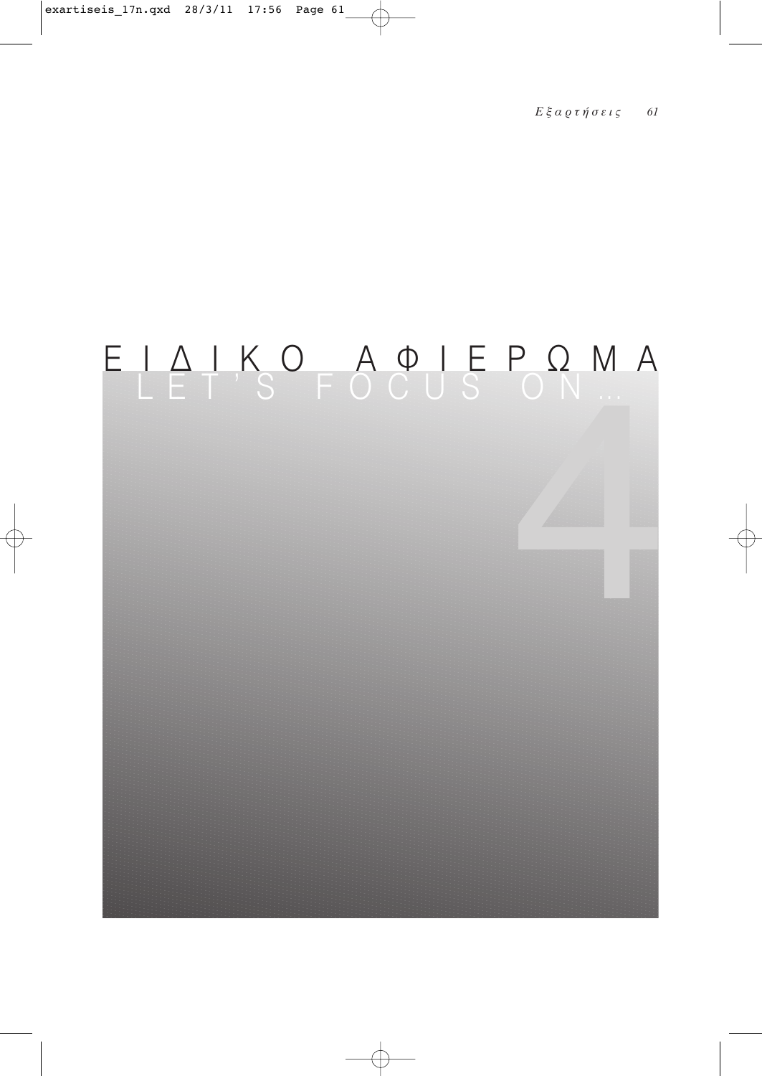$E \xi a \varrho \tau \eta \sigma \varepsilon \iota$ ς 61

## E | A | K O | A O | E P O M A<br>L E T 'S F O C U S O N M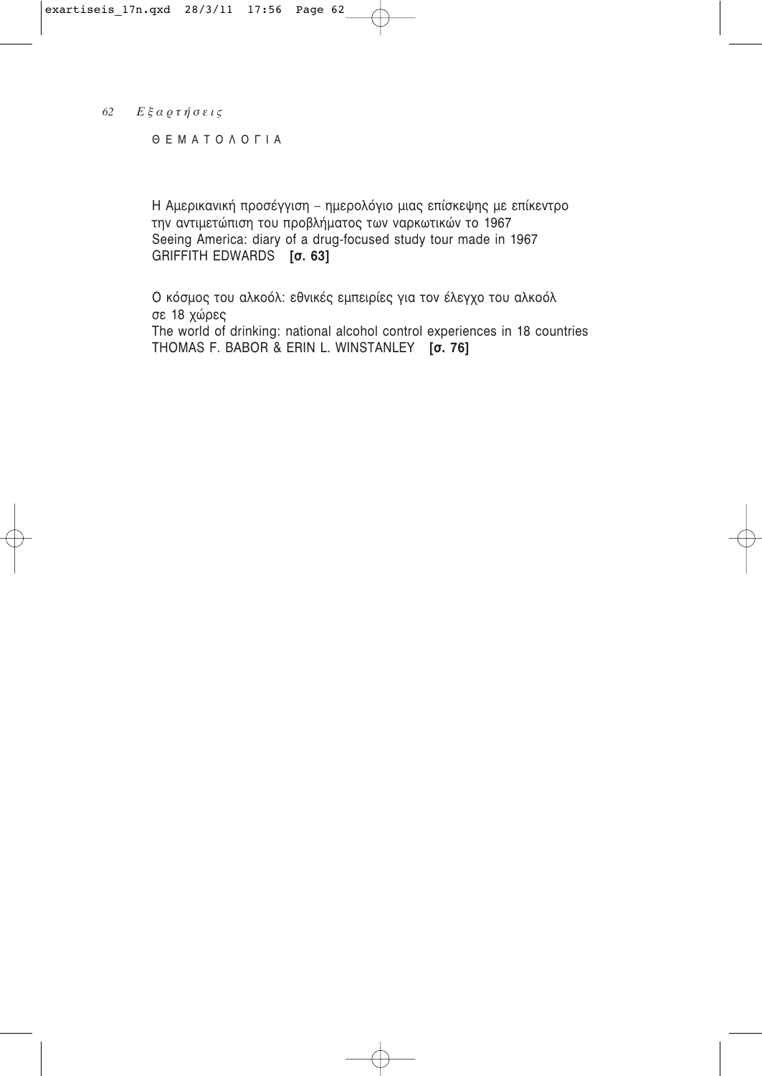62  $E$ ξαρτήσεις

**OEMATO A O FIA** 

Η Αμερικανική προσέγγιση - ημερολόγιο μιας επίσκεψης με επίκεντρο την αντιμετώπιση του προβλήματος των ναρκωτικών το 1967 Seeing America: diary of a drug-focused study tour made in 1967 GRIFFITH EDWARDS [o. 63]

Ο κόσμος του αλκοόλ: εθνικές εμπειρίες για τον έλεγχο του αλκοόλ σε 18 χώρες The world of drinking: national alcohol control experiences in 18 countries THOMAS F. BABOR & ERIN L. WINSTANLEY [o. 76]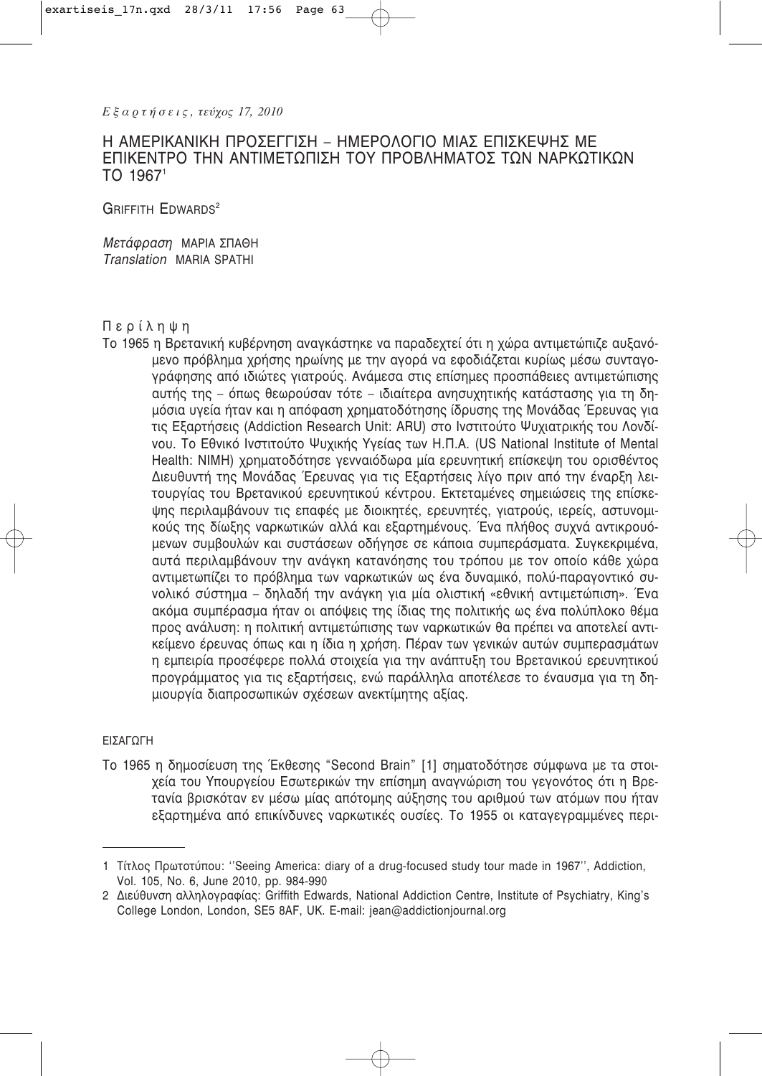*Ε ξ α ρ τ ή σ ε ι ς , τεύχος 17, 2010*

## Η ΑΜΕΡΙΚΑΝΙΚΗ ΠΡΟΣΕΓΓΙΣΗ – ΗΜΕΡΟΛΟΓΙΟ ΜΙΑΣ ΕΠΙΣΚΕΨΗΣ ΜΕ ΕΠΙΚΈΝΤΡΟ ΤΗΝ ΑΝΤΙΜΕΤΩΠΙΣΗ ΤΟΥ ΠΡΟΒΛΗΜΑΤΟΣ ΤΩΝ ΝΑΡΚΩΤΙΚΩΝ Δ√ 1967<sup>1</sup>

GRIFFITH EDWARDS<sup>2</sup>

*Μετάφραση* ΜΑΡΙΑ ΣΠΑΘΗ *Translation* MARIA SPATHI

## Περίληψη

Το 1965 η Βρετανική κυβέρνηση αναγκάστηκε να παραδεχτεί ότι η χώρα αντιμετώπιζε αυξανόμενο πρόβλημα χρήσης ηρωίνης με την αγορά να εφοδιάζεται κυρίως μέσω συνταγογράφησης από ιδιώτες γιατρούς. Ανάμεσα στις επίσημες προσπάθειες αντιμετώπισης αυτής της – όπως θεωρούσαν τότε – ιδιαίτερα ανησυχητικής κατάστασης για τη δημόσια υγεία ήταν και η απόφαση χρηματοδότησης ίδρυσης της Μονάδας Έρευνας για τις Εξαρτήσεις (Addiction Research Unit: ARU) στο Ινστιτούτο Ψυχιατρικής του Λονδί-VOU. Το Εθνικό Ινστιτούτο Ψυχικής Υγείας των Η.Π.Α. (US National Institute of Mental Health: NIMH) χρηματοδότησε γενναιόδωρα μία ερευνητική επίσκεψη του ορισθέντος Διευθυντή της Μονάδας Έρευνας για τις Εξαρτήσεις λίγο πριν από την έναρξη λειτουργίας του Βρετανικού ερευνητικού κέντρου. Εκτεταμένες σημειώσεις της επίσκεψης περιλαμβάνουν τις επαφές με διοικητές, ερευνητές, γιατρούς, ιερείς, αστυνομικούς της δίωξης ναρκωτικών αλλά και εξαρτημένους. Ένα πλήθος συχνά αντικρουόμενων συμβουλών και συστάσεων οδήγησε σε κάποια συμπεράσματα. Συγκεκριμένα, αυτά περιλαμβάνουν την ανάγκη κατανόησης του τρόπου με τον οποίο κάθε χώρα αντιμετωπίζει το πρόβλημα των ναρκωτικών ως ένα δυναμικό, πολύ-παραγοντικό συvολικό σύστημα – δηλαδή την ανάγκη για μία ολιστική «εθνική αντιμετώπιση». Ένα ακόμα συμπέρασμα ήταν οι απόψεις της ίδιας της πολιτικής ως ένα πολύπλοκο θέμα προς ανάλυση: η πολιτική αντιμετώπισης των ναρκωτικών θα πρέπει να αποτελεί αντικείμενο έρευνας όπως και η ίδια η χρήση. Πέραν των γενικών αυτών συμπερασμάτων η εμπειρία προσέφερε πολλά στοιχεία για την ανάπτυξη του Βρετανικού ερευνητικού προγράμματος για τις εξαρτήσεις, ενώ παράλληλα αποτέλεσε το έναυσμα για τη δημιουργία διαπροσωπικών σχέσεων ανεκτίμητης αξίας.

## ΕΙΣΑΓΩΓΗ

Το 1965 η δημοσίευση της Έκθεσης "Second Brain" [1] σηματοδότησε σύμφωνα με τα στοιιχεία του Υπουργείου Εσωτερικών την επίσημη αναγνώριση του γεγονότος ότι η Βρετανία βρισκόταν εν μέσω μίας απότομης αύξησης του αριθμού των ατόμων που ήταν εξαρτημένα από επικίνδυνες ναρκωτικές ουσίες. Το 1955 οι καταγεγραμμένες περι-

<sup>1</sup> Τίτλος Πρωτοτύπου: "Seeing America: diary of a drug-focused study tour made in 1967", Addiction, Vol. 105, No. 6, June 2010, pp. 984-990

<sup>2</sup> Διεύθυνση αλληλογραφίας: Griffith Edwards, National Addiction Centre, Institute of Psychiatry, King's College London, London, SE5 8AF, UK. E-mail: jean@addictionjournal.org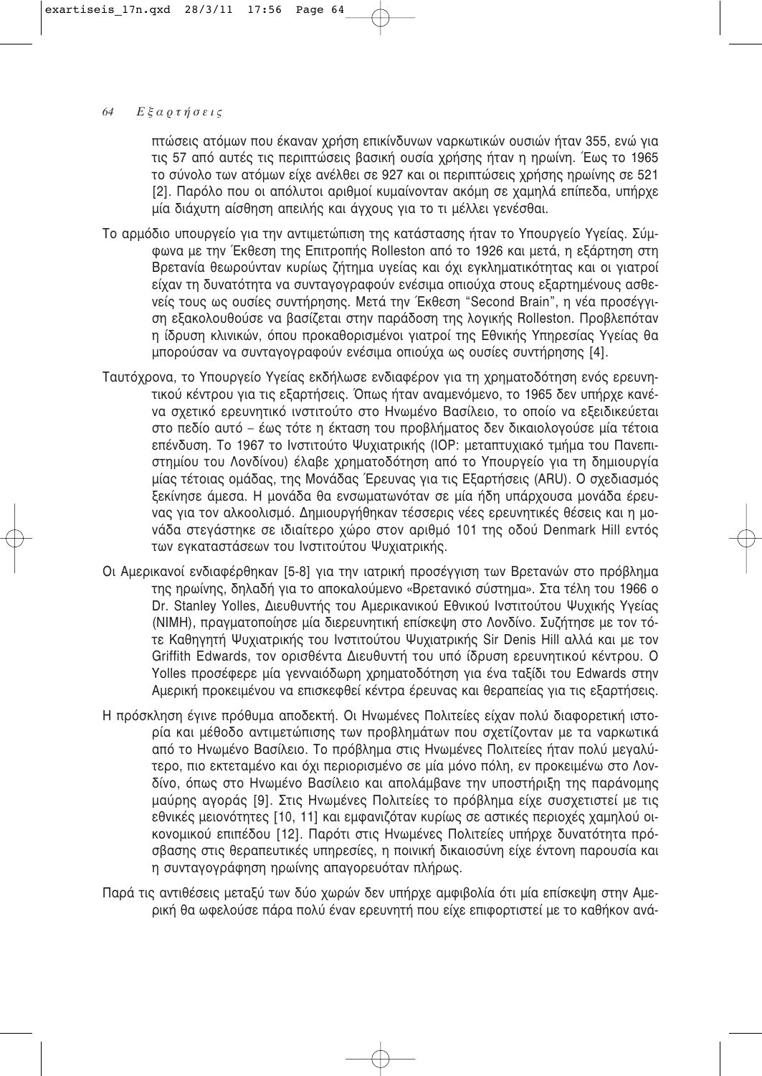πτώσεις ατόμων που έκαναν χρήση επικίνδυνων ναρκωτικών ουσιών ήταν 355, ενώ για τις 57 από αυτές τις περιπτώσεις βασική ουσία χρήσης ήταν η ηρωίνη. Έως το 1965 το σύνολο των ατόμων είχε ανέλθει σε 927 και οι περιπτώσεις χρήσης ηρωίνης σε 521 [2]. Παρόλο που οι απόλυτοι αριθμοί κυμαίνονταν ακόμη σε χαμηλά επίπεδα, υπήρχε μία διάχυτη αίσθηση απειλής και άγχους για το τι μέλλει γενέσθαι.

- Το αρμόδιο υπουργείο για την αντιμετώπιση της κατάστασης ήταν το Υπουργείο Υγείας. Σύμφωνα με την Έκθεση της Επιτροπής Rolleston από το 1926 και μετά, η εξάρτηση στη Βρετανία θεωρούνταν κυρίως ζήτημα υγείας και όχι εγκληματικότητας και οι γιατροί είχαν τη δυνατότητα να συνταγογραφούν ενέσιμα οπιούχα στους εξαρτημένους ασθενείς τους ως ουσίες συντήρησης. Μετά την Έκθεση "Second Brain", η νέα προσέγγιση εξακολουθούσε να βασίζεται στην παράδοση της λογικής Rolleston. Προβλεπόταν η ίδρυση κλινικών, όπου προκαθορισμένοι γιατροί της Εθνικής Υπηρεσίας Υγείας θα μπορούσαν να συνταγογραφούν ενέσιμα οπιούχα ως ουσίες συντήρησης [4].
- Ταυτόχρονα, το Υπουργείο Υγείας εκδήλωσε ενδιαφέρον για τη χρηματοδότηση ενός ερευνητικού κέντρου για τις εξαρτήσεις. Όπως ήταν αναμενόμενο, το 1965 δεν υπήρχε κανένα σχετικό ερευνητικό ινστιτούτο στο Ηνωμένο Βασίλειο, το οποίο να εξειδικεύεται στο πεδίο αυτό – έως τότε η έκταση του προβλήματος δεν δικαιολογούσε μία τέτοια επένδυση. Το 1967 το Ινστιτούτο Ψυχιατρικής (IOP: μεταπτυχιακό τμήμα του Πανεπιστημίου του Λονδίνου) έλαβε χρηματοδότηση από το Υπουργείο για τη δημιουργία μίας τέτοιας ομάδας, της Μονάδας Έρευνας για τις Εξαρτήσεις (ARU). Ο σχεδιασμός ξεκίνησε άμεσα. Η μονάδα θα ενσωματωνόταν σε μία ήδη υπάρχουσα μονάδα έρευνας για τον αλκοολισμό. Δημιουργήθηκαν τέσσερις νέες ερευνητικές θέσεις και η μονάδα στεγάστηκε σε ιδιαίτερο χώρο στον αριθμό 101 της οδού Denmark Hill εντός των εγκαταστάσεων του Ινστιτούτου Ψυχιατρικής.
- Οι Αμερικανοί ενδιαφέρθηκαν [5-8] για την ιατρική προσέγγιση των Βρετανών στο πρόβλημα της ηρωίνης, δηλαδή για το αποκαλούμενο «Βρετανικό σύστημα». Στα τέλη του 1966 ο Dr. Stanley Yolles, Διευθυντής του Αμερικανικού Εθνικού Ινστιτούτου Ψυχικής Υγείας (NIMH), πραγματοποίησε μία διερευνητική επίσκεψη στο Λονδίνο. Συζήτησε με τον τότε Καθηγητή Ψυχιατρικής του Ινστιτούτου Ψυχιατρικής Sir Denis Hill αλλά και με τον Griffith Edwards, τον ορισθέντα Διευθυντή του υπό ίδρυση ερευνητικού κέντρου. Ο Yolles προσέφερε μία γενναιόδωρη χρηματοδότηση για ένα ταξίδι του Edwards στην Αμερική προκειμένου να επισκεφθεί κέντρα έρευνας και θεραπείας για τις εξαρτήσεις.
- Η πρόσκληση έγινε πρόθυμα αποδεκτή. Οι Ηνωμένες Πολιτείες είχαν πολύ διαφορετική ιστορία και μέθοδο αντιμετώπισης των προβλημάτων που σχετίζονταν με τα ναρκωτικά από το Ηνωμένο Βασίλειο. Το πρόβλημα στις Ηνωμένες Πολιτείες ήταν πολύ μεγαλύτερο, πιο εκτεταμένο και όχι περιορισμένο σε μία μόνο πόλη, εν προκειμένω στο Λονδίνο, όπως στο Ηνωμένο Βασίλειο και απολάμβανε την υποστήριξη της παράνομης μαύρης αγοράς [9]. Στις Ηνωμένες Πολιτείες το πρόβλημα είχε συσχετιστεί με τις εθνικές μειονότητες [10, 11] και εμφανιζόταν κυρίως σε αστικές περιοχές χαμηλού οικονομικού επιπέδου [12]. Παρότι στις Ηνωμένες Πολιτείες υπήρχε δυνατότητα πρόσβασης στις θεραπευτικές υπηρεσίες, η ποινική δικαιοσύνη είχε έντονη παρουσία και η συνταγογράφηση ηρωίνης απαγορευόταν πλήρως.
- Παρά τις αντιθέσεις μεταξύ των δύο χωρών δεν υπήρχε αμφιβολία ότι μία επίσκεψη στην Αμερική θα ωφελούσε πάρα πολύ έναν ερευνητή που είχε επιφορτιστεί με το καθήκον ανά-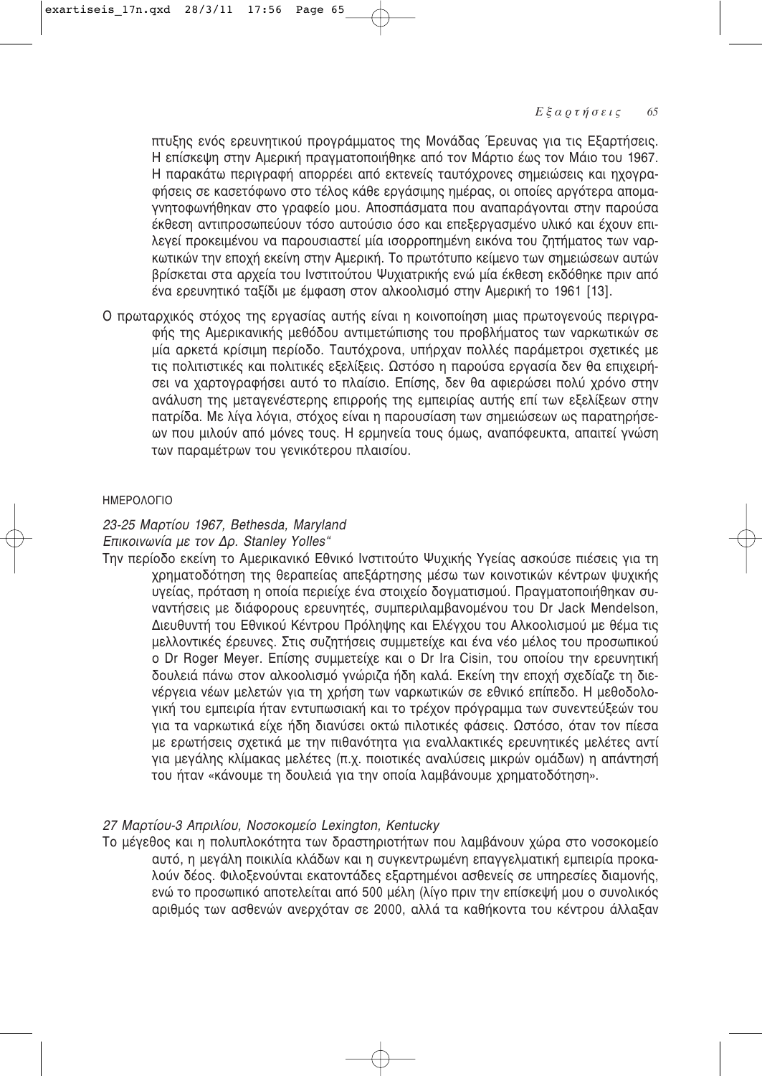πτυξης ενός ερευνητικού προγράμματος της Μονάδας Έρευνας για τις Εξαρτήσεις. Η επίσκεψη στην Αμερική πραγματοποιήθηκε από τον Μάρτιο έως τον Μάιο του 1967. Η παρακάτω περιγραφή απορρέει από εκτενείς ταυτόχρονες σημειώσεις και ηχογραφήσεις σε κασετόφωνο στο τέλος κάθε εργάσιμης ημέρας, οι οποίες αργότερα απομαγνητοφωνήθηκαν στο γραφείο μου. Αποσπάσματα που αναπαράγονται στην παρούσα έκθεση αντιπροσωπεύουν τόσο αυτούσιο όσο και επεξεργασμένο υλικό και έχουν επιλεγεί προκειμένου να παρουσιαστεί μία ισορροπημένη εικόνα του ζητήματος των ναρκωτικών την εποχή εκείνη στην Αμερική. Το πρωτότυπο κείμενο των σημειώσεων αυτών βρίσκεται στα αρχεία του Ινστιτούτου Ψυχιατρικής ενώ μία έκθεση εκδόθηκε πριν από ένα ερευνητικό ταξίδι με έμφαση στον αλκοολισμό στην Αμερική το 1961 [13].

Ο πρωταρχικός στόχος της εργασίας αυτής είναι η κοινοποίηση μιας πρωτογενούς περιγραφής της Αμερικανικής μεθόδου αντιμετώπισης του προβλήματος των ναρκωτικών σε μία αρκετά κρίσιμη περίοδο. Ταυτόχρονα, υπήρχαν πολλές παράμετροι σχετικές με τις πολιτιστικές και πολιτικές εξελίξεις. Ωστόσο η παρούσα εργασία δεν θα επιχειρήσει να χαρτογραφήσει αυτό το πλαίσιο. Επίσης, δεν θα αφιερώσει πολύ χρόνο στην ανάλυση της μεταγενέστερης επιρροής της εμπειρίας αυτής επί των εξελίξεων στην πατρίδα. Με λίγα λόγια, στόχος είναι η παρουσίαση των σημειώσεων ως παρατηρήσεων που μιλούν από μόνες τους. Η ερμηνεία τους όμως, αναπόφευκτα, απαιτεί γνώση των παραμέτρων του γενικότερου πλαισίου.

## ΗΜΕΡΩΛΩΓΙΩ

## $23-25$  Μαρτίου 1967, Bethesda, Maryland *Επικοινωνία με τον Δρ. Stanley Yolles"*

Την περίοδο εκείνη το Αμερικανικό Εθνικό Ινστιτούτο Ψυχικής Υγείας ασκούσε πιέσεις για τη χρηματοδότηση της θεραπείας απεξάρτησης μέσω των κοινοτικών κέντρων ψυχικής υγείας, πρόταση η οποία περιείχε ένα στοιχείο δογματισμού. Πραγματοποιήθηκαν συvαντήσεις με διάφορους ερευνητές, συμπεριλαμβανομένου του Dr Jack Mendelson, Διευθυντή του Εθνικού Κέντρου Πρόληψης και Ελέγχου του Αλκοολισμού με θέμα τις μελλοντικές έρευνες. Στις συζητήσεις συμμετείχε και ένα νέο μέλος του προσωπικού ο Dr Roger Meyer. Επίσης συμμετείχε και ο Dr Ira Cisin, του οποίου την ερευνητική δουλειά πάνω στον αλκοολισμό γνώριζα ήδη καλά. Εκείνη την εποχή σχεδίαζε τη διενέργεια νέων μελετών για τη χρήση των ναρκωτικών σε εθνικό επίπεδο. Η μεθοδολογική του εμπειρία ήταν εντυπωσιακή και το τρέχον πρόγραμμα των συνεντεύξεών του για τα ναρκωτικά είχε ήδη διανύσει οκτώ πιλοτικές φάσεις. Ωστόσο, όταν τον πίεσα με ερωτήσεις σχετικά με την πιθανότητα για εναλλακτικές ερευνητικές μελέτες αντί για μεγάλης κλίμακας μελέτες (π.χ. ποιοτικές αναλύσεις μικρών ομάδων) η απάντησή του ήταν «κάνουμε τη δουλειά για την οποία λαμβάνουμε χρηματοδότηση».

## 27 Μαρτίου-3 Απριλίου, Νοσοκομείο Lexington, Kentucky

<u>Το μένεθος και η πολυπλοκότητα των δραστηριοτήτων που λαμβάνουν χώρα στο νοσοκομείο</u> αυτό, η μεγάλη ποικιλία κλάδων και η συγκεντρωμένη επαγγελματική εμπειρία προκαλούν δέος. Φιλοξενούνται εκατοντάδες εξαρτημένοι ασθενείς σε υπηρεσίες διαμονής, ενώ το προσωπικό αποτελείται από 500 μέλη (λίνο πριν την επίσκεψή μου ο συνολικός αριθμός των ασθενών ανερχόταν σε 2000, αλλά τα καθήκοντα του κέντρου άλλαξαν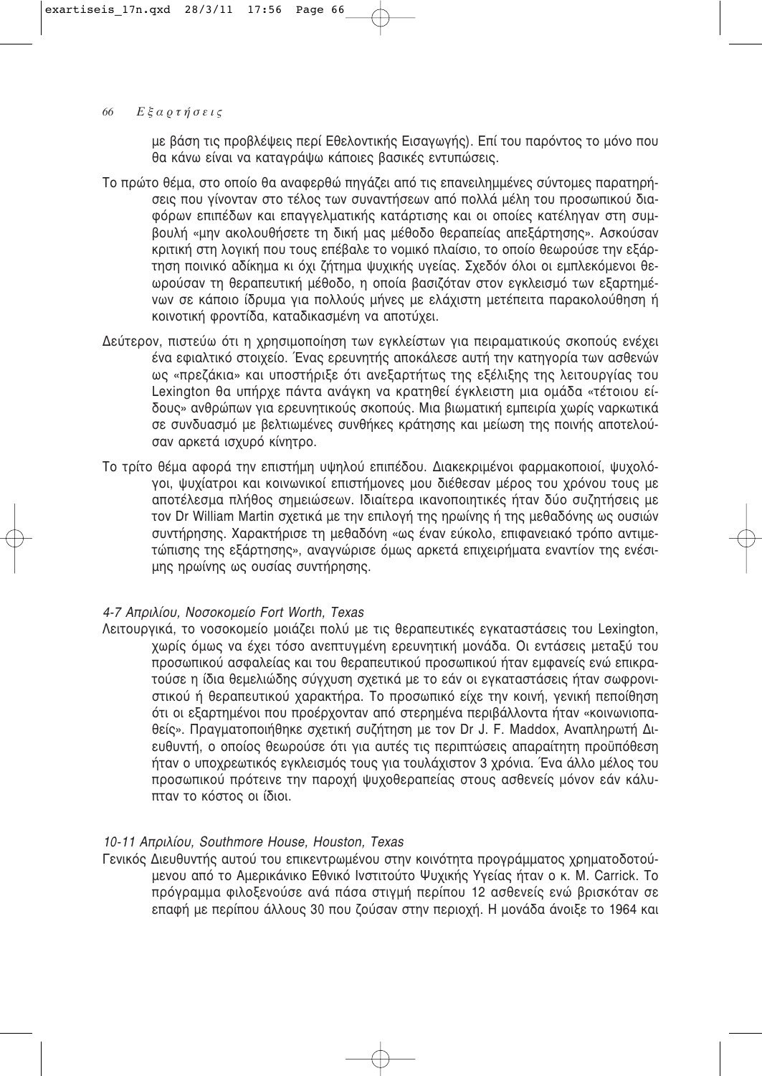με βάση τις προβλέψεις περί Εθελοντικής Εισαγωγής). Επί του παρόντος το μόνο που θα κάνω είναι να καταγράψω κάποιες βασικές εντυπώσεις.

- Το πρώτο θέμα, στο οποίο θα αναφερθώ πηνάζει από τις επανειλημμένες σύντομες παρατηρήσεις που γίνονταν στο τέλος των συναντήσεων από πολλά μέλη του προσωπικού διαφόρων επιπέδων και επαγγελματικής κατάρτισης και οι οποίες κατέληγαν στη συμβουλή «μην ακολουθήσετε τη δική μας μέθοδο θεραπείας απεξάρτησης». Ασκούσαν κριτική στη λογική που τους επέβαλε το νομικό πλαίσιο, το οποίο θεωρούσε την εξάρτηση ποινικό αδίκημα κι όχι ζήτημα ψυχικής υγείας. Σχεδόν όλοι οι εμπλεκόμενοι θεωρούσαν τη θεραπευτική μέθοδο, η οποία βασιζόταν στον εγκλεισμό των εξαρτημένων σε κάποιο ίδρυμα για πολλούς μήνες με ελάχιστη μετέπειτα παρακολούθηση ή κοινοτική φροντίδα, καταδικασμένη να αποτύχει.
- Δεύτερον, πιστεύω ότι η χρησιμοποίηση των εγκλείστων για πειραματικούς σκοπούς ενέχει ένα εφιαλτικό στοιχείο. Ένας ερευνητής αποκάλεσε αυτή την κατηγορία των ασθενών ως «πρεζάκια» και υποστήριξε ότι ανεξαρτήτως της εξέλιξης της λειτουργίας του Lexington θα υπήρχε πάντα ανάγκη να κρατηθεί έγκλειστη μια ομάδα «τέτοιου είδους» ανθρώπων για ερευνητικούς σκοπούς. Μια βιωματική εμπειρία χωρίς ναρκωτικά σε συνδυασμό με βελτιωμένες συνθήκες κράτησης και μείωση της ποινής αποτελούσαν αρκετά ισχυρό κίνητρο.
- Το τρίτο θέμα αφορά την επιστήμη υψηλού επιπέδου. Διακεκριμένοι φαρμακοποιοί, ψυχολόγοι, ψυχίατροι και κοινωνικοί επιστήμονες μου διέθεσαν μέρος του χρόνου τους με αποτέλεσμα πλήθος σημειώσεων. Ιδιαίτερα ικανοποιητικές ήταν δύο συζητήσεις με τον Dr William Martin σχετικά με την επιλογή της ηρωίνης ή της μεθαδόνης ως ουσιών συντήρησης. Χαρακτήρισε τη μεθαδόνη «ως έναν εύκολο, επιφανειακό τρόπο αντιμετώπισης της εξάρτησης», αναγνώρισε όμως αρκετά επιχειρήματα εναντίον της ενέσιμης ηρωίνης ως ουσίας συντήρησης.

## 4-7 Απριλίου, Νοσοκομείο Fort Worth, Texas

Λειτουργικά, το νοσοκομείο μοιάζει πολύ με τις θεραπευτικές εγκαταστάσεις του Lexington, χωρίς όμως να έχει τόσο ανεπτυγμένη ερευνητική μονάδα. Οι εντάσεις μεταξύ του προσωπικού ασφαλείας και του θεραπευτικού προσωπικού ήταν εμφανείς ενώ επικρατούσε η ίδια θεμελιώδης σύγχυση σχετικά με το εάν οι εγκαταστάσεις ήταν σωφρονιστικού ή θεραπευτικού χαρακτήρα. Το προσωπικό είχε την κοινή, γενική πεποίθηση ότι οι εξαρτημένοι που προέρχονταν από στερημένα περιβάλλοντα ήταν «κοινωνιοπαθείς». Πραγματοποιήθηκε σχετική συζήτηση με τον Dr J. F. Maddox, Αναπληρωτή Διευθυντή, ο οποίος θεωρούσε ότι για αυτές τις περιπτώσεις απαραίτητη προϋπόθεση ήταν ο υποχρεωτικός εγκλεισμός τους για τουλάχιστον 3 χρόνια. Ένα άλλο μέλος του προσωπικού πρότεινε την παροχή ψυχοθεραπείας στους ασθενείς μόνον εάν κάλυπταν το κόστος οι ίδιοι.

## 10-11 Απριλίου, Southmore House, Houston, Texas

Γενικός Διευθυντής αυτού του επικεντρωμένου στην κοινότητα προγράμματος χρηματοδοτούμενου από το Αμερικάνικο Εθνικό Ινστιτούτο Ψυχικής Υγείας ήταν ο κ. Μ. Carrick. Το πρόγραμμα φιλοξενούσε ανά πάσα στιγμή περίπου 12 ασθενείς ενώ βρισκόταν σε επαφή με περίπου άλλους 30 που ζούσαν στην περιοχή. Η μονάδα άνοιξε το 1964 και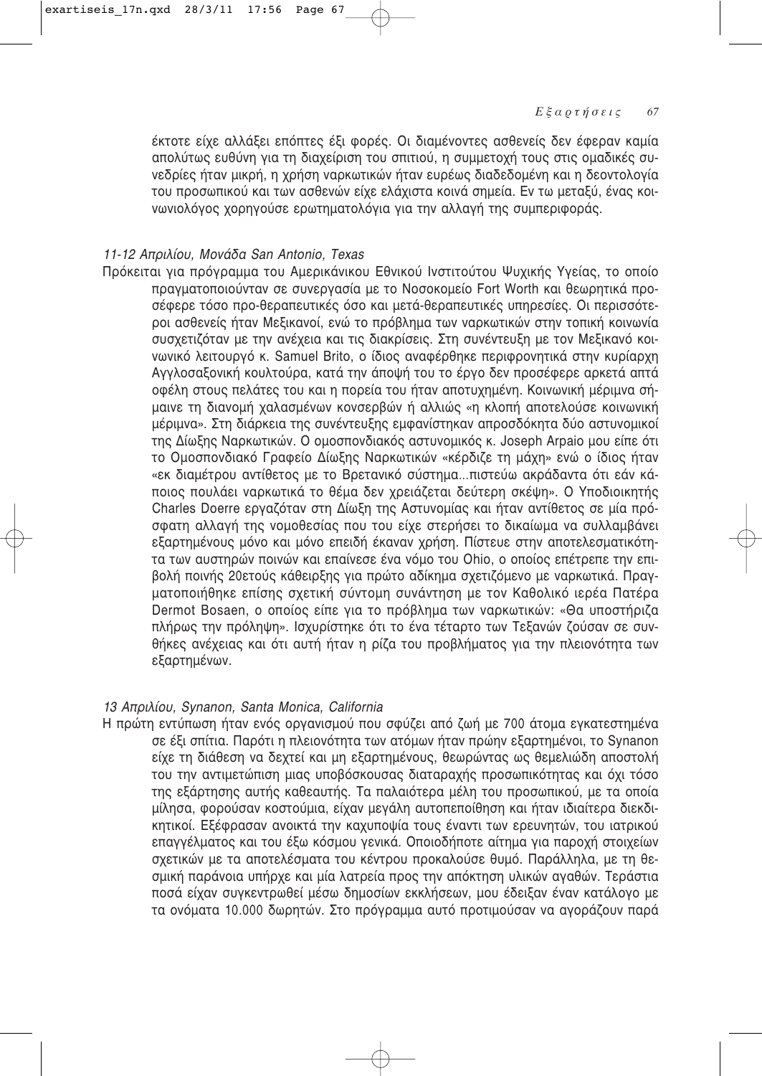exartiseis  $17n$ . qxd  $28/3/11$  17:56 Page

έκτοτε είχε αλλάξει επόπτες έξι φορές. Οι διαμένοντες ασθενείς δεν έφεραν καμία απολύτως ευθύνη για τη διαχείριση του σπιτιού, η συμμετοχή τους στις ομαδικές συνεδρίες ήταν μικρή, η χρήση ναρκωτικών ήταν ευρέως διαδεδομένη και η δεοντολογία του προσωπικού και των ασθενών είχε ελάχιστα κοινά σημεία. Εν τω μεταξύ, ένας κοινωνιολόγος χορηγούσε ερωτηματολόγια για την αλλαγή της συμπεριφοράς.

## 11-12 *Απριλίου, Μονάδα San Antonio, Texas*

Πρόκειται για πρόγραμμα του Αμερικάνικου Εθνικού Ινστιτούτου Ψυχικής Υγείας, το οποίο πραγματοποιούνταν σε συνεργασία με το Νοσοκομείο Fort Worth και θεωρητικά προσέφερε τόσο προ-θεραπευτικές όσο και μετά-θεραπευτικές υπηρεσίες. Οι περισσότεροι ασθενείς ήταν Μεξικανοί, ενώ το πρόβλημα των ναρκωτικών στην τοπική κοινωνία συσχετιζόταν με την ανέχεια και τις διακρίσεις. Στη συνέντευξη με τον Μεξικανό κοινωνικό λειτουργό κ. Samuel Brito, ο ίδιος αναφέρθηκε περιφρονητικά στην κυρίαρχη Αγγλοσαξονική κουλτούρα, κατά την άποψή του το έργο δεν προσέφερε αρκετά απτά οφέλη στους πελάτες του και η πορεία του ήταν αποτυχημένη. Κοινωνική μέριμνα σήμαινε τη διανομή χαλασμένων κονσερβών ή αλλιώς «η κλοπή αποτελούσε κοινωνική μέριμνα». Στη διάρκεια της συνέντευξης εμφανίστηκαν απροσδόκητα δύο αστυνομικοί της Δίωξης Ναρκωτικών. Ο ομοσπονδιακός αστυνομικός κ. Joseph Arpaio μου είπε ότι το Ομοσπονδιακό Γραφείο Δίωξης Ναρκωτικών «κέρδιζε τη μάχη» ενώ ο ίδιος ήταν «εκ διαμέτρου αντίθετος με το Βρετανικό σύστημα...πιστεύω ακράδαντα ότι εάν κάποιος πουλάει ναρκωτικά το θέμα δεν χρειάζεται δεύτερη σκέψη». Ο Υποδιοικητής Charles Doerre εργαζόταν στη Δίωξη της Αστυνομίας και ήταν αντίθετος σε μία πρόσφατη αλλαγή της νομοθεσίας που του είχε στερήσει το δικαίωμα να συλλαμβάνει εξαρτημένους μόνο και μόνο επειδή έκαναν χρήση. Πίστευε στην αποτελεσματικότητα των αυστηρών ποινών και επαίνεσε ένα νόμο του Ohio, ο οποίος επέτρεπε την επιβολή ποινής 20ετούς κάθειρξης για πρώτο αδίκημα σχετιζόμενο με ναρκωτικά. Πραγματοποιήθηκε επίσης σχετική σύντομη συνάντηση με τον Καθολικό ιερέα Πατέρα Dermot Bosaen, ο οποίος είπε για το πρόβλημα των ναρκωτικών: «Θα υποστήριζα πλήρως την πρόληψη». Ισχυρίστηκε ότι το ένα τέταρτο των Τεξανών ζούσαν σε συνθήκες ανέχειας και ότι αυτή ήταν η ρίζα του προβλήματος για την πλειονότητα των εξαρτημένων.

## 13 *Απριλίου, Synanon, Santa Monica, California*

Η πρώτη εντύπωση ήταν ενός οργανισμού που σφύζει από ζωή με 700 άτομα εγκατεστημένα σε έξι σπίτια. Παρότι η πλειονότητα των ατόμων ήταν πρώην εξαρτημένοι, το Synanon είχε τη διάθεση να δεχτεί και μη εξαρτημένους, θεωρώντας ως θεμελιώδη αποστολή του την αντιμετώπιση μιας υποβόσκουσας διαταραχής προσωπικότητας και όχι τόσο της εξάρτησης αυτής καθεαυτής. Τα παλαιότερα μέλη του προσωπικού, με τα οποία μίλησα, φορούσαν κοστούμια, είχαν μεγάλη αυτοπεποίθηση και ήταν ιδιαίτερα διεκδικητικοί. Εξέφρασαν ανοικτά την καχυποψία τους έναντι των ερευνητών, του ιατρικού επαννέλματος και του έξω κόσμου νενικά. Οποιοδήποτε αίτημα νια παροχή στοιχείων σχετικών με τα αποτελέσματα του κέντρου προκαλούσε θυμό. Παράλληλα, με τη θεσμική παράνοια υπήρχε και μία λατρεία προς την απόκτηση υλικών αγαθών. Τεράστια ποσά είχαν συγκεντρωθεί μέσω δημοσίων εκκλήσεων, μου έδειξαν έναν κατάλογο με τα ονόματα 10.000 δωρητών. Στο πρόγραμμα αυτό προτιμούσαν να αγοράζουν παρά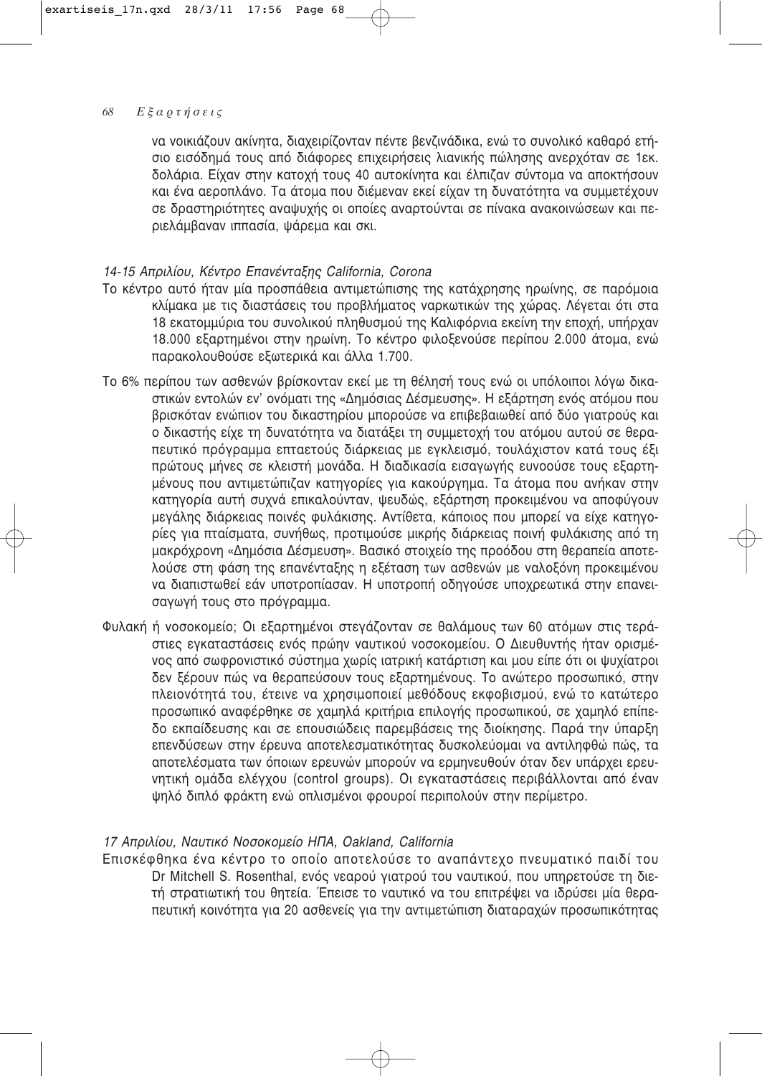να νοικιάζουν ακίνητα, διαχειρίζονταν πέντε βενζινάδικα, ενώ το συνολικό καθαρό ετήσιο εισόδημά τους από διάφορες επιχειρήσεις λιανικής πώλησης ανερχόταν σε 1εκ. δολάρια. Είχαν στην κατοχή τους 40 αυτοκίνητα και έλπιζαν σύντομα να αποκτήσουν και ένα αεροπλάνο. Τα άτομα που διέμεναν εκεί είχαν τη δυνατότητα να συμμετέχουν σε δραστηριότητες αναψυχής οι οποίες αναρτούνται σε πίνακα ανακοινώσεων και περιελάμβαναν ιππασία, ψάρεμα και σκι.

## 14-15 Απριλίου, Κέντρο Επανένταξης California, Corona

- Το κέντρο αυτό ήταν μία προσπάθεια αντιμετώπισης της κατάχρησης ηρωίνης, σε παρόμοια κλίμακα με τις διαστάσεις του προβλήματος ναρκωτικών της χώρας. Λέγεται ότι στα 18 εκατομμύρια του συνολικού πληθυσμού της Καλιφόρνια εκείνη την εποχή, υπήρχαν 18.000 εξαρτημένοι στην ηρωίνη. Το κέντρο φιλοξενούσε περίπου 2.000 άτομα, ενώ παρακολουθούσε εξωτερικά και άλλα 1.700.
- Το 6% περίπου των ασθενών βρίσκονταν εκεί με τη θέλησή τους ενώ οι υπόλοιποι λόγω δικαστικών εντολών εν' ονόματι της «Δημόσιας Δέσμευσης». Η εξάρτηση ενός ατόμου που βρισκόταν ενώπιον του δικαστηρίου μπορούσε να επιβεβαιωθεί από δύο γιατρούς και ο δικαστής είχε τη δυνατότητα να διατάξει τη συμμετοχή του ατόμου αυτού σε θεραπευτικό πρόγραμμα επταετούς διάρκειας με εγκλεισμό, τουλάχιστον κατά τους έξι πρώτους μήνες σε κλειστή μονάδα. Η διαδικασία εισανωνής ευνοούσε τους εξαρτημένους που αντιμετώπιζαν κατηγορίες για κακούργημα. Τα άτομα που ανήκαν στην κατηγορία αυτή συχνά επικαλούνταν, ψευδώς, εξάρτηση προκειμένου να αποφύγουν μεγάλης διάρκειας ποινές φυλάκισης. Αντίθετα, κάποιος που μπορεί να είχε κατηγορίες για πταίσματα, συνήθως, προτιμούσε μικρής διάρκειας ποινή φυλάκισης από τη μακρόχρονη «Δημόσια Δέσμευση». Βασικό στοιχείο της προόδου στη θεραπεία αποτελούσε στη φάση της επανένταξης η εξέταση των ασθενών με ναλοξόνη προκειμένου να διαπιστωθεί εάν υποτροπίασαν. Η υποτροπή οδηγούσε υποχρεωτικά στην επανεισαγωγή τους στο πρόγραμμα.
- Φυλακή ή νοσοκομείο; Οι εξαρτημένοι στεγάζονταν σε θαλάμους των 60 ατόμων στις τεράστιες εγκαταστάσεις ενός πρώην ναυτικού νοσοκομείου. Ο Διευθυντής ήταν ορισμένος από σωφρονιστικό σύστημα χωρίς ιατρική κατάρτιση και μου είπε ότι οι ψυχίατροι δεν ξέρουν πώς να θεραπεύσουν τους εξαρτημένους. Το ανώτερο προσωπικό, στην πλειονότητά του, έτεινε να χρησιμοποιεί μεθόδους εκφοβισμού, ενώ το κατώτερο προσωπικό αναφέρθηκε σε χαμηλά κριτήρια επιλογής προσωπικού, σε χαμηλό επίπεδο εκπαίδευσης και σε επουσιώδεις παρεμβάσεις της διοίκησης. Παρά την ύπαρξη επενδύσεων στην έρευνα αποτελεσματικότητας δυσκολεύομαι να αντιληφθώ πώς, τα αποτελέσματα των όποιων ερευνών μπορούν να ερμηνευθούν όταν δεν υπάρχει ερευνητική ομάδα ελέγχου (control groups). Οι εγκαταστάσεις περιβάλλονται από έναν ψηλό διπλό φράκτη ενώ οπλισμένοι φρουροί περιπολούν στην περίμετρο.

## 17 *Απριλίου, Ναυτικό Νοσοκομείο ΗΠΑ, Oakland, California*

Επισκέφθηκα ένα κέντρο το οποίο αποτελούσε το αναπάντεχο πνευματικό παιδί του Dr Mitchell S. Rosenthal, ενός νεαρού γιατρού του ναυτικού, που υπηρετούσε τη διετή στρατιωτική του θητεία. Έπεισε το ναυτικό να του επιτρέψει να ιδρύσει μία θεραπευτική κοινότητα για 20 ασθενείς για την αντιμετώπιση διαταραχών προσωπικότητας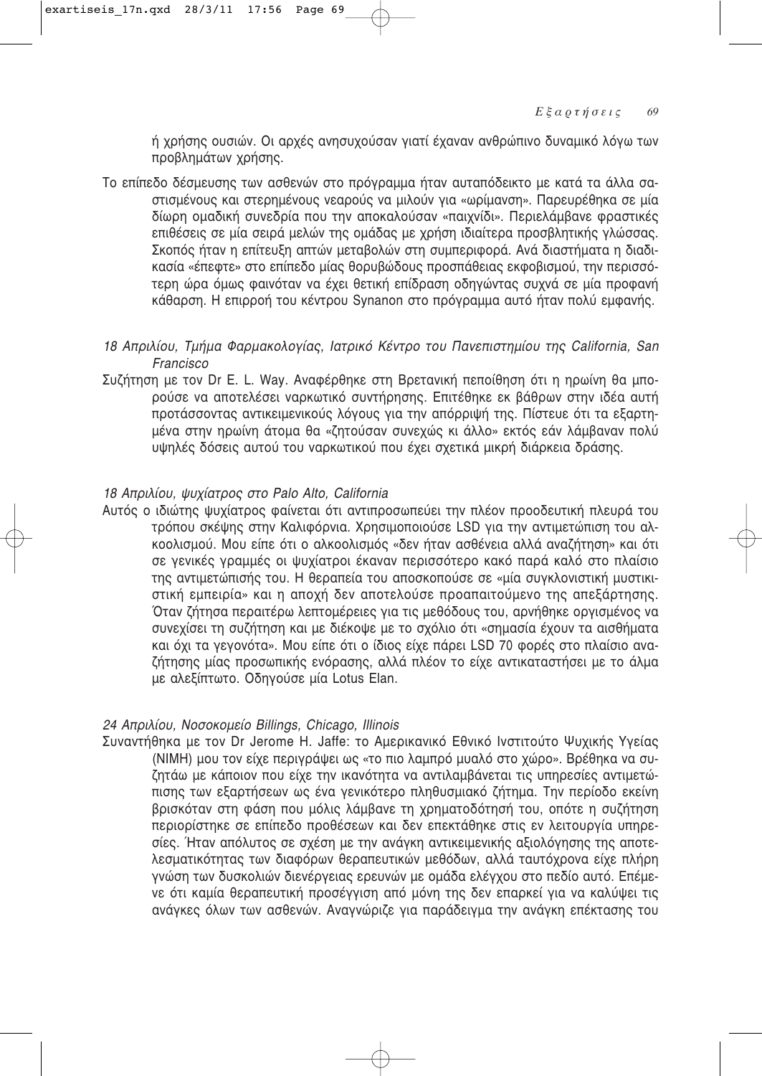exartiseis 17n.qxd 17:56  $28/3/11$ Page

> ή χρήσης ουσιών. Οι αρχές ανησυχούσαν γιατί έχαναν ανθρώπινο δυναμικό λόγω των προβλημάτων χρήσης.

- Το επίπεδο δέσμευσης των ασθενών στο πρόγραμμα ήταν αυταπόδεικτο με κατά τα άλλα σαστισμένους και στερημένους νεαρούς να μιλούν για «ωρίμανση». Παρευρέθηκα σε μία δίωρη ομαδική συνεδρία που την αποκαλούσαν «παιχνίδι». Περιελάμβανε φραστικές επιθέσεις σε μία σειρά μελών της ομάδας με χρήση ιδιαίτερα προσβλητικής γλώσσας. Σκοπός ήταν η επίτευξη απτών μεταβολών στη συμπεριφορά. Ανά διαστήματα η διαδικασία «έπεφτε» στο επίπεδο μίας θορυβώδους προσπάθειας εκφοβισμού, την περισσότερη ώρα όμως φαινόταν να έχει θετική επίδραση οδηνώντας συχνά σε μία προφανή κάθαρση. Η επιρροή του κέντρου Synanon στο πρόγραμμα αυτό ήταν πολύ εμφανής.
- 18 Απριλίου, Τμήμα Φαρμακολογίας, Ιατρικό Κέντρο του Πανεπιστημίου της California, San Francisco
- Συζήτηση με τον Dr E. L. Way. Αναφέρθηκε στη Βρετανική πεποίθηση ότι η ηρωίνη θα μπορούσε να αποτελέσει ναρκωτικό συντήρησης. Επιτέθηκε εκ βάθρων στην ιδέα αυτή προτάσσοντας αντικειμενικούς λόγους για την απόρριψή της. Πίστευε ότι τα εξαρτημένα στην ηρωίνη άτομα θα «ζητούσαν συνεχώς κι άλλο» εκτός εάν λάμβαναν πολύ υψηλές δόσεις αυτού του ναρκωτικού που έχει σχετικά μικρή διάρκεια δράσης.

## 18 Απριλίου, ψυχίατρος στο Palo Alto, California

Αυτός ο ιδιώτης ψυχίατρος φαίνεται ότι αντιπροσωπεύει την πλέον προοδευτική πλευρά του τρόπου σκέψης στην Καλιφόρνια. Χρησιμοποιούσε LSD για την αντιμετώπιση του αλκοολισμού. Μου είπε ότι ο αλκοολισμός «δεν ήταν ασθένεια αλλά αναζήτηση» και ότι σε γενικές γραμμές οι ψυχίατροι έκαναν περισσότερο κακό παρά καλό στο πλαίσιο της αντιμετώπισής του. Η θεραπεία του αποσκοπούσε σε «μία συγκλονιστική μυστικιστική εμπειρία» και η αποχή δεν αποτελούσε προαπαιτούμενο της απεξάρτησης. Όταν ζήτησα περαιτέρω λεπτομέρειες για τις μεθόδους του, αρνήθηκε οργισμένος να συνεχίσει τη συζήτηση και με διέκοψε με το σχόλιο ότι «σημασία έχουν τα αισθήματα και όχι τα γεγονότα». Μου είπε ότι ο ίδιος είχε πάρει LSD 70 φορές στο πλαίσιο αναζήτησης μίας προσωπικής ενόρασης, αλλά πλέον το είχε αντικαταστήσει με το άλμα με αλεξίπτωτο. Οδηγούσε μία Lotus Elan.

## 24 Απριλίου, Νοσοκομείο Billings, Chicago, Illinois

Συναντήθηκα με τον Dr Jerome H. Jaffe: το Αμερικανικό Εθνικό Ινστιτούτο Ψυχικής Υγείας (NIMH) μου τον είχε περιγράψει ως «το πιο λαμπρό μυαλό στο χώρο». Βρέθηκα να συζητάω με κάποιον που είχε την ικανότητα να αντιλαμβάνεται τις υπηρεσίες αντιμετώπισης των εξαρτήσεων ως ένα νενικότερο πληθυσμιακό ζήτημα. Την περίοδο εκείνη βρισκόταν στη φάση που μόλις λάμβανε τη χρηματοδότησή του, οπότε η συζήτηση περιορίστηκε σε επίπεδο προθέσεων και δεν επεκτάθηκε στις εν λειτουργία υπηρεσίες. Ήταν απόλυτος σε σχέση με την ανάγκη αντικειμενικής αξιολόγησης της αποτελεσματικότητας των διαφόρων θεραπευτικών μεθόδων, αλλά ταυτόχρονα είχε πλήρη γνώση των δυσκολιών διενέργειας ερευνών με ομάδα ελέγχου στο πεδίο αυτό. Επέμενε ότι καμία θεραπευτική προσέγγιση από μόνη της δεν επαρκεί για να καλύψει τις ανάγκες όλων των ασθενών. Αναγνώριζε για παράδειγμα την ανάγκη επέκτασης του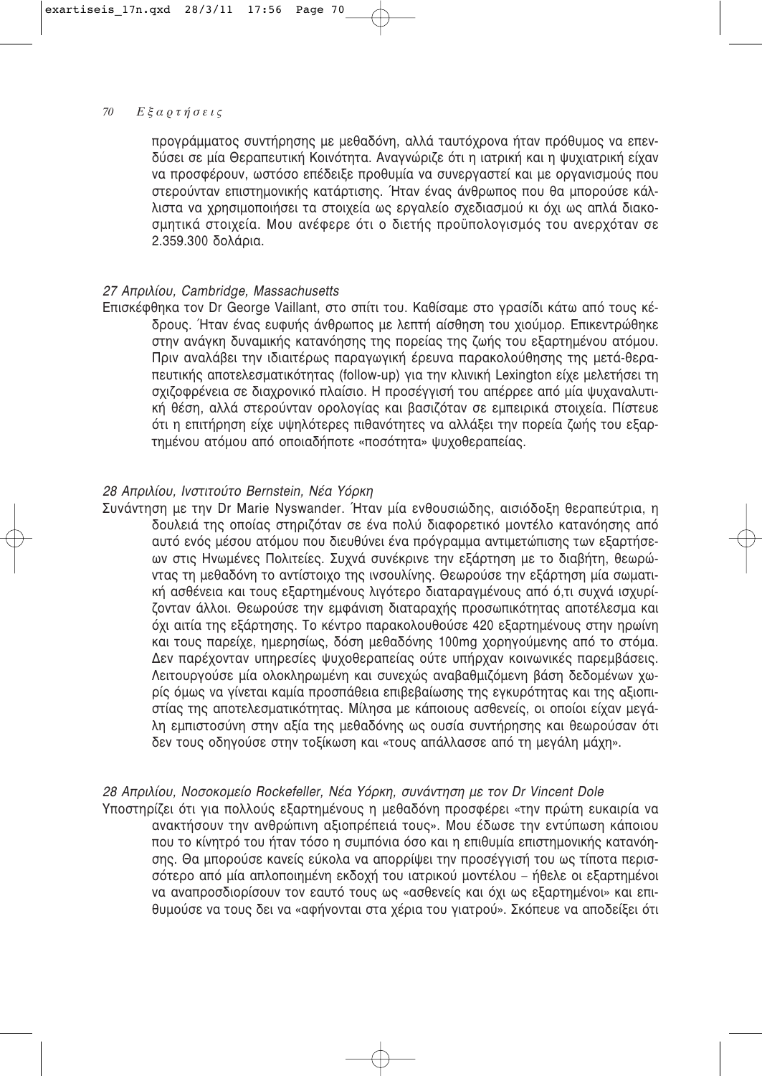προγράμματος συντήρησης με μεθαδόνη, αλλά ταυτόχρονα ήταν πρόθυμος να επενδύσει σε μία Θεραπευτική Κοινότητα. Αναγνώριζε ότι η ιατρική και η ψυχιατρική είχαν να προσφέρουν, ωστόσο επέδειξε προθυμία να συνεργαστεί και με οργανισμούς που στερούνταν επιστημονικής κατάρτισης. Ήταν ένας άνθρωπος που θα μπορούσε κάλλιστα να χρησιμοποιήσει τα στοιχεία ως εργαλείο σχεδιασμού κι όχι ως απλά διακοσμητικά στοιχεία. Μου ανέφερε ότι ο διετής προϋπολογισμός του ανερχόταν σε 2.359.300 δολάρια.

## $27$  *Aπριλίου, Cambridge, Massachusetts*

Επισκέφθηκα τον Dr George Vaillant, στο σπίτι του. Καθίσαμε στο γρασίδι κάτω από τους κέδρους. Ήταν ένας ευφυής άνθρωπος με λεπτή αίσθηση του χιούμορ. Επικεντρώθηκε στην ανάγκη δυναμικής κατανόησης της πορείας της ζωής του εξαρτημένου ατόμου. Πριν αναλάβει την ιδιαιτέρως παραγωγική έρευνα παρακολούθησης της μετά-θεραπευτικής αποτελεσματικότητας (follow-up) για την κλινική Lexington είχε μελετήσει τη σχιζοφρένεια σε διαχρονικό πλαίσιο. Η προσέγγισή του απέρρεε από μία ψυχαναλυτική θέση, αλλά στερούνταν ορολογίας και βασιζόταν σε εμπειρικά στοιχεία. Πίστευε ότι η επιτήρηση είχε υψηλότερες πιθανότητες να αλλάξει την πορεία ζωής του εξαρτημένου ατόμου από οποιαδήποτε «ποσότητα» ψυχοθεραπείας.

## 28 *Αποιλίου, Ινστιτούτο Bernstein, Νέα Υόρκη*

Συνάντηση με την Dr Marie Nyswander. Ήταν μία ενθουσιώδης, αισιόδοξη θεραπεύτρια, η δουλειά της οποίας στηριζόταν σε ένα πολύ διαφορετικό μοντέλο κατανόησης από αυτό ενός μέσου ατόμου που διευθύνει ένα πρόγραμμα αντιμετώπισης των εξαρτήσεων στις Ηνωμένες Πολιτείες. Συχνά συνέκρινε την εξάρτηση με το διαβήτη, θεωρώντας τη μεθαδόνη το αντίστοιχο της ινσουλίνης. Θεωρούσε την εξάρτηση μία σωματική ασθένεια και τους εξαρτημένους λιγότερο διαταραγμένους από ό,τι συχνά ισχυρίζονταν άλλοι. Θεωρούσε την εμφάνιση διαταραχής προσωπικότητας αποτέλεσμα και όχι αιτία της εξάρτησης. Το κέντρο παρακολουθούσε 420 εξαρτημένους στην ηρωίνη και τους παρείχε, ημερησίως, δόση μεθαδόνης 100mg χορηγούμενης από το στόμα. Δεν παρέχονταν υπηρεσίες ψυχοθεραπείας ούτε υπήρχαν κοινωνικές παρεμβάσεις. Λειτουργούσε μία ολοκληρωμένη και συνεχώς αναβαθμιζόμενη βάση δεδομένων χωρίς όμως να γίνεται καμία προσπάθεια επιβεβαίωσης της εγκυρότητας και της αξιοπιστίας της αποτελεσματικότητας. Μίλησα με κάποιους ασθενείς, οι οποίοι είχαν μεγάλη εμπιστοσύνη στην αξία της μεθαδόνης ως ουσία συντήρησης και θεωρούσαν ότι δεν τους οδηγούσε στην τοξίκωση και «τους απάλλασσε από τη μεγάλη μάχη».

## 28 Απριλίου, Νοσοκομείο Rockefeller, Νέα Υόρκη, συνάντηση με τον Dr Vincent Dole

Υποστηρίζει ότι για πολλούς εξαρτημένους η μεθαδόνη προσφέρει «την πρώτη ευκαιρία να ανακτήσουν την ανθρώπινη αξιοπρέπειά τους». Μου έδωσε την εντύπωση κάποιου που το κίνητρό του ήταν τόσο η συμπόνια όσο και η επιθυμία επιστημονικής κατανόησης. Θα μπορούσε κανείς εύκολα να απορρίψει την προσέγγισή του ως τίποτα περισσότερο από μία απλοποιημένη εκδοχή του ιατρικού μοντέλου – ήθελε οι εξαρτημένοι Vα αναπροσδιορίσουν τον εαυτό τους ως «ασθενείς και όχι ως εξαρτημένοι» και επιθυμούσε να τους δει να «αφήνονται στα χέρια του γιατρού». Σκόπευε να αποδείξει ότι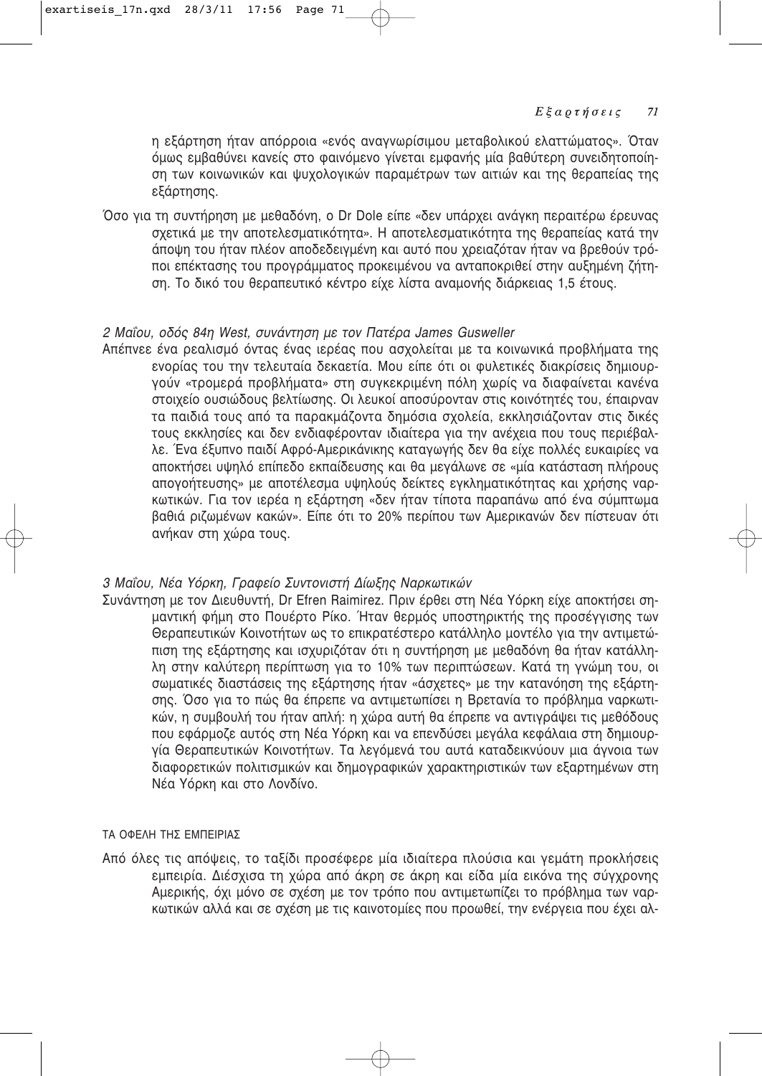exartiseis 17n.qxd 28/3/11 17:56 Page

η εξάρτηση ήταν απόρροια «ενός αναγνωρίσιμου μεταβολικού ελαττώματος». Όταν <u>όμως εμβαθύνει κανείς στο φαινόμενο γίνεται εμφανής μία βαθύτερη συνειδητοποίη-</u> ση των κοινωνικών και ψυχολογικών παραμέτρων των αιτιών και της θεραπείας της εξάρτησης.

Όσο για τη συντήρηση με μεθαδόνη, ο Dr Dole είπε «δεν υπάρχει ανάγκη περαιτέρω έρευνας σχετικά με την αποτελεσματικότητα». Η αποτελεσματικότητα της θεραπείας κατά την άποψη του ήταν πλέον αποδεδεινμένη και αυτό που χρειαζόταν ήταν να βρεθούν τρόποι επέκτασης του προγράμματος προκειμένου να ανταποκριθεί στην αυξημένη ζήτηση. Το δικό του θεραπευτικό κέντρο είχε λίστα αναμονής διάρκειας 1,5 έτους.

## *2 ª·˝Ô˘, Ô‰fi˜ 84Ë West, Û˘Ó¿ÓÙËÛË ÌÂ ÙÔÓ ¶·Ù¤Ú· James Gusweller*

Απέπνεε ένα ρεαλισμό όντας ένας ιερέας που ασχολείται με τα κοινωνικά προβλήματα της ενορίας του την τελευταία δεκαετία. Μου είπε ότι οι φυλετικές διακρίσεις δημιουργούν «τρομερά προβλήματα» στη συγκεκριμένη πόλη χωρίς να διαφαίνεται κανένα στοιχείο ουσιώδους βελτίωσης. Οι λευκοί αποσύρονταν στις κοινότητές του, έπαιρναν τα παιδιά τους από τα παρακμάζοντα δημόσια σχολεία, εκκλησιάζονταν στις δικές τους εκκλησίες και δεν ενδιαφέρονταν ιδιαίτερα για την ανέχεια που τους περιέβαλλε. Ένα έξυπνο παιδί Αφρό-Αμερικάνικης καταγωγής δεν θα είχε πολλές ευκαιρίες να αποκτήσει υψηλό επίπεδο εκπαίδευσης και θα μεγάλωνε σε «μία κατάσταση πλήρους απογοήτευσης» με αποτέλεσμα υψηλούς δείκτες εγκληματικότητας και χρήσης ναρκωτικών. Για τον ιερέα η εξάρτηση «δεν ήταν τίποτα παραπάνω από ένα σύμπτωμα βαθιά ριζωμένων κακών». Είπε ότι το 20% περίπου των Αμερικανών δεν πίστευαν ότι ανήκαν στη χώρα τους.

## 3 Μαΐου, Νέα Υόρκη, Γραφείο Συντονιστή Δίωξης Ναρκωτικών

Συνάντηση με τον Διευθυντή, Dr Efren Raimirez. Πριν έρθει στη Νέα Υόρκη είχε αποκτήσει σημαντική φήμη στο Πουέρτο Ρίκο. Ήταν θερμός υποστηρικτής της προσέγγισης των Θεραπευτικών Κοινοτήτων ως το επικρατέστερο κατάλληλο μοντέλο για την αντιμετώπιση της εξάρτησης και ισχυριζόταν ότι η συντήρηση με μεθαδόνη θα ήταν κατάλληλη στην καλύτερη περίπτωση για το 10% των περιπτώσεων. Κατά τη γνώμη του, οι σωματικές διαστάσεις της εξάρτησης ήταν «άσχετες» με την κατανόηση της εξάρτησης. Όσο για το πώς θα έπρεπε να αντιμετωπίσει η Βρετανία το πρόβλημα ναρκωτικών, η συμβουλή του ήταν απλή: η χώρα αυτή θα έπρεπε να αντιγράψει τις μεθόδους που εφάρμοζε αυτός στη Νέα Υόρκη και να επενδύσει μεγάλα κεφάλαια στη δημιουργία Θεραπευτικών Κοινοτήτων. Τα λεγόμενά του αυτά καταδεικνύουν μια άγνοια των διαφορετικών πολιτισμικών και δημογραφικών χαρακτηριστικών των εξαρτημένων στη Νέα Υόρκη και στο Λονδίνο.

## ΤΑ ΟΦΕΛΗ ΤΗΣ ΕΜΠΕΙΡΙΑΣ

Aπό όλες τις απόψεις, το ταξίδι προσέφερε μία ιδιαίτερα πλούσια και γεμάτη προκλήσεις εμπειρία. Διέσχισα τη χώρα από άκρη σε άκρη και είδα μία εικόνα της σύγχρονης Αμερικής, όχι μόνο σε σχέση με τον τρόπο που αντιμετωπίζει το πρόβλημα των ναρκωτικών αλλά και σε σχέση με τις καινοτομίες που προωθεί, την ενέργεια που έχει αλ-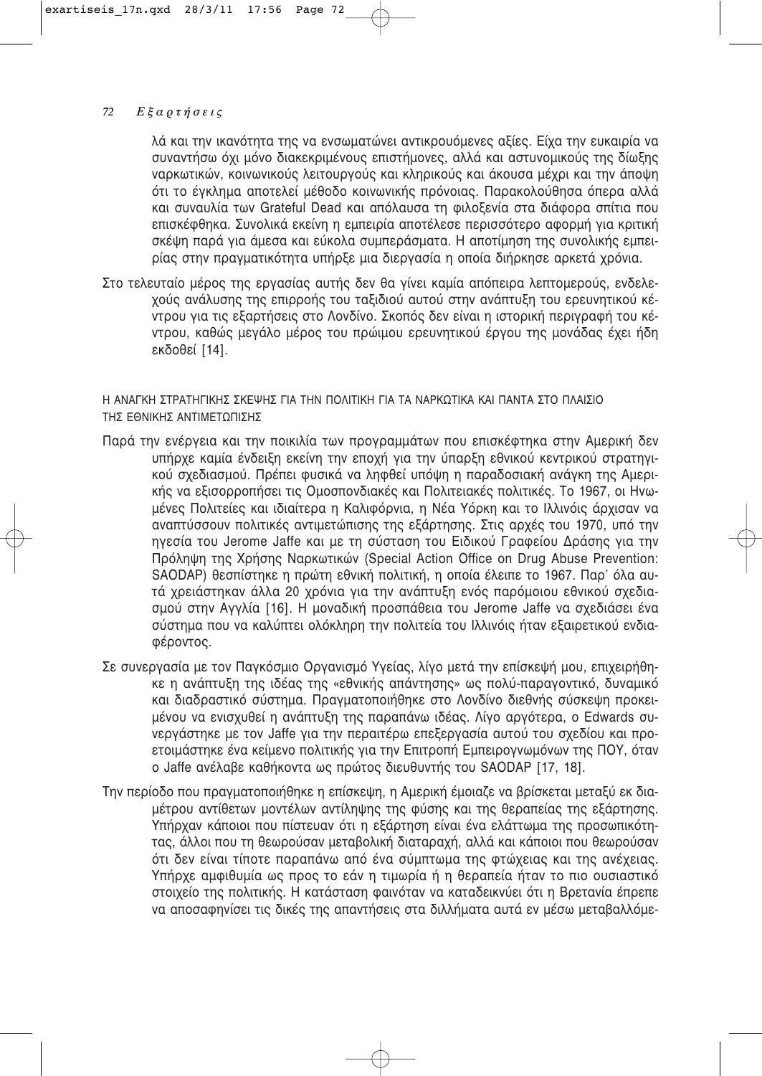λά και την ικανότητα της να ενσωματώνει αντικρουόμενες αξίες. Είχα την ευκαιρία να συναντήσω όχι μόνο διακεκριμένους επιστήμονες, αλλά και αστυνομικούς της δίωξης vαρκωτικών, κοινωνικούς λειτουργούς και κληρικούς και άκουσα μέχρι και την άποψη ότι το έγκλημα αποτελεί μέθοδο κοινωνικής πρόνοιας. Παρακολούθησα όπερα αλλά και συναυλία των Grateful Dead και απόλαυσα τη φιλοξενία στα διάφορα σπίτια που επισκέφθηκα. Συνολικά εκείνη η εμπειρία αποτέλεσε περισσότερο αφορμή για κριτική σκέψη παρά για άμεσα και εύκολα συμπεράσματα. Η αποτίμηση της συνολικής εμπειρίας στην πραγματικότητα υπήρξε μια διεργασία η οποία διήρκησε αρκετά χρόνια.

Στο τελευταίο μέρος της εργασίας αυτής δεν θα γίνει καμία απόπειρα λεπτομερούς, ενδελεχούς ανάλυσης της επιρροής του ταξιδιού αυτού στην ανάπτυξη του ερευνητικού κέ-Vτρου για τις εξαρτήσεις στο Λονδίνο. Σκοπός δεν είναι η ιστορική περιγραφή του κέντρου, καθώς μεγάλο μέρος του πρώιμου ερευνητικού έργου της μονάδας έχει ήδη εκδοθεί [14].

## Η ΑΝΑΓΚΗ ΣΤΡΑΤΗΓΙΚΗΣ ΣΚΕΨΗΣ ΓΙΑ ΤΗΝ ΠΟΛΙΤΙΚΗ ΓΙΑ ΤΑ ΝΑΡΚΩΤΙΚΑ ΚΑΙ ΠΑΝΤΑ ΣΤΟ ΠΛΑΙΣΙΟ ΤΗΣ ΕΘΝΙΚΗΣ ΑΝΤΙΜΕΤΟΠΙΣΗΣ

- Παρά την ενέργεια και την ποικιλία των προγραμμάτων που επισκέφτηκα στην Αμερική δεν υπήρχε καμία ένδειξη εκείνη την εποχή για την ύπαρξη εθνικού κεντρικού στρατηγικού σχεδιασμού. Πρέπει φυσικά να ληφθεί υπόψη η παραδοσιακή ανάγκη της Αμερικής να εξισορροπήσει τις Ομοσπονδιακές και Πολιτειακές πολιτικές. Το 1967, οι Ηνωμένες Πολιτείες και ιδιαίτερα η Καλιφόρνια, η Νέα Υόρκη και το Ιλλινόις άρχισαν να αναπτύσσουν πολιτικές αντιμετώπισης της εξάρτησης. Στις αρχές του 1970, υπό την ηγεσία του Jerome Jaffe και με τη σύσταση του Ειδικού Γραφείου Δράσης για την Πρόληψη της Χρήσης Ναρκωτικών (Special Action Office on Drug Abuse Prevention: SAODAP) θεσπίστηκε η πρώτη εθνική πολιτική, η οποία έλειπε το 1967. Παρ' όλα αυτά χρειάστηκαν άλλα 20 χρόνια για την ανάπτυξη ενός παρόμοιου εθνικού σχεδιασμού στην Αγγλία [16]. Η μοναδική προσπάθεια του Jerome Jaffe να σχεδιάσει ένα σύστημα που να καλύπτει ολόκληρη την πολιτεία του Ιλλινόις ήταν εξαιρετικού ενδιαφέροντος.
- Σε συνεργασία με τον Παγκόσμιο Οργανισμό Υγείας, λίγο μετά την επίσκεψή μου, επιχειρήθη-Κε η ανάπτυξη της ιδέας της «εθνικής απάντησης» ως πολύ-παραγοντικό, δυναμικό και διαδραστικό σύστημα. Πραγματοποιήθηκε στο Λονδίνο διεθνής σύσκεψη προκειμένου να ενισχυθεί η ανάπτυξη της παραπάνω ιδέας. Λίγο αργότερα, ο Edwards συνεργάστηκε με τον Jaffe για την περαιτέρω επεξεργασία αυτού του σχεδίου και προετοιμάστηκε ένα κείμενο πολιτικής για την Επιτροπή Εμπειρογνωμόνων της ΠΟΥ, όταν ο Jaffe ανέλαβε καθήκοντα ως πρώτος διευθυντής του SAODAP [17, 18].
- Tην περίοδο που πραγματοποιήθηκε η επίσκεψη, η Αμερική έμοιαζε να βρίσκεται μεταξύ εκ διαμέτρου αντίθετων μοντέλων αντίληψης της φύσης και της θεραπείας της εξάρτησης. Υπήρχαν κάποιοι που πίστευαν ότι η εξάρτηση είναι ένα ελάττωμα της προσωπικότητας, άλλοι που τη θεωρούσαν μεταβολική διαταραχή, αλλά και κάποιοι που θεωρούσαν ότι δεν είναι τίποτε παραπάνω από ένα σύμπτωμα της φτώχειας και της ανέχειας. Υπήρχε αμφιθυμία ως προς το εάν η τιμωρία ή η θεραπεία ήταν το πιο ουσιαστικό στοιχείο της πολιτικής. Η κατάσταση φαινόταν να καταδεικνύει ότι η Βρετανία έπρεπε να αποσαφηνίσει τις δικές της απαντήσεις στα διλλήματα αυτά εν μέσω μεταβαλλόμε-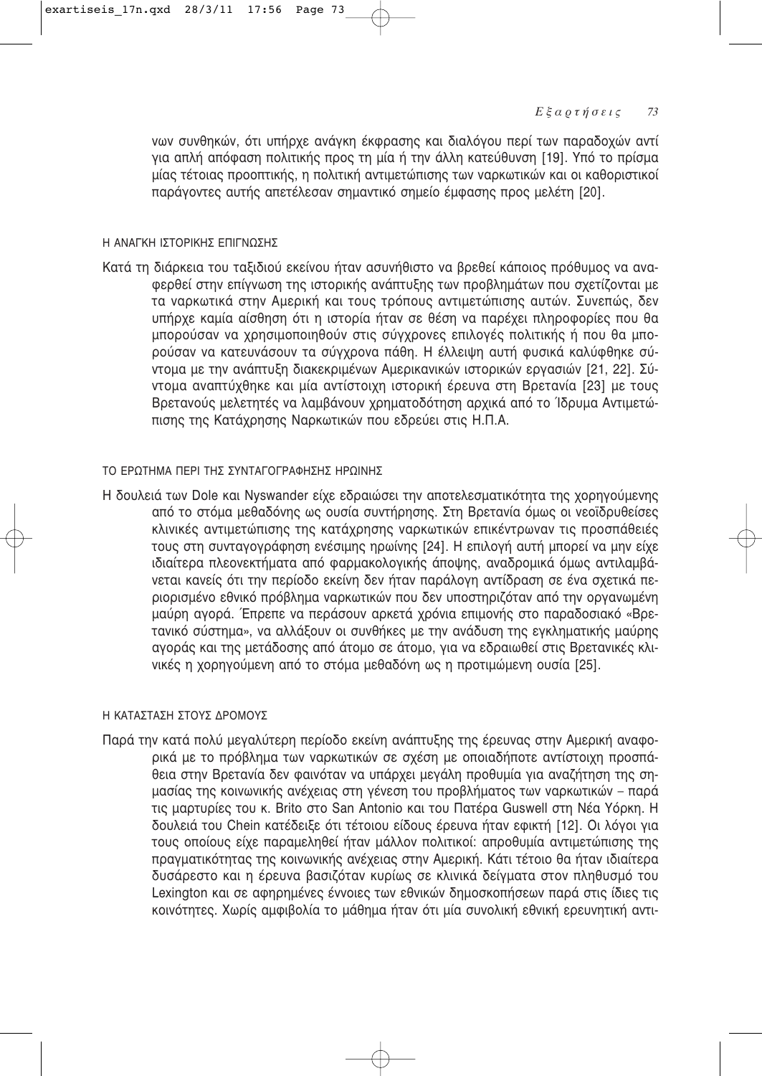νων συνθηκών, ότι υπήρχε ανάγκη έκφρασης και διαλόγου περί των παραδοχών αντί για απλή απόφαση πολιτικής προς τη μία ή την άλλη κατεύθυνση [19]. Υπό το πρίσμα μίας τέτοιας προοπτικής, η πολιτική αντιμετώπισης των ναρκωτικών και οι καθοριστικοί παράγοντες αυτής απετέλεσαν σημαντικό σημείο έμφασης προς μελέτη [20].

## Η ΑΝΑΓΚΗ ΙΣΤΟΡΙΚΗΣ ΕΠΙΓΝΩΣΗΣ

exartiseis  $17n$ .qxd  $28/3/11$  17:56 Page

Κατά τη διάρκεια του ταξιδιού εκείνου ήταν ασυνήθιστο να βρεθεί κάποιος πρόθυμος να αναφερθεί στην επίγνωση της ιστορικής ανάπτυξης των προβλημάτων που σχετίζονται με τα ναρκωτικά στην Αμερική και τους τρόπους αντιμετώπισης αυτών. Συνεπώς, δεν υπήρχε καμία αίσθηση ότι η ιστορία ήταν σε θέση να παρέχει πληροφορίες που θα μπορούσαν να χρησιμοποιηθούν στις σύγχρονες επιλογές πολιτικής ή που θα μπορούσαν να κατευνάσουν τα σύγχρονα πάθη. Η έλλειψη αυτή φυσικά καλύφθηκε σύντομα με την ανάπτυξη διακεκριμένων Αμερικανικών ιστορικών εργασιών [21, 22]. Σύντομα αναπτύχθηκε και μία αντίστοιχη ιστορική έρευνα στη Βρετανία [23] με τους Βρετανούς μελετητές να λαμβάνουν χρηματοδότηση αρχικά από το Ίδρυμα Αντιμετώπισης της Κατάχρησης Ναρκωτικών που εδρεύει στις Η.Π.Α.

# ΤΟ ΕΡΩΤΗΜΑ ΠΕΡΙ ΤΗΣ ΣΥΝΤΑΓΟΓΡΑΦΗΣΗΣ ΗΡΩΙΝΗΣ

Η δουλειά των Dole και Nyswander είχε εδραιώσει την αποτελεσματικότητα της χορηγούμενης από το στόμα μεθαδόνης ως ουσία συντήρησης. Στη Βρετανία όμως οι νεοϊδρυθείσες κλινικές αντιμετώπισης της κατάχρησης ναρκωτικών επικέντρωναν τις προσπάθειές τους στη συνταγογράφηση ενέσιμης ηρωίνης [24]. Η επιλογή αυτή μπορεί να μην είχε ιδιαίτερα πλεονεκτήματα από φαρμακολογικής άποψης, αναδρομικά όμως αντιλαμβάνεται κανείς ότι την περίοδο εκείνη δεν ήταν παράλογη αντίδραση σε ένα σχετικά περιορισμένο εθνικό πρόβλημα ναρκωτικών που δεν υποστηριζόταν από την οργανωμένη μαύρη αγορά. Έπρεπε να περάσουν αρκετά χρόνια επιμονής στο παραδοσιακό «Βρετανικό σύστημα», να αλλάξουν οι συνθήκες με την ανάδυση της εγκληματικής μαύρης αγοράς και της μετάδοσης από άτομο σε άτομο, για να εδραιωθεί στις Βρετανικές κλιvικές η χορηγούμενη από το στόμα μεθαδόνη ως η προτιμώμενη ουσία [25].

# Η ΚΑΤΑΣΤΑΣΗ ΣΤΟΥΣ ΔΡΟΜΟΥΣ

Παρά την κατά πολύ μεγαλύτερη περίοδο εκείνη ανάπτυξης της έρευνας στην Αμερική αναφορικά με το πρόβλημα των ναρκωτικών σε σχέση με οποιαδήποτε αντίστοιχη προσπάθεια στην Βρετανία δεν φαινόταν να υπάρχει μεγάλη προθυμία για αναζήτηση της σημασίας της κοινωνικής ανέχειας στη γένεση του προβλήματος των ναρκωτικών – παρά τις μαρτυρίες του κ. Brito στο San Antonio και του Πατέρα Guswell στη Νέα Υόρκη. Η δουλειά του Chein κατέδειξε ότι τέτοιου είδους έρευνα ήταν εφικτή [12]. Οι λόγοι για τους οποίους είχε παραμεληθεί ήταν μάλλον πολιτικοί; απροθυμία αντιμετώπισης της πραγματικότητας της κοινωνικής ανέχειας στην Αμερική. Κάτι τέτοιο θα ήταν ιδιαίτερα δυσάρεστο και η έρευνα βασιζόταν κυρίως σε κλινικά δείγματα στον πληθυσμό του Lexington και σε αφηρημένες έννοιες των εθνικών δημοσκοπήσεων παρά στις ίδιες τις κοινότητες. Χωρίς αμφιβολία το μάθημα ήταν ότι μία συνολική εθνική ερευνητική αντι-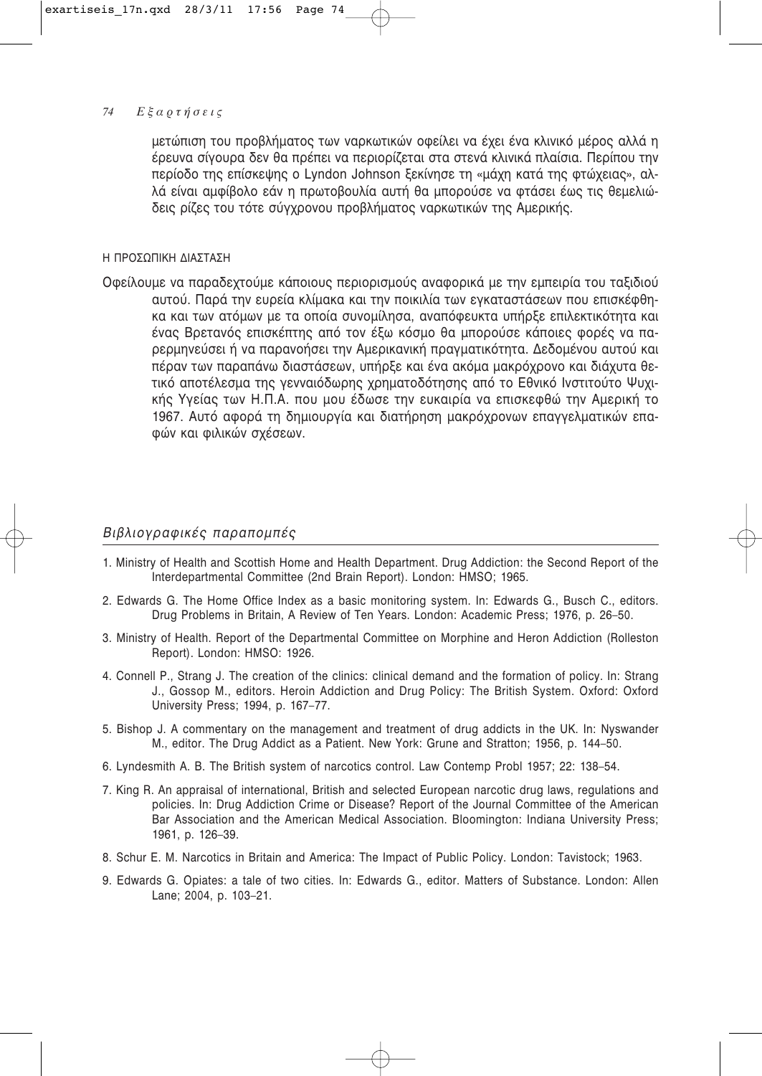μετώπιση του προβλήματος των ναρκωτικών οφείλει να έχει ένα κλινικό μέρος αλλά η έρευνα σίγουρα δεν θα πρέπει να περιορίζεται στα στενά κλινικά πλαίσια. Περίπου την περίοδο της επίσκεψης ο Lyndon Johnson ξεκίνησε τη «μάχη κατά της φτώχειας», αλλά είναι αμφίβολο εάν η πρωτοβουλία αυτή θα μπορούσε να φτάσει έως τις θεμελιώδεις ρίζες του τότε σύγχρονου προβλήματος ναρκωτικών της Αμερικής.

#### Η ΠΡΟΣΩΠΙΚΗ ΔΙΑΣΤΑΣΗ

Οφείλουμε να παραδεχτούμε κάποιους περιορισμούς αναφορικά με την εμπειρία του ταξιδιού αυτού. Παρά την ευρεία κλίμακα και την ποικιλία των εγκαταστάσεων που επισκέφθηκα και των ατόμων με τα οποία συνομίλησα, αναπόφευκτα υπήρξε επιλεκτικότητα και ένας Βρετανός επισκέπτης από τον έξω κόσμο θα μπορούσε κάποιες φορές να παρερμηνεύσει ή να παρανοήσει την Αμερικανική πραγματικότητα. Δεδομένου αυτού και πέραν των παραπάνω διαστάσεων, υπήρξε και ένα ακόμα μακρόχρονο και διάχυτα θετικό αποτέλεσμα της γενναιόδωρης χρηματοδότησης από το Εθνικό Ινστιτούτο Ψυχικής Υγείας των Η.Π.Α. που μου έδωσε την ευκαιρία να επισκεφθώ την Αμερική το 1967. Αυτό αφορά τη δημιουργία και διατήρηση μακρόχρονων επαγγελματικών επα-Φών και φιλικών σχέσεων.

# *Βιβλιογραφικές παραπομπές*

- 1. Ministry of Health and Scottish Home and Health Department. Drug Addiction: the Second Report of the Interdepartmental Committee (2nd Brain Report). London: HMSO; 1965.
- 2. Edwards G. The Home Office Index as a basic monitoring system. In: Edwards G., Busch C., editors. Drug Problems in Britain, A Review of Ten Years. London: Academic Press; 1976, p. 26–50.
- 3. Ministry of Health. Report of the Departmental Committee on Morphine and Heron Addiction (Rolleston Report). London: HMSO: 1926.
- 4. Connell P., Strang J. The creation of the clinics: clinical demand and the formation of policy. In: Strang J., Gossop M., editors. Heroin Addiction and Drug Policy: The British System. Oxford: Oxford University Press; 1994, p. 167–77.
- 5. Bishop J. A commentary on the management and treatment of drug addicts in the UK. In: Nyswander M., editor. The Drug Addict as a Patient. New York: Grune and Stratton; 1956, p. 144–50.
- 6. Lyndesmith A. B. The British system of narcotics control. Law Contemp Probl 1957; 22: 138–54.
- 7. King R. An appraisal of international, British and selected European narcotic drug laws, regulations and policies. In: Drug Addiction Crime or Disease? Report of the Journal Committee of the American Bar Association and the American Medical Association. Bloomington: Indiana University Press; 1961, p. 126–39.
- 8. Schur E. M. Narcotics in Britain and America: The Impact of Public Policy. London: Tavistock; 1963.
- 9. Edwards G. Opiates: a tale of two cities. In: Edwards G., editor. Matters of Substance. London: Allen Lane; 2004, p. 103–21.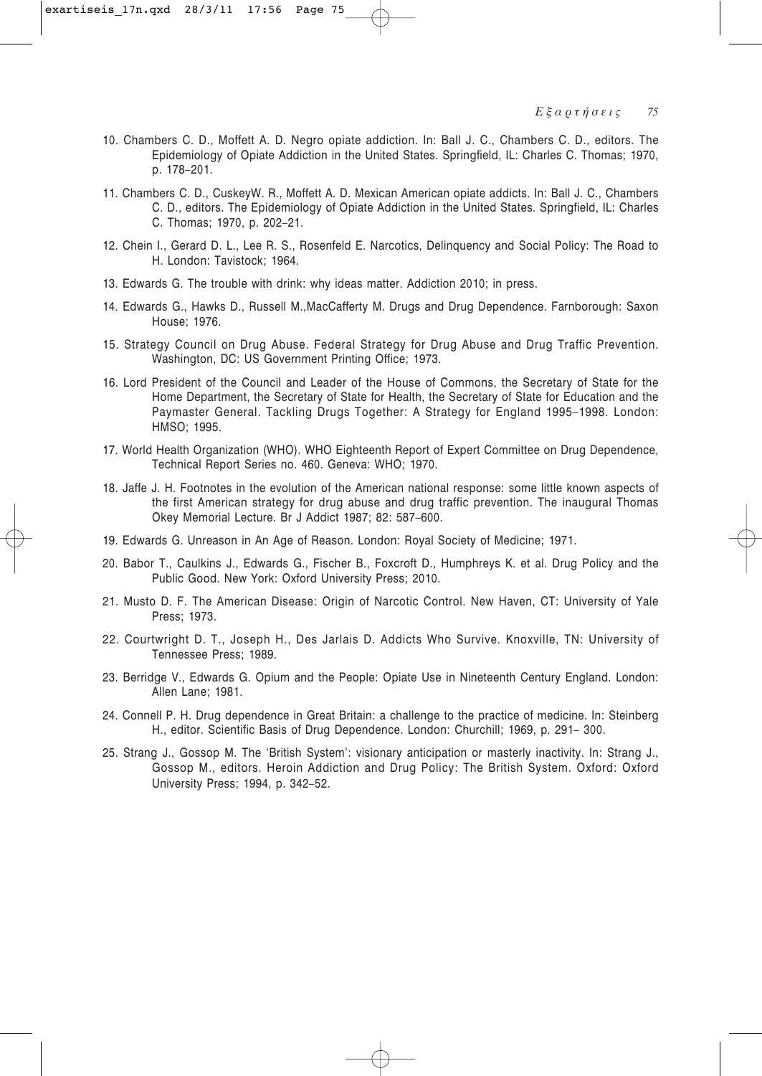- 10. Chambers C. D., Moffett A. D. Negro opiate addiction. In: Ball J. C., Chambers C. D., editors. The Epidemiology of Opiate Addiction in the United States. Springfield, IL: Charles C. Thomas; 1970, p. 178–201.
- 11. Chambers C. D., CuskeyW. R., Moffett A. D. Mexican American opiate addicts. In: Ball J. C., Chambers C. D., editors. The Epidemiology of Opiate Addiction in the United States. Springfield, IL: Charles C. Thomas; 1970, p. 202–21.
- 12. Chein I., Gerard D. L., Lee R. S., Rosenfeld E. Narcotics, Delinquency and Social Policy: The Road to H. London: Tavistock; 1964.
- 13. Edwards G. The trouble with drink: why ideas matter. Addiction 2010; in press.

exartiseis 17n.qxd 28/3/11 17:56 Page

- 14. Edwards G., Hawks D., Russell M.,MacCafferty M. Drugs and Drug Dependence. Farnborough: Saxon House; 1976.
- 15. Strategy Council on Drug Abuse. Federal Strategy for Drug Abuse and Drug Traffic Prevention. Washington, DC: US Government Printing Office; 1973.
- 16. Lord President of the Council and Leader of the House of Commons, the Secretary of State for the Home Department, the Secretary of State for Health, the Secretary of State for Education and the Paymaster General. Tackling Drugs Together: A Strategy for England 1995–1998. London: HMSO; 1995.
- 17. World Health Organization (WHO). WHO Eighteenth Report of Expert Committee on Drug Dependence, Technical Report Series no. 460. Geneva: WHO; 1970.
- 18. Jaffe J. H. Footnotes in the evolution of the American national response: some little known aspects of the first American strategy for drug abuse and drug traffic prevention. The inaugural Thomas Okey Memorial Lecture. Br J Addict 1987; 82: 587–600.
- 19. Edwards G. Unreason in An Age of Reason. London: Royal Society of Medicine; 1971.
- 20. Babor T., Caulkins J., Edwards G., Fischer B., Foxcroft D., Humphreys K. et al. Drug Policy and the Public Good. New York: Oxford University Press; 2010.
- 21. Musto D. F. The American Disease: Origin of Narcotic Control. New Haven, CT: University of Yale Press; 1973.
- 22. Courtwright D. T., Joseph H., Des Jarlais D. Addicts Who Survive. Knoxville, TN: University of Tennessee Press; 1989.
- 23. Berridge V., Edwards G. Opium and the People: Opiate Use in Nineteenth Century England. London: Allen Lane; 1981.
- 24. Connell P. H. Drug dependence in Great Britain: a challenge to the practice of medicine. In: Steinberg H., editor. Scientific Basis of Drug Dependence. London: Churchill; 1969, p. 291– 300.
- 25. Strang J., Gossop M. The 'British System': visionary anticipation or masterly inactivity. In: Strang J., Gossop M., editors. Heroin Addiction and Drug Policy: The British System. Oxford: Oxford University Press; 1994, p. 342–52.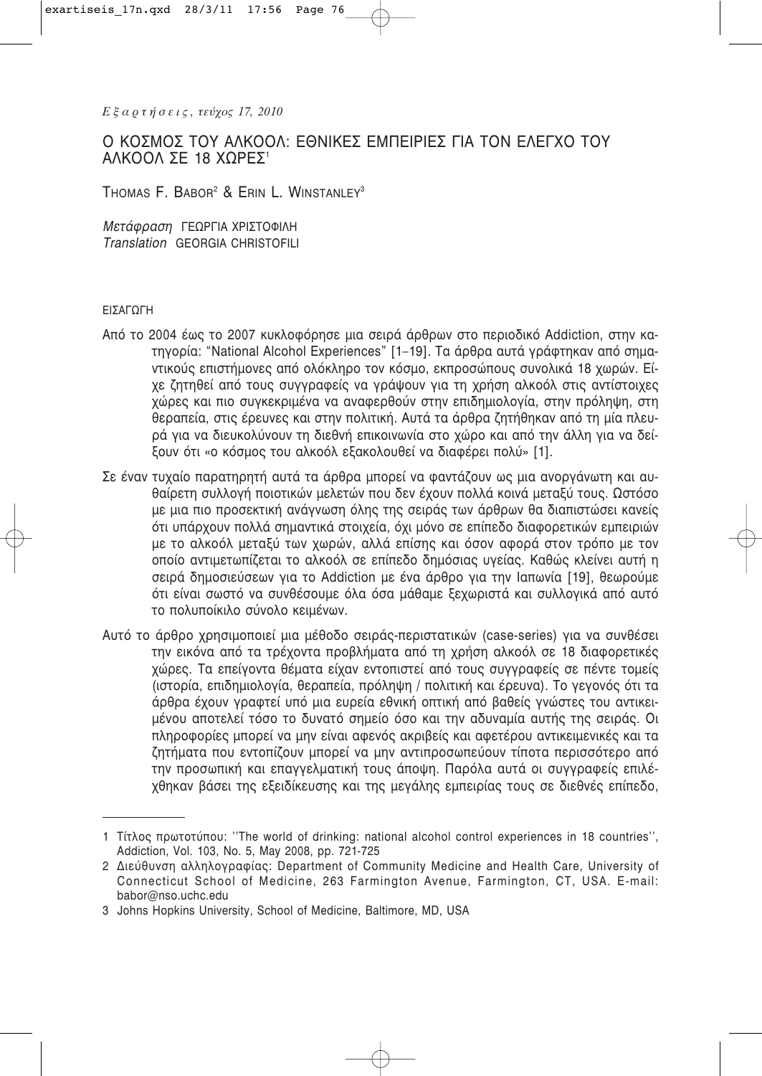*Ε ξ α ρ τ ή σ ε ι ς , τεύχος 17, 2010*

# Ο ΚΟΣΜΟΣ ΤΟΥ ΑΛΚΟΟΛ; ΕΘΝΙΚΕΣ ΕΜΠΕΙΡΙΕΣ ΓΙΑ ΤΟΝ ΕΛΕΓΧΟ ΤΟΥ AΛΚΟΟΛ ΣΕ 18 ΧΩΡΕΣ<sup>1</sup>

THOMAS F. BABOR<sup>2</sup> & ERIN L. WINSTANLEY<sup>3</sup>

*Μετάφραση* ΓΕΩΡΓΙΑ ΧΡΙΣΤΟΦΙΛΗ *Translation* GEORGIA CHRISTOFILI

# ∂π™∞°ø°∏

- Aπό το 2004 έως το 2007 κυκλοφόρησε μια σειρά άρθρων στο περιοδικό Addiction, στην κατηγορία: "National Alcohol Experiences" [1-19]. Τα άρθρα αυτά γράφτηκαν από σημαντικούς επιστήμονες από ολόκληρο τον κόσμο, εκπροσώπους συνολικά 18 χωρών. Είχε ζητηθεί από τους συγγραφείς να γράψουν για τη χρήση αλκοόλ στις αντίστοιχες χώρες και πιο συγκεκριμένα να αναφερθούν στην επιδημιολογία, στην πρόληψη, στη θεραπεία, στις έρευνες και στην πολιτική. Αυτά τα άρθρα ζητήθηκαν από τη μία πλευρά για να διευκολύνουν τη διεθνή επικοινωνία στο χώρο και από την άλλη για να δείξουν ότι «ο κόσμος του αλκοόλ εξακολουθεί να διαφέρει πολύ» [1].
- Σε έναν τυχαίο παρατηρητή αυτά τα άρθρα μπορεί να φαντάζουν ως μια ανοργάνωτη και αυθαίρετη συλλογή ποιοτικών μελετών που δεν έχουν πολλά κοινά μεταξύ τους. Ωστόσο με μια πιο προσεκτική ανάγνωση όλης της σειράς των άρθρων θα διαπιστώσει κανείς ότι υπάρχουν πολλά σημαντικά στοιχεία, όχι μόνο σε επίπεδο διαφορετικών εμπειριών με το αλκοόλ μεταξύ των χωρών, αλλά επίσης και όσον αφορά στον τρόπο με τον οποίο αντιμετωπίζεται το αλκοόλ σε επίπεδο δημόσιας υγείας. Καθώς κλείνει αυτή η σειρά δημοσιεύσεων για το Addiction με ένα άρθρο για την Ιαπωνία [19], θεωρούμε ότι είναι σωστό να συνθέσουμε όλα όσα μάθαμε ξεχωριστά και συλλογικά από αυτό το πολυποίκιλο σύνολο κειμένων.
- Aυτό το άρθρο χρησιμοποιεί μια μέθοδο σειράς-περιστατικών (case-series) για να συνθέσει την εικόνα από τα τρέχοντα προβλήματα από τη χρήση αλκοόλ σε 18 διαφορετικές χώρες. Τα επείγοντα θέματα είχαν εντοπιστεί από τους συγγραφείς σε πέντε τομείς (ιστορία, επιδημιολογία, θεραπεία, πρόληψη / πολιτική και έρευνα). Το γεγονός ότι τα άρθρα έχουν γραφτεί υπό μια ευρεία εθνική οπτική από βαθείς γνώστες του αντικειμένου αποτελεί τόσο το δυνατό σημείο όσο και την αδυναμία αυτής της σειράς. Οι πληροφορίες μπορεί να μην είναι αφενός ακριβείς και αφετέρου αντικειμενικές και τα ζητήματα που εντοπίζουν μπορεί να μην αντιπροσωπεύουν τίποτα περισσότερο από την προσωπική και επαγγελματική τους άποψη. Παρόλα αυτά οι συγγραφείς επιλέχθηκαν βάσει της εξειδίκευσης και της μεγάλης εμπειρίας τους σε διεθνές επίπεδο,

<sup>1</sup> Τίτλος πρωτοτύπου: "The world of drinking: national alcohol control experiences in 18 countries", Addiction, Vol. 103, No. 5, May 2008, pp. 721-725

<sup>2</sup> Διεύθυνση αλληλογραφίας: Department of Community Medicine and Health Care, University of Connecticut School of Medicine, 263 Farmington Avenue, Farmington, CT, USA. E-mail: babor@nso.uchc.edu

<sup>3</sup> Johns Hopkins University, School of Medicine, Baltimore, MD, USA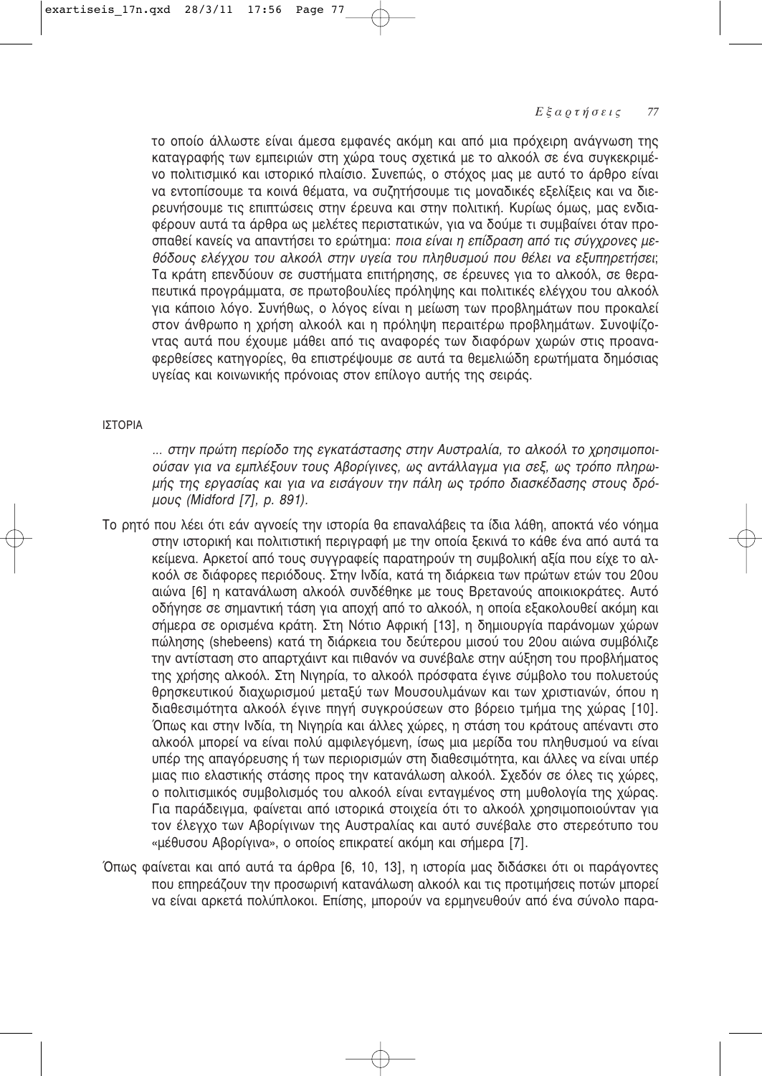το οποίο άλλωστε είναι άμεσα εμφανές ακόμη και από μια πρόχειρη ανάγνωση της καταγραφής των εμπειριών στη χώρα τους σχετικά με το αλκοόλ σε ένα συγκεκριμένο πολιτισμικό και ιστορικό πλαίσιο. Συνεπώς, ο στόχος μας με αυτό το άρθρο είναι να εντοπίσουμε τα κοινά θέματα, να συζητήσουμε τις μοναδικές εξελίξεις και να διερευνήσουμε τις επιπτώσεις στην έρευνα και στην πολιτική. Κυρίως όμως, μας ενδιαφέρουν αυτά τα άρθρα ως μελέτες περιστατικών, για να δούμε τι συμβαίνει όταν προσπαθεί κανείς να απαντήσει το ερώτημα: *ποια είναι η επίδραση από τις σύγχρονες με*θόδους ελέγχου του αλκοόλ στην υγεία του πληθυσμού που θέλει να εξυπηρετήσει; Τα κράτη επενδύουν σε συστήματα επιτήρησης, σε έρευνες για το αλκοόλ, σε θεραπευτικά προγράμματα, σε πρωτοβουλίες πρόληψης και πολιτικές ελέγχου του αλκοόλ για κάποιο λόγο. Συνήθως, ο λόγος είναι η μείωση των προβλημάτων που προκαλεί στον άνθρωπο η χρήση αλκοόλ και η πρόληψη περαιτέρω προβλημάτων. Συνοψίζοντας αυτά που έχουμε μάθει από τις αναφορές των διαφόρων χωρών στις προαναφερθείσες κατηγορίες, θα επιστρέψουμε σε αυτά τα θεμελιώδη ερωτήματα δημόσιας υγείας και κοινωνικής πρόνοιας στον επίλογο αυτής της σειράς.

## ΙΣΤΟΡΙΑ

*… στην πρώτη περίοδο της εγκατάστασης στην Αυστραλία, το αλκοόλ το χρησιμοποι*ούσαν για να εμπλέξουν τους Αβορίγινες, ως αντάλλαγμα για σεξ, ως τρόπο πληρωμής της εργασίας και για να εισάγουν την πάλη ως τρόπο διασκέδασης στους δρό- $\mu$ <sub>O</sub>υς (Midford [7], p. 891).

- Το ρητό που λέει ότι εάν αγνοείς την ιστορία θα επαναλάβεις τα ίδια λάθη, αποκτά νέο νόημα στην ιστορική και πολιτιστική περιγραφή με την οποία ξεκινά το κάθε ένα από αυτά τα κείμενα. Αρκετοί από τους συγγραφείς παρατηρούν τη συμβολική αξία που είχε το αλκοόλ σε διάφορες περιόδους. Στην Ινδία, κατά τη διάρκεια των πρώτων ετών του 20ου αιώνα [6] η κατανάλωση αλκοόλ συνδέθηκε με τους Βρετανούς αποικιοκράτες. Αυτό οδήγησε σε σημαντική τάση για αποχή από το αλκοόλ, η οποία εξακολουθεί ακόμη και σήμερα σε ορισμένα κράτη. Στη Νότιο Αφρική [13], η δημιουργία παράνομων χώρων πώλησης (shebeens) κατά τη διάρκεια του δεύτερου μισού του 20ου αιώνα συμβόλιζε την αντίσταση στο απαρτχάιντ και πιθανόν να συνέβαλε στην αύξηση του προβλήματος της χρήσης αλκοόλ. Στη Νιγηρία, το αλκοόλ πρόσφατα έγινε σύμβολο του πολυετούς θρησκευτικού διαχωρισμού μεταξύ των Μουσουλμάνων και των χριστιανών, όπου η διαθεσιμότητα αλκοόλ έγινε πηγή συγκρούσεων στο βόρειο τμήμα της χώρας [10]. Όπως και στην Ινδία, τη Νιγηρία και άλλες χώρες, η στάση του κράτους απέναντι στο αλκοόλ μπορεί να είναι πολύ αμφιλεγόμενη, ίσως μια μερίδα του πληθυσμού να είναι υπέρ της απαγόρευσης ή των περιορισμών στη διαθεσιμότητα, και άλλες να είναι υπέρ μιας πιο ελαστικής στάσης προς την κατανάλωση αλκοόλ. Σχεδόν σε όλες τις χώρες, ο πολιτισμικός συμβολισμός του αλκοόλ είναι ενταγμένος στη μυθολογία της χώρας. Για παράδειγμα, φαίνεται από ιστορικά στοιχεία ότι το αλκοόλ χρησιμοποιούνταν για τον έλεγχο των Αβορίγινων της Αυστραλίας και αυτό συνέβαλε στο στερεότυπο του «μέθυσου Αβορίγινα», ο οποίος επικρατεί ακόμη και σήμερα [7].
- Όπως φαίνεται και από αυτά τα άρθρα [6, 10, 13], η ιστορία μας διδάσκει ότι οι παράγοντες που επηρεάζουν την προσωρινή κατανάλωση αλκοόλ και τις προτιμήσεις ποτών μπορεί να είναι αρκετά πολύπλοκοι. Επίσης, μπορούν να ερμηνευθούν από ένα σύνολο παρα-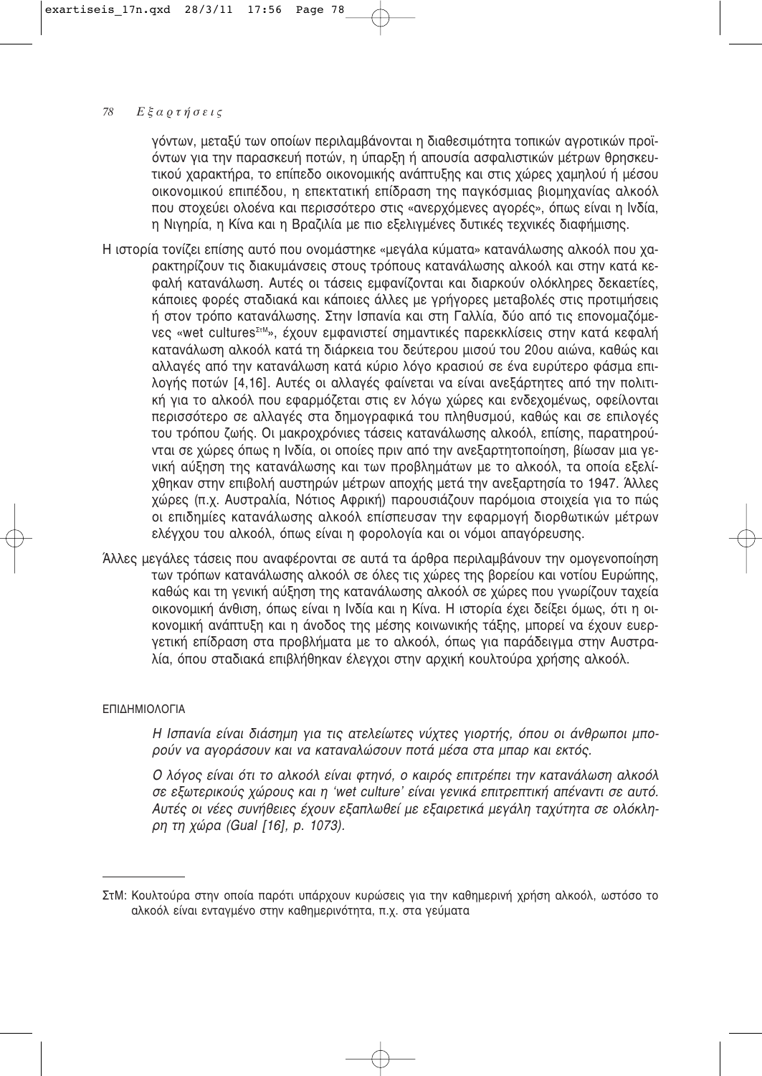γόντων, μεταξύ των οποίων περιλαμβάνονται η διαθεσιμότητα τοπικών αγροτικών προϊόντων για την παρασκευή ποτών, η ύπαρξη ή απουσία ασφαλιστικών μέτρων θρησκευτικού χαρακτήρα, το επίπεδο οικονομικής ανάπτυξης και στις χώρες χαμηλού ή μέσου οικονομικού επιπέδου, η επεκτατική επίδραση της παγκόσμιας βιομηχανίας αλκοόλ που στοχεύει ολοένα και περισσότερο στις «ανερχόμενες αγορές», όπως είναι η Ινδία, η Νιγηρία, η Κίνα και η Βραζιλία με πιο εξελιγμένες δυτικές τεχνικές διαφήμισης.

- Η ιστορία τονίζει επίσης αυτό που ονομάστηκε «μενάλα κύματα» κατανάλωσης αλκοόλ που χαρακτηρίζουν τις διακυμάνσεις στους τρόπους κατανάλωσης αλκοόλ και στην κατά κεφαλή κατανάλωση. Αυτές οι τάσεις εμφανίζονται και διαρκούν ολόκληρες δεκαετίες. κάποιες φορές σταδιακά και κάποιες άλλες με γρήγορες μεταβολές στις προτιμήσεις ή στον τρόπο κατανάλωσης. Στην Ισπανία και στη Γαλλία, δύο από τις επονομαζόμενες «wet cultures<sup>ΣτΜ</sup>», έχουν εμφανιστεί σημαντικές παρεκκλίσεις στην κατά κεφαλή κατανάλωση αλκοόλ κατά τη διάρκεια του δεύτερου μισού του 20ου αιώνα, καθώς και αλλαγές από την κατανάλωση κατά κύριο λόγο κρασιού σε ένα ευρύτερο φάσμα επιλογής ποτών [4,16]. Αυτές οι αλλαγές φαίνεται να είναι ανεξάρτητες από την πολιτική για το αλκοόλ που εφαρμόζεται στις εν λόγω χώρες και ενδεχομένως, οφείλονται περισσότερο σε αλλαγές στα δημογραφικά του πληθυσμού, καθώς και σε επιλογές του τρόπου ζωής. Οι μακροχρόνιες τάσεις κατανάλωσης αλκοόλ, επίσης, παρατηρούνται σε χώρες όπως η Ινδία, οι οποίες πριν από την ανεξαρτητοποίηση, βίωσαν μια γενική αύξηση της κατανάλωσης και των προβλημάτων με το αλκοόλ, τα οποία εξελίχθηκαν στην επιβολή αυστηρών μέτρων αποχής μετά την ανεξαρτησία το 1947. Άλλες χώρες (π.χ. Αυστραλία, Νότιος Αφρική) παρουσιάζουν παρόμοια στοιχεία για το πώς οι επιδημίες κατανάλωσης αλκοόλ επίσπευσαν την εφαρμογή διορθωτικών μέτρων ελέγχου του αλκοόλ, όπως είναι η φορολογία και οι νόμοι απαγόρευσης.
- Άλλες μεγάλες τάσεις που αναφέρονται σε αυτά τα άρθρα περιλαμβάνουν την ομογενοποίηση των τρόπων κατανάλωσης αλκοόλ σε όλες τις χώρες της βορείου και νοτίου Ευρώπης, καθώς και τη γενική αύξηση της κατανάλωσης αλκοόλ σε χώρες που γνωρίζουν ταχεία οικονομική άνθιση, όπως είναι η Ινδία και η Κίνα. Η ιστορία έχει δείξει όμως, ότι η οικονομική ανάπτυξη και η άνοδος της μέσης κοινωνικής τάξης, μπορεί να έχουν ευεργετική επίδραση στα προβλήματα με το αλκοόλ, όπως για παράδειγμα στην Αυστραλία, όπου σταδιακά επιβλήθηκαν έλεγχοι στην αρχική κουλτούρα χρήσης αλκοόλ.

#### ΕΠΙΔΗΜΙΟΛΟΓΙΑ

Η Ισπανία είναι διάσημη για τις ατελείωτες νύχτες γιορτής, όπου οι άνθρωποι μπορούν να αγοράσουν και να καταναλώσουν ποτά μέσα στα μπαρ και εκτός.

Ο λόγος είναι ότι το αλκοόλ είναι φτηνό, ο καιρός επιτρέπει την κατανάλωση αλκοόλ σε εξωτερικούς χώρους και η 'wet culture' είναι νενικά επιτρεπτική απέναντι σε αυτό. Αυτές οι νέες συνήθειες έχουν εξαπλωθεί με εξαιρετικά μεγάλη ταχύτητα σε ολόκληρη τη χώρα (Gual [16], p. 1073).

ΣτΜ: Κουλτούρα στην οποία παρότι υπάρχουν κυρώσεις για την καθημερινή χρήση αλκοόλ, ωστόσο το αλκοόλ είναι ενταγμένο στην καθημερινότητα, π.χ. στα γεύματα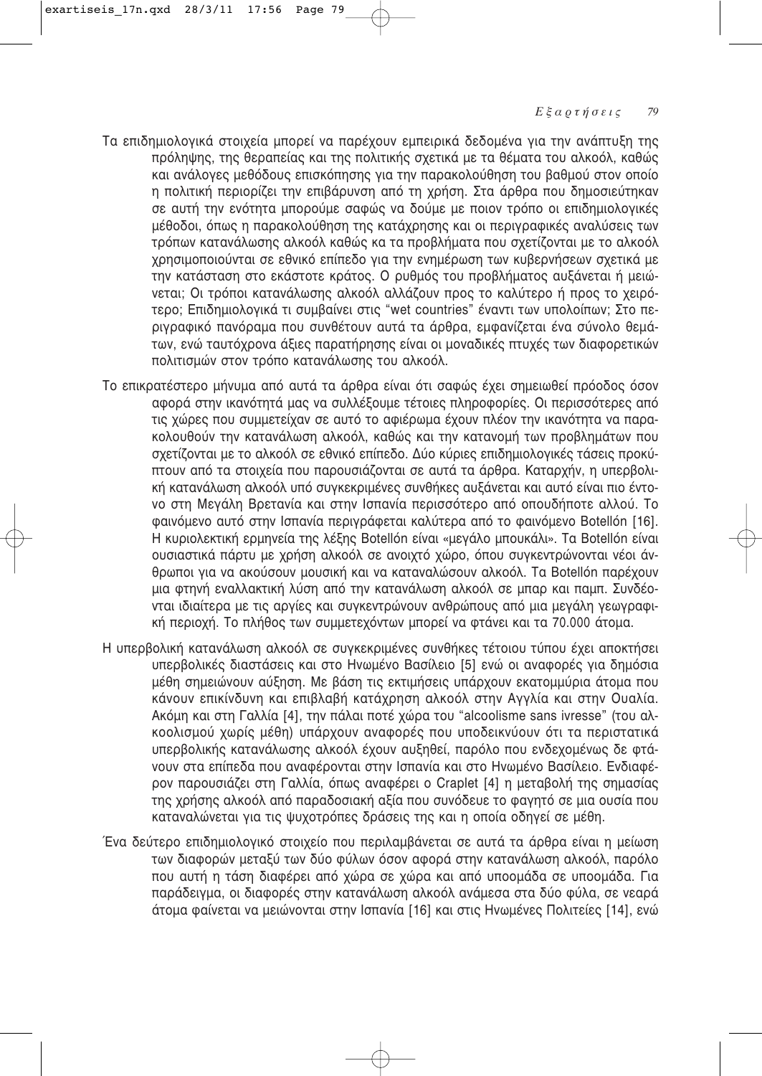Τα επιδημιολογικά στοιχεία μπορεί να παρέχουν εμπειρικά δεδομένα για την ανάπτυξη της πρόληψης, της θεραπείας και της πολιτικής σχετικά με τα θέματα του αλκοόλ, καθώς και ανάλογες μεθόδους επισκόπησης για την παρακολούθηση του βαθμού στον οποίο η πολιτική περιορίζει την επιβάρυνση από τη χρήση. Στα άρθρα που δημοσιεύτηκαν σε αυτή την ενότητα μπορούμε σαφώς να δούμε με ποιον τρόπο οι επιδημιολογικές μέθοδοι, όπως η παρακολούθηση της κατάχρησης και οι περιγραφικές αναλύσεις των τρόπων κατανάλωσης αλκοόλ καθώς κα τα προβλήματα που σχετίζονται με το αλκοόλ χρησιμοποιούνται σε εθνικό επίπεδο για την ενημέρωση των κυβερνήσεων σχετικά με την κατάσταση στο εκάστοτε κράτος. Ο ρυθμός του προβλήματος αυξάνεται ή μειώ-Vεται: Οι τρόποι κατανάλωσης αλκοόλ αλλάζουν προς το καλύτερο ή προς το χειρότερο; Επιδημιολογικά τι συμβαίνει στις "wet countries" έναντι των υπολοίπων; Στο περιγραφικό πανόραμα που συνθέτουν αυτά τα άρθρα, εμφανίζεται ένα σύνολο θεμάτων, ενώ ταυτόχρονα άξιες παρατήρησης είναι οι μοναδικές πτυχές των διαφορετικών πολιτισμών στον τρόπο κατανάλωσης του αλκοόλ.

exartiseis  $17n.qxd$   $28/3/11$   $17:56$  Page

- Το επικρατέστερο μήνυμα από αυτά τα άρθρα είναι ότι σαφώς έχει σημειωθεί πρόοδος όσον αφορά στην ικανότητά μας να συλλέξουμε τέτοιες πληροφορίες. Οι περισσότερες από τις χώρες που συμμετείχαν σε αυτό το αφιέρωμα έχουν πλέον την ικανότητα να παρακολουθούν την κατανάλωση αλκοόλ, καθώς και την κατανομή των προβλημάτων που σχετίζονται με το αλκοόλ σε εθνικό επίπεδο. Δύο κύριες επιδημιολογικές τάσεις προκύπτουν από τα στοιχεία που παρουσιάζονται σε αυτά τα άρθρα. Καταρχήν, η υπερβολική κατανάλωση αλκοόλ υπό συγκεκριμένες συνθήκες αυξάνεται και αυτό είναι πιο έντονο στη Μεγάλη Βρετανία και στην Ισπανία περισσότερο από οπουδήποτε αλλού. Το φαινόμενο αυτό στην Ισπανία περιγράφεται καλύτερα από το φαινόμενο Botellón [16]. Η κυριολεκτική ερμηνεία της λέξης Botellón είναι «μεγάλο μπουκάλι». Τα Botellón είναι ουσιαστικά πάρτυ με χρήση αλκοόλ σε ανοιχτό χώρο, όπου συγκεντρώνονται νέοι άνθρωποι για να ακούσουν μουσική και να καταναλώσουν αλκοόλ. Τα Botellón παρέχουν μια φτηνή εναλλακτική λύση από την κατανάλωση αλκοόλ σε μπαρ και παμπ. Συνδέο-Vται ιδιαίτερα με τις αργίες και συγκεντρώνουν ανθρώπους από μια μεγάλη γεωγραφική περιοχή. Το πλήθος των συμμετεχόντων μπορεί να φτάνει και τα 70.000 άτομα.
- Η υπερβολική κατανάλωση αλκοόλ σε συγκεκριμένες συνθήκες τέτοιου τύπου έχει αποκτήσει υπερβολικές διαστάσεις και στο Ηνωμένο Βασίλειο [5] ενώ οι αναφορές για δημόσια μέθη σημειώνουν αύξηση. Με βάση τις εκτιμήσεις υπάρχουν εκατομμύρια άτομα που κάνουν επικίνδυνη και επιβλαβή κατάχρηση αλκοόλ στην Αγγλία και στην Ουαλία. Aκόμη και στη Γαλλία [4], την πάλαι ποτέ χώρα του "alcoolisme sans ivresse" (του αλ**κοολισμού χωρίς μέθη) υπάρχουν αναφορές που υποδεικνύουν ότι τα περιστατικά** υπερβολικής κατανάλωσης αλκοόλ έχουν αυξηθεί, παρόλο που ενδεχομένως δε φτάνουν στα επίπεδα που αναφέρονται στην Ισπανία και στο Ηνωμένο Βασίλειο. Ενδιαφέρον παρουσιάζει στη Γαλλία, όπως αναφέρει ο Craplet [4] η μεταβολή της σημασίας της χρήσης αλκοόλ από παραδοσιακή αξία που συνόδευε το φαγητό σε μια ουσία που καταναλώνεται για τις ψυχοτρόπες δράσεις της και η οποία οδηγεί σε μέθη.
- Ένα δεύτερο επιδημιολογικό στοιχείο που περιλαμβάνεται σε αυτά τα άρθρα είναι η μείωση των διαφορών μεταξύ των δύο φύλων όσον αφορά στην κατανάλωση αλκοόλ, παρόλο που αυτή η τάση διαφέρει από χώρα σε χώρα και από υποομάδα σε υποομάδα. Για παράδειγμα, οι διαφορές στην κατανάλωση αλκοόλ ανάμεσα στα δύο φύλα, σε νεαρά άτομα φαίνεται να μειώνονται στην Ισπανία [16] και στις Ηνωμένες Πολιτείες [14], ενώ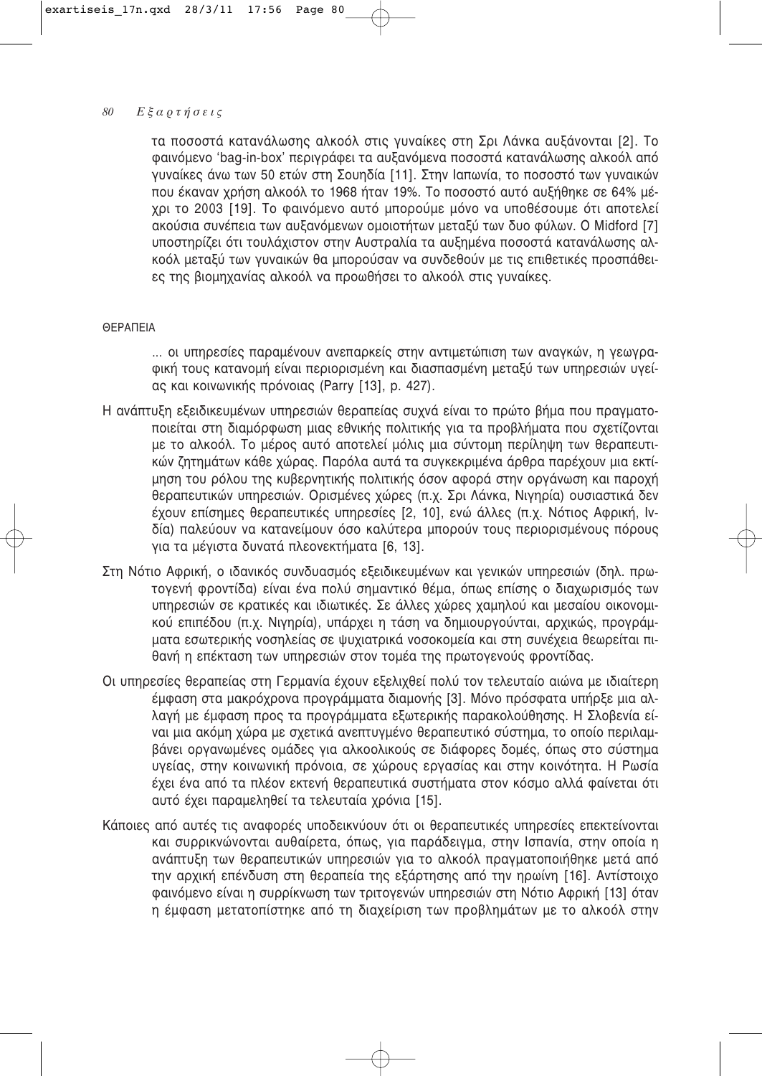τα ποσοστά κατανάλωσης αλκοόλ στις γυναίκες στη Σρι Λάνκα αυξάνονται [2]. Το Φαινόμενο 'bag-in-box' περινράφει τα αυξανόμενα ποσοστά κατανάλωσης αλκοόλ από γυναίκες άνω των 50 ετών στη Σουηδία [11]. Στην Ιαπωνία, το ποσοστό των γυναικών που έκαναν χρήση αλκοόλ το 1968 ήταν 19%. Το ποσοστό αυτό αυξήθηκε σε 64% μέχρι το 2003 [19]. Το φαινόμενο αυτό μπορούμε μόνο να υποθέσουμε ότι αποτελεί ακούσια συνέπεια των αυξανόμενων ομοιοτήτων μεταξύ των δυο φύλων. Ο Midford [7] υποστηρίζει ότι τουλάχιστον στην Αυστραλία τα αυξημένα ποσοστά κατανάλωσης αλκοόλ μεταξύ των γυναικών θα μπορούσαν να συνδεθούν με τις επιθετικές προσπάθειες της βιομηχανίας αλκοόλ να προωθήσει το αλκοόλ στις γυναίκες.

#### ΘΕΡΑΠΕΙΑ

… οι υπηρεσίες παραμένουν ανεπαρκείς στην αντιμετώπιση των αναγκών, η γεωγραφική τους κατανομή είναι περιορισμένη και διασπασμένη μεταξύ των υπηρεσιών υγείας και κοινωνικής πρόνοιας (Parry [13], p. 427).

- Η ανάπτυξη εξειδικευμένων υπηρεσιών θεραπείας συχνά είναι το πρώτο βήμα που πραγματοποιείται στη διαμόρφωση μιας εθνικής πολιτικής για τα προβλήματα που σχετίζονται με το αλκοόλ. Το μέρος αυτό αποτελεί μόλις μια σύντομη περίληψη των θεραπευτικών ζητημάτων κάθε χώρας. Παρόλα αυτά τα συγκεκριμένα άρθρα παρέχουν μια εκτίμηση του ρόλου της κυβερνητικής πολιτικής όσον αφορά στην οργάνωση και παροχή θεραπευτικών υπηρεσιών. Ορισμένες χώρες (π.χ. Σρι Λάνκα, Νιγηρία) ουσιαστικά δεν έχουν επίσημες θεραπευτικές υπηρεσίες [2, 10], ενώ άλλες (π.χ. Νότιος Αφρική, Ινδία) παλεύουν να κατανείμουν όσο καλύτερα μπορούν τους περιορισμένους πόρους για τα μέγιστα δυνατά πλεονεκτήματα [6, 13].
- Στη Νότιο Αφρική, ο ιδανικός συνδυασμός εξειδικευμένων και γενικών υπηρεσιών (δηλ. πρωτογενή φροντίδα) είναι ένα πολύ σημαντικό θέμα, όπως επίσης ο διαχωρισμός των υπηρεσιών σε κρατικές και ιδιωτικές. Σε άλλες χώρες χαμηλού και μεσαίου οικονομικού επιπέδου (π.χ. Νιγηρία), υπάρχει η τάση να δημιουργούνται, αρχικώς, προγράμματα εσωτερικής νοσηλείας σε ψυχιατρικά νοσοκομεία και στη συνέχεια θεωρείται πιθανή η επέκταση των υπηρεσιών στον τομέα της πρωτογενούς φροντίδας.
- Οι υπηρεσίες θεραπείας στη Γερμανία έχουν εξελιχθεί πολύ τον τελευταίο αιώνα με ιδιαίτερη έμφαση στα μακρόχρονα προγράμματα διαμονής [3]. Μόνο πρόσφατα υπήρξε μια αλλαγή με έμφαση προς τα προγράμματα εξωτερικής παρακολούθησης. Η Σλοβενία είναι μια ακόμη χώρα με σχετικά ανεπτυγμένο θεραπευτικό σύστημα, το οποίο περιλαμβάνει οργανωμένες ομάδες για αλκοολικούς σε διάφορες δομές, όπως στο σύστημα υγείας, στην κοινωνική πρόνοια, σε χώρους εργασίας και στην κοινότητα. Η Ρωσία έχει ένα από τα πλέον εκτενή θεραπευτικά συστήματα στον κόσμο αλλά φαίνεται ότι αυτό έχει παραμεληθεί τα τελευταία χρόνια [15].
- Κάποιες από αυτές τις αναφορές υποδεικνύουν ότι οι θεραπευτικές υπηρεσίες επεκτείνονται και συρρικνώνονται αυθαίρετα, όπως, για παράδειγμα, στην Ισπανία, στην οποία η ανάπτυξη των θεραπευτικών υπηρεσιών για το αλκοόλ πραγματοποιήθηκε μετά από την αρχική επένδυση στη θεραπεία της εξάρτησης από την ηρωίνη [16]. Αντίστοιχο φαινόμενο είναι η συρρίκνωση των τριτογενών υπηρεσιών στη Νότιο Αφρική [13] όταν η έμφαση μετατοπίστηκε από τη διαχείριση των προβλημάτων με το αλκοόλ στην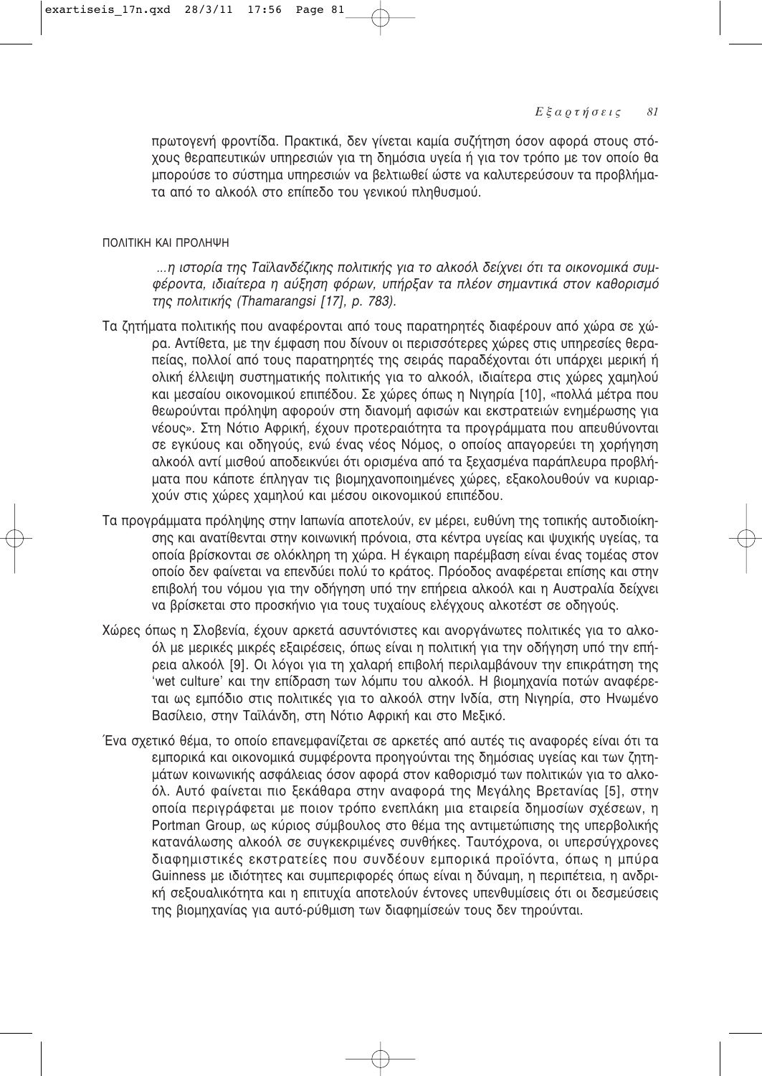πρωτογενή φροντίδα. Πρακτικά, δεν γίνεται καμία συζήτηση όσον αφορά στους στόγους θεραπευτικών υπηρεσιών για τη δημόσια υνεία ή για τον τρόπο με τον οποίο θα <u>μπορούσε το σύστημα υπηρεσιών να βελτιωθεί ώστε να καλυτερεύσουν τα προβλήμα-</u> τα από το αλκοόλ στο επίπεδο του νενικού πληθυσμού.

ΠΟΛΙΤΙΚΗ ΚΑΙ ΠΡΟΛΗΨΗ

*…η ιστορία της Ταϊλανδέζικης πολιτικής για το αλκοόλ δείχνει ότι τα οικονομικά συμ*φέροντα, ιδιαίτερα η αύξηση φόρων, υπήρξαν τα πλέον σημαντικά στον καθορισμό της πολιτικής (Thamarangsi [17], p. 783).

- Τα ζητήματα πολιτικής που αναφέρονται από τους παρατηρητές διαφέρουν από χώρα σε χώρα. Αντίθετα, με την έμφαση που δίνουν οι περισσότερες χώρες στις υπηρεσίες θεραπείας, πολλοί από τους παρατηρητές της σειράς παραδέχονται ότι υπάρχει μερική ή ολική έλλειψη συστηματικής πολιτικής για το αλκοόλ, ιδιαίτερα στις χώρες χαμηλού και μεσαίου οικονομικού επιπέδου. Σε χώρες όπως η Νιγηρία [10], «πολλά μέτρα που θεωρούνται πρόληψη αφορούν στη διανομή αφισών και εκστρατειών ενημέρωσης για νέους». Στη Νότιο Αφρική, έχουν προτεραιότητα τα προγράμματα που απευθύνονται σε εγκύους και οδηγούς, ενώ ένας νέος Νόμος, ο οποίος απαγορεύει τη χορήγηση αλκοόλ αντί μισθού αποδεικνύει ότι ορισμένα από τα ξεχασμένα παράπλευρα προβλήματα που κάποτε έπληγαν τις βιομηχανοποιημένες χώρες, εξακολουθούν να κυριαρχούν στις χώρες χαμηλού και μέσου οικονομικού επιπέδου.
- Τα προγράμματα πρόληψης στην Ιαπωνία αποτελούν, εν μέρει, ευθύνη της τοπικής αυτοδιοίκησης και ανατίθενται στην κοινωνική πρόνοια, στα κέντρα υγείας και ψυχικής υγείας, τα οποία βρίσκονται σε ολόκληρη τη χώρα. Η έγκαιρη παρέμβαση είναι ένας τομέας στον οποίο δεν φαίνεται να επενδύει πολύ το κράτος. Πρόοδος αναφέρεται επίσης και στην επιβολή του νόμου για την οδήγηση υπό την επήρεια αλκοόλ και η Αυστραλία δείχνει να βρίσκεται στο προσκήνιο για τους τυχαίους ελέγχους αλκοτέστ σε οδηγούς.
- Χώρες όπως η Σλοβενία, έχουν αρκετά ασυντόνιστες και ανοργάνωτες πολιτικές για το αλκοόλ με μερικές μικρές εξαιρέσεις, όπως είναι η πολιτική για την οδήγηση υπό την επήρεια αλκοόλ [9]. Οι λόγοι για τη χαλαρή επιβολή περιλαμβάνουν την επικράτηση της 'wet culture' και την επίδραση των λόμπυ του αλκοόλ. Η βιομηχανία ποτών αναφέρεται ως εμπόδιο στις πολιτικές για το αλκοόλ στην Ινδία, στη Νιγηρία, στο Ηνωμένο Βασίλειο, στην Ταϊλάνδη, στη Νότιο Αφρική και στο Μεξικό.
- Ένα σχετικό θέμα, το οποίο επανεμφανίζεται σε αρκετές από αυτές τις αναφορές είναι ότι τα εμπορικά και οικονομικά συμφέροντα προηγούνται της δημόσιας υγείας και των ζητημάτων κοινωνικής ασφάλειας όσον αφορά στον καθορισμό των πολιτικών για το αλκοόλ. Αυτό φαίνεται πιο ξεκάθαρα στην αναφορά της Μεγάλης Βρετανίας [5], στην οποία περιγράφεται με ποιον τρόπο ενεπλάκη μια εταιρεία δημοσίων σχέσεων, η Portman Group, ως κύριος σύμβουλος στο θέμα της αντιμετώπισης της υπερβολικής κατανάλωσης αλκοόλ σε συγκεκριμένες συνθήκες. Ταυτόχρονα, οι υπερσύγχρονες διαφημιστικές εκστρατείες που συνδέουν εμπορικά προϊόντα, όπως η μπύρα Guinness με ιδιότητες και συμπεριφορές όπως είναι η δύναμη, η περιπέτεια, η ανδρική σεξουαλικότητα και η επιτυχία αποτελούν έντονες υπενθυμίσεις ότι οι δεσμεύσεις της βιομηχανίας για αυτό-ρύθμιση των διαφημίσεών τους δεν τηρούνται.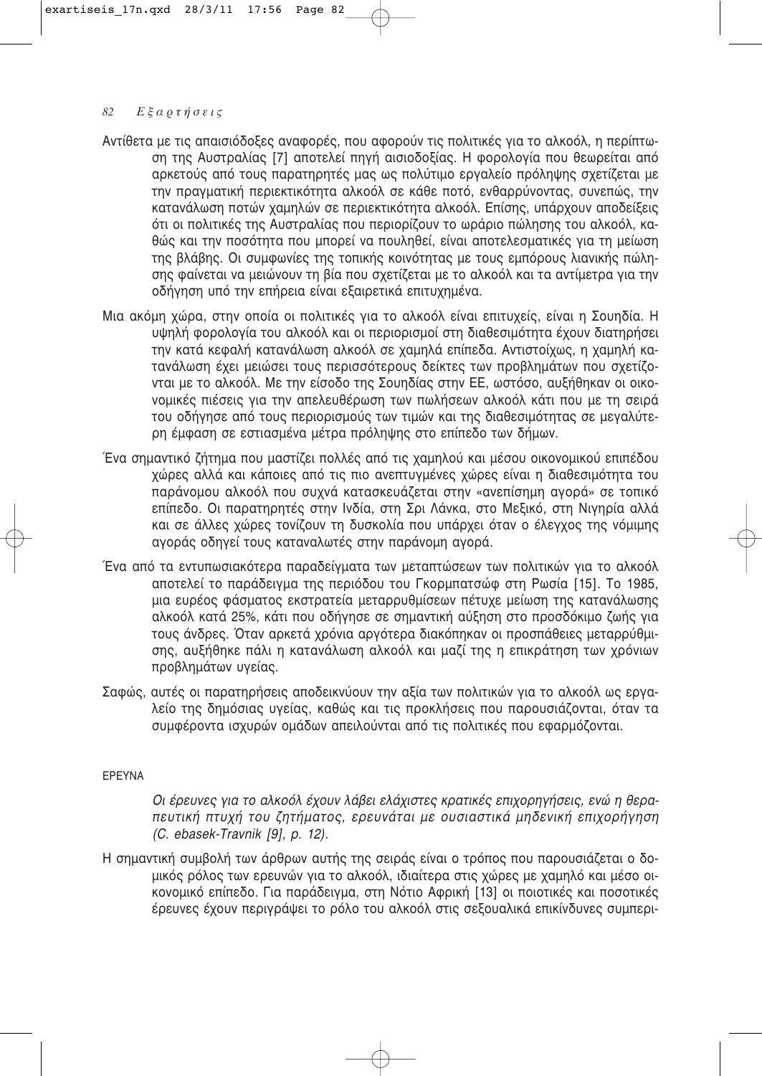- Aντίθετα με τις απαισιόδοξες αναφορές, που αφορούν τις πολιτικές για το αλκοόλ, η περίπτωση της Αυστραλίας [7] αποτελεί πηγή αισιοδοξίας. Η φορολογία που θεωρείται από αρκετούς από τους παρατηρητές μας ως πολύτιμο εργαλείο πρόληψης σχετίζεται με την πραγματική περιεκτικότητα αλκοόλ σε κάθε ποτό, ενθαρρύνοντας, συνεπώς, την κατανάλωση ποτών χαμηλών σε περιεκτικότητα αλκοόλ. Επίσης, υπάρχουν αποδείξεις ότι οι πολιτικές της Αυστραλίας που περιορίζουν το ωράριο πώλησης του αλκοόλ, καθώς και την ποσότητα που μπορεί να πουληθεί, είναι αποτελεσματικές για τη μείωση της βλάβης. Οι συμφωνίες της τοπικής κοινότητας με τους εμπόρους λιανικής πώλησης φαίνεται να μειώνουν τη βία που σχετίζεται με το αλκοόλ και τα αντίμετρα για την οδήγηση υπό την επήρεια είναι εξαιρετικά επιτυχημένα.
- Μια ακόμη χώρα, στην οποία οι πολιτικές για το αλκοόλ είναι επιτυχείς, είναι η Σουηδία. Η υψηλή φορολογία του αλκοόλ και οι περιορισμοί στη διαθεσιμότητα έχουν διατηρήσει την κατά κεφαλή κατανάλωση αλκοόλ σε χαμηλά επίπεδα. Αντιστοίχως, η χαμηλή κατανάλωση έχει μειώσει τους περισσότερους δείκτες των προβλημάτων που σχετίζονται με το αλκοόλ. Με την είσοδο της Σουηδίας στην ΕΕ, ωστόσο, αυξήθηκαν οι οικονομικές πιέσεις για την απελευθέρωση των πωλήσεων αλκοόλ κάτι που με τη σειρά του οδήγησε από τους περιορισμούς των τιμών και της διαθεσιμότητας σε μεγαλύτερη έμφαση σε εστιασμένα μέτρα πρόληψης στο επίπεδο των δήμων.
- Ένα σημαντικό ζήτημα που μαστίζει πολλές από τις χαμηλού και μέσου οικονομικού επιπέδου χώρες αλλά και κάποιες από τις πιο ανεπτυγμένες χώρες είναι η διαθεσιμότητα του παράνομου αλκοόλ που συχνά κατασκευάζεται στην «ανεπίσημη αγορά» σε τοπικό επίπεδο. Οι παρατηρητές στην Ινδία, στη Σρι Λάνκα, στο Μεξικό, στη Νιγηρία αλλά και σε άλλες χώρες τονίζουν τη δυσκολία που υπάρχει όταν ο έλεγχος της νόμιμης αγοράς οδηγεί τους καταναλωτές στην παράνομη αγορά.
- Ένα από τα εντυπωσιακότερα παραδείγματα των μεταπτώσεων των πολιτικών για το αλκοόλ αποτελεί το παράδειγμα της περιόδου του Γκορμπατσώφ στη Ρωσία [15]. Το 1985, μια ευρέος φάσματος εκστρατεία μεταρρυθμίσεων πέτυχε μείωση της κατανάλωσης aλκοόλ κατά 25%, κάτι που οδήγησε σε σημαντική αύξηση στο προσδόκιμο ζωής για τους άνδρες. Όταν αρκετά χρόνια αργότερα διακόπηκαν οι προσπάθειες μεταρρύθμισης, αυξήθηκε πάλι η κατανάλωση αλκοόλ και μαζί της η επικράτηση των χρόνιων προβλημάτων υγείας.
- Σαφώς, αυτές οι παρατηρήσεις αποδεικνύουν την αξία των πολιτικών για το αλκοόλ ως εργαλείο της δημόσιας υγείας, καθώς και τις προκλήσεις που παρουσιάζονται, όταν τα συμφέροντα ισχυρών ομάδων απειλούνται από τις πολιτικές που εφαρμόζονται.

## EPEYNA

Οι έρευνες για το αλκοόλ έχουν λάβει ελάχιστες κρατικές επιχορηγήσεις, ενώ η θερα*πευτική πτυχή του ζητήματος, ερευνάται με ουσιαστικά μηδενική επιχορήνηση (C. ebasek-Travnik [9], p. 12).* 

Η σημαντική συμβολή των άρθρων αυτής της σειράς είναι ο τρόπος που παρουσιάζεται ο δομικός ρόλος των ερευνών για το αλκοόλ, ιδιαίτερα στις χώρες με χαμηλό και μέσο οικονομικό επίπεδο. Για παράδειγμα, στη Νότιο Αφρική [13] οι ποιοτικές και ποσοτικές έρευνες έχουν περιγράψει το ρόλο του αλκοόλ στις σεξουαλικά επικίνδυνες συμπερι-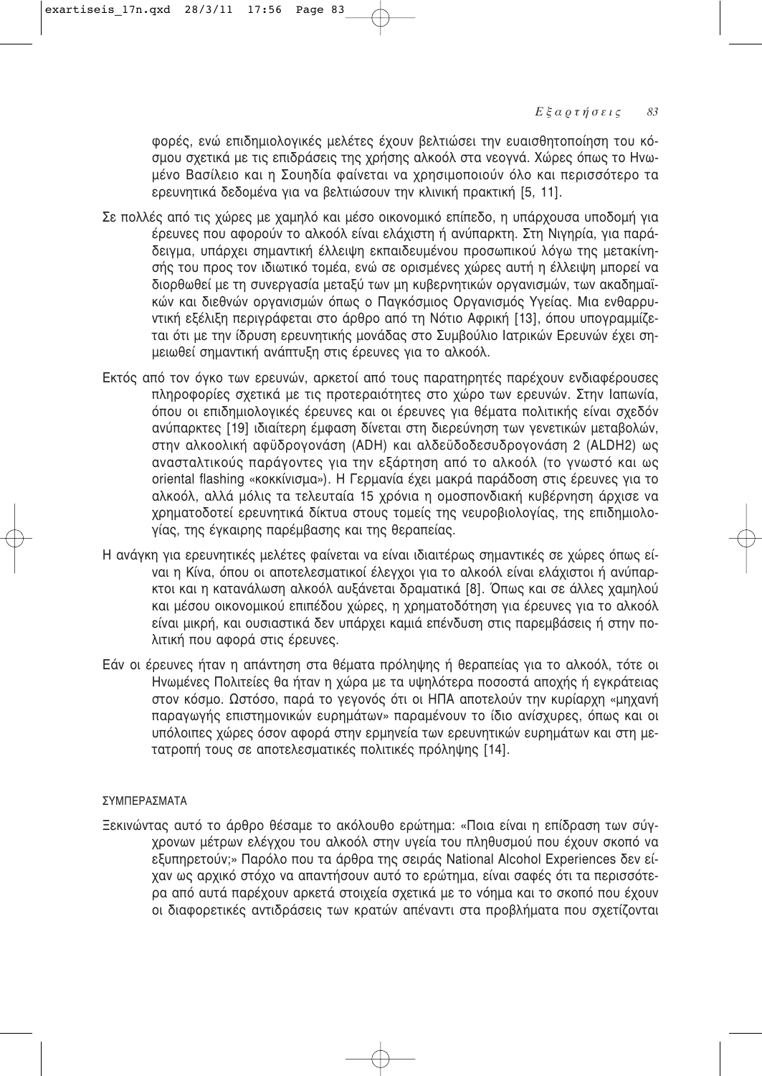ΦΟρές, ενώ επιδημιολογικές μελέτες έχουν βελτιώσει την ευαισθητοποίηση του κόσμου σχετικά με τις επιδράσεις της χρήσης αλκοόλ στα νεοννά. Χώρες όπως το Ηνωμένο Βασίλειο και η Σουηδία φαίνεται να χρησιμοποιούν όλο και περισσότερο τα ερευνητικά δεδομένα για να βελτιώσουν την κλινική πρακτική [5, 11].

- Σε πολλές από τις χώρες με χαμηλό και μέσο οικονομικό επίπεδο, η υπάρχουσα υποδομή για έρευνες που αφορούν το αλκοόλ είναι ελάχιστη ή ανύπαρκτη. Στη Νιγηρία, για παράδειγμα, υπάρχει σημαντική έλλειψη εκπαιδευμένου προσωπικού λόγω της μετακίνησής του προς τον ιδιωτικό τομέα, ενώ σε ορισμένες χώρες αυτή η έλλειψη μπορεί να διορθωθεί με τη συνεργασία μεταξύ των μη κυβερνητικών οργανισμών, των ακαδημαϊκών και διεθνών οργανισμών όπως ο Παγκόσμιος Οργανισμός Υγείας. Μια ενθαρρυ-Vτική εξέλιξη περιγράφεται στο άρθρο από τη Νότιο Αφρική [13], όπου υπογραμμίζεται ότι με την ίδρυση ερευνητικής μονάδας στο Συμβούλιο Ιατρικών Ερευνών έχει σημειωθεί σημαντική ανάπτυξη στις έρευνες για το αλκοόλ.
- Εκτός από τον όγκο των ερευνών, αρκετοί από τους παρατηρητές παρέχουν ενδιαφέρουσες πληροφορίες σχετικά με τις προτεραιότητες στο χώρο των ερευνών. Στην Ιαπωνία, όπου οι επιδημιολογικές έρευνες και οι έρευνες για θέματα πολιτικής είναι σχεδόν ανύπαρκτες [19] ιδιαίτερη έμφαση δίνεται στη διερεύνηση των γενετικών μεταβολών, στην αλκοολική αφϋδρογονάση (ADH) και αλδεϋδοδεσυδρογονάση 2 (ALDH2) ως ανασταλτικούς παράγοντες για την εξάρτηση από το αλκοόλ (το γνωστό και ως oriental flashing «κοκκίνισμα»). Η Γερμανία έχει μακρά παράδοση στις έρευνες για το αλκοόλ, αλλά μόλις τα τελευταία 15 χρόνια η ομοσπονδιακή κυβέρνηση άρχισε να χρηματοδοτεί ερευνητικά δίκτυα στους τομείς της νευροβιολογίας, της επιδημιολογίας, της έγκαιρης παρέμβασης και της θεραπείας.
- Η ανάγκη για ερευνητικές μελέτες φαίνεται να είναι ιδιαιτέρως σημαντικές σε χώρες όπως είναι η Κίνα, όπου οι αποτελεσματικοί έλεγχοι για το αλκοόλ είναι ελάχιστοι ή ανύπαρκτοι και η κατανάλωση αλκοόλ αυξάνεται δραματικά [8]. Όπως και σε άλλες χαμηλού και μέσου οικονομικού επιπέδου χώρες, η χρηματοδότηση για έρευνες για το αλκοόλ είναι μικρή, και ουσιαστικά δεν υπάρχει καμιά επένδυση στις παρεμβάσεις ή στην πολιτική που αφορά στις έρευνες.
- Εάν οι έρευνες ήταν η απάντηση στα θέματα πρόληψης ή θεραπείας για το αλκοόλ, τότε οι Ηνωμένες Πολιτείες θα ήταν η χώρα με τα υψηλότερα ποσοστά αποχής ή εγκράτειας στον κόσμο. Ωστόσο, παρά το γεγονός ότι οι ΗΠΑ αποτελούν την κυρίαρχη «μηχανή παραγωγής επιστημονικών ευρημάτων» παραμένουν το ίδιο ανίσχυρες, όπως και οι υπόλοιπες χώρες όσον αφορά στην ερμηνεία των ερευνητικών ευρημάτων και στη μετατροπή τους σε αποτελεσματικές πολιτικές πρόληψης [14].

# ΣΥΜΠΕΡΑΣΜΑΤΑ

Εεκινώντας αυτό το άρθρο θέσαμε το ακόλουθο ερώτημα: «Ποια είναι η επίδραση των σύγγρονων μέτρων ελένχου του αλκοόλ στην υνεία του πληθυσμού που έχουν σκοπό να εξυπηρετούν;» Παρόλο που τα άρθρα της σειράς National Alcohol Experiences δεν είχαν ως αρχικό στόχο να απαντήσουν αυτό το ερώτημα, είναι σαφές ότι τα περισσότερα από αυτά παρέχουν αρκετά στοιχεία σχετικά με το νόημα και το σκοπό που έχουν οι διαφορετικές αντιδράσεις των κρατών απέναντι στα προβλήματα που σχετίζονται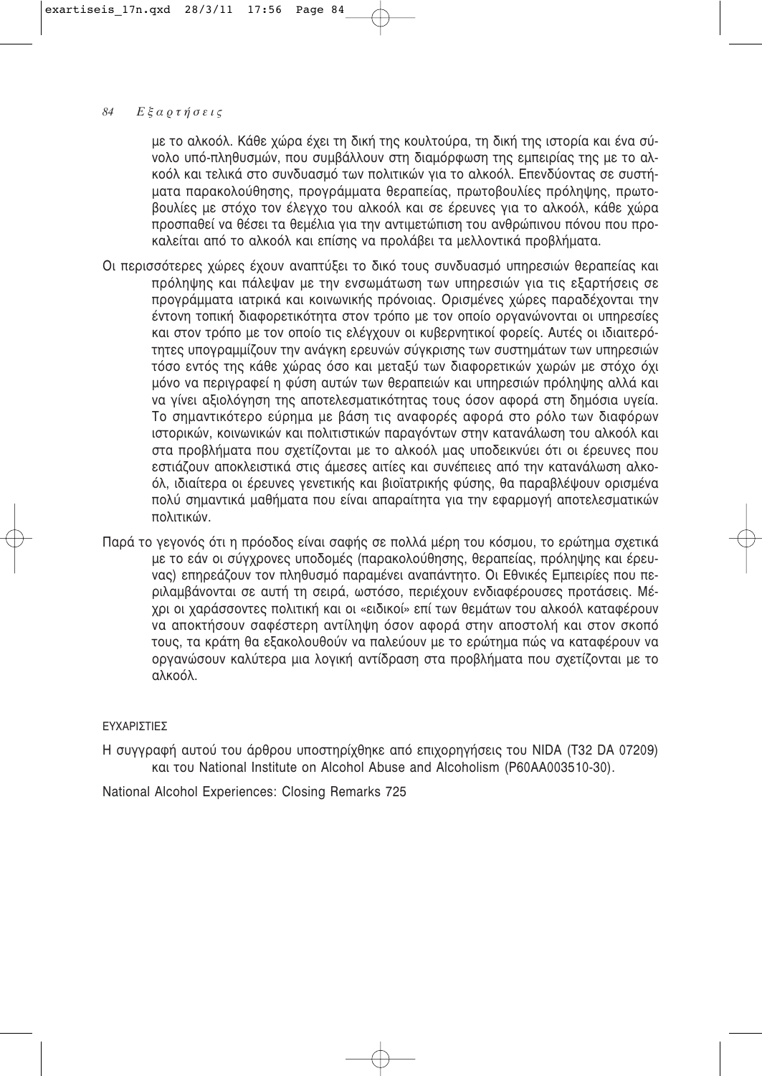με το αλκοόλ. Κάθε χώρα έχει τη δική της κουλτούρα, τη δική της ιστορία και ένα σύvολο υπό-πληθυσμών, που συμβάλλουν στη διαμόρφωση της εμπειρίας της με το αλ-ΚΟόλ και τελικά στο συνδυασμό των πολιτικών για το αλκοόλ. Επενδύοντας σε συστήματα παρακολούθησης, προγράμματα θεραπείας, πρωτοβουλίες πρόληψης, πρωτοβουλίες με στόχο τον έλεγχο του αλκοόλ και σε έρευνες για το αλκοόλ, κάθε χώρα προσπαθεί να θέσει τα θεμέλια για την αντιμετώπιση του ανθρώπινου πόνου που προκαλείται από το αλκοόλ και επίσης να προλάβει τα μελλοντικά προβλήματα.

- Οι περισσότερες χώρες έχουν αναπτύξει το δικό τους συνδυασμό υπηρεσιών θεραπείας και πρόληψης και πάλεψαν με την ενσωμάτωση των υπηρεσιών για τις εξαρτήσεις σε προγράμματα ιατρικά και κοινωνικής πρόνοιας. Ορισμένες χώρες παραδέχονται την έντονη τοπική διαφορετικότητα στον τρόπο με τον οποίο οργανώνονται οι υπηρεσίες και στον τρόπο με τον οποίο τις ελέγχουν οι κυβερνητικοί φορείς. Αυτές οι ιδιαιτερό-<u>τητες υπονραμμίζουν την ανάνκη ερευνών σύνκρισης των συστημάτων των υπηρεσιών</u> τόσο εντός της κάθε χώρας όσο και μεταξύ των διαφορετικών χωρών με στόχο όχι μόνο να περιγραφεί η φύση αυτών των θεραπειών και υπηρεσιών πρόληψης αλλά και να γίνει αξιολόγηση της αποτελεσματικότητας τους όσον αφορά στη δημόσια υγεία. Το σημαντικότερο εύρημα με βάση τις αναφορές αφορά στο ρόλο των διαφόρων ιστορικών, κοινωνικών και πολιτιστικών παραγόντων στην κατανάλωση του αλκοόλ και στα προβλήματα που σχετίζονται με το αλκοόλ μας υποδεικνύει ότι οι έρευνες που εστιάζουν αποκλειστικά στις άμεσες αιτίες και συνέπειες από την κατανάλωση αλκοόλ, ιδιαίτερα οι έρευνες γενετικής και βιοϊατρικής φύσης, θα παραβλέψουν ορισμένα πολύ σημαντικά μαθήματα που είναι απαραίτητα για την εφαρμογή αποτελεσματικών πολιτικών.
- Παρά το γεγονός ότι η πρόοδος είναι σαφής σε πολλά μέρη του κόσμου, το ερώτημα σχετικά με το εάν οι σύγχρονες υποδομές (παρακολούθησης, θεραπείας, πρόληψης και έρευνας) επηρεάζουν τον πληθυσμό παραμένει αναπάντητο. Οι Εθνικές Εμπειρίες που περιλαμβάνονται σε αυτή τη σειρά, ωστόσο, περιέχουν ενδιαφέρουσες προτάσεις. Μέχρι οι χαράσσοντες πολιτική και οι «ειδικοί» επί των θεμάτων του αλκοόλ καταφέρουν να αποκτήσουν σαφέστερη αντίληψη όσον αφορά στην αποστολή και στον σκοπό τους, τα κράτη θα εξακολουθούν να παλεύουν με το ερώτημα πώς να καταφέρουν να οργανώσουν καλύτερα μια λογική αντίδραση στα προβλήματα που σχετίζονται με το αλκοόλ.

# ΕΥΧΑΡΙΣΤΙΕΣ

Η συγγραφή αυτού του άρθρου υποστηρίχθηκε από επιχορηγήσεις του NIDA (T32 DA 07209) Kal tou National Institute on Alcohol Abuse and Alcoholism (P60AA003510-30).

National Alcohol Experiences: Closing Remarks 725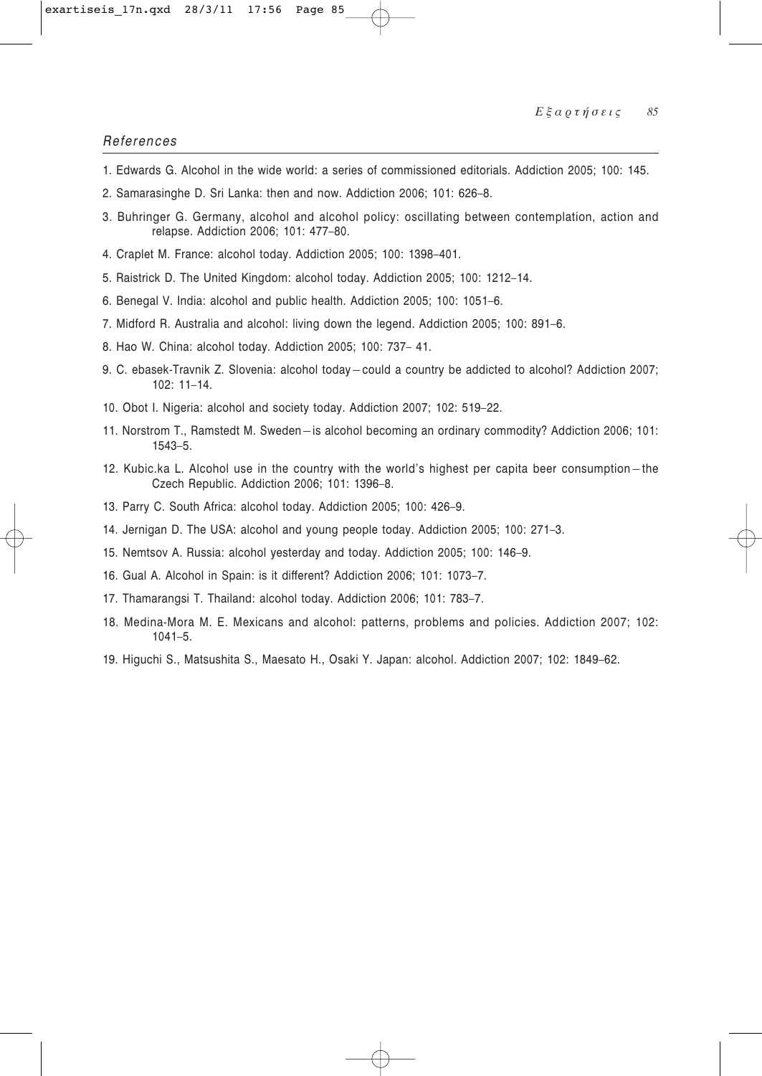#### exartiseis\_17n.qxd 28/3/11 17:56 Page 85

# *References*

- 1. Edwards G. Alcohol in the wide world: a series of commissioned editorials. Addiction 2005; 100: 145.
- 2. Samarasinghe D. Sri Lanka: then and now. Addiction 2006; 101: 626–8.
- 3. Buhringer G. Germany, alcohol and alcohol policy: oscillating between contemplation, action and relapse. Addiction 2006; 101: 477–80.
- 4. Craplet M. France: alcohol today. Addiction 2005; 100: 1398–401.
- 5. Raistrick D. The United Kingdom: alcohol today. Addiction 2005; 100: 1212–14.
- 6. Benegal V. India: alcohol and public health. Addiction 2005; 100: 1051–6.
- 7. Midford R. Australia and alcohol: living down the legend. Addiction 2005; 100: 891–6.
- 8. Hao W. China: alcohol today. Addiction 2005; 100: 737– 41.
- 9. C. ebasek-Travnik Z. Slovenia: alcohol today—could a country be addicted to alcohol? Addiction 2007; 102: 11–14.
- 10. Obot I. Nigeria: alcohol and society today. Addiction 2007; 102: 519–22.
- 11. Norstrom T., Ramstedt M. Sweden—is alcohol becoming an ordinary commodity? Addiction 2006; 101: 1543–5.
- 12. Kubic.ka L. Alcohol use in the country with the world's highest per capita beer consumption—the Czech Republic. Addiction 2006; 101: 1396–8.
- 13. Parry C. South Africa: alcohol today. Addiction 2005; 100: 426–9.
- 14. Jernigan D. The USA: alcohol and young people today. Addiction 2005; 100: 271–3.
- 15. Nemtsov A. Russia: alcohol yesterday and today. Addiction 2005; 100: 146–9.
- 16. Gual A. Alcohol in Spain: is it different? Addiction 2006; 101: 1073–7.
- 17. Thamarangsi T. Thailand: alcohol today. Addiction 2006; 101: 783–7.
- 18. Medina-Mora M. E. Mexicans and alcohol: patterns, problems and policies. Addiction 2007; 102: 1041–5.
- 19. Higuchi S., Matsushita S., Maesato H., Osaki Y. Japan: alcohol. Addiction 2007; 102: 1849–62.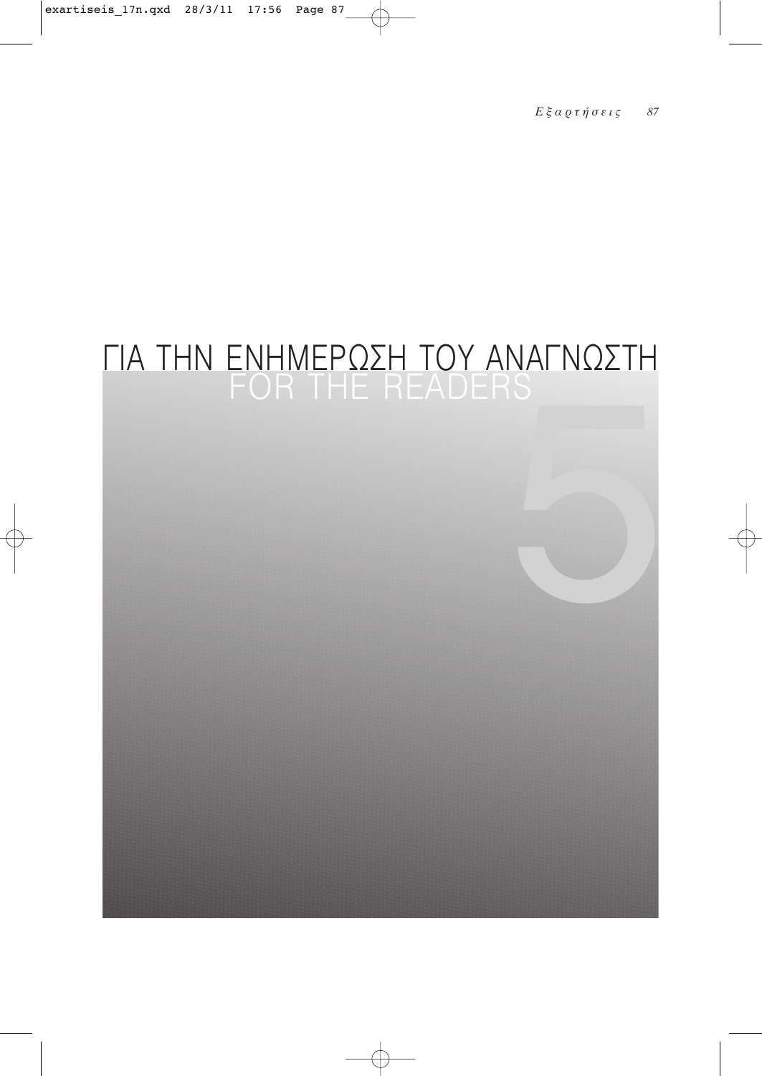$E \xi a \varrho \tau \eta \sigma \varepsilon \iota$ ς 87

# ΓΙΑ ΤΗΝ ΕΝΗΜΕΡΩΣΗ ΤΟΥ ΑΝΑΓΝΩΣΤΗ<br>FOR THE READERS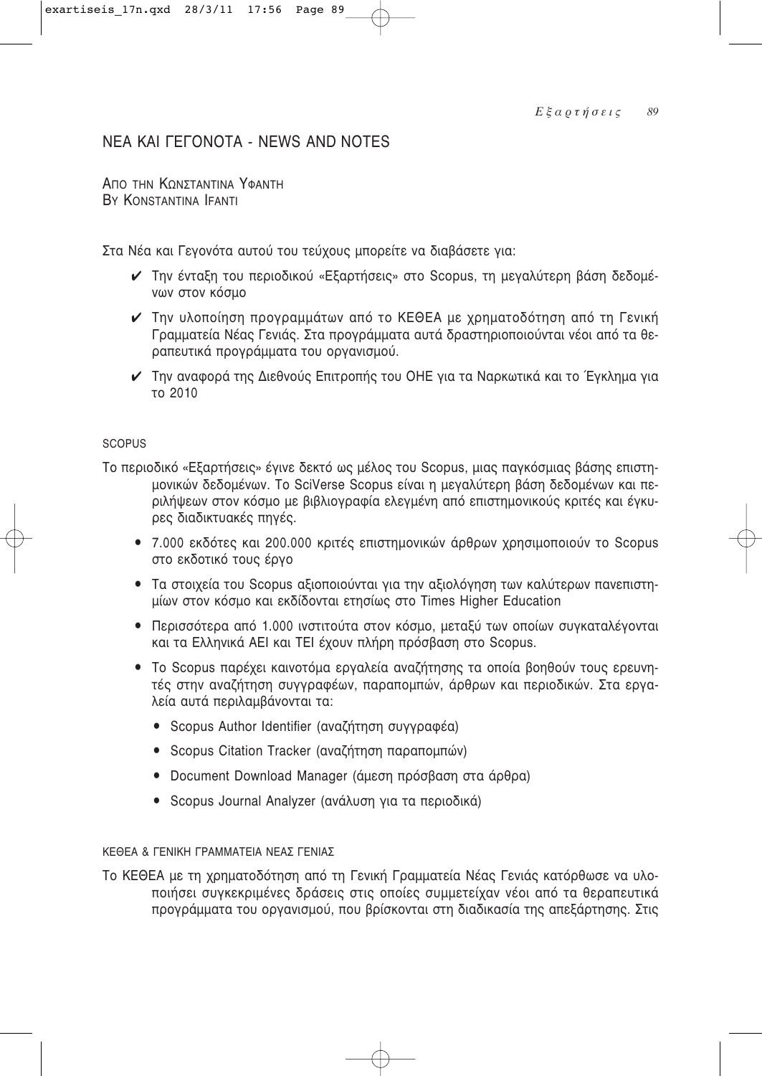# NEA KAI FEFONOTA - NEWS AND NOTES

A∏O THN KONSTANTINA Y®ANTH BY KONSTANTINA IFANTI

Στα Νέα και Γεγονότα αυτού του τεύχους μπορείτε να διαβάσετε για:

- v Την ένταξη του περιοδικού «Εξαρτήσεις» στο Scopus, τη μεγαλύτερη βάση δεδομέ-**V**ων στον κόσμο
- v Την υλοποίηση προγραμμάτων από το ΚΕΘΕΑ με χρηματοδότηση από τη Γενική Γραμματεία Νέας Γενιάς. Στα προγράμματα αυτά δραστηριοποιούνται νέοι από τα θεραπευτικά προγράμματα του οργανισμού.
- $\checkmark$  Την αναφορά της Διεθνούς Επιτροπής του ΟΗΕ για τα Ναρκωτικά και το Έγκλημα για ÙÔ 2010

# **SCOPUS**

Το περιοδικό «Εξαρτήσεις» έγινε δεκτό ως μέλος του Scopus, μιας παγκόσμιας βάσης επιστημονικών δεδομένων. Το SciVerse Scopus είναι η μεγαλύτερη βάση δεδομένων και περιλήψεων στον κόσμο με βιβλιογραφία ελεγμένη από επιστημονικούς κριτές και έγκυρες διαδικτυακές πηγές.

- 7.000 εκδότες και 200.000 κριτές επιστημονικών άρθρων χρησιμοποιούν το Scopus στο εκδοτικό τους έργο
- Τα στοιχεία του Scopus αξιοποιούνται για την αξιολόγηση των καλύτερων πανεπιστημίων στον κόσμο και εκδίδονται ετησίως στο Times Higher Education
- Περισσότερα από 1.000 ινστιτούτα στον κόσμο, μεταξύ των οποίων συγκαταλέγονται και τα Ελληνικά ΑΕΙ και ΤΕΙ έχουν πλήρη πρόσβαση στο Scopus.
- Το Scopus παρέχει καινοτόμα εργαλεία αναζήτησης τα οποία βοηθούν τους ερευνητές στην αναζήτηση συγγραφέων, παραπομπών, άρθρων και περιοδικών. Στα εργαλεία αυτά περιλαμβάνονται τα:
	- Scopus Author Identifier (αναζήτηση συγγραφέα)
	- Scopus Citation Tracker (αναζήτηση παραπομπών)
	- Document Download Manager (άμεση πρόσβαση στα άρθρα)
	- Scopus Journal Analyzer (ανάλυση για τα περιοδικά)

# ΚΕΘΕΑ & ΓΕΝΙΚΗ ΓΡΑΜΜΑΤΕΙΑ ΝΕΑΣ ΓΕΝΙΑΣ

Το ΚΕΘΕΑ με τη χρηματοδότηση από τη Γενική Γραμματεία Νέας Γενιάς κατόρθωσε να υλοποιήσει συγκεκριμένες δράσεις στις οποίες συμμετείχαν νέοι από τα θεραπευτικά προγράμματα του οργανισμού, που βρίσκονται στη διαδικασία της απεξάρτησης. Στις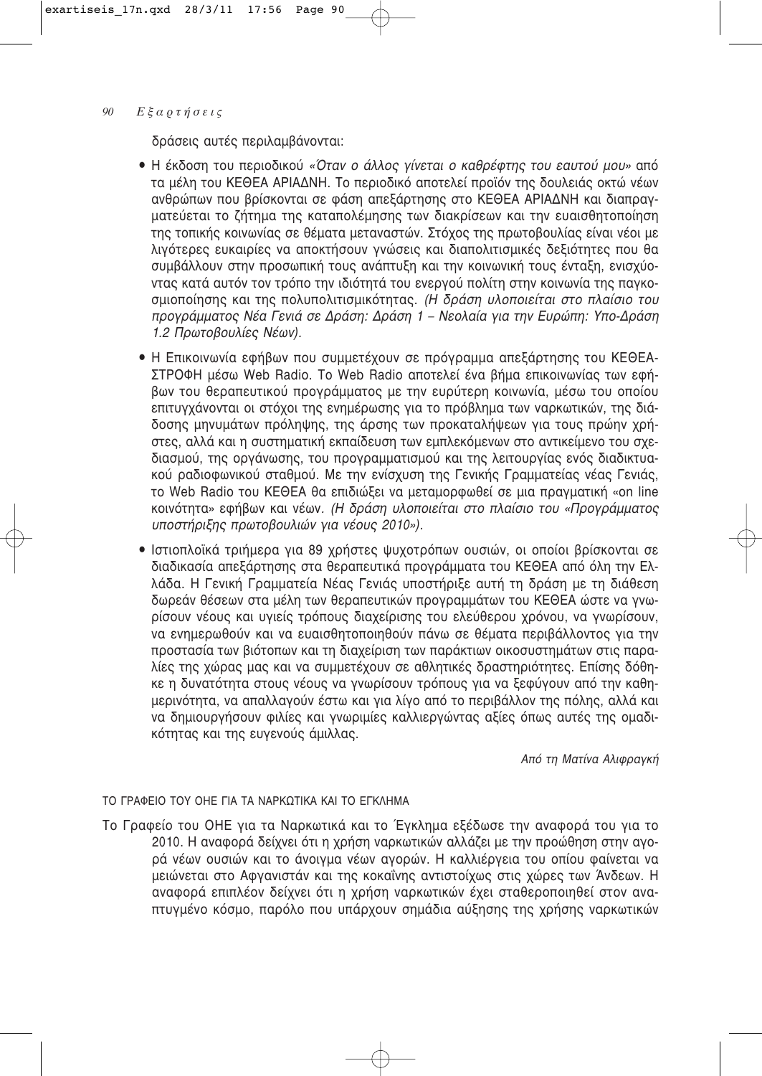δράσεις αυτές περιλαμβάνονται:

- Η έκδοση του περιοδικού *«Όταν ο άλλος γίνεται ο καθρέφτης του εαυτού μου»* από τα μέλη του ΚΕΘΕΑ ΑΡΙΑΔΝΗ. Το περιοδικό αποτελεί προϊόν της δουλειάς οκτώ νέων ανθρώπων που βρίσκονται σε φάση απεξάρτησης στο ΚΕΘΕΑ ΑΡΙΑΔΝΗ και διαπραγματεύεται το ζήτημα της καταπολέμησης των διακρίσεων και την ευαισθητοποίηση της τοπικής κοινωνίας σε θέματα μεταναστών. Στόχος της πρωτοβουλίας είναι νέοι με λινότερες ευκαιρίες να αποκτήσουν γνώσεις και διαπολιτισμικές δεξιότητες που θα συμβάλλουν στην προσωπική τους ανάπτυξη και την κοινωνική τους ένταξη, ενισχύοντας κατά αυτόν τον τρόπο την ιδιότητά του ενεργού πολίτη στην κοινωνία της παγκοσμιοποίησης και της πολυπολιτισμικότητας. (Η δράση υλοποιείται στο πλαίσιο του προγράμματος Νέα Γενιά σε Δράση: Δράση 1 – Νεολαία για την Ευρώπη: Υπο-Δράση *1.2 Πρωτοβουλίες Νέων).*
- Η Επικοινωνία εφήβων που συμμετέχουν σε πρόγραμμα απεξάρτησης του ΚΕΘΕΑ-ΣΤΡΟΦΗ μέσω Web Radio. Το Web Radio αποτελεί ένα βήμα επικοινωνίας των εφήβων του θεραπευτικού προγράμματος με την ευρύτερη κοινωνία, μέσω του οποίου επιτυγχάνονται οι στόχοι της ενημέρωσης για το πρόβλημα των ναρκωτικών, της διάδοσης μηνυμάτων πρόληψης, της άρσης των προκαταλήψεων για τους πρώην χρήστες, αλλά και η συστηματική εκπαίδευση των εμπλεκόμενων στο αντικείμενο του σχεδιασμού, της οργάνωσης, του προγραμματισμού και της λειτουργίας ενός διαδικτυα-Κού ραδιοφωνικού σταθμού. Με την ενίσχυση της Γενικής Γραμματείας νέας Γενιάς, το Web Radio του ΚΕΘΕΑ θα επιδιώξει να μεταμορφωθεί σε μια πραγματική «on line κοινότητα» εφήβων και νέων. (Η δράση υλοποιείται στο πλαίσιο του «Προγράμματος *υποστήριξης πρωτοβουλιών για νέους 2010»).*
- Ιστιοπλοϊκά τριήμερα για 89 χρήστες ψυχοτρόπων ουσιών, οι οποίοι βρίσκονται σε διαδικασία απεξάρτησης στα θεραπευτικά προγράμματα του ΚΕΘΕΑ από όλη την Ελλάδα. Η Γενική Γραμματεία Νέας Γενιάς υποστήριξε αυτή τη δράση με τη διάθεση δωρεάν θέσεων στα μέλη των θεραπευτικών προγραμμάτων του ΚΕΘΕΑ ώστε να γνωρίσουν νέους και υγιείς τρόπους διαχείρισης του ελεύθερου χρόνου, να γνωρίσουν, να ενημερωθούν και να ευαισθητοποιηθούν πάνω σε θέματα περιβάλλοντος για την προστασία των βιότοπων και τη διαχείριση των παράκτιων οικοσυστημάτων στις παραλίες της χώρας μας και να συμμετέχουν σε αθλητικές δραστηριότητες. Επίσης δόθη-Kε η δυνατότητα στους νέους να γνωρίσουν τρόπους για να ξεφύγουν από την καθημερινότητα, να απαλλαγούν έστω και για λίγο από το περιβάλλον της πόλης, αλλά και vα δημιουργήσουν φιλίες και γνωριμίες καλλιεργώντας αξίες όπως αυτές της ομαδικότητας και της ευγενούς άμιλλας.

Από τη Ματίνα Αλιφραγκή

# ΤΟ ΓΡΑΦΕΙΟ ΤΟΥ ΟΗΕ ΓΙΑ ΤΑ ΝΑΡΚΩΤΙΚΑ ΚΑΙ ΤΟ ΕΓΚΛΗΜΑ

Το Γραφείο του ΟΗΕ για τα Ναρκωτικά και το Έγκλημα εξέδωσε την αναφορά του για το 2010. Η αναφορά δείχνει ότι η χρήση ναρκωτικών αλλάζει με την προώθηση στην αγορά νέων ουσιών και το άνοιγμα νέων αγορών. Η καλλιέργεια του οπίου φαίνεται να μειώνεται στο Αφγανιστάν και της κοκαΐνης αντιστοίχως στις χώρες των Άνδεων. Η αναφορά επιπλέον δείχνει ότι η χρήση ναρκωτικών έχει σταθεροποιηθεί στον αναπτυγμένο κόσμο, παρόλο που υπάρχουν σημάδια αύξησης της χρήσης ναρκωτικών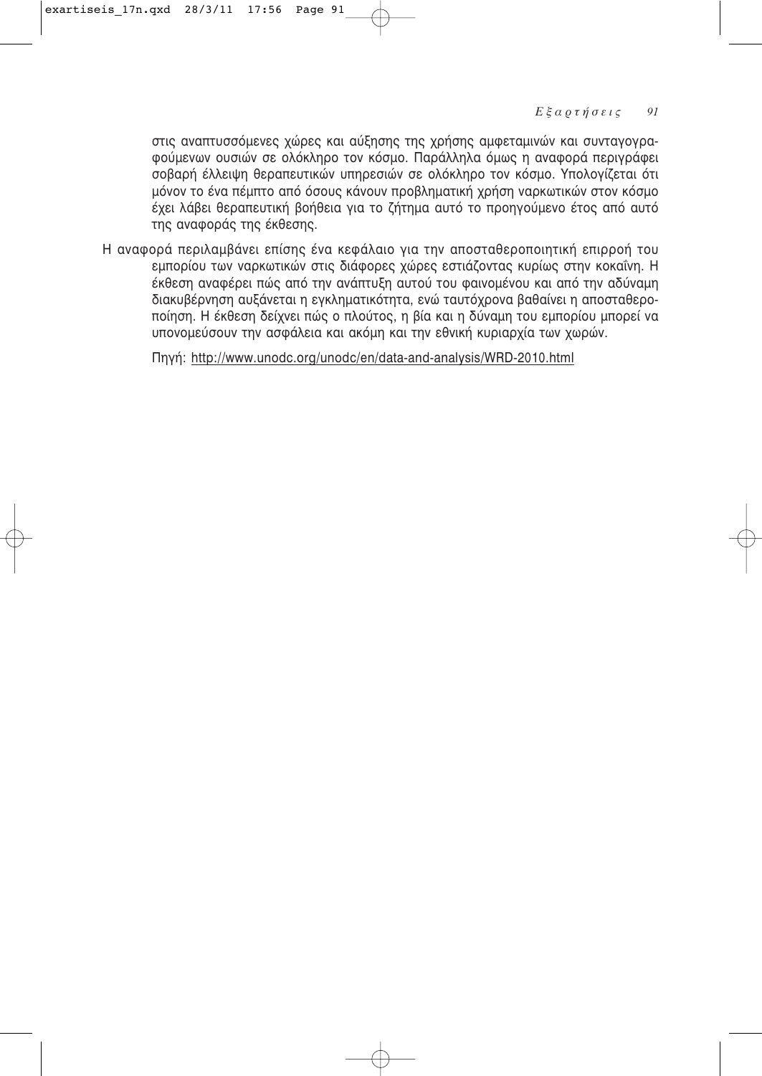στις αναπτυσσόμενες χώρες και αύξησης της χρήσης αμφεταμινών και συνταγογραφούμενων ουσιών σε ολόκληρο τον κόσμο. Παράλληλα όμως η αναφορά περιγράφει σοβαρή έλλειψη θεραπευτικών υπηρεσιών σε ολόκληρο τον κόσμο. Υπολογίζεται ότι μόνον το ένα πέμπτο από όσους κάνουν προβληματική χρήση ναρκωτικών στον κόσμο έχει λάβει θεραπευτική βοήθεια για το ζήτημα αυτό το προηγούμενο έτος από αυτό της αναφοράς της έκθεσης.

Η αναφορά περιλαμβάνει επίσης ένα κεφάλαιο για την αποσταθεροποιητική επιρροή του εμπορίου των ναρκωτικών στις διάφορες χώρες εστιάζοντας κυρίως στην κοκαΐνη. Η έκθεση αναφέρει πώς από την ανάπτυξη αυτού του φαινομένου και από την αδύναμη διακυβέρνηση αυξάνεται η εγκληματικότητα, ενώ ταυτόχρονα βαθαίνει η αποσταθεροποίηση. Η έκθεση δείχνει πώς ο πλούτος, η βία και η δύναμη του εμπορίου μπορεί να υπονομεύσουν την ασφάλεια και ακόμη και την εθνική κυριαρχία των χωρών.

Πηγή: http://www.unodc.org/unodc/en/data-and-analysis/WRD-2010.html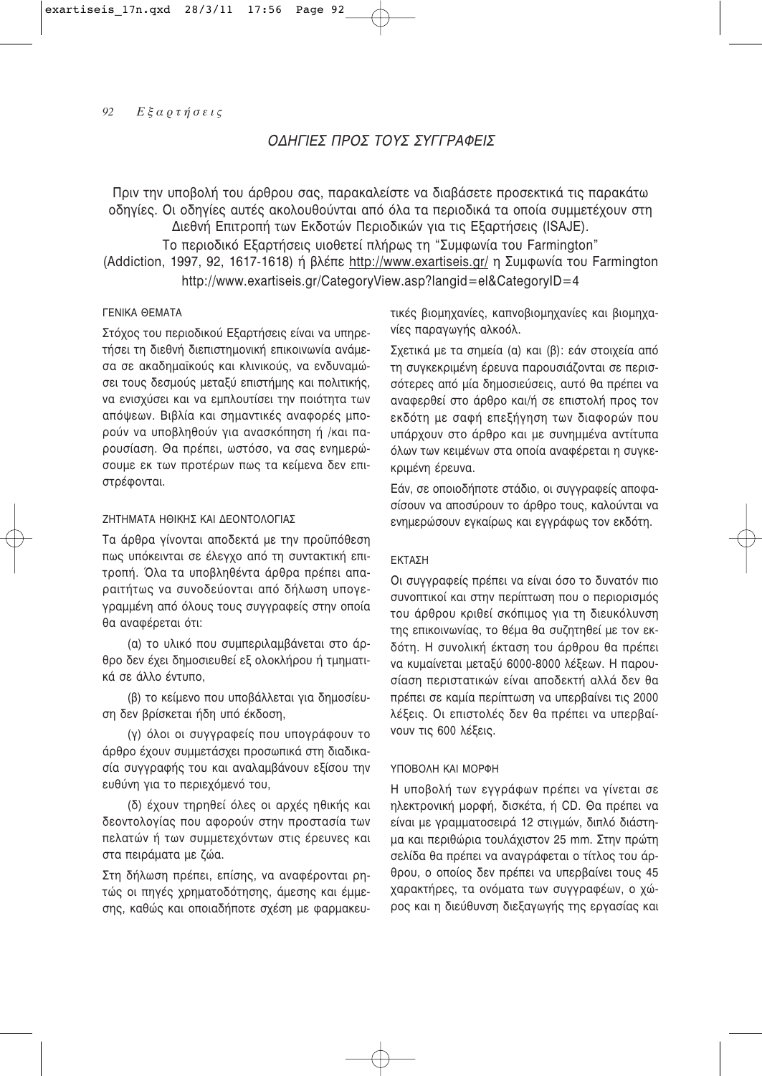# $ΗΓΙΕΣ ΠΡΩΣ ΤΩΥΣ ΣΥΓΓΡΑΦΕΙΣ$

Пριν την υποβολή του άρθρου σας, παρακαλείστε να διαβάσετε προσεκτικά τις παρακάτω οδηγίες. Οι οδηγίες αυτές ακολουθούνται από όλα τα περιοδικά τα οποία συμμετέχουν στη Διεθνή Επιτροπή των Εκδοτών Περιοδικών για τις Εξαρτήσεις (ISAJE).

Το περιοδικό Εξαρτήσεις υιοθετεί πλήρως τη "Συμφωνία του Farmington" (Addiction, 1997, 92, 1617-1618) ή βλέπε http://www.exartiseis.gr/ η Συμφωνία του Farmington http://www.exartiseis.gr/CategoryView.asp?langid=el&CategoryID=4

# ΓΕΝΙΚΑ ΘΕΜΑΤΑ

Στόχος του περιοδικού Εξαρτήσεις είναι να υπηρετήσει τη διεθνή διεπιστημονική επικοινωνία ανάμεσα σε ακαδημαϊκούς και κλινικούς, να ενδυναμώσει τους δεσμούς μεταξύ επιστήμης και πολιτικής, να ενισχύσει και να εμπλουτίσει την ποιότητα των απόψεων. Βιβλία και σημαντικές αναφορές μπορούν να υποβληθούν για ανασκόπηση ή /και παρουσίαση. Θα πρέπει, ωστόσο, να σας ενημερώσουμε εκ των προτέρων πως τα κείμενα δεν επιστρέφονται.

#### ΖΗΤΗΜΑΤΑ ΗΘΙΚΗΣ ΚΑΙ ΔΕΟΝΤΟΛΟΓΙΑΣ

Τα άρθρα γίνονται αποδεκτά με την προϋπόθεση πως υπόκεινται σε έλεγχο από τη συντακτική επιτροπή. Όλα τα υποβληθέντα άρθρα πρέπει απαραιτήτως να συνοδεύονται από δήλωση υπογεγραμμένη από όλους τους συγγραφείς στην οποία θα αναφέρεται ότι:

(α) το υλικό που συμπεριλαμβάνεται στο άρθρο δεν έχει δημοσιευθεί εξ ολοκλήρου ή τμηματικά σε άλλο έντυπο,

(β) το κείμενο που υποβάλλεται για δημοσίευση δεν βρίσκεται ήδη υπό έκδοση,

(γ) όλοι οι συγγραφείς που υπογράφουν το άρθρο έχουν συμμετάσχει προσωπικά στη διαδικασία συγγραφής του και αναλαμβάνουν εξίσου την ευθύνη για το περιεχόμενό του,

(δ) έχουν τηρηθεί όλες οι αρχές ηθικής και δεοντολογίας που αφορούν στην προστασία των πελατών ή των συμμετεχόντων στις έρευνες και στα πειράματα με ζώα.

Στη δήλωση πρέπει, επίσης, να αναφέρονται ρητώς οι πηγές χρηματοδότησης, άμεσης και έμμεσης, καθώς και οποιαδήποτε σχέση με φαρμακευτικές βιομηχανίες, καπνοβιομηχανίες και βιομηχανίες παραγωγής αλκοόλ.

Σχετικά με τα σημεία (α) και (β): εάν στοιχεία από τη συγκεκριμένη έρευνα παρουσιάζονται σε περισσότερες από μία δημοσιεύσεις, αυτό θα πρέπει να αναφερθεί στο άρθρο και/ή σε επιστολή προς τον εκδότη με σαφή επεξήγηση των διαφορών που υπάρχουν στο άρθρο και με συνημμένα αντίτυπα όλων των κειμένων στα οποία αναφέρεται η συγκεκριμένη έρευνα.

Εάν, σε οποιοδήποτε στάδιο, οι συγγραφείς αποφασίσουν να αποσύρουν το άρθρο τους, καλούνται να ενημερώσουν εγκαίρως και εγγράφως τον εκδότη.

# EΚΤΑΣΗ

Οι συγγραφείς πρέπει να είναι όσο το δυνατόν πιο *συνοπτικοί και στην περίπτωση που ο περιορισμός* του άρθρου κριθεί σκόπιμος για τη διευκόλυνση της επικοινωνίας, το θέμα θα συζητηθεί με τον εκδότη. Η συνολική έκταση του άρθρου θα πρέπει να κυμαίνεται μεταξύ 6000-8000 λέξεων. Η παρουσίαση περιστατικών είναι αποδεκτή αλλά δεν θα πρέπει σε καμία περίπτωση να υπερβαίνει τις 2000 λέξεις. Οι επιστολές δεν θα πρέπει να υπερβαίνουν τις 600 λέξεις.

#### ΥΠΟΒΟΛΗ ΚΑΙ ΜΟΡΦΗ

Η υποβολή των εγγράφων πρέπει να γίνεται σε ηλεκτρονική μορφή, δισκέτα, ή CD. Θα πρέπει να είναι με γραμματοσειρά 12 στιγμών, διπλό διάστημα και περιθώρια τουλάχιστον 25 mm. Στην πρώτη σελίδα θα πρέπει να αναγράφεται ο τίτλος του άρθρου, ο οποίος δεν πρέπει να υπερβαίνει τους 45 χαρακτήρες, τα ονόματα των συγγραφέων, ο χώρος και η διεύθυνση διεξαγωγής της εργασίας και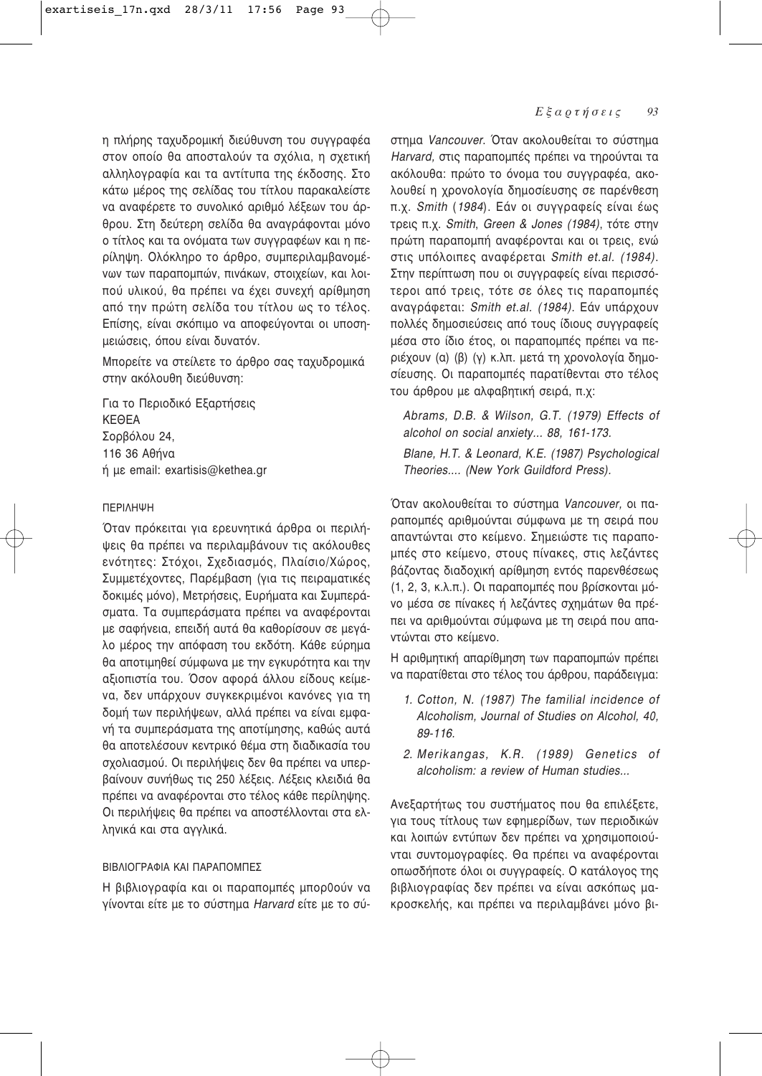η πλήρης ταχυδρομική διεύθυνση του συγγραφέα στον οποίο θα αποσταλούν τα σχόλια, η σχετική αλληλογραφία και τα αντίτυπα της έκδοσης. Στο κάτω μέρος της σελίδας του τίτλου παρακαλείστε να αναφέρετε το συνολικό αριθμό λέξεων του άρθρου. Στη δεύτερη σελίδα θα αναγράφονται μόνο ο τίτλος και τα ονόματα των συγγραφέων και η περίληψη. Ολόκληρο το άρθρο, συμπεριλαμβανομένων των παραπομπών, πινάκων, στοιχείων, και λοιπού υλικού, θα πρέπει να έχει συνεχή αρίθμηση από την πρώτη σελίδα του τίτλου ως το τέλος. Επίσης, είναι σκόπιμο να αποφεύγονται οι υποσημειώσεις, όπου είναι δυνατόν.

Μπορείτε να στείλετε το άρθρο σας ταχυδρομικά στην ακόλουθη διεύθυνση:

Για το Περιοδικό Εξαρτήσεις **KEOEA** Σορβόλου 24, 116 36 Αθήνα ή με email: exartisis@kethea.gr

#### ПЕРІЛНФН

Όταν πρόκειται για ερευνητικά άρθρα οι περιλήψεις θα πρέπει να περιλαμβάνουν τις ακόλουθες ενότητες: Στόχοι, Σχεδιασμός, Πλαίσιο/Χώρος, Συμμετέχοντες, Παρέμβαση (για τις πειραματικές δοκιμές μόνο), Μετρήσεις, Ευρήματα και Συμπεράσματα. Τα συμπεράσματα πρέπει να αναφέρονται με σαφήνεια, επειδή αυτά θα καθορίσουν σε μεγάλο μέρος την απόφαση του εκδότη. Κάθε εύρημα θα αποτιμηθεί σύμφωνα με την εγκυρότητα και την αξιοπιστία του. Όσον αφορά άλλου είδους κείμενα, δεν υπάρχουν συγκεκριμένοι κανόνες για τη δομή των περιλήψεων, αλλά πρέπει να είναι εμφανή τα συμπεράσματα της αποτίμησης, καθώς αυτά θα αποτελέσουν κεντρικό θέμα στη διαδικασία του σχολιασμού. Οι περιλήψεις δεν θα πρέπει να υπερβαίνουν συνήθως τις 250 λέξεις. Λέξεις κλειδιά θα πρέπει να αναφέρονται στο τέλος κάθε περίληψης. Οι περιλήψεις θα πρέπει να αποστέλλονται στα ελληνικά και στα αγγλικά.

#### ΒΙΒΛΙΟΓΡΑΦΙΑ ΚΑΙ ΠΑΡΑΠΟΜΠΕΣ

Η βιβλιογραφία και οι παραπομπές μπορθούν να γίνονται είτε με το σύστημα Harvard είτε με το σύ-

#### Εξαρτήσεις 93

στημα Vancouver. Όταν ακολουθείται το σύστημα Harvard, στις παραπομπές πρέπει να τηρούνται τα ακόλουθα: πρώτο το όνομα του συγγραφέα, ακολουθεί η χρονολογία δημοσίευσης σε παρένθεση π.χ. Smith (1984). Εάν οι συγγραφείς είναι έως τρεις π.χ. Smith, Green & Jones (1984), τότε στην πρώτη παραπομπή αναφέρονται και οι τρεις, ενώ στις υπόλοιπες αναφέρεται Smith et.al. (1984). Στην περίπτωση που οι συγγραφείς είναι περισσότεροι από τρεις, τότε σε όλες τις παραπομπές αναγράφεται: Smith et.al. (1984). Εάν υπάρχουν πολλές δημοσιεύσεις από τους ίδιους συγγραφείς μέσα στο ίδιο έτος, οι παραπομπές πρέπει να περιέχουν (α) (β) (γ) κ.λπ. μετά τη χρονολογία δημοσίευσης. Οι παραπομπές παρατίθενται στο τέλος του άρθρου με αλφαβητική σειρά, π.χ:

Abrams, D.B. & Wilson, G.T. (1979) Effects of alcohol on social anxiety... 88, 161-173. Blane, H.T. & Leonard, K.E. (1987) Psychological Theories.... (New York Guildford Press).

Όταν ακολουθείται το σύστημα Vancouver, οι παραπομπές αριθμούνται σύμφωνα με τη σειρά που απαντώνται στο κείμενο. Σημειώστε τις παραπομπές στο κείμενο, στους πίνακες, στις λεζάντες βάζοντας διαδοχική αρίθμηση εντός παρενθέσεως (1, 2, 3, κ.λ.π.). Οι παραπομπές που βρίσκονται μόνο μέσα σε πίνακες ή λεζάντες σχημάτων θα πρέπει να αριθμούνται σύμφωνα με τη σειρά που απαντώνται στο κείμενο.

Η αριθμητική απαρίθμηση των παραπομπών πρέπει να παρατίθεται στο τέλος του άρθρου, παράδειγμα:

- 1. Cotton, N. (1987) The familial incidence of Alcoholism, Journal of Studies on Alcohol, 40, 89-116.
- 2. Merikangas, K.R. (1989) Genetics of alcoholism: a review of Human studies...

Ανεξαρτήτως του συστήματος που θα επιλέξετε, για τους τίτλους των εφημερίδων, των περιοδικών και λοιπών εντύπων δεν πρέπει να χρησιμοποιούνται συντομογραφίες. Θα πρέπει να αναφέρονται οπωσδήποτε όλοι οι συγγραφείς. Ο κατάλογος της βιβλιογραφίας δεν πρέπει να είναι ασκόπως μακροσκελής, και πρέπει να περιλαμβάνει μόνο βι-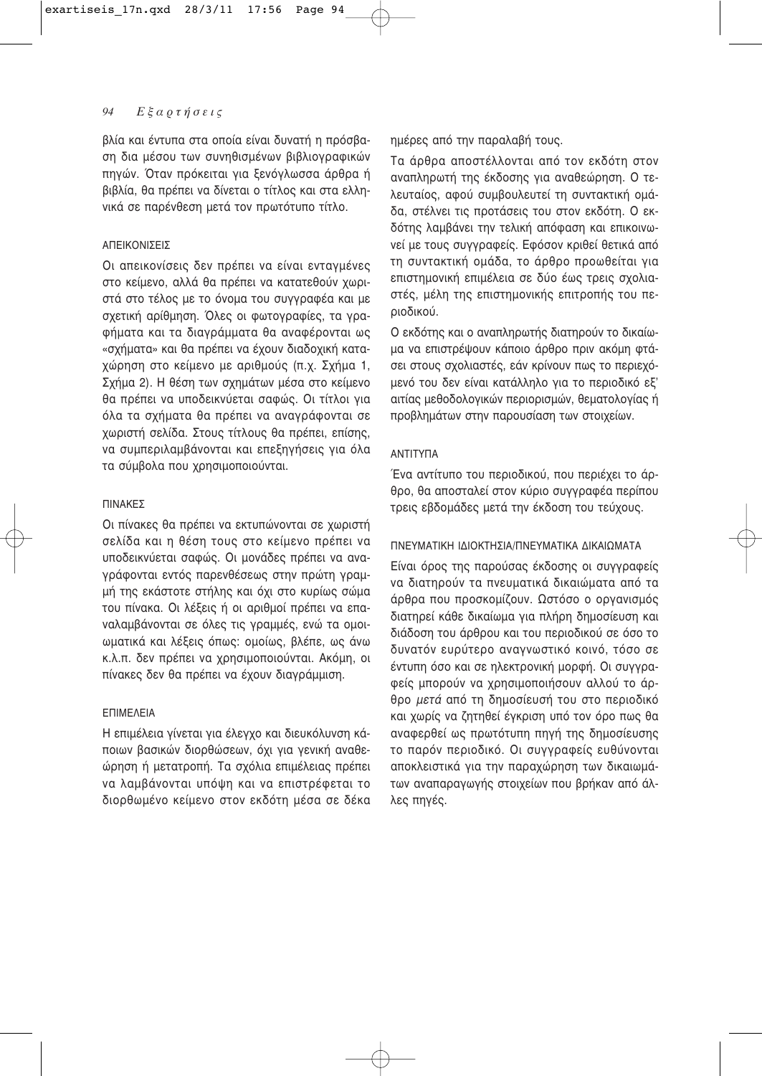#### $Q_{\mathcal{A}}$ Εξαρτήσεις

βλία και έντυπα στα οποία είναι δυνατή η πρόσβαση δια μέσου των συνηθισμένων βιβλιογραφικών πηγών. Όταν πρόκειται για ξενόγλωσσα άρθρα ή βιβλία, θα πρέπει να δίνεται ο τίτλος και στα ελληνικά σε παρένθεση μετά τον πρωτότυπο τίτλο.

## ΑΠΕΙΚΟΝΙΣΕΙΣ

Οι απεικονίσεις δεν πρέπει να είναι ενταγμένες στο κείμενο, αλλά θα πρέπει να κατατεθούν χωριστά στο τέλος με το όνομα του συγγραφέα και με σχετική αρίθμηση. Όλες οι φωτογραφίες, τα γραφήματα και τα διαγράμματα θα αναφέρονται ως «σχήματα» και θα πρέπει να έχουν διαδοχική καταχώρηση στο κείμενο με αριθμούς (π.χ. Σχήμα 1, Σχήμα 2). Η θέση των σχημάτων μέσα στο κείμενο θα πρέπει να υποδεικνύεται σαφώς. Οι τίτλοι για όλα τα σχήματα θα πρέπει να αναγράφονται σε χωριστή σελίδα. Στους τίτλους θα πρέπει, επίσης, να συμπεριλαμβάνονται και επεξηγήσεις για όλα τα σύμβολα που χρησιμοποιούνται.

#### ΠΙΝΑΚΕΣ

Οι πίνακες θα πρέπει να εκτυπώνονται σε χωριστή σελίδα και η θέση τους στο κείμενο πρέπει να υποδεικνύεται σαφώς. Οι μονάδες πρέπει να αναγράφονται εντός παρενθέσεως στην πρώτη γραμμή της εκάστοτε στήλης και όχι στο κυρίως σώμα του πίνακα. Οι λέξεις ή οι αριθμοί πρέπει να επαναλαμβάνονται σε όλες τις γραμμές, ενώ τα ομοιωματικά και λέξεις όπως: ομοίως, βλέπε, ως άνω κ.λ.π. δεν πρέπει να χρησιμοποιούνται. Ακόμη, οι πίνακες δεν θα πρέπει να έχουν διαγράμμιση.

#### ΕΠΙΜΕΛΕΙΑ

Η επιμέλεια γίνεται για έλεγχο και διευκόλυνση κάποιων βασικών διορθώσεων, όχι για γενική αναθεώρηση ή μετατροπή. Τα σχόλια επιμέλειας πρέπει να λαμβάνονται υπόψη και να επιστρέφεται το διορθωμένο κείμενο στον εκδότη μέσα σε δέκα ημέρες από την παραλαβή τους.

Τα άρθρα αποστέλλονται από τον εκδότη στον αναπληρωτή της έκδοσης για αναθεώρηση. Ο τελευταίος, αφού συμβουλευτεί τη συντακτική ομάδα, στέλνει τις προτάσεις του στον εκδότη. Ο εκδότης λαμβάνει την τελική απόφαση και επικοινωνεί με τους συγγραφείς. Εφόσον κριθεί θετικά από τη συντακτική ομάδα, το άρθρο προωθείται για επιστημονική επιμέλεια σε δύο έως τρεις σχολιαστές, μέλη της επιστημονικής επιτροπής του περιοδικού.

Ο εκδότης και ο αναπληρωτής διατηρούν το δικαίωμα να επιστρέψουν κάποιο άρθρο πριν ακόμη φτάσει στους σχολιαστές, εάν κρίνουν πως το περιεχόμενό του δεν είναι κατάλληλο για το περιοδικό εξ' αιτίας μεθοδολογικών περιορισμών, θεματολογίας ή προβλημάτων στην παρουσίαση των στοιχείων.

# ΑΝΤΙΤΥΠΑ

Ένα αντίτυπο του περιοδικού, που περιέχει το άρθρο, θα αποσταλεί στον κύριο συγγραφέα περίπου τρεις εβδομάδες μετά την έκδοση του τεύχους.

#### ΠΝΕΥΜΑΤΙΚΗ ΙΔΙΟΚΤΗΣΙΑ/ΠΝΕΥΜΑΤΙΚΑ ΔΙΚΑΙΩΜΑΤΑ

Είναι όρος της παρούσας έκδοσης οι συγγραφείς να διατηρούν τα πνευματικά δικαιώματα από τα άρθρα που προσκομίζουν. Ωστόσο ο οργανισμός διατηρεί κάθε δικαίωμα για πλήρη δημοσίευση και διάδοση του άρθρου και του περιοδικού σε όσο το δυνατόν ευρύτερο αναγνωστικό κοινό, τόσο σε έντυπη όσο και σε ηλεκτρονική μορφή. Οι συγγραφείς μπορούν να χρησιμοποιήσουν αλλού το άρθρο μετά από τη δημοσίευσή του στο περιοδικό και χωρίς να ζητηθεί έγκριση υπό τον όρο πως θα αναφερθεί ως πρωτότυπη πηγή της δημοσίευσης το παρόν περιοδικό. Οι συγγραφείς ευθύνονται αποκλειστικά για την παραχώρηση των δικαιωμάτων αναπαραγωγής στοιχείων που βρήκαν από άλλες πηγές.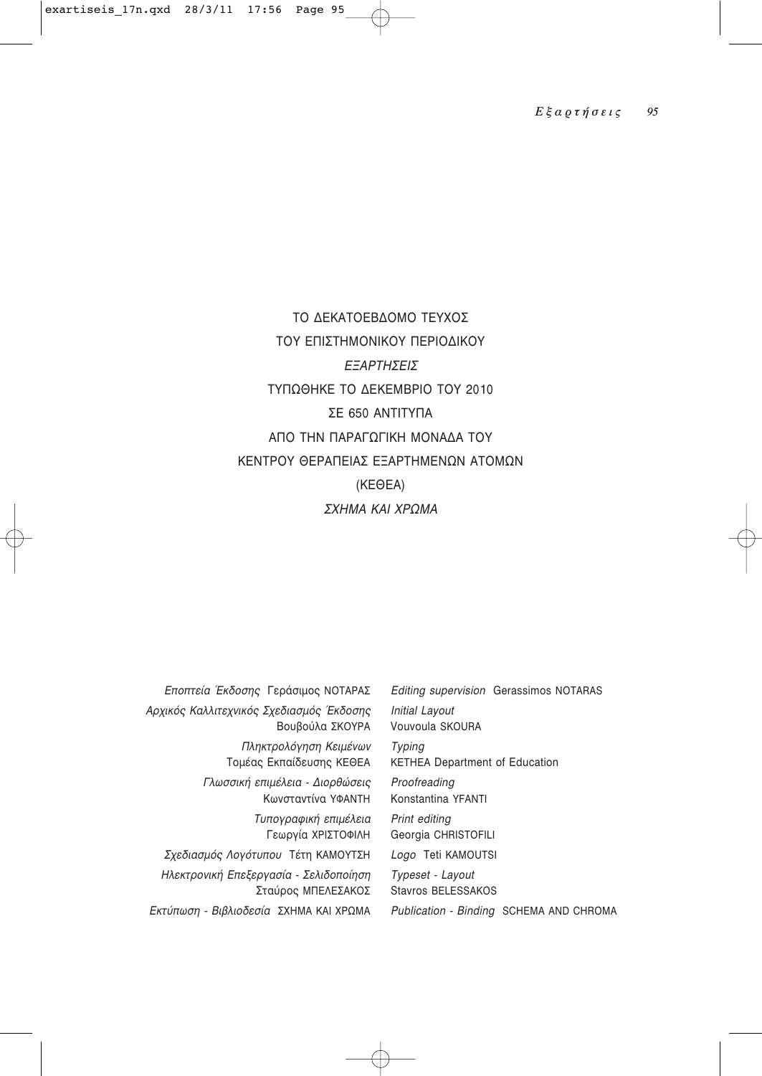exartiseis\_17n.qxd 28/3/11 17:56 Page 95

ΤΟ ΔΕΚΑΤΟΕΒΔΟΜΟ ΤΕΥΧΟΣ ΤΟΥ ΕΠΙΣΤΗΜΟΝΙΚΟΥ ΠΕΡΙΟΔΙΚΟΥ ΕΞΑΡΤΗΣΕΙΣ ΤΥΠΩΘΗΚΕ ΤΟ ΔΕΚΕΜΒΡΙΟ ΤΟΥ 2010 ΣΕ 650 ΑΝΤΙΤΥΠΑ ΑΠΟ ΤΗΝ ΠΑΡΑΓΩΓΙΚΗ ΜΟΝΑΔΑ ΤΟΥ ΚΕΝΤΡΟΥ ΘΕΡΑΠΕΙΑΣ ΕΞΑΡΤΗΜΕΝΩΝ ΑΤΟΜΩΝ  $(KE $\Theta$ E $A$ )$ ΣΧΗΜΑ ΚΑΙ ΧΡΩΜΑ

| Εποπτεία Έκδοσης Γεράσιμος ΝΟΤΑΡΑΣ       | Editing supervision Gerassimos NOTARAS  |
|------------------------------------------|-----------------------------------------|
| Αρχικός Καλλιτεχνικός Σχεδιασμός Έκδοσης | <b>Initial Layout</b>                   |
| Βουβούλα ΣΚΟΥΡΑ                          | Vouvoula SKOURA                         |
| Πληκτρολόγηση Κειμένων                   | Typing                                  |
| Τομέας Εκπαίδευσης ΚΕΘΕΑ                 | <b>KETHEA Department of Education</b>   |
| Γλωσσική επιμέλεια - Διορθώσεις          | Proofreading                            |
| Κωνσταντίνα ΥΦΑΝΤΗ                       | Konstantina YFANTI                      |
| Τυπογραφική επιμέλεια                    | Print editing                           |
| Γεωργία ΧΡΙΣΤΟΦΙΛΗ                       | Georgia CHRISTOFILI                     |
| Σχεδιασμός Λογότυπου Τέτη ΚΑΜΟΥΤΣΗ       | Logo Teti KAMOUTSI                      |
| Ηλεκτρονική Επεξεργασία - Σελιδοποίηση   | Typeset - Layout                        |
| Σταύρος ΜΠΕΛΕΣΑΚΟΣ                       | Stavros BELESSAKOS                      |
| Εκτύπωση - Βιβλιοδεσία ΣΧΗΜΑ ΚΑΙ ΧΡΩΜΑ   | Publication - Binding SCHEMA AND CHROMA |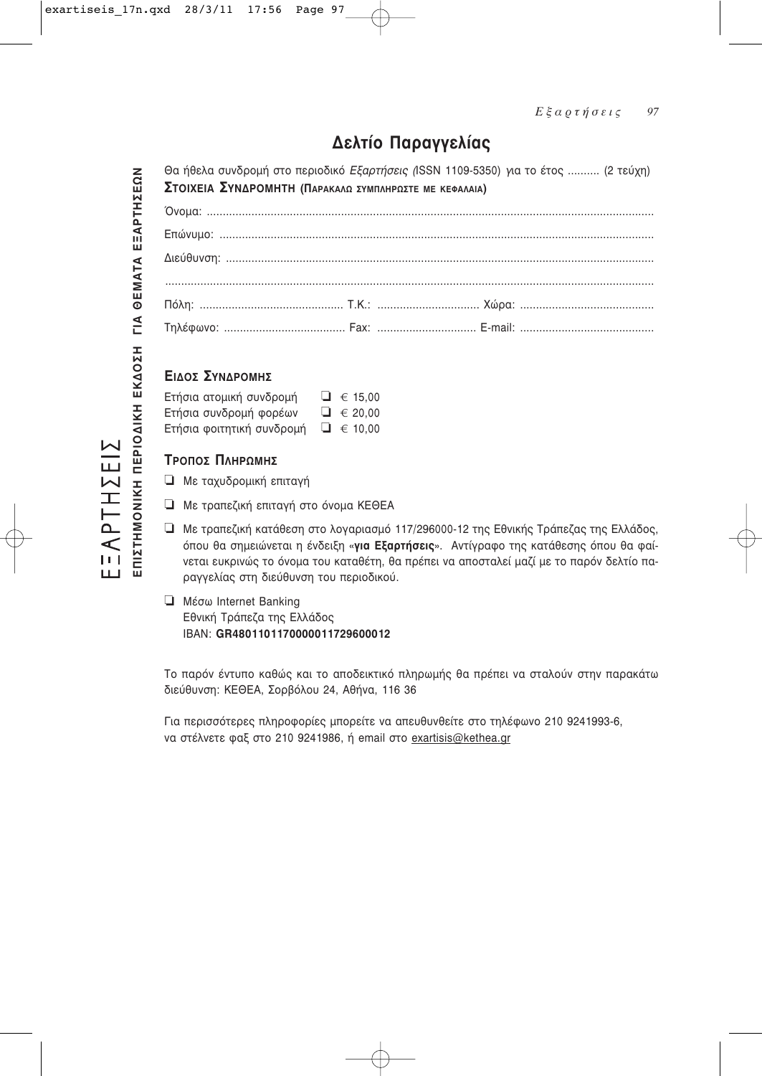# Δελτίο Παραγγελίας

ΕΠΙΣΤΗΜΟΝΙΚΗ ΠΕΡΙΟΔΙΚΗ ΕΚΔΟΣΗ ΓΙΑ ΘΕΜΑΤΑ ΕΞΑΡΤΗΣΕΩΝ PTHIE ПÍ Щ

| - Θα ηθελα συνόρομη στο περιοδικο <i>Εξαρτησεις (</i> ISSN 1109-5350) για το ετος  (2 τευχη)<br>ΣΤΟΙΧΕΙΑ ΣΥΝΔΡΟΜΗΤΗ (ΠΑΡΑΚΑΛΩ ΣΥΜΠΛΗΡΩΣΤΕ ΜΕ ΚΕΦΑΛΑΙΑ) |  |  |  |
|--------------------------------------------------------------------------------------------------------------------------------------------------------|--|--|--|
|                                                                                                                                                        |  |  |  |
|                                                                                                                                                        |  |  |  |
|                                                                                                                                                        |  |  |  |
|                                                                                                                                                        |  |  |  |
|                                                                                                                                                        |  |  |  |
|                                                                                                                                                        |  |  |  |

# ΕΙΔΟΣ ΣΥΝΔΡΟΜΗΣ

| Ετήσια ατομική συνδρομή   | $\Box$ $\in$ 15,00 |
|---------------------------|--------------------|
| Ετήσια συνδρομή φορέων    | $\Box$ $\in$ 20.00 |
| Ετήσια φοιτητική συνδρομή | $\Box$ $\in$ 10.00 |

# **ΤΡΟΠΟΣ ΠΛΗΡΩΜΗΣ**

**α** Με ταχυδρομική επιταγή

**Δ** Με τραπεζική επιταγή στο όνομα ΚΕΘΕΑ

- Δ Με τραπεζική κατάθεση στο λογαριασμό 117/296000-12 της Εθνικής Τράπεζας της Ελλάδος, όπου θα σημειώνεται η ένδειξη «για Εξαρτήσεις». Αντίγραφο της κατάθεσης όπου θα φαίνεται ευκρινώς το όνομα του καταθέτη, θα πρέπει να αποσταλεί μαζί με το παρόν δελτίο παραγγελίας στη διεύθυνση του περιοδικού.
- Μέσω Internet Banking Εθνική Τράπεζα της Ελλάδος IBAN: GR4801101170000011729600012

Το παρόν έντυπο καθώς και το αποδεικτικό πληρωμής θα πρέπει να σταλούν στην παρακάτω διεύθυνση: ΚΕΘΕΑ, Σορβόλου 24, Αθήνα, 116 36

Για περισσότερες πληροφορίες μπορείτε να απευθυνθείτε στο τηλέφωνο 210 9241993-6, να στέλνετε φαξ στο 210 9241986, ή email στο exartisis@kethea.gr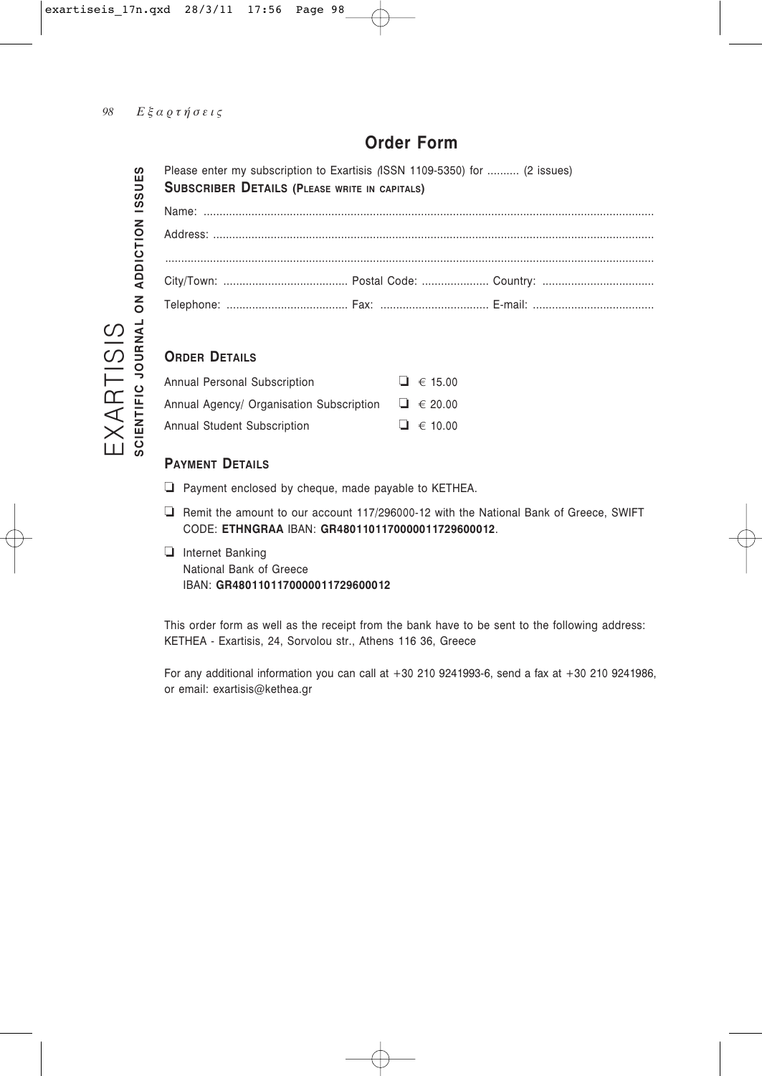# **Order Form**

Please enter my subscription to Exartisis *(*ISSN 1109-5350) for .......... (2 issues) **SUBSCRIBER DETAILS (PLEASE WRITE IN CAPITALS)** Name: ............................................................................................................................................. Address: .......................................................................................................................................... ......................................................................................................................................................... City/Town: ....................................... Postal Code: ..................... Country: ................................... Δelephone: ...................................... Fax: .................................. E-mail: ......................................

# **ORDER DETAILS**

| $\Box$ $\in$ 15.00 |
|--------------------|
| $\Box$ $\in$ 20.00 |
| $\Box$ $\in$ 10.00 |
|                    |

# **PAYMENT DETAILS**

- ❏ Payment enclosed by cheque, made payable to KETHEA.
- ❏ Remit the amount to our account 117/296000-12 with the National Bank of Greece, SWIFT CODE: **ETHNGRAA** IBAN: **GR4801101170000011729600012**.
- ❏ πnternet Banking National Bank of Greece IBAN: **GR4801101170000011729600012**

This order form as well as the receipt from the bank have to be sent to the following address: KETHEA - Exartisis, 24, Sorvolou str., Athens 116 36, Greece

For any additional information you can call at +30 210 9241993-6, send a fax at +30 210 9241986, or email: exartisis@kethea.gr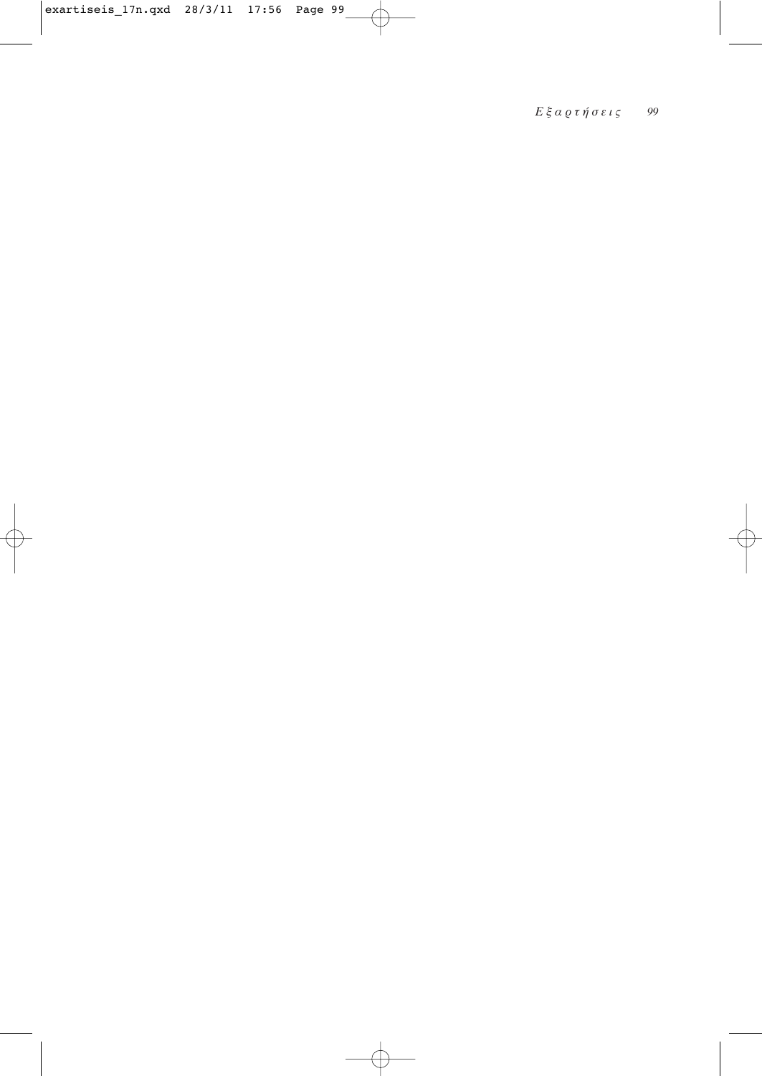$\vert$ exartiseis\_17n.qxd 28/3/11 17:56 Page 99

Œ

*Εξαρτήσεις 99*